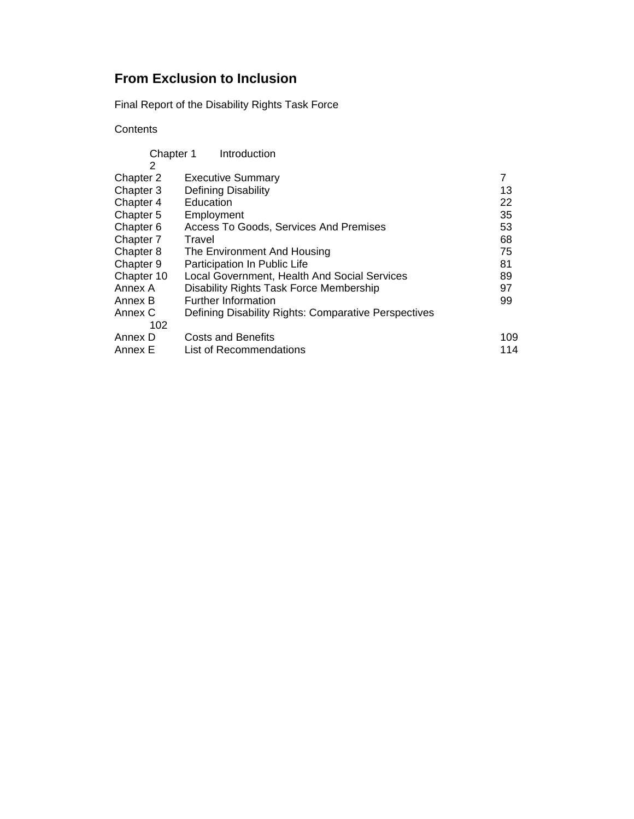# **From Exclusion to Inclusion**

Final Report of the Disability Rights Task Force

# **Contents**

|            | Introduction<br>Chapter 1                            |     |
|------------|------------------------------------------------------|-----|
| 2          |                                                      |     |
| Chapter 2  | <b>Executive Summary</b>                             | 7   |
| Chapter 3  | Defining Disability                                  | 13  |
| Chapter 4  | Education                                            | 22  |
| Chapter 5  | Employment                                           | 35  |
| Chapter 6  | Access To Goods, Services And Premises               | 53  |
| Chapter 7  | Travel                                               | 68  |
| Chapter 8  | The Environment And Housing                          | 75  |
| Chapter 9  | Participation In Public Life                         | 81  |
| Chapter 10 | Local Government, Health And Social Services         | 89  |
| Annex A    | Disability Rights Task Force Membership              | 97  |
| Annex B    | <b>Further Information</b>                           | 99  |
| Annex C    | Defining Disability Rights: Comparative Perspectives |     |
| 102        |                                                      |     |
| Annex D    | <b>Costs and Benefits</b>                            | 109 |
| Annex E    | List of Recommendations                              | 114 |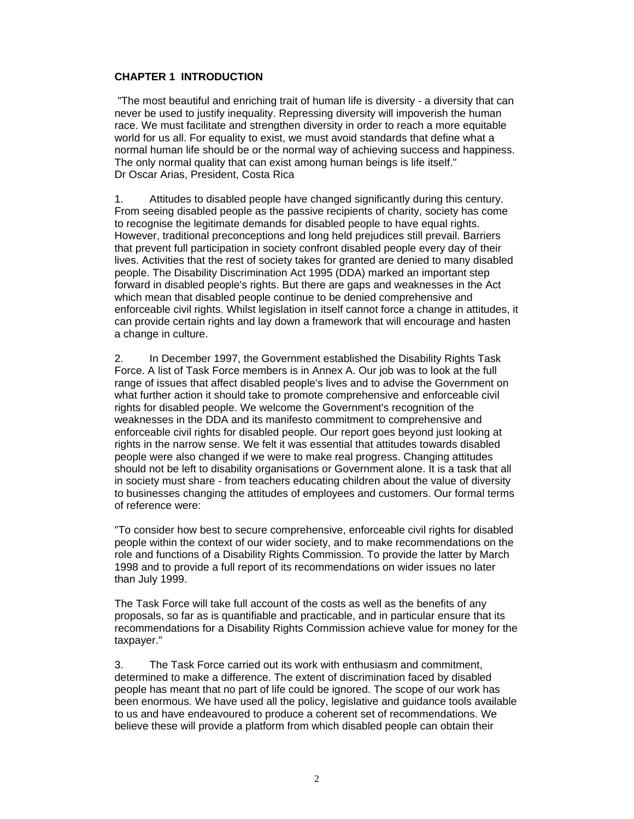#### **CHAPTER 1 INTRODUCTION**

 "The most beautiful and enriching trait of human life is diversity - a diversity that can never be used to justify inequality. Repressing diversity will impoverish the human race. We must facilitate and strengthen diversity in order to reach a more equitable world for us all. For equality to exist, we must avoid standards that define what a normal human life should be or the normal way of achieving success and happiness. The only normal quality that can exist among human beings is life itself." Dr Oscar Arias, President, Costa Rica

1. Attitudes to disabled people have changed significantly during this century. From seeing disabled people as the passive recipients of charity, society has come to recognise the legitimate demands for disabled people to have equal rights. However, traditional preconceptions and long held prejudices still prevail. Barriers that prevent full participation in society confront disabled people every day of their lives. Activities that the rest of society takes for granted are denied to many disabled people. The Disability Discrimination Act 1995 (DDA) marked an important step forward in disabled people's rights. But there are gaps and weaknesses in the Act which mean that disabled people continue to be denied comprehensive and enforceable civil rights. Whilst legislation in itself cannot force a change in attitudes, it can provide certain rights and lay down a framework that will encourage and hasten a change in culture.

2. In December 1997, the Government established the Disability Rights Task Force. A list of Task Force members is in Annex A. Our job was to look at the full range of issues that affect disabled people's lives and to advise the Government on what further action it should take to promote comprehensive and enforceable civil rights for disabled people. We welcome the Government's recognition of the weaknesses in the DDA and its manifesto commitment to comprehensive and enforceable civil rights for disabled people. Our report goes beyond just looking at rights in the narrow sense. We felt it was essential that attitudes towards disabled people were also changed if we were to make real progress. Changing attitudes should not be left to disability organisations or Government alone. It is a task that all in society must share - from teachers educating children about the value of diversity to businesses changing the attitudes of employees and customers. Our formal terms of reference were:

"To consider how best to secure comprehensive, enforceable civil rights for disabled people within the context of our wider society, and to make recommendations on the role and functions of a Disability Rights Commission. To provide the latter by March 1998 and to provide a full report of its recommendations on wider issues no later than July 1999.

The Task Force will take full account of the costs as well as the benefits of any proposals, so far as is quantifiable and practicable, and in particular ensure that its recommendations for a Disability Rights Commission achieve value for money for the taxpayer."

3. The Task Force carried out its work with enthusiasm and commitment, determined to make a difference. The extent of discrimination faced by disabled people has meant that no part of life could be ignored. The scope of our work has been enormous. We have used all the policy, legislative and guidance tools available to us and have endeavoured to produce a coherent set of recommendations. We believe these will provide a platform from which disabled people can obtain their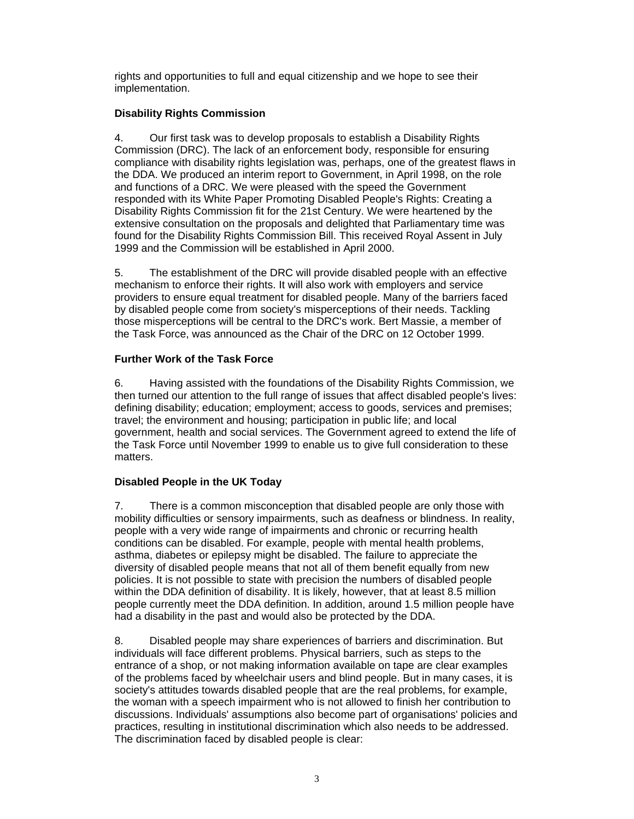rights and opportunities to full and equal citizenship and we hope to see their implementation.

# **Disability Rights Commission**

4. Our first task was to develop proposals to establish a Disability Rights Commission (DRC). The lack of an enforcement body, responsible for ensuring compliance with disability rights legislation was, perhaps, one of the greatest flaws in the DDA. We produced an interim report to Government, in April 1998, on the role and functions of a DRC. We were pleased with the speed the Government responded with its White Paper Promoting Disabled People's Rights: Creating a Disability Rights Commission fit for the 21st Century. We were heartened by the extensive consultation on the proposals and delighted that Parliamentary time was found for the Disability Rights Commission Bill. This received Royal Assent in July 1999 and the Commission will be established in April 2000.

5. The establishment of the DRC will provide disabled people with an effective mechanism to enforce their rights. It will also work with employers and service providers to ensure equal treatment for disabled people. Many of the barriers faced by disabled people come from society's misperceptions of their needs. Tackling those misperceptions will be central to the DRC's work. Bert Massie, a member of the Task Force, was announced as the Chair of the DRC on 12 October 1999.

### **Further Work of the Task Force**

6. Having assisted with the foundations of the Disability Rights Commission, we then turned our attention to the full range of issues that affect disabled people's lives: defining disability; education; employment; access to goods, services and premises; travel; the environment and housing; participation in public life; and local government, health and social services. The Government agreed to extend the life of the Task Force until November 1999 to enable us to give full consideration to these matters.

### **Disabled People in the UK Today**

7. There is a common misconception that disabled people are only those with mobility difficulties or sensory impairments, such as deafness or blindness. In reality, people with a very wide range of impairments and chronic or recurring health conditions can be disabled. For example, people with mental health problems, asthma, diabetes or epilepsy might be disabled. The failure to appreciate the diversity of disabled people means that not all of them benefit equally from new policies. It is not possible to state with precision the numbers of disabled people within the DDA definition of disability. It is likely, however, that at least 8.5 million people currently meet the DDA definition. In addition, around 1.5 million people have had a disability in the past and would also be protected by the DDA.

8. Disabled people may share experiences of barriers and discrimination. But individuals will face different problems. Physical barriers, such as steps to the entrance of a shop, or not making information available on tape are clear examples of the problems faced by wheelchair users and blind people. But in many cases, it is society's attitudes towards disabled people that are the real problems, for example, the woman with a speech impairment who is not allowed to finish her contribution to discussions. Individuals' assumptions also become part of organisations' policies and practices, resulting in institutional discrimination which also needs to be addressed. The discrimination faced by disabled people is clear: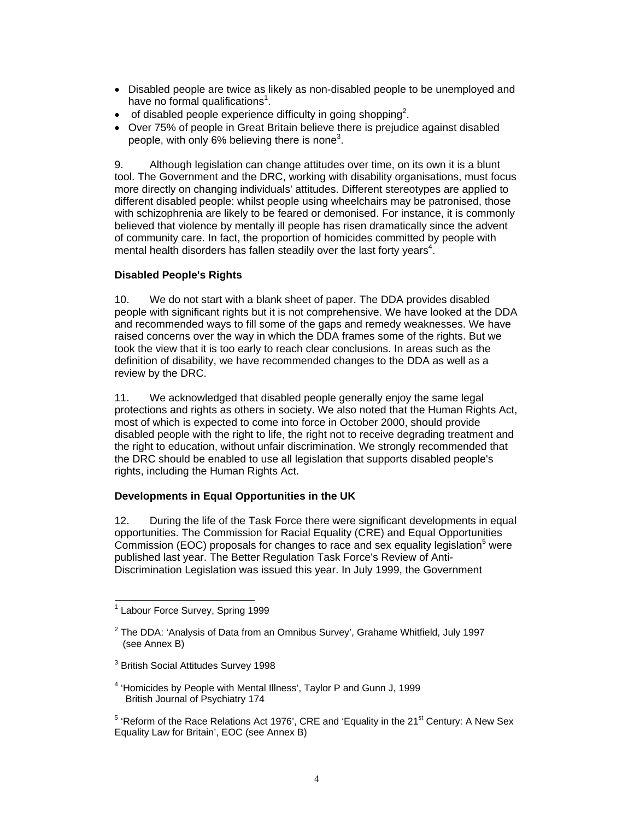- Disabled people are twice as likely as non-disabled people to be unemployed and have no formal qualifications<sup>1</sup>.
- $\bullet$  of disabled people experience difficulty in going shopping<sup>2</sup>.
- Over 75% of people in Great Britain believe there is prejudice against disabled people, with only 6% believing there is none<sup>3</sup>.

9. Although legislation can change attitudes over time, on its own it is a blunt tool. The Government and the DRC, working with disability organisations, must focus more directly on changing individuals' attitudes. Different stereotypes are applied to different disabled people: whilst people using wheelchairs may be patronised, those with schizophrenia are likely to be feared or demonised. For instance, it is commonly believed that violence by mentally ill people has risen dramatically since the advent of community care. In fact, the proportion of homicides committed by people with mental health disorders has fallen steadily over the last forty years<sup>4</sup>.

### **Disabled People's Rights**

10. We do not start with a blank sheet of paper. The DDA provides disabled people with significant rights but it is not comprehensive. We have looked at the DDA and recommended ways to fill some of the gaps and remedy weaknesses. We have raised concerns over the way in which the DDA frames some of the rights. But we took the view that it is too early to reach clear conclusions. In areas such as the definition of disability, we have recommended changes to the DDA as well as a review by the DRC.

11. We acknowledged that disabled people generally enjoy the same legal protections and rights as others in society. We also noted that the Human Rights Act, most of which is expected to come into force in October 2000, should provide disabled people with the right to life, the right not to receive degrading treatment and the right to education, without unfair discrimination. We strongly recommended that the DRC should be enabled to use all legislation that supports disabled people's rights, including the Human Rights Act.

# **Developments in Equal Opportunities in the UK**

12. During the life of the Task Force there were significant developments in equal opportunities. The Commission for Racial Equality (CRE) and Equal Opportunities Commission (EOC) proposals for changes to race and sex equality legislation<sup>5</sup> were published last year. The Better Regulation Task Force's Review of Anti-Discrimination Legislation was issued this year. In July 1999, the Government

l

- $^3$  British Social Attitudes Survey 1998
- <sup>4</sup> 'Homicides by People with Mental Illness', Taylor P and Gunn J, 1999 British Journal of Psychiatry 174
- $5$  'Reform of the Race Relations Act 1976', CRE and 'Equality in the 21<sup>st</sup> Century: A New Sex Equality Law for Britain', EOC (see Annex B)

<sup>1</sup> Labour Force Survey, Spring 1999

<sup>&</sup>lt;sup>2</sup> The DDA: 'Analysis of Data from an Omnibus Survey', Grahame Whitfield, July 1997 (see Annex B)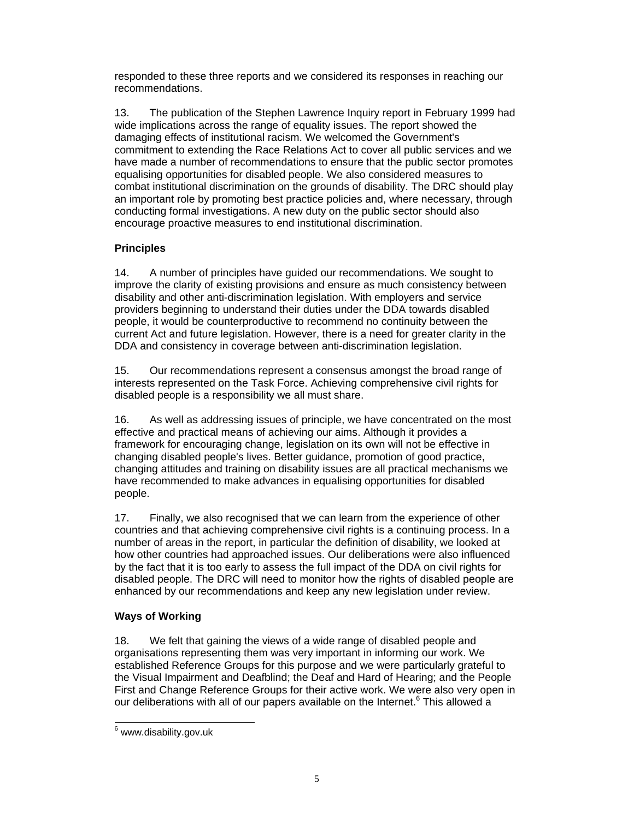responded to these three reports and we considered its responses in reaching our recommendations.

13. The publication of the Stephen Lawrence Inquiry report in February 1999 had wide implications across the range of equality issues. The report showed the damaging effects of institutional racism. We welcomed the Government's commitment to extending the Race Relations Act to cover all public services and we have made a number of recommendations to ensure that the public sector promotes equalising opportunities for disabled people. We also considered measures to combat institutional discrimination on the grounds of disability. The DRC should play an important role by promoting best practice policies and, where necessary, through conducting formal investigations. A new duty on the public sector should also encourage proactive measures to end institutional discrimination.

# **Principles**

14. A number of principles have guided our recommendations. We sought to improve the clarity of existing provisions and ensure as much consistency between disability and other anti-discrimination legislation. With employers and service providers beginning to understand their duties under the DDA towards disabled people, it would be counterproductive to recommend no continuity between the current Act and future legislation. However, there is a need for greater clarity in the DDA and consistency in coverage between anti-discrimination legislation.

15. Our recommendations represent a consensus amongst the broad range of interests represented on the Task Force. Achieving comprehensive civil rights for disabled people is a responsibility we all must share.

16. As well as addressing issues of principle, we have concentrated on the most effective and practical means of achieving our aims. Although it provides a framework for encouraging change, legislation on its own will not be effective in changing disabled people's lives. Better guidance, promotion of good practice, changing attitudes and training on disability issues are all practical mechanisms we have recommended to make advances in equalising opportunities for disabled people.

17. Finally, we also recognised that we can learn from the experience of other countries and that achieving comprehensive civil rights is a continuing process. In a number of areas in the report, in particular the definition of disability, we looked at how other countries had approached issues. Our deliberations were also influenced by the fact that it is too early to assess the full impact of the DDA on civil rights for disabled people. The DRC will need to monitor how the rights of disabled people are enhanced by our recommendations and keep any new legislation under review.

### **Ways of Working**

18. We felt that gaining the views of a wide range of disabled people and organisations representing them was very important in informing our work. We established Reference Groups for this purpose and we were particularly grateful to the Visual Impairment and Deafblind; the Deaf and Hard of Hearing; and the People First and Change Reference Groups for their active work. We were also very open in our deliberations with all of our papers available on the Internet.<sup>6</sup> This allowed a

e<br><sup>6</sup> www.disability.gov.uk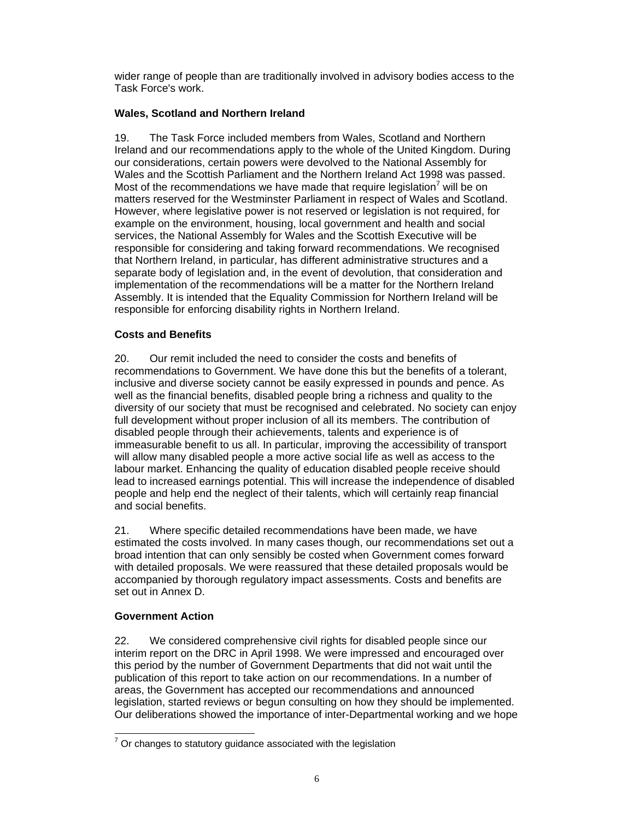wider range of people than are traditionally involved in advisory bodies access to the Task Force's work.

### **Wales, Scotland and Northern Ireland**

19. The Task Force included members from Wales, Scotland and Northern Ireland and our recommendations apply to the whole of the United Kingdom. During our considerations, certain powers were devolved to the National Assembly for Wales and the Scottish Parliament and the Northern Ireland Act 1998 was passed. Most of the recommendations we have made that require legislation<sup>7</sup> will be on matters reserved for the Westminster Parliament in respect of Wales and Scotland. However, where legislative power is not reserved or legislation is not required, for example on the environment, housing, local government and health and social services, the National Assembly for Wales and the Scottish Executive will be responsible for considering and taking forward recommendations. We recognised that Northern Ireland, in particular, has different administrative structures and a separate body of legislation and, in the event of devolution, that consideration and implementation of the recommendations will be a matter for the Northern Ireland Assembly. It is intended that the Equality Commission for Northern Ireland will be responsible for enforcing disability rights in Northern Ireland.

### **Costs and Benefits**

20. Our remit included the need to consider the costs and benefits of recommendations to Government. We have done this but the benefits of a tolerant, inclusive and diverse society cannot be easily expressed in pounds and pence. As well as the financial benefits, disabled people bring a richness and quality to the diversity of our society that must be recognised and celebrated. No society can enjoy full development without proper inclusion of all its members. The contribution of disabled people through their achievements, talents and experience is of immeasurable benefit to us all. In particular, improving the accessibility of transport will allow many disabled people a more active social life as well as access to the labour market. Enhancing the quality of education disabled people receive should lead to increased earnings potential. This will increase the independence of disabled people and help end the neglect of their talents, which will certainly reap financial and social benefits.

21. Where specific detailed recommendations have been made, we have estimated the costs involved. In many cases though, our recommendations set out a broad intention that can only sensibly be costed when Government comes forward with detailed proposals. We were reassured that these detailed proposals would be accompanied by thorough regulatory impact assessments. Costs and benefits are set out in Annex D.

### **Government Action**

22. We considered comprehensive civil rights for disabled people since our interim report on the DRC in April 1998. We were impressed and encouraged over this period by the number of Government Departments that did not wait until the publication of this report to take action on our recommendations. In a number of areas, the Government has accepted our recommendations and announced legislation, started reviews or begun consulting on how they should be implemented. Our deliberations showed the importance of inter-Departmental working and we hope

 $\overline{a}$  $7$  Or changes to statutory guidance associated with the legislation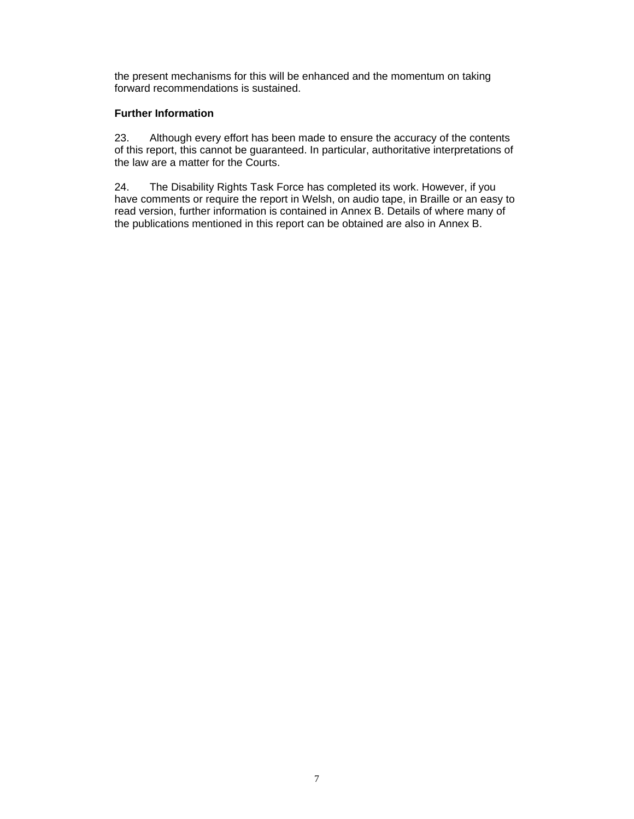the present mechanisms for this will be enhanced and the momentum on taking forward recommendations is sustained.

#### **Further Information**

23. Although every effort has been made to ensure the accuracy of the contents of this report, this cannot be guaranteed. In particular, authoritative interpretations of the law are a matter for the Courts.

24. The Disability Rights Task Force has completed its work. However, if you have comments or require the report in Welsh, on audio tape, in Braille or an easy to read version, further information is contained in Annex B. Details of where many of the publications mentioned in this report can be obtained are also in Annex B.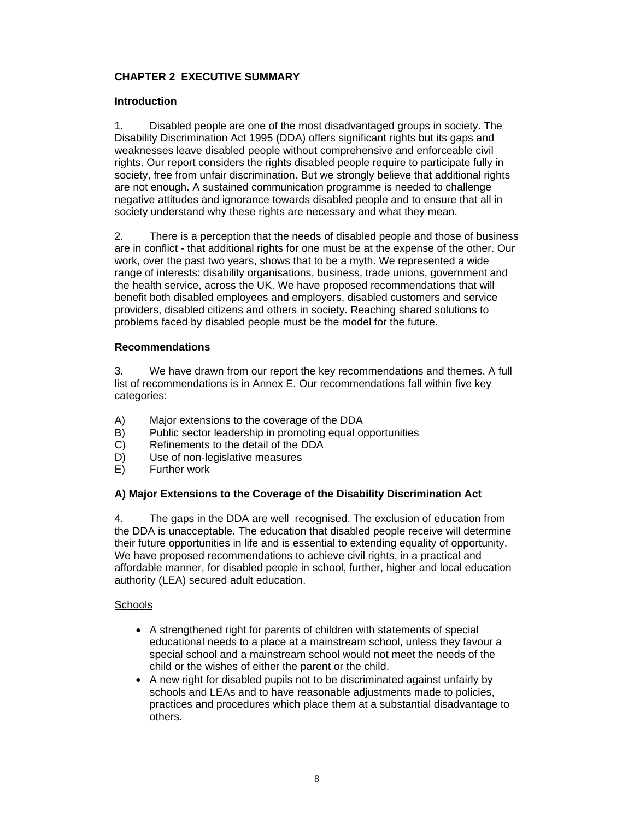# **CHAPTER 2 EXECUTIVE SUMMARY**

### **Introduction**

1. Disabled people are one of the most disadvantaged groups in society. The Disability Discrimination Act 1995 (DDA) offers significant rights but its gaps and weaknesses leave disabled people without comprehensive and enforceable civil rights. Our report considers the rights disabled people require to participate fully in society, free from unfair discrimination. But we strongly believe that additional rights are not enough. A sustained communication programme is needed to challenge negative attitudes and ignorance towards disabled people and to ensure that all in society understand why these rights are necessary and what they mean.

2. There is a perception that the needs of disabled people and those of business are in conflict - that additional rights for one must be at the expense of the other. Our work, over the past two years, shows that to be a myth. We represented a wide range of interests: disability organisations, business, trade unions, government and the health service, across the UK. We have proposed recommendations that will benefit both disabled employees and employers, disabled customers and service providers, disabled citizens and others in society. Reaching shared solutions to problems faced by disabled people must be the model for the future.

### **Recommendations**

3. We have drawn from our report the key recommendations and themes. A full list of recommendations is in Annex E. Our recommendations fall within five key categories:

- A) Major extensions to the coverage of the DDA
- B) Public sector leadership in promoting equal opportunities<br>C) Refinements to the detail of the DDA
- Refinements to the detail of the DDA
- D) Use of non-legislative measures
- E) Further work

# **A) Major Extensions to the Coverage of the Disability Discrimination Act**

4. The gaps in the DDA are well recognised. The exclusion of education from the DDA is unacceptable. The education that disabled people receive will determine their future opportunities in life and is essential to extending equality of opportunity. We have proposed recommendations to achieve civil rights, in a practical and affordable manner, for disabled people in school, further, higher and local education authority (LEA) secured adult education.

### **Schools**

- A strengthened right for parents of children with statements of special educational needs to a place at a mainstream school, unless they favour a special school and a mainstream school would not meet the needs of the child or the wishes of either the parent or the child.
- A new right for disabled pupils not to be discriminated against unfairly by schools and LEAs and to have reasonable adjustments made to policies, practices and procedures which place them at a substantial disadvantage to others.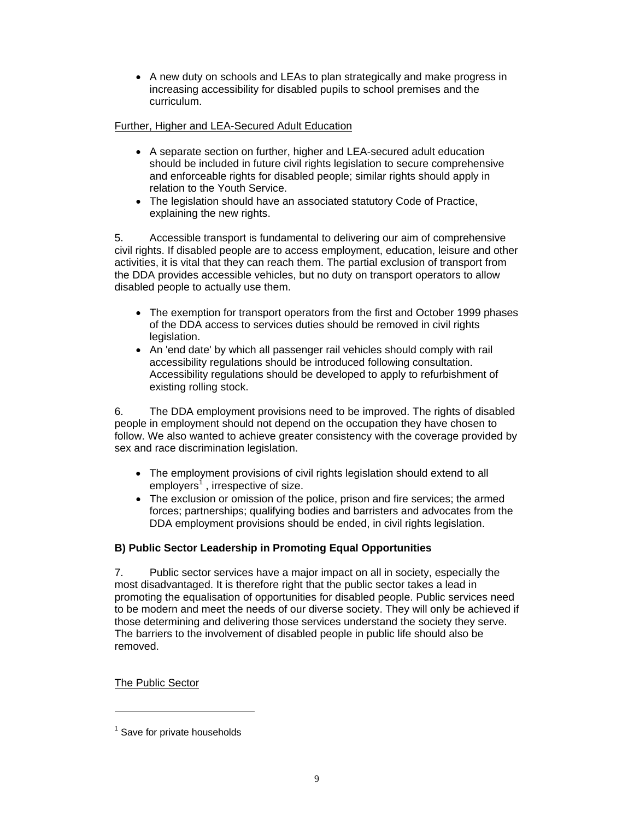• A new duty on schools and LEAs to plan strategically and make progress in increasing accessibility for disabled pupils to school premises and the curriculum.

# Further, Higher and LEA-Secured Adult Education

- A separate section on further, higher and LEA-secured adult education should be included in future civil rights legislation to secure comprehensive and enforceable rights for disabled people; similar rights should apply in relation to the Youth Service.
- The legislation should have an associated statutory Code of Practice, explaining the new rights.

5. Accessible transport is fundamental to delivering our aim of comprehensive civil rights. If disabled people are to access employment, education, leisure and other activities, it is vital that they can reach them. The partial exclusion of transport from the DDA provides accessible vehicles, but no duty on transport operators to allow disabled people to actually use them.

- The exemption for transport operators from the first and October 1999 phases of the DDA access to services duties should be removed in civil rights legislation.
- An 'end date' by which all passenger rail vehicles should comply with rail accessibility regulations should be introduced following consultation. Accessibility regulations should be developed to apply to refurbishment of existing rolling stock.

6. The DDA employment provisions need to be improved. The rights of disabled people in employment should not depend on the occupation they have chosen to follow. We also wanted to achieve greater consistency with the coverage provided by sex and race discrimination legislation.

- The employment provisions of civil rights legislation should extend to all employers<sup>1</sup>, irrespective of size.
- The exclusion or omission of the police, prison and fire services; the armed forces; partnerships; qualifying bodies and barristers and advocates from the DDA employment provisions should be ended, in civil rights legislation.

# **B) Public Sector Leadership in Promoting Equal Opportunities**

7. Public sector services have a major impact on all in society, especially the most disadvantaged. It is therefore right that the public sector takes a lead in promoting the equalisation of opportunities for disabled people. Public services need to be modern and meet the needs of our diverse society. They will only be achieved if those determining and delivering those services understand the society they serve. The barriers to the involvement of disabled people in public life should also be removed.

The Public Sector

 $\overline{a}$ 

 $<sup>1</sup>$  Save for private households</sup>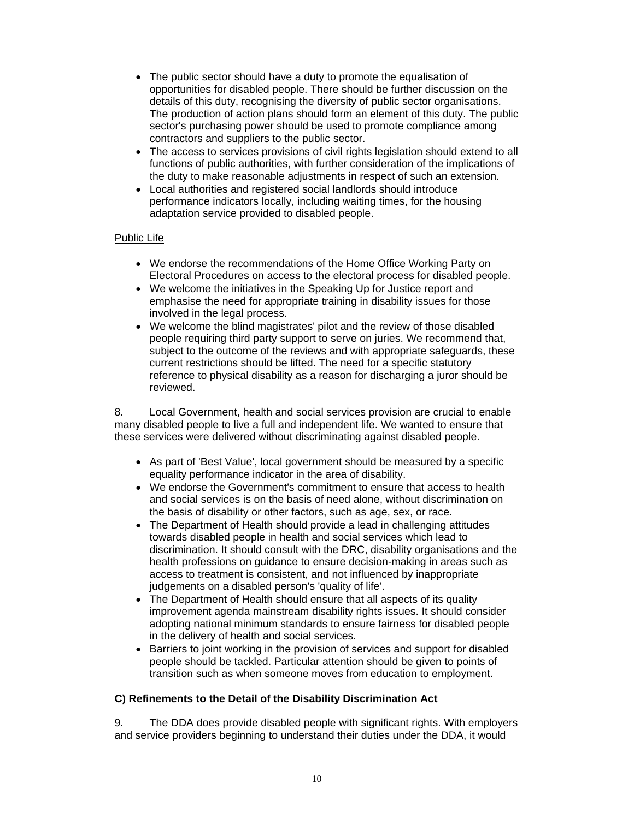- The public sector should have a duty to promote the equalisation of opportunities for disabled people. There should be further discussion on the details of this duty, recognising the diversity of public sector organisations. The production of action plans should form an element of this duty. The public sector's purchasing power should be used to promote compliance among contractors and suppliers to the public sector.
- The access to services provisions of civil rights legislation should extend to all functions of public authorities, with further consideration of the implications of the duty to make reasonable adjustments in respect of such an extension.
- Local authorities and registered social landlords should introduce performance indicators locally, including waiting times, for the housing adaptation service provided to disabled people.

#### Public Life

- We endorse the recommendations of the Home Office Working Party on Electoral Procedures on access to the electoral process for disabled people.
- We welcome the initiatives in the Speaking Up for Justice report and emphasise the need for appropriate training in disability issues for those involved in the legal process.
- We welcome the blind magistrates' pilot and the review of those disabled people requiring third party support to serve on juries. We recommend that, subject to the outcome of the reviews and with appropriate safeguards, these current restrictions should be lifted. The need for a specific statutory reference to physical disability as a reason for discharging a juror should be reviewed.

8. Local Government, health and social services provision are crucial to enable many disabled people to live a full and independent life. We wanted to ensure that these services were delivered without discriminating against disabled people.

- As part of 'Best Value', local government should be measured by a specific equality performance indicator in the area of disability.
- We endorse the Government's commitment to ensure that access to health and social services is on the basis of need alone, without discrimination on the basis of disability or other factors, such as age, sex, or race.
- The Department of Health should provide a lead in challenging attitudes towards disabled people in health and social services which lead to discrimination. It should consult with the DRC, disability organisations and the health professions on guidance to ensure decision-making in areas such as access to treatment is consistent, and not influenced by inappropriate judgements on a disabled person's 'quality of life'.
- The Department of Health should ensure that all aspects of its quality improvement agenda mainstream disability rights issues. It should consider adopting national minimum standards to ensure fairness for disabled people in the delivery of health and social services.
- Barriers to joint working in the provision of services and support for disabled people should be tackled. Particular attention should be given to points of transition such as when someone moves from education to employment.

### **C) Refinements to the Detail of the Disability Discrimination Act**

9. The DDA does provide disabled people with significant rights. With employers and service providers beginning to understand their duties under the DDA, it would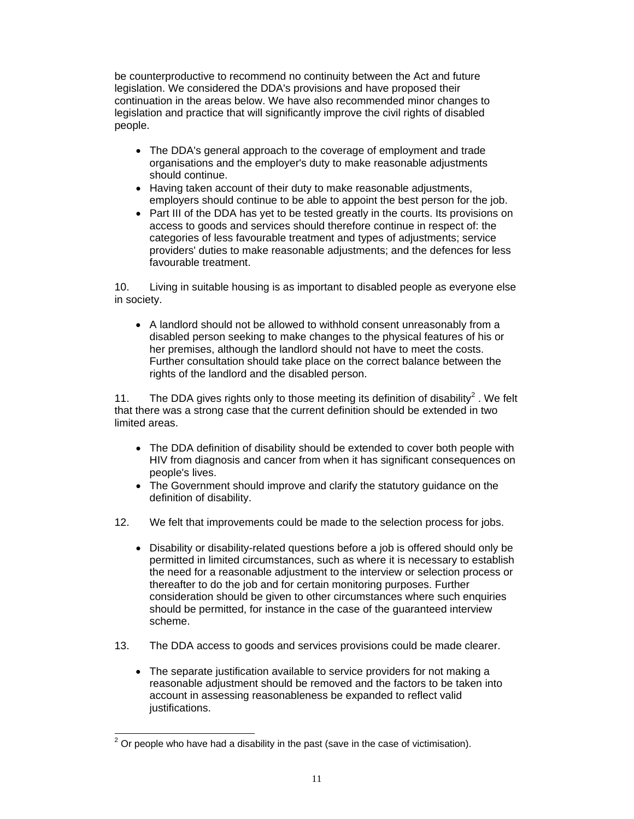be counterproductive to recommend no continuity between the Act and future legislation. We considered the DDA's provisions and have proposed their continuation in the areas below. We have also recommended minor changes to legislation and practice that will significantly improve the civil rights of disabled people.

- The DDA's general approach to the coverage of employment and trade organisations and the employer's duty to make reasonable adjustments should continue.
- Having taken account of their duty to make reasonable adjustments, employers should continue to be able to appoint the best person for the job.
- Part III of the DDA has yet to be tested greatly in the courts. Its provisions on access to goods and services should therefore continue in respect of: the categories of less favourable treatment and types of adjustments; service providers' duties to make reasonable adjustments; and the defences for less favourable treatment.

10. Living in suitable housing is as important to disabled people as everyone else in society.

• A landlord should not be allowed to withhold consent unreasonably from a disabled person seeking to make changes to the physical features of his or her premises, although the landlord should not have to meet the costs. Further consultation should take place on the correct balance between the rights of the landlord and the disabled person.

11. The DDA gives rights only to those meeting its definition of disability<sup>2</sup>. We felt that there was a strong case that the current definition should be extended in two limited areas.

- The DDA definition of disability should be extended to cover both people with HIV from diagnosis and cancer from when it has significant consequences on people's lives.
- The Government should improve and clarify the statutory guidance on the definition of disability.
- 12. We felt that improvements could be made to the selection process for jobs.
	- Disability or disability-related questions before a job is offered should only be permitted in limited circumstances, such as where it is necessary to establish the need for a reasonable adjustment to the interview or selection process or thereafter to do the job and for certain monitoring purposes. Further consideration should be given to other circumstances where such enquiries should be permitted, for instance in the case of the guaranteed interview scheme.
- 13. The DDA access to goods and services provisions could be made clearer.
	- The separate justification available to service providers for not making a reasonable adjustment should be removed and the factors to be taken into account in assessing reasonableness be expanded to reflect valid justifications.

 $\overline{a}$  $2$  Or people who have had a disability in the past (save in the case of victimisation).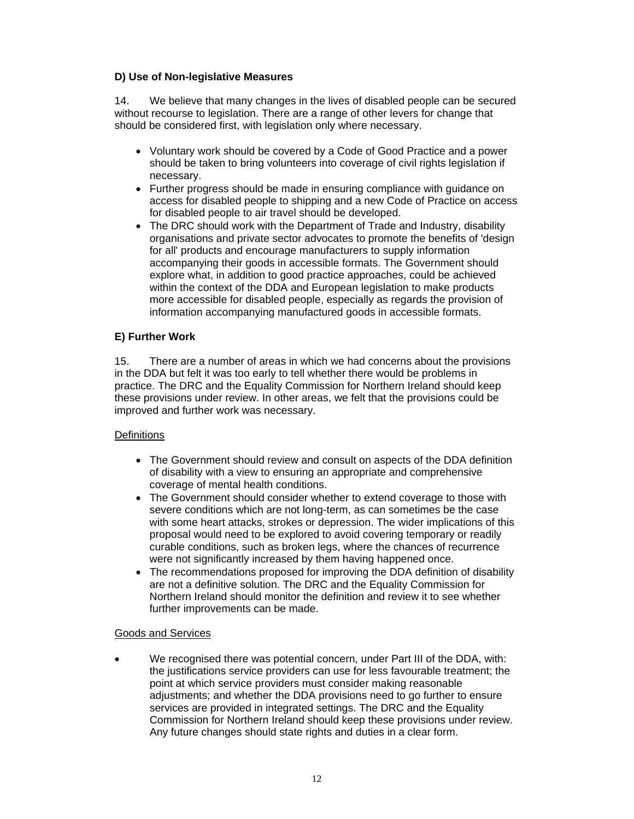### **D) Use of Non-legislative Measures**

14. We believe that many changes in the lives of disabled people can be secured without recourse to legislation. There are a range of other levers for change that should be considered first, with legislation only where necessary.

- Voluntary work should be covered by a Code of Good Practice and a power should be taken to bring volunteers into coverage of civil rights legislation if necessary.
- Further progress should be made in ensuring compliance with guidance on access for disabled people to shipping and a new Code of Practice on access for disabled people to air travel should be developed.
- The DRC should work with the Department of Trade and Industry, disability organisations and private sector advocates to promote the benefits of 'design for all' products and encourage manufacturers to supply information accompanying their goods in accessible formats. The Government should explore what, in addition to good practice approaches, could be achieved within the context of the DDA and European legislation to make products more accessible for disabled people, especially as regards the provision of information accompanying manufactured goods in accessible formats.

### **E) Further Work**

15. There are a number of areas in which we had concerns about the provisions in the DDA but felt it was too early to tell whether there would be problems in practice. The DRC and the Equality Commission for Northern Ireland should keep these provisions under review. In other areas, we felt that the provisions could be improved and further work was necessary.

### **Definitions**

- The Government should review and consult on aspects of the DDA definition of disability with a view to ensuring an appropriate and comprehensive coverage of mental health conditions.
- The Government should consider whether to extend coverage to those with severe conditions which are not long-term, as can sometimes be the case with some heart attacks, strokes or depression. The wider implications of this proposal would need to be explored to avoid covering temporary or readily curable conditions, such as broken legs, where the chances of recurrence were not significantly increased by them having happened once.
- The recommendations proposed for improving the DDA definition of disability are not a definitive solution. The DRC and the Equality Commission for Northern Ireland should monitor the definition and review it to see whether further improvements can be made.

### Goods and Services

• We recognised there was potential concern, under Part III of the DDA, with: the justifications service providers can use for less favourable treatment; the point at which service providers must consider making reasonable adjustments; and whether the DDA provisions need to go further to ensure services are provided in integrated settings. The DRC and the Equality Commission for Northern Ireland should keep these provisions under review. Any future changes should state rights and duties in a clear form.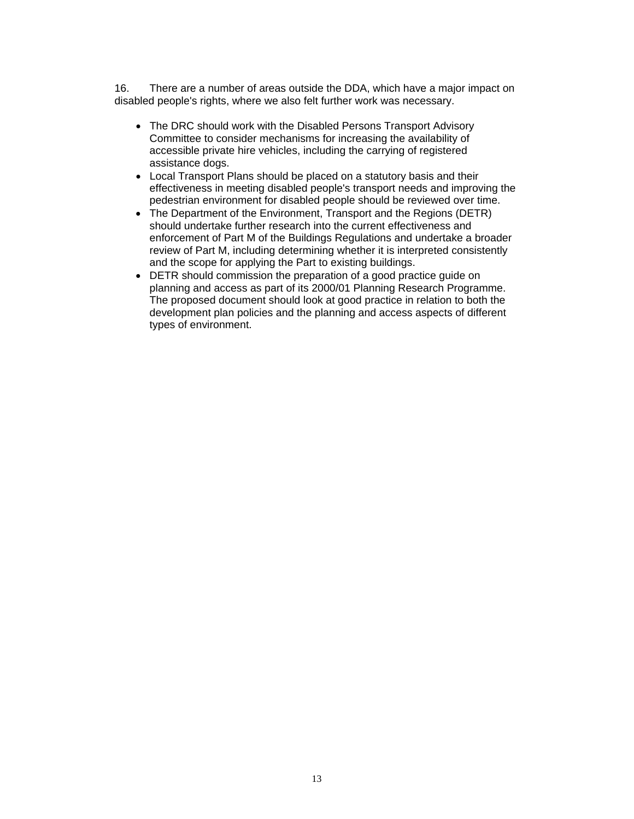16. There are a number of areas outside the DDA, which have a major impact on disabled people's rights, where we also felt further work was necessary.

- The DRC should work with the Disabled Persons Transport Advisory Committee to consider mechanisms for increasing the availability of accessible private hire vehicles, including the carrying of registered assistance dogs.
- Local Transport Plans should be placed on a statutory basis and their effectiveness in meeting disabled people's transport needs and improving the pedestrian environment for disabled people should be reviewed over time.
- The Department of the Environment, Transport and the Regions (DETR) should undertake further research into the current effectiveness and enforcement of Part M of the Buildings Regulations and undertake a broader review of Part M, including determining whether it is interpreted consistently and the scope for applying the Part to existing buildings.
- DETR should commission the preparation of a good practice guide on planning and access as part of its 2000/01 Planning Research Programme. The proposed document should look at good practice in relation to both the development plan policies and the planning and access aspects of different types of environment.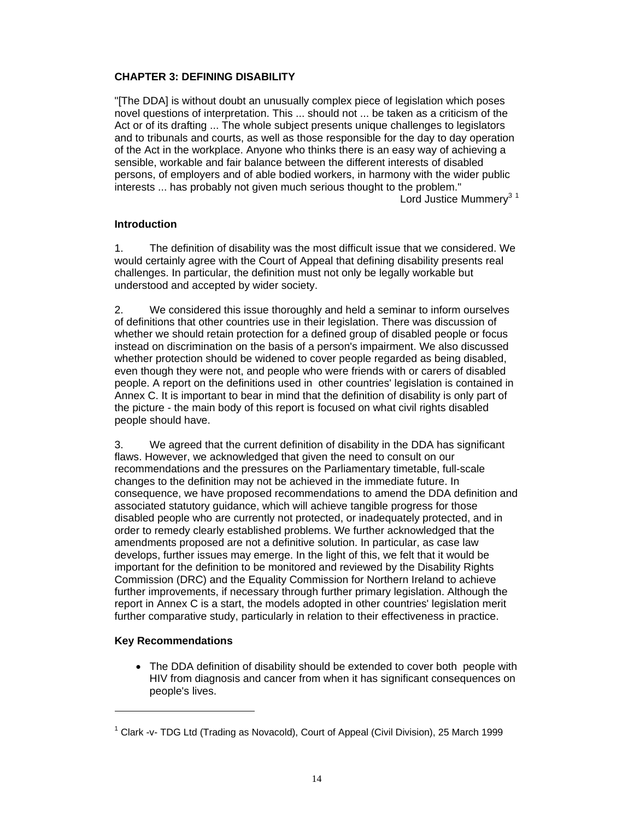### **CHAPTER 3: DEFINING DISABILITY**

"[The DDA] is without doubt an unusually complex piece of legislation which poses novel questions of interpretation. This ... should not ... be taken as a criticism of the Act or of its drafting ... The whole subject presents unique challenges to legislators and to tribunals and courts, as well as those responsible for the day to day operation of the Act in the workplace. Anyone who thinks there is an easy way of achieving a sensible, workable and fair balance between the different interests of disabled persons, of employers and of able bodied workers, in harmony with the wider public interests ... has probably not given much serious thought to the problem." Lord Justice Mummery<sup>3 1</sup>

### **Introduction**

1. The definition of disability was the most difficult issue that we considered. We would certainly agree with the Court of Appeal that defining disability presents real challenges. In particular, the definition must not only be legally workable but understood and accepted by wider society.

2. We considered this issue thoroughly and held a seminar to inform ourselves of definitions that other countries use in their legislation. There was discussion of whether we should retain protection for a defined group of disabled people or focus instead on discrimination on the basis of a person's impairment. We also discussed whether protection should be widened to cover people regarded as being disabled, even though they were not, and people who were friends with or carers of disabled people. A report on the definitions used in other countries' legislation is contained in Annex C. It is important to bear in mind that the definition of disability is only part of the picture - the main body of this report is focused on what civil rights disabled people should have.

3. We agreed that the current definition of disability in the DDA has significant flaws. However, we acknowledged that given the need to consult on our recommendations and the pressures on the Parliamentary timetable, full-scale changes to the definition may not be achieved in the immediate future. In consequence, we have proposed recommendations to amend the DDA definition and associated statutory guidance, which will achieve tangible progress for those disabled people who are currently not protected, or inadequately protected, and in order to remedy clearly established problems. We further acknowledged that the amendments proposed are not a definitive solution. In particular, as case law develops, further issues may emerge. In the light of this, we felt that it would be important for the definition to be monitored and reviewed by the Disability Rights Commission (DRC) and the Equality Commission for Northern Ireland to achieve further improvements, if necessary through further primary legislation. Although the report in Annex C is a start, the models adopted in other countries' legislation merit further comparative study, particularly in relation to their effectiveness in practice.

### **Key Recommendations**

 $\overline{a}$ 

• The DDA definition of disability should be extended to cover both people with HIV from diagnosis and cancer from when it has significant consequences on people's lives.

<sup>&</sup>lt;sup>1</sup> Clark -v- TDG Ltd (Trading as Novacold), Court of Appeal (Civil Division), 25 March 1999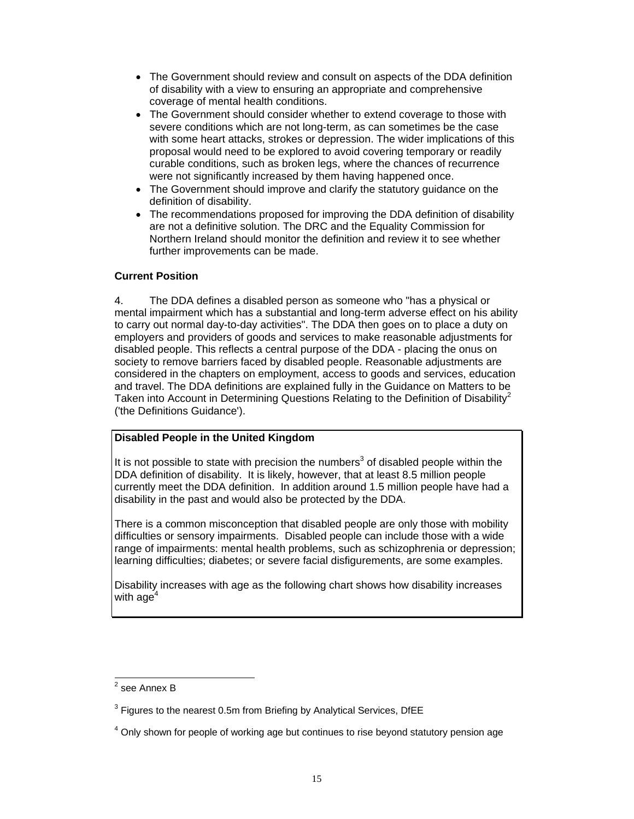- The Government should review and consult on aspects of the DDA definition of disability with a view to ensuring an appropriate and comprehensive coverage of mental health conditions.
- The Government should consider whether to extend coverage to those with severe conditions which are not long-term, as can sometimes be the case with some heart attacks, strokes or depression. The wider implications of this proposal would need to be explored to avoid covering temporary or readily curable conditions, such as broken legs, where the chances of recurrence were not significantly increased by them having happened once.
- The Government should improve and clarify the statutory guidance on the definition of disability.
- The recommendations proposed for improving the DDA definition of disability are not a definitive solution. The DRC and the Equality Commission for Northern Ireland should monitor the definition and review it to see whether further improvements can be made.

### **Current Position**

4. The DDA defines a disabled person as someone who "has a physical or mental impairment which has a substantial and long-term adverse effect on his ability to carry out normal day-to-day activities". The DDA then goes on to place a duty on employers and providers of goods and services to make reasonable adjustments for disabled people. This reflects a central purpose of the DDA - placing the onus on society to remove barriers faced by disabled people. Reasonable adjustments are considered in the chapters on employment, access to goods and services, education and travel. The DDA definitions are explained fully in the Guidance on Matters to be Taken into Account in Determining Questions Relating to the Definition of Disability<sup>2</sup> ('the Definitions Guidance').

# **Disabled People in the United Kingdom**

It is not possible to state with precision the numbers<sup>3</sup> of disabled people within the DDA definition of disability. It is likely, however, that at least 8.5 million people currently meet the DDA definition. In addition around 1.5 million people have had a disability in the past and would also be protected by the DDA.

There is a common misconception that disabled people are only those with mobility difficulties or sensory impairments. Disabled people can include those with a wide range of impairments: mental health problems, such as schizophrenia or depression; learning difficulties; diabetes; or severe facial disfigurements, are some examples.

Disability increases with age as the following chart shows how disability increases with age $^4\,$ 

 2 see Annex B

 $3$  Figures to the nearest 0.5m from Briefing by Analytical Services, DfEE

 $4$  Only shown for people of working age but continues to rise beyond statutory pension age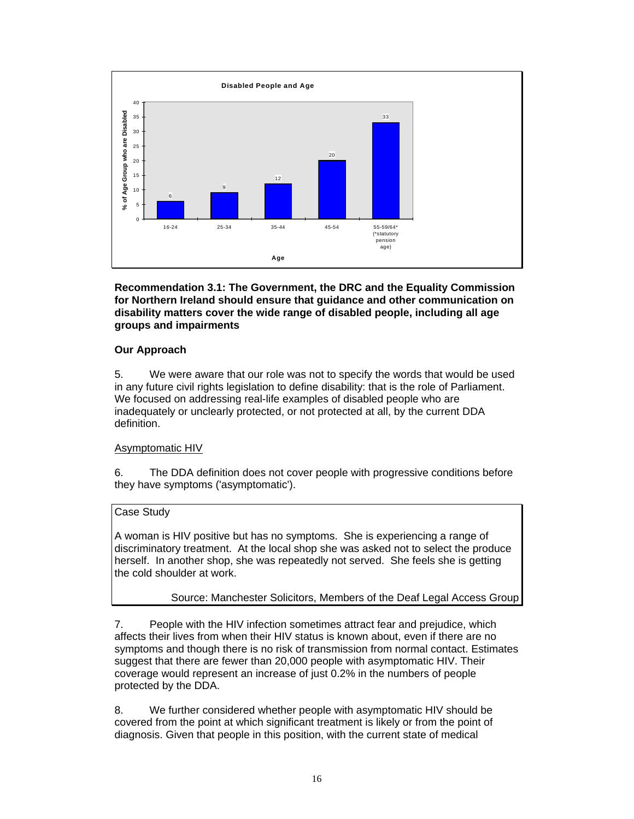

**Recommendation 3.1: The Government, the DRC and the Equality Commission for Northern Ireland should ensure that guidance and other communication on disability matters cover the wide range of disabled people, including all age groups and impairments** 

### **Our Approach**

5. We were aware that our role was not to specify the words that would be used in any future civil rights legislation to define disability: that is the role of Parliament. We focused on addressing real-life examples of disabled people who are inadequately or unclearly protected, or not protected at all, by the current DDA definition.

### Asymptomatic HIV

6. The DDA definition does not cover people with progressive conditions before they have symptoms ('asymptomatic').

# Case Study

A woman is HIV positive but has no symptoms. She is experiencing a range of discriminatory treatment. At the local shop she was asked not to select the produce herself. In another shop, she was repeatedly not served. She feels she is getting the cold shoulder at work.

# Source: Manchester Solicitors, Members of the Deaf Legal Access Group

7. People with the HIV infection sometimes attract fear and prejudice, which affects their lives from when their HIV status is known about, even if there are no symptoms and though there is no risk of transmission from normal contact. Estimates suggest that there are fewer than 20,000 people with asymptomatic HIV. Their coverage would represent an increase of just 0.2% in the numbers of people protected by the DDA.

8. We further considered whether people with asymptomatic HIV should be covered from the point at which significant treatment is likely or from the point of diagnosis. Given that people in this position, with the current state of medical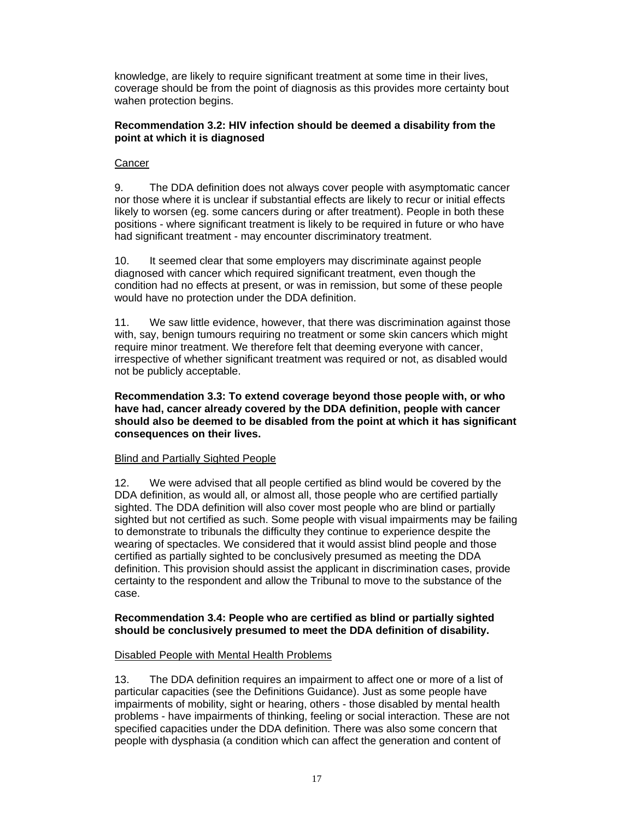knowledge, are likely to require significant treatment at some time in their lives, coverage should be from the point of diagnosis as this provides more certainty bout wahen protection begins.

### **Recommendation 3.2: HIV infection should be deemed a disability from the point at which it is diagnosed**

### **Cancer**

9. The DDA definition does not always cover people with asymptomatic cancer nor those where it is unclear if substantial effects are likely to recur or initial effects likely to worsen (eg. some cancers during or after treatment). People in both these positions - where significant treatment is likely to be required in future or who have had significant treatment - may encounter discriminatory treatment.

10. It seemed clear that some employers may discriminate against people diagnosed with cancer which required significant treatment, even though the condition had no effects at present, or was in remission, but some of these people would have no protection under the DDA definition.

11. We saw little evidence, however, that there was discrimination against those with, say, benign tumours requiring no treatment or some skin cancers which might require minor treatment. We therefore felt that deeming everyone with cancer, irrespective of whether significant treatment was required or not, as disabled would not be publicly acceptable.

**Recommendation 3.3: To extend coverage beyond those people with, or who have had, cancer already covered by the DDA definition, people with cancer should also be deemed to be disabled from the point at which it has significant consequences on their lives.** 

### Blind and Partially Sighted People

12. We were advised that all people certified as blind would be covered by the DDA definition, as would all, or almost all, those people who are certified partially sighted. The DDA definition will also cover most people who are blind or partially sighted but not certified as such. Some people with visual impairments may be failing to demonstrate to tribunals the difficulty they continue to experience despite the wearing of spectacles. We considered that it would assist blind people and those certified as partially sighted to be conclusively presumed as meeting the DDA definition. This provision should assist the applicant in discrimination cases, provide certainty to the respondent and allow the Tribunal to move to the substance of the case.

#### **Recommendation 3.4: People who are certified as blind or partially sighted should be conclusively presumed to meet the DDA definition of disability.**

### Disabled People with Mental Health Problems

13. The DDA definition requires an impairment to affect one or more of a list of particular capacities (see the Definitions Guidance). Just as some people have impairments of mobility, sight or hearing, others - those disabled by mental health problems - have impairments of thinking, feeling or social interaction. These are not specified capacities under the DDA definition. There was also some concern that people with dysphasia (a condition which can affect the generation and content of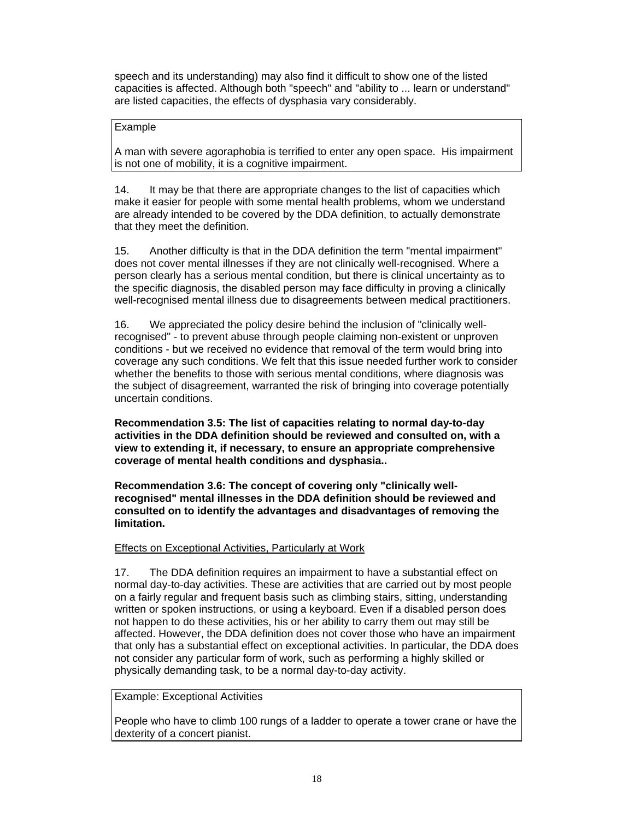speech and its understanding) may also find it difficult to show one of the listed capacities is affected. Although both "speech" and "ability to ... learn or understand" are listed capacities, the effects of dysphasia vary considerably.

### Example

A man with severe agoraphobia is terrified to enter any open space. His impairment is not one of mobility, it is a cognitive impairment.

14. It may be that there are appropriate changes to the list of capacities which make it easier for people with some mental health problems, whom we understand are already intended to be covered by the DDA definition, to actually demonstrate that they meet the definition.

15. Another difficulty is that in the DDA definition the term "mental impairment" does not cover mental illnesses if they are not clinically well-recognised. Where a person clearly has a serious mental condition, but there is clinical uncertainty as to the specific diagnosis, the disabled person may face difficulty in proving a clinically well-recognised mental illness due to disagreements between medical practitioners.

16. We appreciated the policy desire behind the inclusion of "clinically wellrecognised" - to prevent abuse through people claiming non-existent or unproven conditions - but we received no evidence that removal of the term would bring into coverage any such conditions. We felt that this issue needed further work to consider whether the benefits to those with serious mental conditions, where diagnosis was the subject of disagreement, warranted the risk of bringing into coverage potentially uncertain conditions.

**Recommendation 3.5: The list of capacities relating to normal day-to-day activities in the DDA definition should be reviewed and consulted on, with a view to extending it, if necessary, to ensure an appropriate comprehensive coverage of mental health conditions and dysphasia..** 

**Recommendation 3.6: The concept of covering only "clinically wellrecognised" mental illnesses in the DDA definition should be reviewed and consulted on to identify the advantages and disadvantages of removing the limitation.** 

#### Effects on Exceptional Activities, Particularly at Work

17. The DDA definition requires an impairment to have a substantial effect on normal day-to-day activities. These are activities that are carried out by most people on a fairly regular and frequent basis such as climbing stairs, sitting, understanding written or spoken instructions, or using a keyboard. Even if a disabled person does not happen to do these activities, his or her ability to carry them out may still be affected. However, the DDA definition does not cover those who have an impairment that only has a substantial effect on exceptional activities. In particular, the DDA does not consider any particular form of work, such as performing a highly skilled or physically demanding task, to be a normal day-to-day activity.

#### Example: Exceptional Activities

People who have to climb 100 rungs of a ladder to operate a tower crane or have the dexterity of a concert pianist.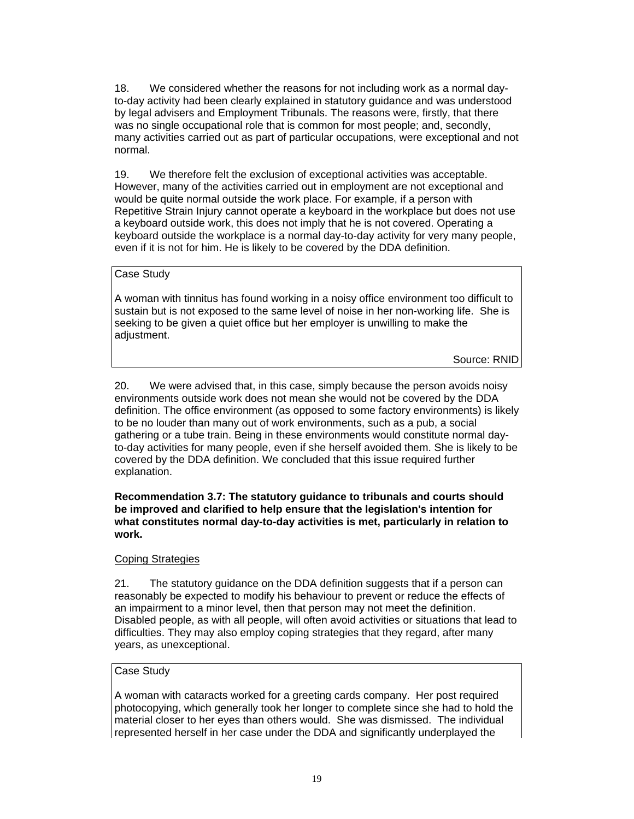18. We considered whether the reasons for not including work as a normal dayto-day activity had been clearly explained in statutory guidance and was understood by legal advisers and Employment Tribunals. The reasons were, firstly, that there was no single occupational role that is common for most people; and, secondly, many activities carried out as part of particular occupations, were exceptional and not normal.

19. We therefore felt the exclusion of exceptional activities was acceptable. However, many of the activities carried out in employment are not exceptional and would be quite normal outside the work place. For example, if a person with Repetitive Strain Injury cannot operate a keyboard in the workplace but does not use a keyboard outside work, this does not imply that he is not covered. Operating a keyboard outside the workplace is a normal day-to-day activity for very many people, even if it is not for him. He is likely to be covered by the DDA definition.

#### Case Study

A woman with tinnitus has found working in a noisy office environment too difficult to sustain but is not exposed to the same level of noise in her non-working life. She is seeking to be given a quiet office but her employer is unwilling to make the adjustment.

Source: RNID

20. We were advised that, in this case, simply because the person avoids noisy environments outside work does not mean she would not be covered by the DDA definition. The office environment (as opposed to some factory environments) is likely to be no louder than many out of work environments, such as a pub, a social gathering or a tube train. Being in these environments would constitute normal dayto-day activities for many people, even if she herself avoided them. She is likely to be covered by the DDA definition. We concluded that this issue required further explanation.

#### **Recommendation 3.7: The statutory guidance to tribunals and courts should be improved and clarified to help ensure that the legislation's intention for what constitutes normal day-to-day activities is met, particularly in relation to work.**

#### Coping Strategies

21. The statutory guidance on the DDA definition suggests that if a person can reasonably be expected to modify his behaviour to prevent or reduce the effects of an impairment to a minor level, then that person may not meet the definition. Disabled people, as with all people, will often avoid activities or situations that lead to difficulties. They may also employ coping strategies that they regard, after many years, as unexceptional.

### Case Study

A woman with cataracts worked for a greeting cards company. Her post required photocopying, which generally took her longer to complete since she had to hold the material closer to her eyes than others would. She was dismissed. The individual represented herself in her case under the DDA and significantly underplayed the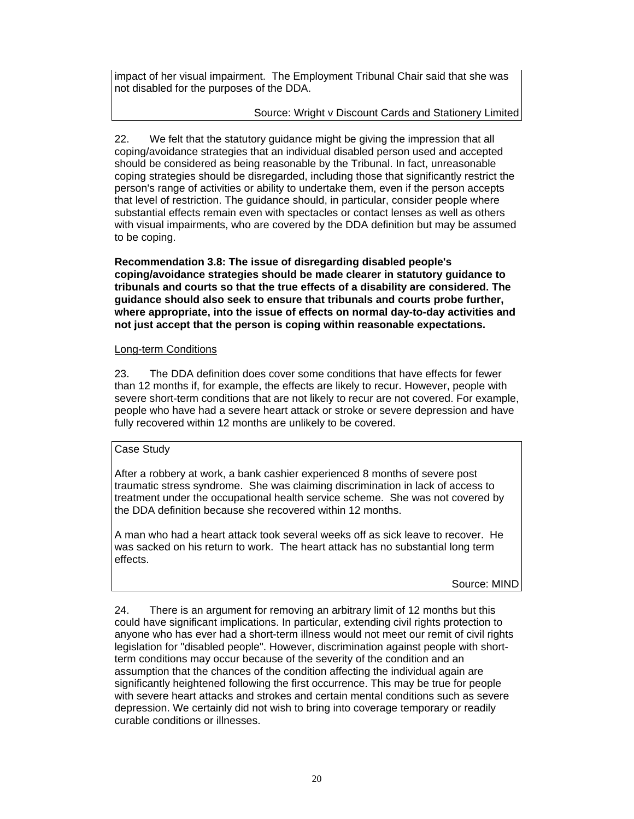impact of her visual impairment. The Employment Tribunal Chair said that she was not disabled for the purposes of the DDA.

### Source: Wright v Discount Cards and Stationery Limited

22. We felt that the statutory guidance might be giving the impression that all coping/avoidance strategies that an individual disabled person used and accepted should be considered as being reasonable by the Tribunal. In fact, unreasonable coping strategies should be disregarded, including those that significantly restrict the person's range of activities or ability to undertake them, even if the person accepts that level of restriction. The guidance should, in particular, consider people where substantial effects remain even with spectacles or contact lenses as well as others with visual impairments, who are covered by the DDA definition but may be assumed to be coping.

**Recommendation 3.8: The issue of disregarding disabled people's coping/avoidance strategies should be made clearer in statutory guidance to tribunals and courts so that the true effects of a disability are considered. The guidance should also seek to ensure that tribunals and courts probe further, where appropriate, into the issue of effects on normal day-to-day activities and not just accept that the person is coping within reasonable expectations.** 

### Long-term Conditions

23. The DDA definition does cover some conditions that have effects for fewer than 12 months if, for example, the effects are likely to recur. However, people with severe short-term conditions that are not likely to recur are not covered. For example, people who have had a severe heart attack or stroke or severe depression and have fully recovered within 12 months are unlikely to be covered.

### Case Study

After a robbery at work, a bank cashier experienced 8 months of severe post traumatic stress syndrome. She was claiming discrimination in lack of access to treatment under the occupational health service scheme. She was not covered by the DDA definition because she recovered within 12 months.

A man who had a heart attack took several weeks off as sick leave to recover. He was sacked on his return to work. The heart attack has no substantial long term effects.

#### Source: MIND

24. There is an argument for removing an arbitrary limit of 12 months but this could have significant implications. In particular, extending civil rights protection to anyone who has ever had a short-term illness would not meet our remit of civil rights legislation for "disabled people". However, discrimination against people with shortterm conditions may occur because of the severity of the condition and an assumption that the chances of the condition affecting the individual again are significantly heightened following the first occurrence. This may be true for people with severe heart attacks and strokes and certain mental conditions such as severe depression. We certainly did not wish to bring into coverage temporary or readily curable conditions or illnesses.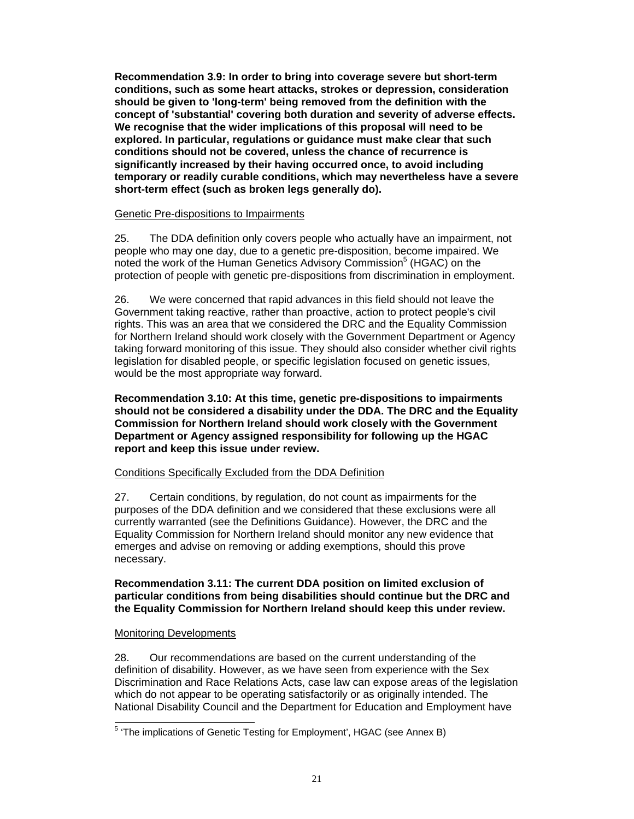**Recommendation 3.9: In order to bring into coverage severe but short-term conditions, such as some heart attacks, strokes or depression, consideration should be given to 'long-term' being removed from the definition with the concept of 'substantial' covering both duration and severity of adverse effects. We recognise that the wider implications of this proposal will need to be explored. In particular, regulations or guidance must make clear that such conditions should not be covered, unless the chance of recurrence is significantly increased by their having occurred once, to avoid including temporary or readily curable conditions, which may nevertheless have a severe short-term effect (such as broken legs generally do).** 

#### Genetic Pre-dispositions to Impairments

25. The DDA definition only covers people who actually have an impairment, not people who may one day, due to a genetic pre-disposition, become impaired. We noted the work of the Human Genetics Advisory Commission<sup>5</sup> (HGAC) on the protection of people with genetic pre-dispositions from discrimination in employment.

26. We were concerned that rapid advances in this field should not leave the Government taking reactive, rather than proactive, action to protect people's civil rights. This was an area that we considered the DRC and the Equality Commission for Northern Ireland should work closely with the Government Department or Agency taking forward monitoring of this issue. They should also consider whether civil rights legislation for disabled people, or specific legislation focused on genetic issues, would be the most appropriate way forward.

**Recommendation 3.10: At this time, genetic pre-dispositions to impairments should not be considered a disability under the DDA. The DRC and the Equality Commission for Northern Ireland should work closely with the Government Department or Agency assigned responsibility for following up the HGAC report and keep this issue under review.** 

### Conditions Specifically Excluded from the DDA Definition

27. Certain conditions, by regulation, do not count as impairments for the purposes of the DDA definition and we considered that these exclusions were all currently warranted (see the Definitions Guidance). However, the DRC and the Equality Commission for Northern Ireland should monitor any new evidence that emerges and advise on removing or adding exemptions, should this prove necessary.

#### **Recommendation 3.11: The current DDA position on limited exclusion of particular conditions from being disabilities should continue but the DRC and the Equality Commission for Northern Ireland should keep this under review.**

#### Monitoring Developments

28. Our recommendations are based on the current understanding of the definition of disability. However, as we have seen from experience with the Sex Discrimination and Race Relations Acts, case law can expose areas of the legislation which do not appear to be operating satisfactorily or as originally intended. The National Disability Council and the Department for Education and Employment have

l <sup>5</sup> 'The implications of Genetic Testing for Employment', HGAC (see Annex B)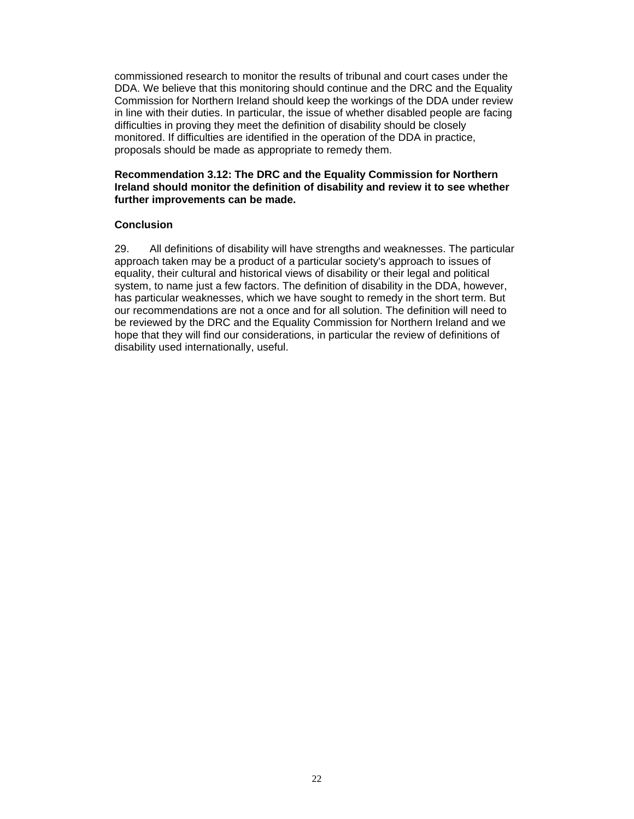commissioned research to monitor the results of tribunal and court cases under the DDA. We believe that this monitoring should continue and the DRC and the Equality Commission for Northern Ireland should keep the workings of the DDA under review in line with their duties. In particular, the issue of whether disabled people are facing difficulties in proving they meet the definition of disability should be closely monitored. If difficulties are identified in the operation of the DDA in practice, proposals should be made as appropriate to remedy them.

#### **Recommendation 3.12: The DRC and the Equality Commission for Northern Ireland should monitor the definition of disability and review it to see whether further improvements can be made.**

#### **Conclusion**

29. All definitions of disability will have strengths and weaknesses. The particular approach taken may be a product of a particular society's approach to issues of equality, their cultural and historical views of disability or their legal and political system, to name just a few factors. The definition of disability in the DDA, however, has particular weaknesses, which we have sought to remedy in the short term. But our recommendations are not a once and for all solution. The definition will need to be reviewed by the DRC and the Equality Commission for Northern Ireland and we hope that they will find our considerations, in particular the review of definitions of disability used internationally, useful.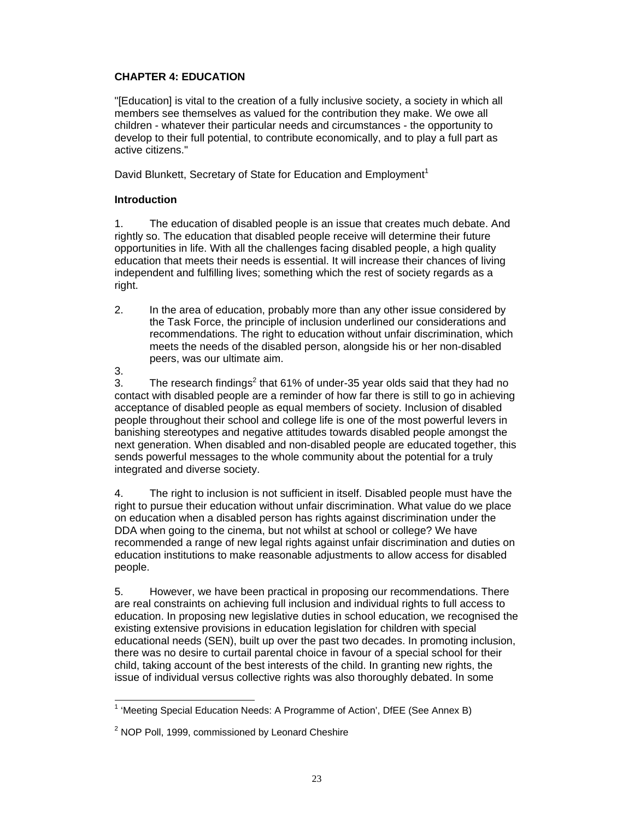### **CHAPTER 4: EDUCATION**

"[Education] is vital to the creation of a fully inclusive society, a society in which all members see themselves as valued for the contribution they make. We owe all children - whatever their particular needs and circumstances - the opportunity to develop to their full potential, to contribute economically, and to play a full part as active citizens."

David Blunkett, Secretary of State for Education and Employment<sup>1</sup>

### **Introduction**

1. The education of disabled people is an issue that creates much debate. And rightly so. The education that disabled people receive will determine their future opportunities in life. With all the challenges facing disabled people, a high quality education that meets their needs is essential. It will increase their chances of living independent and fulfilling lives; something which the rest of society regards as a right.

2. In the area of education, probably more than any other issue considered by the Task Force, the principle of inclusion underlined our considerations and recommendations. The right to education without unfair discrimination, which meets the needs of the disabled person, alongside his or her non-disabled peers, was our ultimate aim. 3.

3. The research findings<sup>2</sup> that 61% of under-35 year olds said that they had no contact with disabled people are a reminder of how far there is still to go in achieving acceptance of disabled people as equal members of society. Inclusion of disabled people throughout their school and college life is one of the most powerful levers in banishing stereotypes and negative attitudes towards disabled people amongst the next generation. When disabled and non-disabled people are educated together, this sends powerful messages to the whole community about the potential for a truly integrated and diverse society.

4. The right to inclusion is not sufficient in itself. Disabled people must have the right to pursue their education without unfair discrimination. What value do we place on education when a disabled person has rights against discrimination under the DDA when going to the cinema, but not whilst at school or college? We have recommended a range of new legal rights against unfair discrimination and duties on education institutions to make reasonable adjustments to allow access for disabled people.

5. However, we have been practical in proposing our recommendations. There are real constraints on achieving full inclusion and individual rights to full access to education. In proposing new legislative duties in school education, we recognised the existing extensive provisions in education legislation for children with special educational needs (SEN), built up over the past two decades. In promoting inclusion, there was no desire to curtail parental choice in favour of a special school for their child, taking account of the best interests of the child. In granting new rights, the issue of individual versus collective rights was also thoroughly debated. In some

l <sup>1</sup> 'Meeting Special Education Needs: A Programme of Action', DfEE (See Annex B)

 $2$  NOP Poll, 1999, commissioned by Leonard Cheshire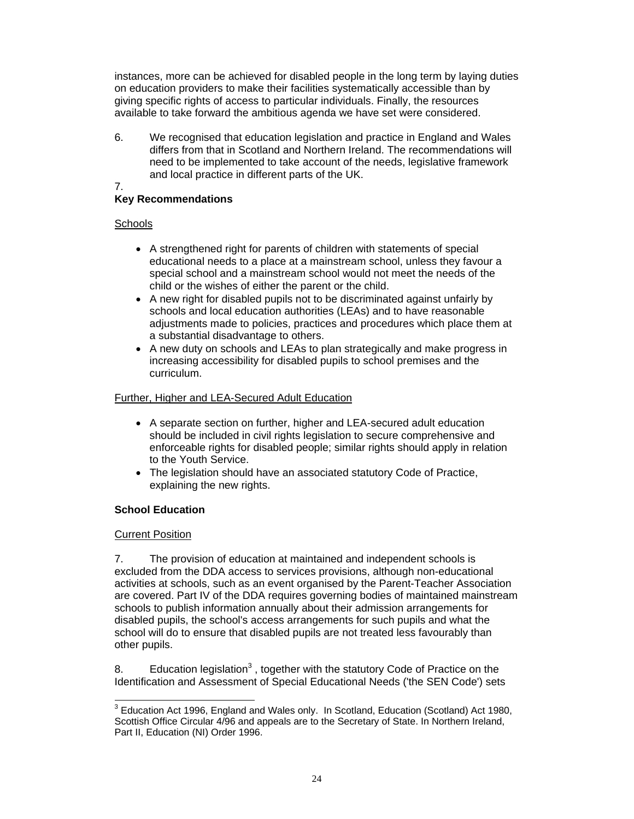instances, more can be achieved for disabled people in the long term by laying duties on education providers to make their facilities systematically accessible than by giving specific rights of access to particular individuals. Finally, the resources available to take forward the ambitious agenda we have set were considered.

6. We recognised that education legislation and practice in England and Wales differs from that in Scotland and Northern Ireland. The recommendations will need to be implemented to take account of the needs, legislative framework and local practice in different parts of the UK.

### 7.

# **Key Recommendations**

# **Schools**

- A strengthened right for parents of children with statements of special educational needs to a place at a mainstream school, unless they favour a special school and a mainstream school would not meet the needs of the child or the wishes of either the parent or the child.
- A new right for disabled pupils not to be discriminated against unfairly by schools and local education authorities (LEAs) and to have reasonable adjustments made to policies, practices and procedures which place them at a substantial disadvantage to others.
- A new duty on schools and LEAs to plan strategically and make progress in increasing accessibility for disabled pupils to school premises and the curriculum.

# Further, Higher and LEA-Secured Adult Education

- A separate section on further, higher and LEA-secured adult education should be included in civil rights legislation to secure comprehensive and enforceable rights for disabled people; similar rights should apply in relation to the Youth Service.
- The legislation should have an associated statutory Code of Practice, explaining the new rights.

# **School Education**

# Current Position

7. The provision of education at maintained and independent schools is excluded from the DDA access to services provisions, although non-educational activities at schools, such as an event organised by the Parent-Teacher Association are covered. Part IV of the DDA requires governing bodies of maintained mainstream schools to publish information annually about their admission arrangements for disabled pupils, the school's access arrangements for such pupils and what the school will do to ensure that disabled pupils are not treated less favourably than other pupils.

8. Education legislation<sup>3</sup>, together with the statutory Code of Practice on the Identification and Assessment of Special Educational Needs ('the SEN Code') sets

 3 Education Act 1996, England and Wales only. In Scotland, Education (Scotland) Act 1980, Scottish Office Circular 4/96 and appeals are to the Secretary of State. In Northern Ireland, Part II, Education (NI) Order 1996.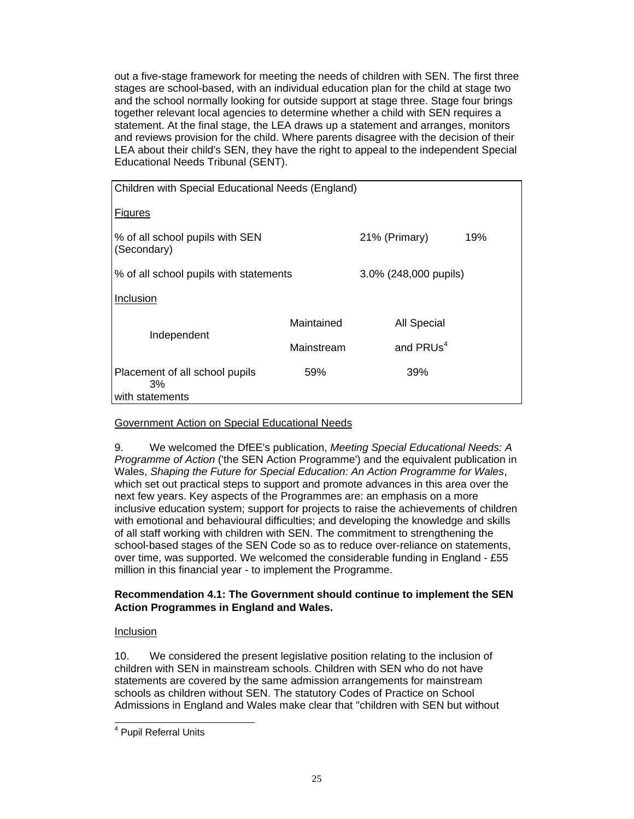out a five-stage framework for meeting the needs of children with SEN. The first three stages are school-based, with an individual education plan for the child at stage two and the school normally looking for outside support at stage three. Stage four brings together relevant local agencies to determine whether a child with SEN requires a statement. At the final stage, the LEA draws up a statement and arranges, monitors and reviews provision for the child. Where parents disagree with the decision of their LEA about their child's SEN, they have the right to appeal to the independent Special Educational Needs Tribunal (SENT).

| Children with Special Educational Needs (England)       |               |                       |  |  |  |
|---------------------------------------------------------|---------------|-----------------------|--|--|--|
| <b>Figures</b>                                          |               |                       |  |  |  |
| % of all school pupils with SEN<br>(Secondary)          | 21% (Primary) | 19%                   |  |  |  |
| % of all school pupils with statements                  |               | 3.0% (248,000 pupils) |  |  |  |
| Inclusion                                               |               |                       |  |  |  |
|                                                         | Maintained    | <b>All Special</b>    |  |  |  |
| Independent                                             | Mainstream    | and PRUs <sup>4</sup> |  |  |  |
| Placement of all school pupils<br>3%<br>with statements | 59%           | 39%                   |  |  |  |

### Government Action on Special Educational Needs

9. We welcomed the DfEE's publication, *Meeting Special Educational Needs: A Programme of Action* ('the SEN Action Programme') and the equivalent publication in Wales, *Shaping the Future for Special Education: An Action Programme for Wales*, which set out practical steps to support and promote advances in this area over the next few years. Key aspects of the Programmes are: an emphasis on a more inclusive education system; support for projects to raise the achievements of children with emotional and behavioural difficulties; and developing the knowledge and skills of all staff working with children with SEN. The commitment to strengthening the school-based stages of the SEN Code so as to reduce over-reliance on statements, over time, was supported. We welcomed the considerable funding in England - £55 million in this financial year - to implement the Programme.

### **Recommendation 4.1: The Government should continue to implement the SEN Action Programmes in England and Wales.**

### Inclusion

l

10. We considered the present legislative position relating to the inclusion of children with SEN in mainstream schools. Children with SEN who do not have statements are covered by the same admission arrangements for mainstream schools as children without SEN. The statutory Codes of Practice on School Admissions in England and Wales make clear that "children with SEN but without

<sup>&</sup>lt;sup>4</sup> Pupil Referral Units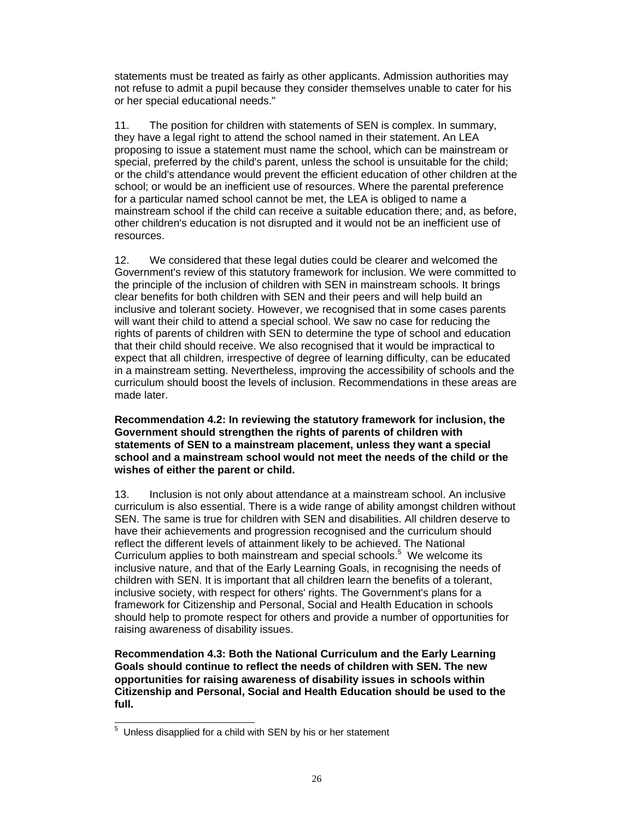statements must be treated as fairly as other applicants. Admission authorities may not refuse to admit a pupil because they consider themselves unable to cater for his or her special educational needs."

11. The position for children with statements of SEN is complex. In summary, they have a legal right to attend the school named in their statement. An LEA proposing to issue a statement must name the school, which can be mainstream or special, preferred by the child's parent, unless the school is unsuitable for the child; or the child's attendance would prevent the efficient education of other children at the school; or would be an inefficient use of resources. Where the parental preference for a particular named school cannot be met, the LEA is obliged to name a mainstream school if the child can receive a suitable education there; and, as before, other children's education is not disrupted and it would not be an inefficient use of resources.

12. We considered that these legal duties could be clearer and welcomed the Government's review of this statutory framework for inclusion. We were committed to the principle of the inclusion of children with SEN in mainstream schools. It brings clear benefits for both children with SEN and their peers and will help build an inclusive and tolerant society. However, we recognised that in some cases parents will want their child to attend a special school. We saw no case for reducing the rights of parents of children with SEN to determine the type of school and education that their child should receive. We also recognised that it would be impractical to expect that all children, irrespective of degree of learning difficulty, can be educated in a mainstream setting. Nevertheless, improving the accessibility of schools and the curriculum should boost the levels of inclusion. Recommendations in these areas are made later.

#### **Recommendation 4.2: In reviewing the statutory framework for inclusion, the Government should strengthen the rights of parents of children with statements of SEN to a mainstream placement, unless they want a special school and a mainstream school would not meet the needs of the child or the wishes of either the parent or child.**

13. Inclusion is not only about attendance at a mainstream school. An inclusive curriculum is also essential. There is a wide range of ability amongst children without SEN. The same is true for children with SEN and disabilities. All children deserve to have their achievements and progression recognised and the curriculum should reflect the different levels of attainment likely to be achieved. The National Curriculum applies to both mainstream and special schools.<sup>5</sup> We welcome its inclusive nature, and that of the Early Learning Goals, in recognising the needs of children with SEN. It is important that all children learn the benefits of a tolerant, inclusive society, with respect for others' rights. The Government's plans for a framework for Citizenship and Personal, Social and Health Education in schools should help to promote respect for others and provide a number of opportunities for raising awareness of disability issues.

**Recommendation 4.3: Both the National Curriculum and the Early Learning Goals should continue to reflect the needs of children with SEN. The new opportunities for raising awareness of disability issues in schools within Citizenship and Personal, Social and Health Education should be used to the full.** 

 5 Unless disapplied for a child with SEN by his or her statement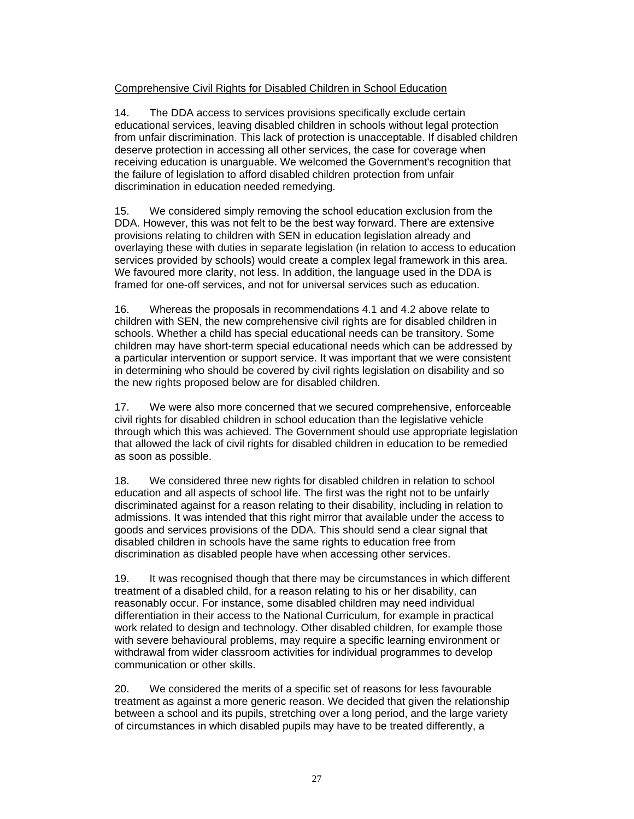### Comprehensive Civil Rights for Disabled Children in School Education

14. The DDA access to services provisions specifically exclude certain educational services, leaving disabled children in schools without legal protection from unfair discrimination. This lack of protection is unacceptable. If disabled children deserve protection in accessing all other services, the case for coverage when receiving education is unarguable. We welcomed the Government's recognition that the failure of legislation to afford disabled children protection from unfair discrimination in education needed remedying.

15. We considered simply removing the school education exclusion from the DDA. However, this was not felt to be the best way forward. There are extensive provisions relating to children with SEN in education legislation already and overlaying these with duties in separate legislation (in relation to access to education services provided by schools) would create a complex legal framework in this area. We favoured more clarity, not less. In addition, the language used in the DDA is framed for one-off services, and not for universal services such as education.

16. Whereas the proposals in recommendations 4.1 and 4.2 above relate to children with SEN, the new comprehensive civil rights are for disabled children in schools. Whether a child has special educational needs can be transitory. Some children may have short-term special educational needs which can be addressed by a particular intervention or support service. It was important that we were consistent in determining who should be covered by civil rights legislation on disability and so the new rights proposed below are for disabled children.

17. We were also more concerned that we secured comprehensive, enforceable civil rights for disabled children in school education than the legislative vehicle through which this was achieved. The Government should use appropriate legislation that allowed the lack of civil rights for disabled children in education to be remedied as soon as possible.

18. We considered three new rights for disabled children in relation to school education and all aspects of school life. The first was the right not to be unfairly discriminated against for a reason relating to their disability, including in relation to admissions. It was intended that this right mirror that available under the access to goods and services provisions of the DDA. This should send a clear signal that disabled children in schools have the same rights to education free from discrimination as disabled people have when accessing other services.

19. It was recognised though that there may be circumstances in which different treatment of a disabled child, for a reason relating to his or her disability, can reasonably occur. For instance, some disabled children may need individual differentiation in their access to the National Curriculum, for example in practical work related to design and technology. Other disabled children, for example those with severe behavioural problems, may require a specific learning environment or withdrawal from wider classroom activities for individual programmes to develop communication or other skills.

20. We considered the merits of a specific set of reasons for less favourable treatment as against a more generic reason. We decided that given the relationship between a school and its pupils, stretching over a long period, and the large variety of circumstances in which disabled pupils may have to be treated differently, a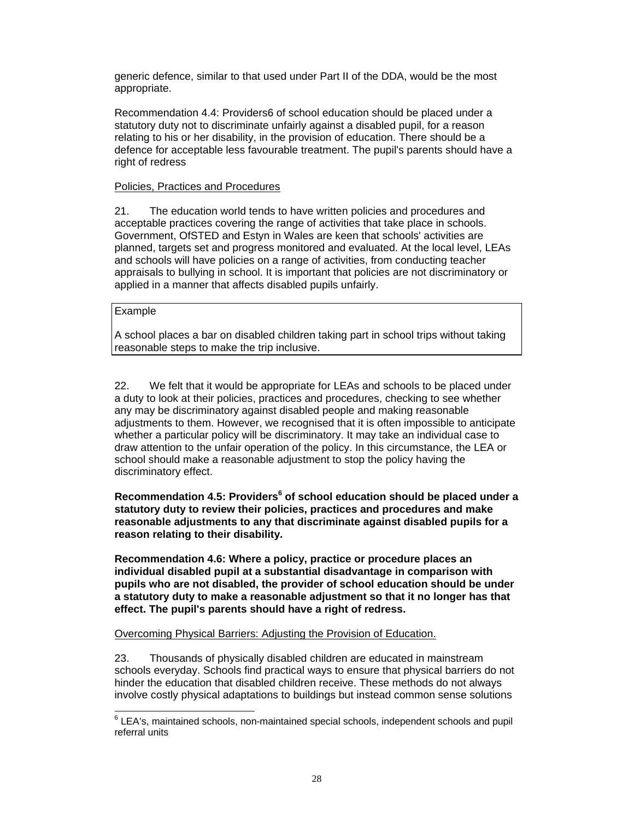generic defence, similar to that used under Part II of the DDA, would be the most appropriate.

Recommendation 4.4: Providers6 of school education should be placed under a statutory duty not to discriminate unfairly against a disabled pupil, for a reason relating to his or her disability, in the provision of education. There should be a defence for acceptable less favourable treatment. The pupil's parents should have a right of redress

#### Policies, Practices and Procedures

21. The education world tends to have written policies and procedures and acceptable practices covering the range of activities that take place in schools. Government, OfSTED and Estyn in Wales are keen that schools' activities are planned, targets set and progress monitored and evaluated. At the local level, LEAs and schools will have policies on a range of activities, from conducting teacher appraisals to bullying in school. It is important that policies are not discriminatory or applied in a manner that affects disabled pupils unfairly.

#### Example

A school places a bar on disabled children taking part in school trips without taking reasonable steps to make the trip inclusive.

22. We felt that it would be appropriate for LEAs and schools to be placed under a duty to look at their policies, practices and procedures, checking to see whether any may be discriminatory against disabled people and making reasonable adjustments to them. However, we recognised that it is often impossible to anticipate whether a particular policy will be discriminatory. It may take an individual case to draw attention to the unfair operation of the policy. In this circumstance, the LEA or school should make a reasonable adjustment to stop the policy having the discriminatory effect.

**Recommendation 4.5: Providers<sup>6</sup> of school education should be placed under a statutory duty to review their policies, practices and procedures and make reasonable adjustments to any that discriminate against disabled pupils for a reason relating to their disability.** 

**Recommendation 4.6: Where a policy, practice or procedure places an individual disabled pupil at a substantial disadvantage in comparison with pupils who are not disabled, the provider of school education should be under a statutory duty to make a reasonable adjustment so that it no longer has that effect. The pupil's parents should have a right of redress.** 

Overcoming Physical Barriers: Adjusting the Provision of Education.

23. Thousands of physically disabled children are educated in mainstream schools everyday. Schools find practical ways to ensure that physical barriers do not hinder the education that disabled children receive. These methods do not always involve costly physical adaptations to buildings but instead common sense solutions

e<br>
EEA's, maintained schools, non-maintained special schools, independent schools and pupil referral units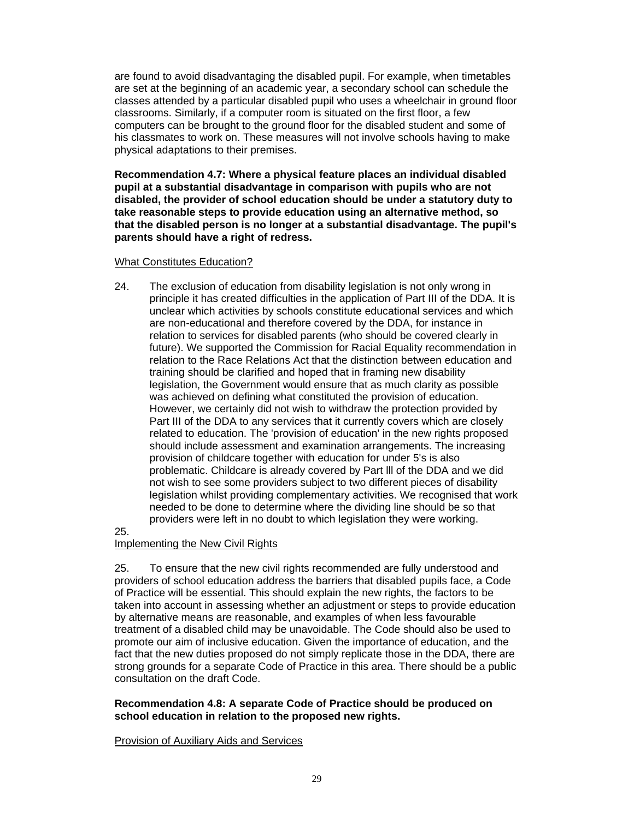are found to avoid disadvantaging the disabled pupil. For example, when timetables are set at the beginning of an academic year, a secondary school can schedule the classes attended by a particular disabled pupil who uses a wheelchair in ground floor classrooms. Similarly, if a computer room is situated on the first floor, a few computers can be brought to the ground floor for the disabled student and some of his classmates to work on. These measures will not involve schools having to make physical adaptations to their premises.

**Recommendation 4.7: Where a physical feature places an individual disabled pupil at a substantial disadvantage in comparison with pupils who are not disabled, the provider of school education should be under a statutory duty to take reasonable steps to provide education using an alternative method, so that the disabled person is no longer at a substantial disadvantage. The pupil's parents should have a right of redress.** 

#### What Constitutes Education?

24. The exclusion of education from disability legislation is not only wrong in principle it has created difficulties in the application of Part III of the DDA. It is unclear which activities by schools constitute educational services and which are non-educational and therefore covered by the DDA, for instance in relation to services for disabled parents (who should be covered clearly in future). We supported the Commission for Racial Equality recommendation in relation to the Race Relations Act that the distinction between education and training should be clarified and hoped that in framing new disability legislation, the Government would ensure that as much clarity as possible was achieved on defining what constituted the provision of education. However, we certainly did not wish to withdraw the protection provided by Part III of the DDA to any services that it currently covers which are closely related to education. The 'provision of education' in the new rights proposed should include assessment and examination arrangements. The increasing provision of childcare together with education for under 5's is also problematic. Childcare is already covered by Part lll of the DDA and we did not wish to see some providers subject to two different pieces of disability legislation whilst providing complementary activities. We recognised that work needed to be done to determine where the dividing line should be so that providers were left in no doubt to which legislation they were working.

25.

#### Implementing the New Civil Rights

25. To ensure that the new civil rights recommended are fully understood and providers of school education address the barriers that disabled pupils face, a Code of Practice will be essential. This should explain the new rights, the factors to be taken into account in assessing whether an adjustment or steps to provide education by alternative means are reasonable, and examples of when less favourable treatment of a disabled child may be unavoidable. The Code should also be used to promote our aim of inclusive education. Given the importance of education, and the fact that the new duties proposed do not simply replicate those in the DDA, there are strong grounds for a separate Code of Practice in this area. There should be a public consultation on the draft Code.

#### **Recommendation 4.8: A separate Code of Practice should be produced on school education in relation to the proposed new rights.**

Provision of Auxiliary Aids and Services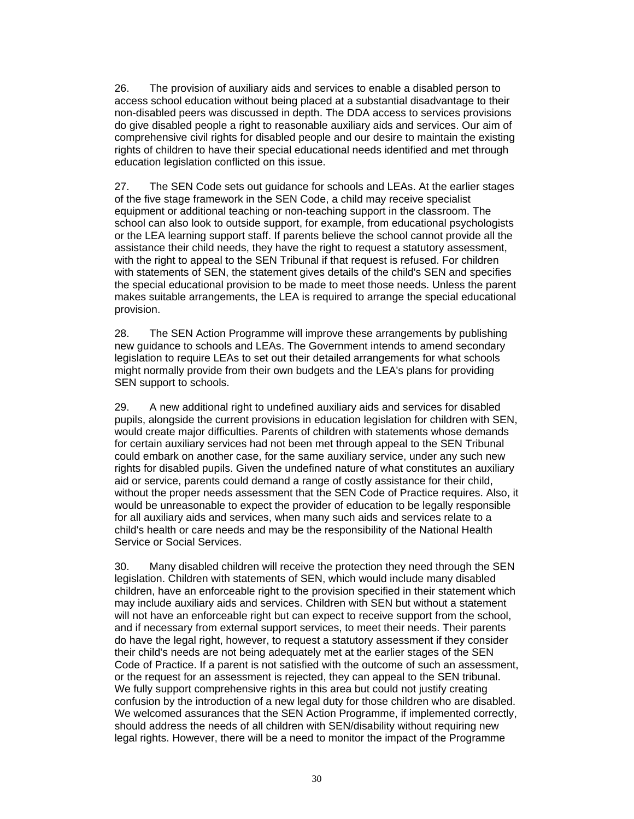26. The provision of auxiliary aids and services to enable a disabled person to access school education without being placed at a substantial disadvantage to their non-disabled peers was discussed in depth. The DDA access to services provisions do give disabled people a right to reasonable auxiliary aids and services. Our aim of comprehensive civil rights for disabled people and our desire to maintain the existing rights of children to have their special educational needs identified and met through education legislation conflicted on this issue.

27. The SEN Code sets out guidance for schools and LEAs. At the earlier stages of the five stage framework in the SEN Code, a child may receive specialist equipment or additional teaching or non-teaching support in the classroom. The school can also look to outside support, for example, from educational psychologists or the LEA learning support staff. If parents believe the school cannot provide all the assistance their child needs, they have the right to request a statutory assessment, with the right to appeal to the SEN Tribunal if that request is refused. For children with statements of SEN, the statement gives details of the child's SEN and specifies the special educational provision to be made to meet those needs. Unless the parent makes suitable arrangements, the LEA is required to arrange the special educational provision.

28. The SEN Action Programme will improve these arrangements by publishing new guidance to schools and LEAs. The Government intends to amend secondary legislation to require LEAs to set out their detailed arrangements for what schools might normally provide from their own budgets and the LEA's plans for providing SEN support to schools.

29. A new additional right to undefined auxiliary aids and services for disabled pupils, alongside the current provisions in education legislation for children with SEN, would create major difficulties. Parents of children with statements whose demands for certain auxiliary services had not been met through appeal to the SEN Tribunal could embark on another case, for the same auxiliary service, under any such new rights for disabled pupils. Given the undefined nature of what constitutes an auxiliary aid or service, parents could demand a range of costly assistance for their child, without the proper needs assessment that the SEN Code of Practice requires. Also, it would be unreasonable to expect the provider of education to be legally responsible for all auxiliary aids and services, when many such aids and services relate to a child's health or care needs and may be the responsibility of the National Health Service or Social Services.

30. Many disabled children will receive the protection they need through the SEN legislation. Children with statements of SEN, which would include many disabled children, have an enforceable right to the provision specified in their statement which may include auxiliary aids and services. Children with SEN but without a statement will not have an enforceable right but can expect to receive support from the school, and if necessary from external support services, to meet their needs. Their parents do have the legal right, however, to request a statutory assessment if they consider their child's needs are not being adequately met at the earlier stages of the SEN Code of Practice. If a parent is not satisfied with the outcome of such an assessment, or the request for an assessment is rejected, they can appeal to the SEN tribunal. We fully support comprehensive rights in this area but could not justify creating confusion by the introduction of a new legal duty for those children who are disabled. We welcomed assurances that the SEN Action Programme, if implemented correctly, should address the needs of all children with SEN/disability without requiring new legal rights. However, there will be a need to monitor the impact of the Programme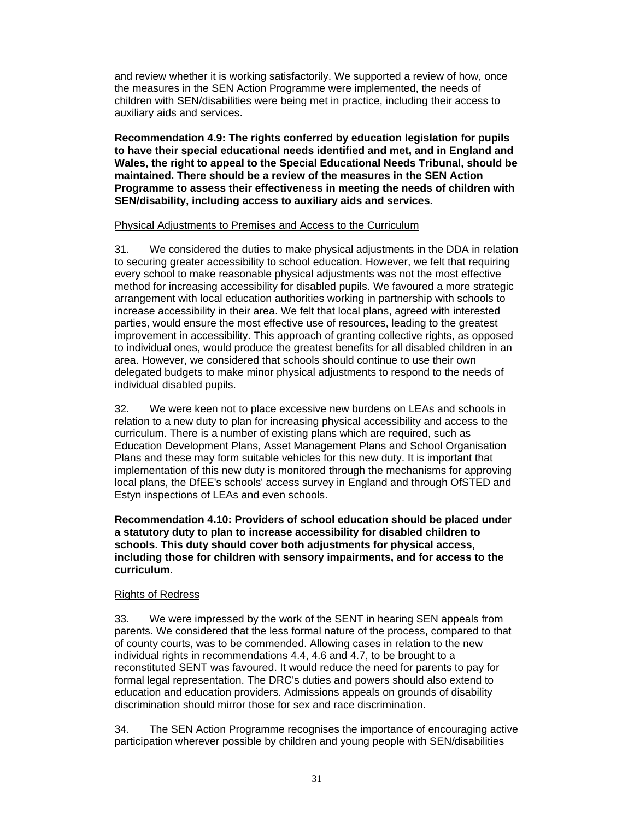and review whether it is working satisfactorily. We supported a review of how, once the measures in the SEN Action Programme were implemented, the needs of children with SEN/disabilities were being met in practice, including their access to auxiliary aids and services.

**Recommendation 4.9: The rights conferred by education legislation for pupils to have their special educational needs identified and met, and in England and Wales, the right to appeal to the Special Educational Needs Tribunal, should be maintained. There should be a review of the measures in the SEN Action Programme to assess their effectiveness in meeting the needs of children with SEN/disability, including access to auxiliary aids and services.** 

#### Physical Adjustments to Premises and Access to the Curriculum

31. We considered the duties to make physical adjustments in the DDA in relation to securing greater accessibility to school education. However, we felt that requiring every school to make reasonable physical adjustments was not the most effective method for increasing accessibility for disabled pupils. We favoured a more strategic arrangement with local education authorities working in partnership with schools to increase accessibility in their area. We felt that local plans, agreed with interested parties, would ensure the most effective use of resources, leading to the greatest improvement in accessibility. This approach of granting collective rights, as opposed to individual ones, would produce the greatest benefits for all disabled children in an area. However, we considered that schools should continue to use their own delegated budgets to make minor physical adjustments to respond to the needs of individual disabled pupils.

32. We were keen not to place excessive new burdens on LEAs and schools in relation to a new duty to plan for increasing physical accessibility and access to the curriculum. There is a number of existing plans which are required, such as Education Development Plans, Asset Management Plans and School Organisation Plans and these may form suitable vehicles for this new duty. It is important that implementation of this new duty is monitored through the mechanisms for approving local plans, the DfEE's schools' access survey in England and through OfSTED and Estyn inspections of LEAs and even schools.

**Recommendation 4.10: Providers of school education should be placed under a statutory duty to plan to increase accessibility for disabled children to schools. This duty should cover both adjustments for physical access, including those for children with sensory impairments, and for access to the curriculum.**

### Rights of Redress

33. We were impressed by the work of the SENT in hearing SEN appeals from parents. We considered that the less formal nature of the process, compared to that of county courts, was to be commended. Allowing cases in relation to the new individual rights in recommendations 4.4, 4.6 and 4.7, to be brought to a reconstituted SENT was favoured. It would reduce the need for parents to pay for formal legal representation. The DRC's duties and powers should also extend to education and education providers. Admissions appeals on grounds of disability discrimination should mirror those for sex and race discrimination.

34. The SEN Action Programme recognises the importance of encouraging active participation wherever possible by children and young people with SEN/disabilities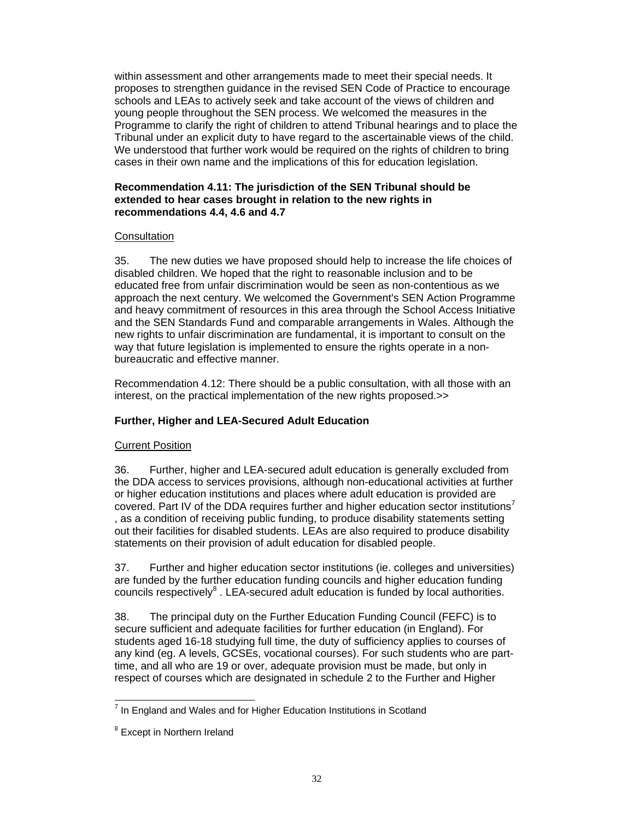within assessment and other arrangements made to meet their special needs. It proposes to strengthen guidance in the revised SEN Code of Practice to encourage schools and LEAs to actively seek and take account of the views of children and young people throughout the SEN process. We welcomed the measures in the Programme to clarify the right of children to attend Tribunal hearings and to place the Tribunal under an explicit duty to have regard to the ascertainable views of the child. We understood that further work would be required on the rights of children to bring cases in their own name and the implications of this for education legislation.

#### **Recommendation 4.11: The jurisdiction of the SEN Tribunal should be extended to hear cases brought in relation to the new rights in recommendations 4.4, 4.6 and 4.7**

#### **Consultation**

35. The new duties we have proposed should help to increase the life choices of disabled children. We hoped that the right to reasonable inclusion and to be educated free from unfair discrimination would be seen as non-contentious as we approach the next century. We welcomed the Government's SEN Action Programme and heavy commitment of resources in this area through the School Access Initiative and the SEN Standards Fund and comparable arrangements in Wales. Although the new rights to unfair discrimination are fundamental, it is important to consult on the way that future legislation is implemented to ensure the rights operate in a nonbureaucratic and effective manner.

Recommendation 4.12: There should be a public consultation, with all those with an interest, on the practical implementation of the new rights proposed.>>

### **Further, Higher and LEA-Secured Adult Education**

### Current Position

36. Further, higher and LEA-secured adult education is generally excluded from the DDA access to services provisions, although non-educational activities at further or higher education institutions and places where adult education is provided are covered. Part IV of the DDA requires further and higher education sector institutions<sup>7</sup> , as a condition of receiving public funding, to produce disability statements setting out their facilities for disabled students. LEAs are also required to produce disability statements on their provision of adult education for disabled people.

37. Further and higher education sector institutions (ie. colleges and universities) are funded by the further education funding councils and higher education funding councils respectively $8$ . LEA-secured adult education is funded by local authorities.

38. The principal duty on the Further Education Funding Council (FEFC) is to secure sufficient and adequate facilities for further education (in England). For students aged 16-18 studying full time, the duty of sufficiency applies to courses of any kind (eg. A levels, GCSEs, vocational courses). For such students who are parttime, and all who are 19 or over, adequate provision must be made, but only in respect of courses which are designated in schedule 2 to the Further and Higher

l  $7$  In England and Wales and for Higher Education Institutions in Scotland

<sup>&</sup>lt;sup>8</sup> Except in Northern Ireland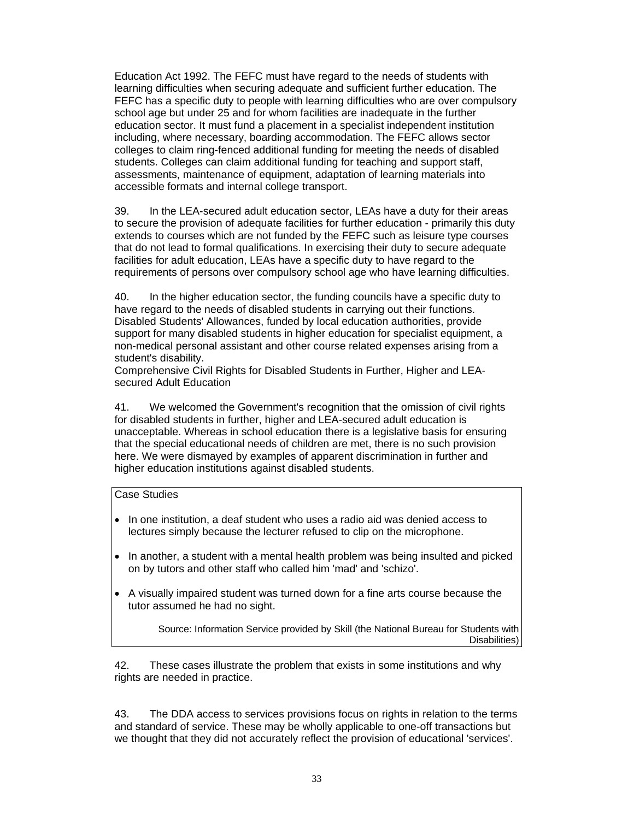Education Act 1992. The FEFC must have regard to the needs of students with learning difficulties when securing adequate and sufficient further education. The FEFC has a specific duty to people with learning difficulties who are over compulsory school age but under 25 and for whom facilities are inadequate in the further education sector. It must fund a placement in a specialist independent institution including, where necessary, boarding accommodation. The FEFC allows sector colleges to claim ring-fenced additional funding for meeting the needs of disabled students. Colleges can claim additional funding for teaching and support staff, assessments, maintenance of equipment, adaptation of learning materials into accessible formats and internal college transport.

39. In the LEA-secured adult education sector, LEAs have a duty for their areas to secure the provision of adequate facilities for further education - primarily this duty extends to courses which are not funded by the FEFC such as leisure type courses that do not lead to formal qualifications. In exercising their duty to secure adequate facilities for adult education, LEAs have a specific duty to have regard to the requirements of persons over compulsory school age who have learning difficulties.

40. In the higher education sector, the funding councils have a specific duty to have regard to the needs of disabled students in carrying out their functions. Disabled Students' Allowances, funded by local education authorities, provide support for many disabled students in higher education for specialist equipment, a non-medical personal assistant and other course related expenses arising from a student's disability.

Comprehensive Civil Rights for Disabled Students in Further, Higher and LEAsecured Adult Education

41. We welcomed the Government's recognition that the omission of civil rights for disabled students in further, higher and LEA-secured adult education is unacceptable. Whereas in school education there is a legislative basis for ensuring that the special educational needs of children are met, there is no such provision here. We were dismayed by examples of apparent discrimination in further and higher education institutions against disabled students.

#### Case Studies

- In one institution, a deaf student who uses a radio aid was denied access to lectures simply because the lecturer refused to clip on the microphone.
- In another, a student with a mental health problem was being insulted and picked on by tutors and other staff who called him 'mad' and 'schizo'.
- A visually impaired student was turned down for a fine arts course because the tutor assumed he had no sight.

Source: Information Service provided by Skill (the National Bureau for Students with Disabilities)

42. These cases illustrate the problem that exists in some institutions and why rights are needed in practice.

43. The DDA access to services provisions focus on rights in relation to the terms and standard of service. These may be wholly applicable to one-off transactions but we thought that they did not accurately reflect the provision of educational 'services'.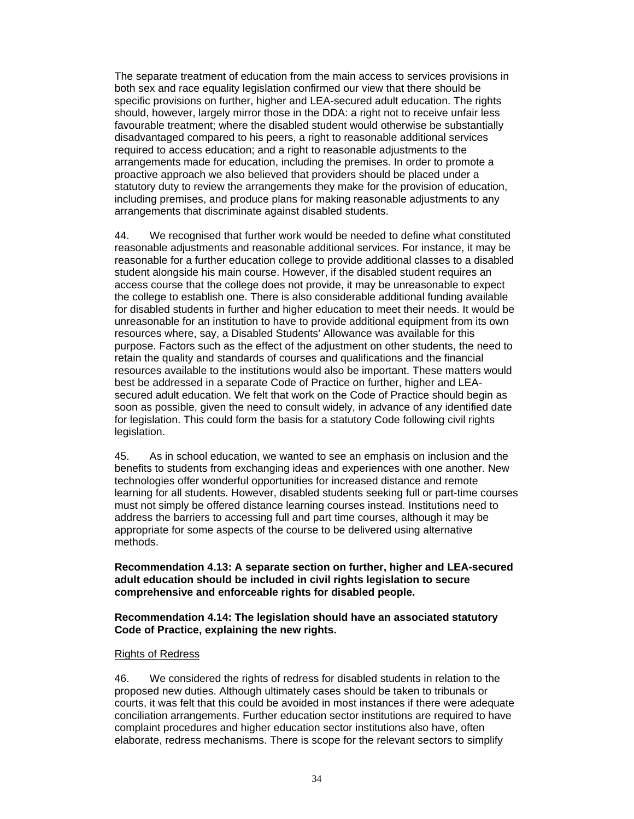The separate treatment of education from the main access to services provisions in both sex and race equality legislation confirmed our view that there should be specific provisions on further, higher and LEA-secured adult education. The rights should, however, largely mirror those in the DDA: a right not to receive unfair less favourable treatment; where the disabled student would otherwise be substantially disadvantaged compared to his peers, a right to reasonable additional services required to access education; and a right to reasonable adjustments to the arrangements made for education, including the premises. In order to promote a proactive approach we also believed that providers should be placed under a statutory duty to review the arrangements they make for the provision of education, including premises, and produce plans for making reasonable adjustments to any arrangements that discriminate against disabled students.

44. We recognised that further work would be needed to define what constituted reasonable adjustments and reasonable additional services. For instance, it may be reasonable for a further education college to provide additional classes to a disabled student alongside his main course. However, if the disabled student requires an access course that the college does not provide, it may be unreasonable to expect the college to establish one. There is also considerable additional funding available for disabled students in further and higher education to meet their needs. It would be unreasonable for an institution to have to provide additional equipment from its own resources where, say, a Disabled Students' Allowance was available for this purpose. Factors such as the effect of the adjustment on other students, the need to retain the quality and standards of courses and qualifications and the financial resources available to the institutions would also be important. These matters would best be addressed in a separate Code of Practice on further, higher and LEAsecured adult education. We felt that work on the Code of Practice should begin as soon as possible, given the need to consult widely, in advance of any identified date for legislation. This could form the basis for a statutory Code following civil rights legislation.

45. As in school education, we wanted to see an emphasis on inclusion and the benefits to students from exchanging ideas and experiences with one another. New technologies offer wonderful opportunities for increased distance and remote learning for all students. However, disabled students seeking full or part-time courses must not simply be offered distance learning courses instead. Institutions need to address the barriers to accessing full and part time courses, although it may be appropriate for some aspects of the course to be delivered using alternative methods.

**Recommendation 4.13: A separate section on further, higher and LEA-secured adult education should be included in civil rights legislation to secure comprehensive and enforceable rights for disabled people.** 

**Recommendation 4.14: The legislation should have an associated statutory Code of Practice, explaining the new rights.** 

#### Rights of Redress

46. We considered the rights of redress for disabled students in relation to the proposed new duties. Although ultimately cases should be taken to tribunals or courts, it was felt that this could be avoided in most instances if there were adequate conciliation arrangements. Further education sector institutions are required to have complaint procedures and higher education sector institutions also have, often elaborate, redress mechanisms. There is scope for the relevant sectors to simplify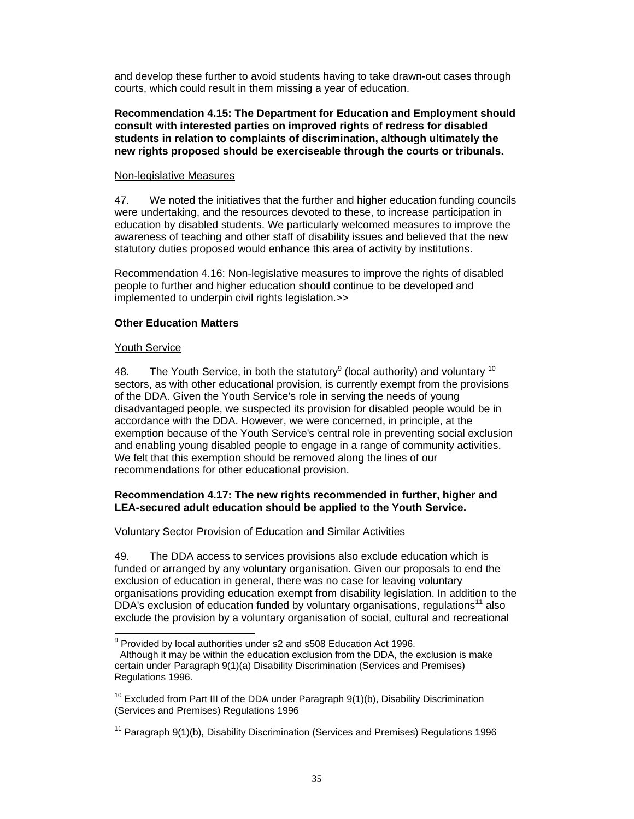and develop these further to avoid students having to take drawn-out cases through courts, which could result in them missing a year of education.

#### **Recommendation 4.15: The Department for Education and Employment should consult with interested parties on improved rights of redress for disabled students in relation to complaints of discrimination, although ultimately the new rights proposed should be exerciseable through the courts or tribunals.**

#### Non-legislative Measures

47. We noted the initiatives that the further and higher education funding councils were undertaking, and the resources devoted to these, to increase participation in education by disabled students. We particularly welcomed measures to improve the awareness of teaching and other staff of disability issues and believed that the new statutory duties proposed would enhance this area of activity by institutions.

Recommendation 4.16: Non-legislative measures to improve the rights of disabled people to further and higher education should continue to be developed and implemented to underpin civil rights legislation.>>

#### **Other Education Matters**

#### Youth Service

48. The Youth Service, in both the statutory<sup>9</sup> (local authority) and voluntary <sup>10</sup> sectors, as with other educational provision, is currently exempt from the provisions of the DDA. Given the Youth Service's role in serving the needs of young disadvantaged people, we suspected its provision for disabled people would be in accordance with the DDA. However, we were concerned, in principle, at the exemption because of the Youth Service's central role in preventing social exclusion and enabling young disabled people to engage in a range of community activities. We felt that this exemption should be removed along the lines of our recommendations for other educational provision.

#### **Recommendation 4.17: The new rights recommended in further, higher and LEA-secured adult education should be applied to the Youth Service.**

#### Voluntary Sector Provision of Education and Similar Activities

49. The DDA access to services provisions also exclude education which is funded or arranged by any voluntary organisation. Given our proposals to end the exclusion of education in general, there was no case for leaving voluntary organisations providing education exempt from disability legislation. In addition to the DDA's exclusion of education funded by voluntary organisations, regulations<sup>11</sup> also exclude the provision by a voluntary organisation of social, cultural and recreational

 9 Provided by local authorities under s2 and s508 Education Act 1996. Although it may be within the education exclusion from the DDA, the exclusion is make certain under Paragraph 9(1)(a) Disability Discrimination (Services and Premises) Regulations 1996.

 $10$  Excluded from Part III of the DDA under Paragraph  $9(1)(b)$ , Disability Discrimination (Services and Premises) Regulations 1996

<sup>&</sup>lt;sup>11</sup> Paragraph  $9(1)(b)$ , Disability Discrimination (Services and Premises) Regulations 1996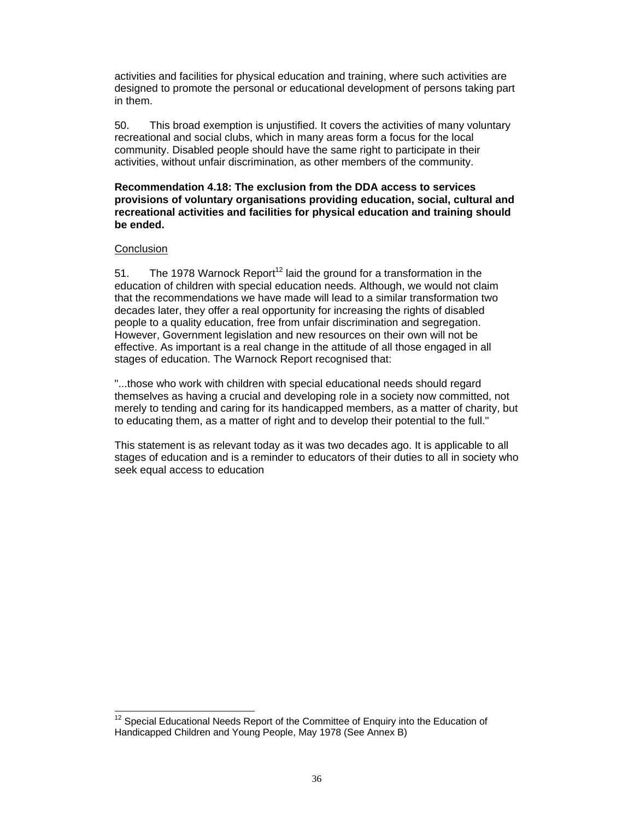activities and facilities for physical education and training, where such activities are designed to promote the personal or educational development of persons taking part in them.

50. This broad exemption is unjustified. It covers the activities of many voluntary recreational and social clubs, which in many areas form a focus for the local community. Disabled people should have the same right to participate in their activities, without unfair discrimination, as other members of the community.

#### **Recommendation 4.18: The exclusion from the DDA access to services provisions of voluntary organisations providing education, social, cultural and recreational activities and facilities for physical education and training should be ended.**

#### **Conclusion**

51. The 1978 Warnock Report<sup>12</sup> laid the ground for a transformation in the education of children with special education needs. Although, we would not claim that the recommendations we have made will lead to a similar transformation two decades later, they offer a real opportunity for increasing the rights of disabled people to a quality education, free from unfair discrimination and segregation. However, Government legislation and new resources on their own will not be effective. As important is a real change in the attitude of all those engaged in all stages of education. The Warnock Report recognised that:

"...those who work with children with special educational needs should regard themselves as having a crucial and developing role in a society now committed, not merely to tending and caring for its handicapped members, as a matter of charity, but to educating them, as a matter of right and to develop their potential to the full."

This statement is as relevant today as it was two decades ago. It is applicable to all stages of education and is a reminder to educators of their duties to all in society who seek equal access to education

 $\overline{a}$  $12$  Special Educational Needs Report of the Committee of Enquiry into the Education of Handicapped Children and Young People, May 1978 (See Annex B)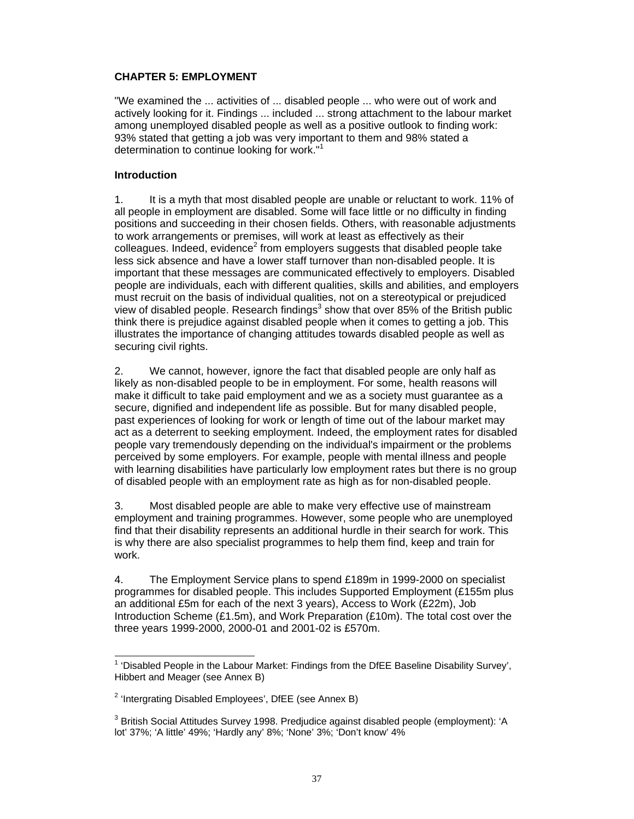## **CHAPTER 5: EMPLOYMENT**

"We examined the ... activities of ... disabled people ... who were out of work and actively looking for it. Findings ... included ... strong attachment to the labour market among unemployed disabled people as well as a positive outlook to finding work: 93% stated that getting a job was very important to them and 98% stated a determination to continue looking for work."<sup>1</sup>

### **Introduction**

1. It is a myth that most disabled people are unable or reluctant to work. 11% of all people in employment are disabled. Some will face little or no difficulty in finding positions and succeeding in their chosen fields. Others, with reasonable adjustments to work arrangements or premises, will work at least as effectively as their colleagues. Indeed, evidence<sup>2</sup> from employers suggests that disabled people take less sick absence and have a lower staff turnover than non-disabled people. It is important that these messages are communicated effectively to employers. Disabled people are individuals, each with different qualities, skills and abilities, and employers must recruit on the basis of individual qualities, not on a stereotypical or prejudiced view of disabled people. Research findings<sup>3</sup> show that over 85% of the British public think there is prejudice against disabled people when it comes to getting a job. This illustrates the importance of changing attitudes towards disabled people as well as securing civil rights.

2. We cannot, however, ignore the fact that disabled people are only half as likely as non-disabled people to be in employment. For some, health reasons will make it difficult to take paid employment and we as a society must guarantee as a secure, dignified and independent life as possible. But for many disabled people, past experiences of looking for work or length of time out of the labour market may act as a deterrent to seeking employment. Indeed, the employment rates for disabled people vary tremendously depending on the individual's impairment or the problems perceived by some employers. For example, people with mental illness and people with learning disabilities have particularly low employment rates but there is no group of disabled people with an employment rate as high as for non-disabled people.

3. Most disabled people are able to make very effective use of mainstream employment and training programmes. However, some people who are unemployed find that their disability represents an additional hurdle in their search for work. This is why there are also specialist programmes to help them find, keep and train for work.

4. The Employment Service plans to spend £189m in 1999-2000 on specialist programmes for disabled people. This includes Supported Employment (£155m plus an additional £5m for each of the next 3 years), Access to Work (£22m), Job Introduction Scheme (£1.5m), and Work Preparation (£10m). The total cost over the three years 1999-2000, 2000-01 and 2001-02 is £570m.

 1 'Disabled People in the Labour Market: Findings from the DfEE Baseline Disability Survey', Hibbert and Meager (see Annex B)

<sup>&</sup>lt;sup>2</sup> 'Intergrating Disabled Employees', DfEE (see Annex B)

 $^3$  British Social Attitudes Survey 1998. Predjudice against disabled people (employment): 'A lot' 37%; 'A little' 49%; 'Hardly any' 8%; 'None' 3%; 'Don't know' 4%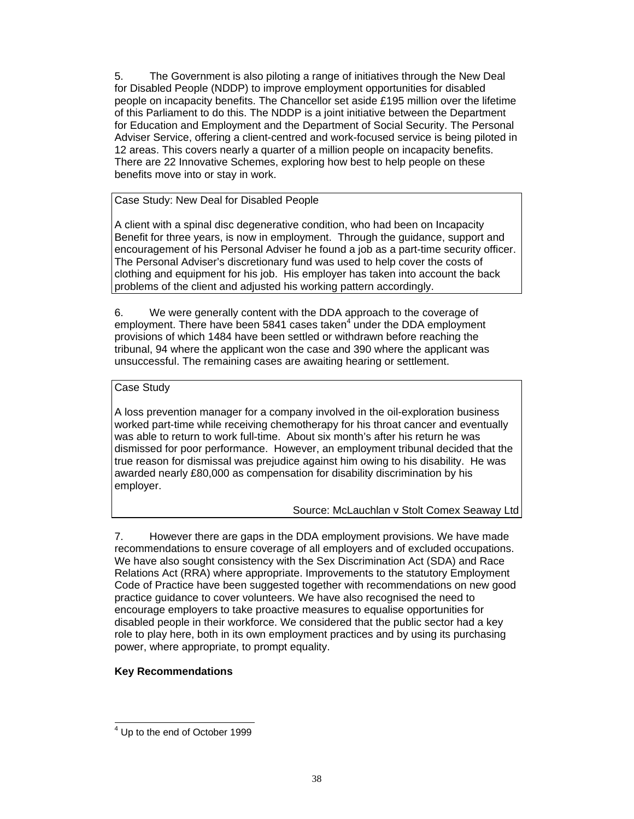5. The Government is also piloting a range of initiatives through the New Deal for Disabled People (NDDP) to improve employment opportunities for disabled people on incapacity benefits. The Chancellor set aside £195 million over the lifetime of this Parliament to do this. The NDDP is a joint initiative between the Department for Education and Employment and the Department of Social Security. The Personal Adviser Service, offering a client-centred and work-focused service is being piloted in 12 areas. This covers nearly a quarter of a million people on incapacity benefits. There are 22 Innovative Schemes, exploring how best to help people on these benefits move into or stay in work.

Case Study: New Deal for Disabled People

A client with a spinal disc degenerative condition, who had been on Incapacity Benefit for three years, is now in employment. Through the guidance, support and encouragement of his Personal Adviser he found a job as a part-time security officer. The Personal Adviser's discretionary fund was used to help cover the costs of clothing and equipment for his job. His employer has taken into account the back problems of the client and adjusted his working pattern accordingly.

6. We were generally content with the DDA approach to the coverage of employment. There have been 5841 cases taken<sup>4</sup> under the DDA employment provisions of which 1484 have been settled or withdrawn before reaching the tribunal, 94 where the applicant won the case and 390 where the applicant was unsuccessful. The remaining cases are awaiting hearing or settlement.

# Case Study

A loss prevention manager for a company involved in the oil-exploration business worked part-time while receiving chemotherapy for his throat cancer and eventually was able to return to work full-time. About six month's after his return he was dismissed for poor performance. However, an employment tribunal decided that the true reason for dismissal was prejudice against him owing to his disability. He was awarded nearly £80,000 as compensation for disability discrimination by his employer.

# Source: McLauchlan v Stolt Comex Seaway Ltd

7. However there are gaps in the DDA employment provisions. We have made recommendations to ensure coverage of all employers and of excluded occupations. We have also sought consistency with the Sex Discrimination Act (SDA) and Race Relations Act (RRA) where appropriate. Improvements to the statutory Employment Code of Practice have been suggested together with recommendations on new good practice guidance to cover volunteers. We have also recognised the need to encourage employers to take proactive measures to equalise opportunities for disabled people in their workforce. We considered that the public sector had a key role to play here, both in its own employment practices and by using its purchasing power, where appropriate, to prompt equality.

# **Key Recommendations**

l <sup>4</sup> Up to the end of October 1999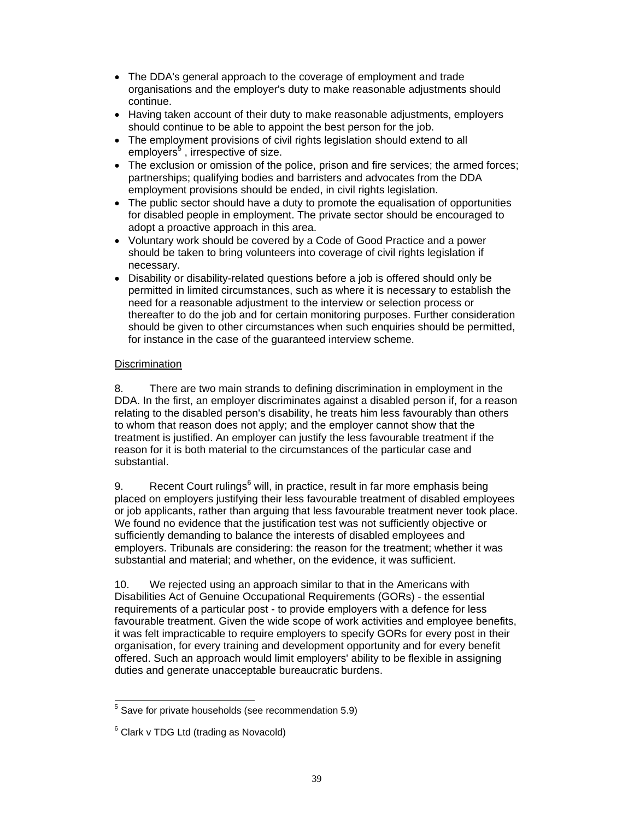- The DDA's general approach to the coverage of employment and trade organisations and the employer's duty to make reasonable adjustments should continue.
- Having taken account of their duty to make reasonable adjustments, employers should continue to be able to appoint the best person for the job.
- The employment provisions of civil rights legislation should extend to all employers<sup>5</sup>, irrespective of size.
- The exclusion or omission of the police, prison and fire services; the armed forces; partnerships; qualifying bodies and barristers and advocates from the DDA employment provisions should be ended, in civil rights legislation.
- The public sector should have a duty to promote the equalisation of opportunities for disabled people in employment. The private sector should be encouraged to adopt a proactive approach in this area.
- Voluntary work should be covered by a Code of Good Practice and a power should be taken to bring volunteers into coverage of civil rights legislation if necessary.
- Disability or disability-related questions before a job is offered should only be permitted in limited circumstances, such as where it is necessary to establish the need for a reasonable adjustment to the interview or selection process or thereafter to do the job and for certain monitoring purposes. Further consideration should be given to other circumstances when such enquiries should be permitted, for instance in the case of the guaranteed interview scheme.

# **Discrimination**

8. There are two main strands to defining discrimination in employment in the DDA. In the first, an employer discriminates against a disabled person if, for a reason relating to the disabled person's disability, he treats him less favourably than others to whom that reason does not apply; and the employer cannot show that the treatment is justified. An employer can justify the less favourable treatment if the reason for it is both material to the circumstances of the particular case and substantial.

9. Recent Court rulings<sup>6</sup> will, in practice, result in far more emphasis being placed on employers justifying their less favourable treatment of disabled employees or job applicants, rather than arguing that less favourable treatment never took place. We found no evidence that the justification test was not sufficiently objective or sufficiently demanding to balance the interests of disabled employees and employers. Tribunals are considering: the reason for the treatment; whether it was substantial and material; and whether, on the evidence, it was sufficient.

10. We rejected using an approach similar to that in the Americans with Disabilities Act of Genuine Occupational Requirements (GORs) - the essential requirements of a particular post - to provide employers with a defence for less favourable treatment. Given the wide scope of work activities and employee benefits, it was felt impracticable to require employers to specify GORs for every post in their organisation, for every training and development opportunity and for every benefit offered. Such an approach would limit employers' ability to be flexible in assigning duties and generate unacceptable bureaucratic burdens.

 5 Save for private households (see recommendation 5.9)

 $6$  Clark v TDG Ltd (trading as Novacold)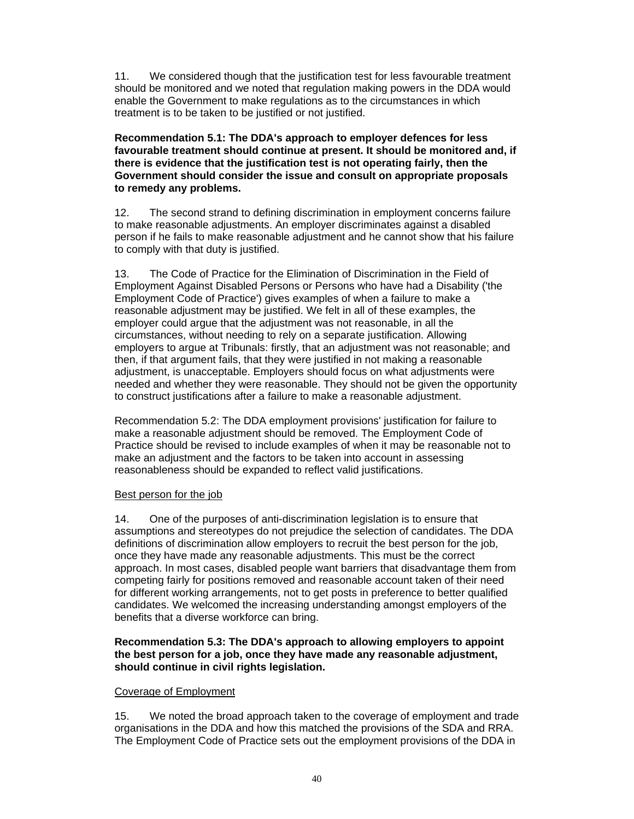11. We considered though that the justification test for less favourable treatment should be monitored and we noted that regulation making powers in the DDA would enable the Government to make regulations as to the circumstances in which treatment is to be taken to be justified or not justified.

**Recommendation 5.1: The DDA's approach to employer defences for less favourable treatment should continue at present. It should be monitored and, if there is evidence that the justification test is not operating fairly, then the Government should consider the issue and consult on appropriate proposals to remedy any problems.** 

12. The second strand to defining discrimination in employment concerns failure to make reasonable adjustments. An employer discriminates against a disabled person if he fails to make reasonable adjustment and he cannot show that his failure to comply with that duty is justified.

13. The Code of Practice for the Elimination of Discrimination in the Field of Employment Against Disabled Persons or Persons who have had a Disability ('the Employment Code of Practice') gives examples of when a failure to make a reasonable adjustment may be justified. We felt in all of these examples, the employer could argue that the adjustment was not reasonable, in all the circumstances, without needing to rely on a separate justification. Allowing employers to argue at Tribunals: firstly, that an adjustment was not reasonable; and then, if that argument fails, that they were justified in not making a reasonable adjustment, is unacceptable. Employers should focus on what adjustments were needed and whether they were reasonable. They should not be given the opportunity to construct justifications after a failure to make a reasonable adjustment.

Recommendation 5.2: The DDA employment provisions' justification for failure to make a reasonable adjustment should be removed. The Employment Code of Practice should be revised to include examples of when it may be reasonable not to make an adjustment and the factors to be taken into account in assessing reasonableness should be expanded to reflect valid justifications.

# Best person for the job

14. One of the purposes of anti-discrimination legislation is to ensure that assumptions and stereotypes do not prejudice the selection of candidates. The DDA definitions of discrimination allow employers to recruit the best person for the job, once they have made any reasonable adjustments. This must be the correct approach. In most cases, disabled people want barriers that disadvantage them from competing fairly for positions removed and reasonable account taken of their need for different working arrangements, not to get posts in preference to better qualified candidates. We welcomed the increasing understanding amongst employers of the benefits that a diverse workforce can bring.

## **Recommendation 5.3: The DDA's approach to allowing employers to appoint the best person for a job, once they have made any reasonable adjustment, should continue in civil rights legislation.**

# Coverage of Employment

15. We noted the broad approach taken to the coverage of employment and trade organisations in the DDA and how this matched the provisions of the SDA and RRA. The Employment Code of Practice sets out the employment provisions of the DDA in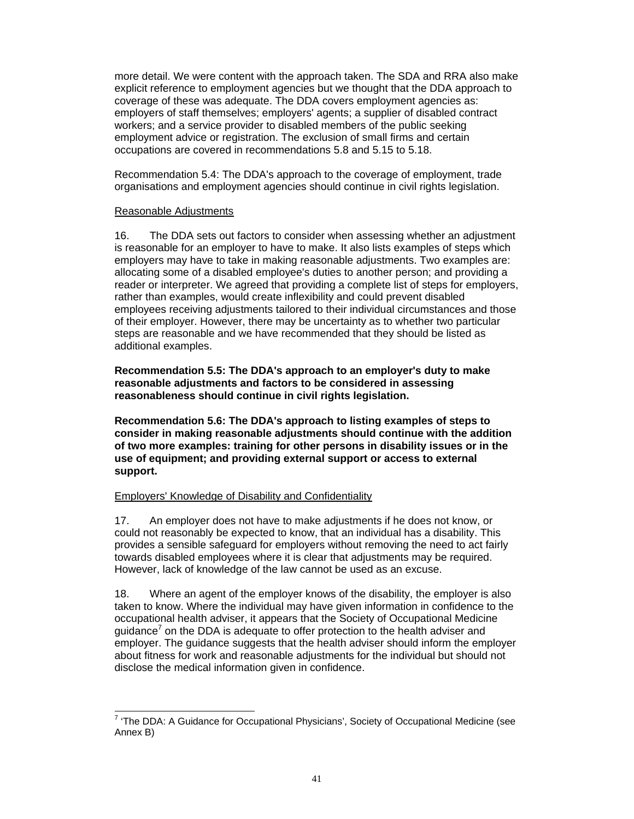more detail. We were content with the approach taken. The SDA and RRA also make explicit reference to employment agencies but we thought that the DDA approach to coverage of these was adequate. The DDA covers employment agencies as: employers of staff themselves; employers' agents; a supplier of disabled contract workers; and a service provider to disabled members of the public seeking employment advice or registration. The exclusion of small firms and certain occupations are covered in recommendations 5.8 and 5.15 to 5.18.

Recommendation 5.4: The DDA's approach to the coverage of employment, trade organisations and employment agencies should continue in civil rights legislation.

#### Reasonable Adjustments

16. The DDA sets out factors to consider when assessing whether an adjustment is reasonable for an employer to have to make. It also lists examples of steps which employers may have to take in making reasonable adjustments. Two examples are: allocating some of a disabled employee's duties to another person; and providing a reader or interpreter. We agreed that providing a complete list of steps for employers, rather than examples, would create inflexibility and could prevent disabled employees receiving adjustments tailored to their individual circumstances and those of their employer. However, there may be uncertainty as to whether two particular steps are reasonable and we have recommended that they should be listed as additional examples.

**Recommendation 5.5: The DDA's approach to an employer's duty to make reasonable adjustments and factors to be considered in assessing reasonableness should continue in civil rights legislation.** 

**Recommendation 5.6: The DDA's approach to listing examples of steps to consider in making reasonable adjustments should continue with the addition of two more examples: training for other persons in disability issues or in the use of equipment; and providing external support or access to external support.** 

#### Employers' Knowledge of Disability and Confidentiality

17. An employer does not have to make adjustments if he does not know, or could not reasonably be expected to know, that an individual has a disability. This provides a sensible safeguard for employers without removing the need to act fairly towards disabled employees where it is clear that adjustments may be required. However, lack of knowledge of the law cannot be used as an excuse.

18. Where an agent of the employer knows of the disability, the employer is also taken to know. Where the individual may have given information in confidence to the occupational health adviser, it appears that the Society of Occupational Medicine guidance<sup>7</sup> on the DDA is adequate to offer protection to the health adviser and employer. The guidance suggests that the health adviser should inform the employer about fitness for work and reasonable adjustments for the individual but should not disclose the medical information given in confidence.

 7 'The DDA: A Guidance for Occupational Physicians', Society of Occupational Medicine (see Annex B)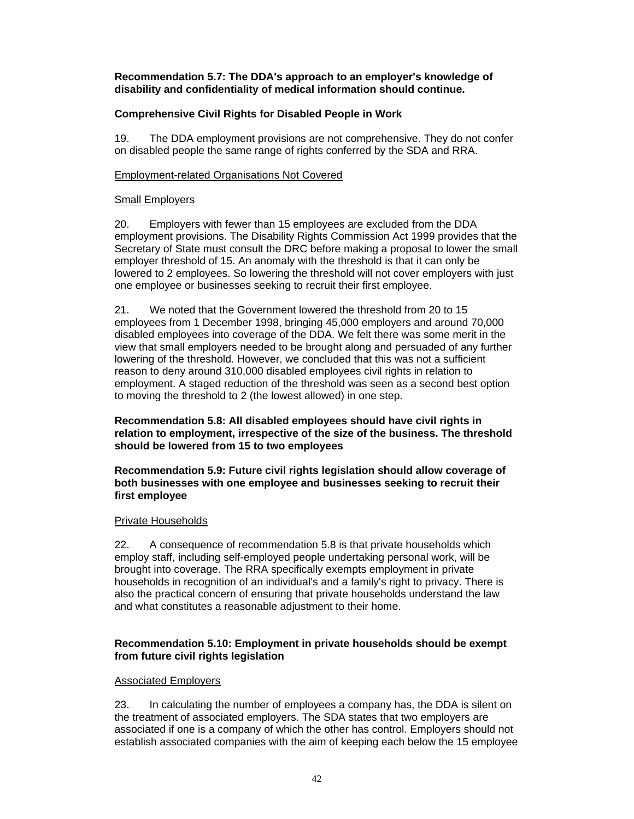# **Recommendation 5.7: The DDA's approach to an employer's knowledge of disability and confidentiality of medical information should continue.**

# **Comprehensive Civil Rights for Disabled People in Work**

19. The DDA employment provisions are not comprehensive. They do not confer on disabled people the same range of rights conferred by the SDA and RRA.

## Employment-related Organisations Not Covered

## Small Employers

20. Employers with fewer than 15 employees are excluded from the DDA employment provisions. The Disability Rights Commission Act 1999 provides that the Secretary of State must consult the DRC before making a proposal to lower the small employer threshold of 15. An anomaly with the threshold is that it can only be lowered to 2 employees. So lowering the threshold will not cover employers with just one employee or businesses seeking to recruit their first employee.

21. We noted that the Government lowered the threshold from 20 to 15 employees from 1 December 1998, bringing 45,000 employers and around 70,000 disabled employees into coverage of the DDA. We felt there was some merit in the view that small employers needed to be brought along and persuaded of any further lowering of the threshold. However, we concluded that this was not a sufficient reason to deny around 310,000 disabled employees civil rights in relation to employment. A staged reduction of the threshold was seen as a second best option to moving the threshold to 2 (the lowest allowed) in one step.

**Recommendation 5.8: All disabled employees should have civil rights in relation to employment, irrespective of the size of the business. The threshold should be lowered from 15 to two employees** 

**Recommendation 5.9: Future civil rights legislation should allow coverage of both businesses with one employee and businesses seeking to recruit their first employee** 

#### Private Households

22. A consequence of recommendation 5.8 is that private households which employ staff, including self-employed people undertaking personal work, will be brought into coverage. The RRA specifically exempts employment in private households in recognition of an individual's and a family's right to privacy. There is also the practical concern of ensuring that private households understand the law and what constitutes a reasonable adjustment to their home.

# **Recommendation 5.10: Employment in private households should be exempt from future civil rights legislation**

#### Associated Employers

23. In calculating the number of employees a company has, the DDA is silent on the treatment of associated employers. The SDA states that two employers are associated if one is a company of which the other has control. Employers should not establish associated companies with the aim of keeping each below the 15 employee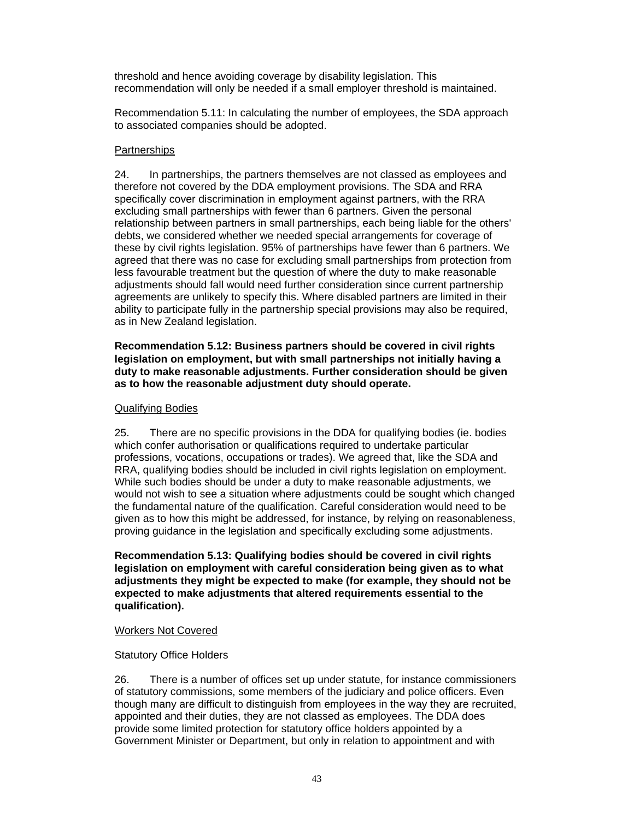threshold and hence avoiding coverage by disability legislation. This recommendation will only be needed if a small employer threshold is maintained.

Recommendation 5.11: In calculating the number of employees, the SDA approach to associated companies should be adopted.

## **Partnerships**

24. In partnerships, the partners themselves are not classed as employees and therefore not covered by the DDA employment provisions. The SDA and RRA specifically cover discrimination in employment against partners, with the RRA excluding small partnerships with fewer than 6 partners. Given the personal relationship between partners in small partnerships, each being liable for the others' debts, we considered whether we needed special arrangements for coverage of these by civil rights legislation. 95% of partnerships have fewer than 6 partners. We agreed that there was no case for excluding small partnerships from protection from less favourable treatment but the question of where the duty to make reasonable adjustments should fall would need further consideration since current partnership agreements are unlikely to specify this. Where disabled partners are limited in their ability to participate fully in the partnership special provisions may also be required, as in New Zealand legislation.

## **Recommendation 5.12: Business partners should be covered in civil rights legislation on employment, but with small partnerships not initially having a duty to make reasonable adjustments. Further consideration should be given as to how the reasonable adjustment duty should operate.**

## Qualifying Bodies

25. There are no specific provisions in the DDA for qualifying bodies (ie. bodies which confer authorisation or qualifications required to undertake particular professions, vocations, occupations or trades). We agreed that, like the SDA and RRA, qualifying bodies should be included in civil rights legislation on employment. While such bodies should be under a duty to make reasonable adjustments, we would not wish to see a situation where adjustments could be sought which changed the fundamental nature of the qualification. Careful consideration would need to be given as to how this might be addressed, for instance, by relying on reasonableness, proving guidance in the legislation and specifically excluding some adjustments.

**Recommendation 5.13: Qualifying bodies should be covered in civil rights legislation on employment with careful consideration being given as to what adjustments they might be expected to make (for example, they should not be expected to make adjustments that altered requirements essential to the qualification).** 

#### Workers Not Covered

# Statutory Office Holders

26. There is a number of offices set up under statute, for instance commissioners of statutory commissions, some members of the judiciary and police officers. Even though many are difficult to distinguish from employees in the way they are recruited, appointed and their duties, they are not classed as employees. The DDA does provide some limited protection for statutory office holders appointed by a Government Minister or Department, but only in relation to appointment and with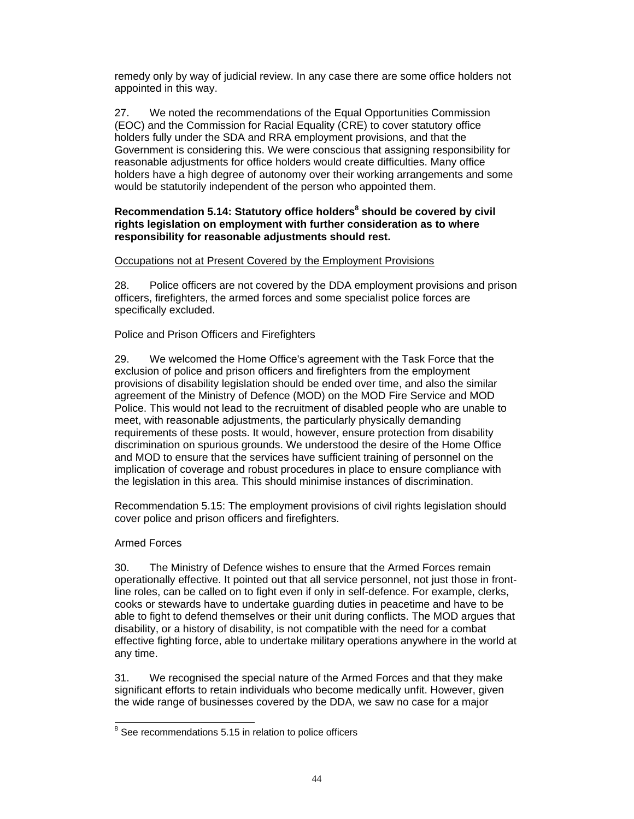remedy only by way of judicial review. In any case there are some office holders not appointed in this way.

27. We noted the recommendations of the Equal Opportunities Commission (EOC) and the Commission for Racial Equality (CRE) to cover statutory office holders fully under the SDA and RRA employment provisions, and that the Government is considering this. We were conscious that assigning responsibility for reasonable adjustments for office holders would create difficulties. Many office holders have a high degree of autonomy over their working arrangements and some would be statutorily independent of the person who appointed them.

# **Recommendation 5.14: Statutory office holders<sup>8</sup> should be covered by civil rights legislation on employment with further consideration as to where responsibility for reasonable adjustments should rest.**

## Occupations not at Present Covered by the Employment Provisions

28. Police officers are not covered by the DDA employment provisions and prison officers, firefighters, the armed forces and some specialist police forces are specifically excluded.

# Police and Prison Officers and Firefighters

29. We welcomed the Home Office's agreement with the Task Force that the exclusion of police and prison officers and firefighters from the employment provisions of disability legislation should be ended over time, and also the similar agreement of the Ministry of Defence (MOD) on the MOD Fire Service and MOD Police. This would not lead to the recruitment of disabled people who are unable to meet, with reasonable adjustments, the particularly physically demanding requirements of these posts. It would, however, ensure protection from disability discrimination on spurious grounds. We understood the desire of the Home Office and MOD to ensure that the services have sufficient training of personnel on the implication of coverage and robust procedures in place to ensure compliance with the legislation in this area. This should minimise instances of discrimination.

Recommendation 5.15: The employment provisions of civil rights legislation should cover police and prison officers and firefighters.

# Armed Forces

30. The Ministry of Defence wishes to ensure that the Armed Forces remain operationally effective. It pointed out that all service personnel, not just those in frontline roles, can be called on to fight even if only in self-defence. For example, clerks, cooks or stewards have to undertake guarding duties in peacetime and have to be able to fight to defend themselves or their unit during conflicts. The MOD argues that disability, or a history of disability, is not compatible with the need for a combat effective fighting force, able to undertake military operations anywhere in the world at any time.

31. We recognised the special nature of the Armed Forces and that they make significant efforts to retain individuals who become medically unfit. However, given the wide range of businesses covered by the DDA, we saw no case for a major

l  $8$  See recommendations 5.15 in relation to police officers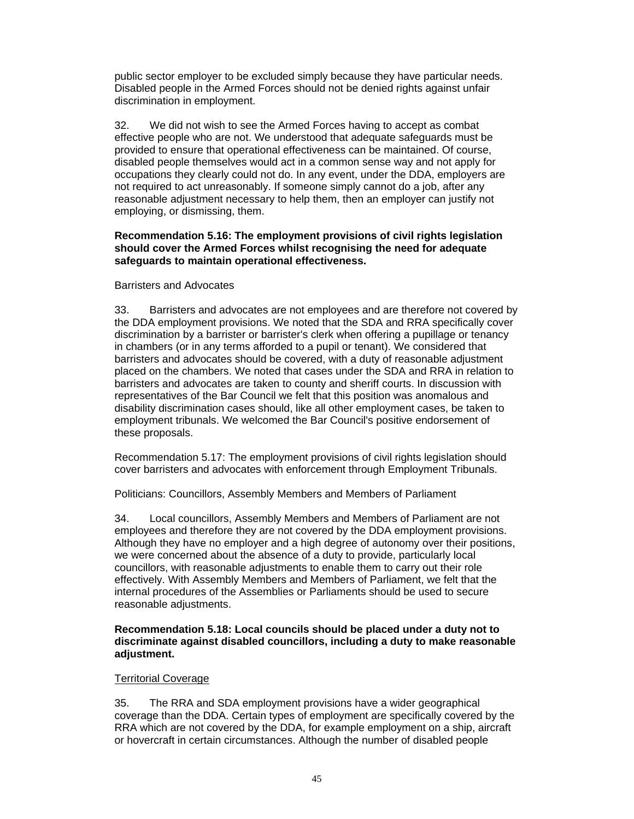public sector employer to be excluded simply because they have particular needs. Disabled people in the Armed Forces should not be denied rights against unfair discrimination in employment.

32. We did not wish to see the Armed Forces having to accept as combat effective people who are not. We understood that adequate safeguards must be provided to ensure that operational effectiveness can be maintained. Of course, disabled people themselves would act in a common sense way and not apply for occupations they clearly could not do. In any event, under the DDA, employers are not required to act unreasonably. If someone simply cannot do a job, after any reasonable adjustment necessary to help them, then an employer can justify not employing, or dismissing, them.

## **Recommendation 5.16: The employment provisions of civil rights legislation should cover the Armed Forces whilst recognising the need for adequate safeguards to maintain operational effectiveness.**

## Barristers and Advocates

33. Barristers and advocates are not employees and are therefore not covered by the DDA employment provisions. We noted that the SDA and RRA specifically cover discrimination by a barrister or barrister's clerk when offering a pupillage or tenancy in chambers (or in any terms afforded to a pupil or tenant). We considered that barristers and advocates should be covered, with a duty of reasonable adjustment placed on the chambers. We noted that cases under the SDA and RRA in relation to barristers and advocates are taken to county and sheriff courts. In discussion with representatives of the Bar Council we felt that this position was anomalous and disability discrimination cases should, like all other employment cases, be taken to employment tribunals. We welcomed the Bar Council's positive endorsement of these proposals.

Recommendation 5.17: The employment provisions of civil rights legislation should cover barristers and advocates with enforcement through Employment Tribunals.

Politicians: Councillors, Assembly Members and Members of Parliament

34. Local councillors, Assembly Members and Members of Parliament are not employees and therefore they are not covered by the DDA employment provisions. Although they have no employer and a high degree of autonomy over their positions, we were concerned about the absence of a duty to provide, particularly local councillors, with reasonable adjustments to enable them to carry out their role effectively. With Assembly Members and Members of Parliament, we felt that the internal procedures of the Assemblies or Parliaments should be used to secure reasonable adjustments.

**Recommendation 5.18: Local councils should be placed under a duty not to discriminate against disabled councillors, including a duty to make reasonable adjustment.** 

# Territorial Coverage

35. The RRA and SDA employment provisions have a wider geographical coverage than the DDA. Certain types of employment are specifically covered by the RRA which are not covered by the DDA, for example employment on a ship, aircraft or hovercraft in certain circumstances. Although the number of disabled people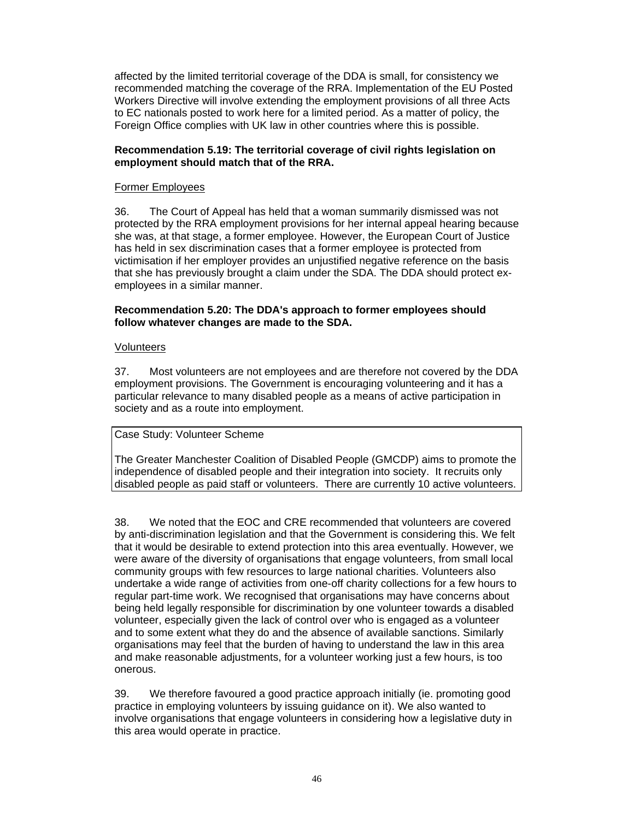affected by the limited territorial coverage of the DDA is small, for consistency we recommended matching the coverage of the RRA. Implementation of the EU Posted Workers Directive will involve extending the employment provisions of all three Acts to EC nationals posted to work here for a limited period. As a matter of policy, the Foreign Office complies with UK law in other countries where this is possible.

# **Recommendation 5.19: The territorial coverage of civil rights legislation on employment should match that of the RRA.**

## Former Employees

36. The Court of Appeal has held that a woman summarily dismissed was not protected by the RRA employment provisions for her internal appeal hearing because she was, at that stage, a former employee. However, the European Court of Justice has held in sex discrimination cases that a former employee is protected from victimisation if her employer provides an unjustified negative reference on the basis that she has previously brought a claim under the SDA. The DDA should protect exemployees in a similar manner.

## **Recommendation 5.20: The DDA's approach to former employees should follow whatever changes are made to the SDA.**

## **Volunteers**

37. Most volunteers are not employees and are therefore not covered by the DDA employment provisions. The Government is encouraging volunteering and it has a particular relevance to many disabled people as a means of active participation in society and as a route into employment.

#### Case Study: Volunteer Scheme

The Greater Manchester Coalition of Disabled People (GMCDP) aims to promote the independence of disabled people and their integration into society. It recruits only disabled people as paid staff or volunteers. There are currently 10 active volunteers.

38. We noted that the EOC and CRE recommended that volunteers are covered by anti-discrimination legislation and that the Government is considering this. We felt that it would be desirable to extend protection into this area eventually. However, we were aware of the diversity of organisations that engage volunteers, from small local community groups with few resources to large national charities. Volunteers also undertake a wide range of activities from one-off charity collections for a few hours to regular part-time work. We recognised that organisations may have concerns about being held legally responsible for discrimination by one volunteer towards a disabled volunteer, especially given the lack of control over who is engaged as a volunteer and to some extent what they do and the absence of available sanctions. Similarly organisations may feel that the burden of having to understand the law in this area and make reasonable adjustments, for a volunteer working just a few hours, is too onerous.

39. We therefore favoured a good practice approach initially (ie. promoting good practice in employing volunteers by issuing guidance on it). We also wanted to involve organisations that engage volunteers in considering how a legislative duty in this area would operate in practice.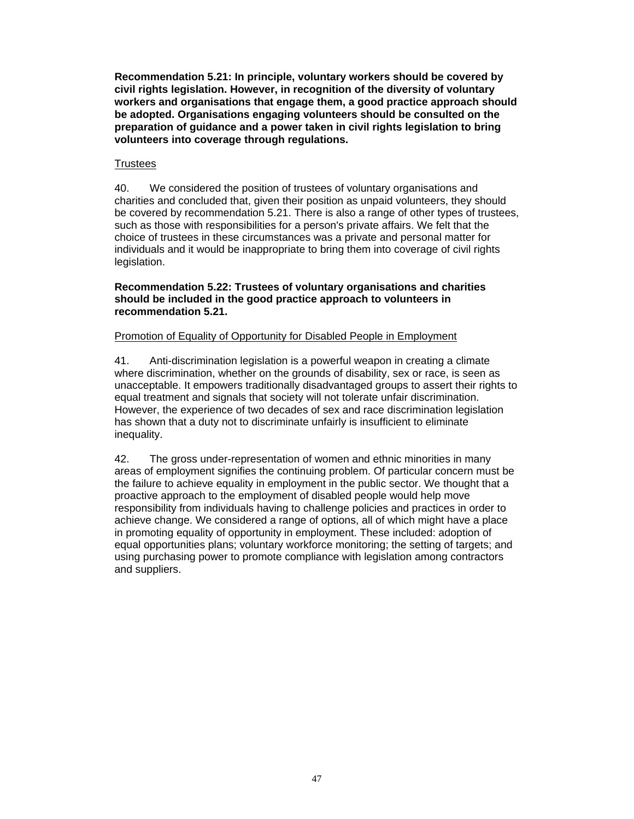**Recommendation 5.21: In principle, voluntary workers should be covered by civil rights legislation. However, in recognition of the diversity of voluntary workers and organisations that engage them, a good practice approach should be adopted. Organisations engaging volunteers should be consulted on the preparation of guidance and a power taken in civil rights legislation to bring volunteers into coverage through regulations.** 

# **Trustees**

40. We considered the position of trustees of voluntary organisations and charities and concluded that, given their position as unpaid volunteers, they should be covered by recommendation 5.21. There is also a range of other types of trustees, such as those with responsibilities for a person's private affairs. We felt that the choice of trustees in these circumstances was a private and personal matter for individuals and it would be inappropriate to bring them into coverage of civil rights legislation.

**Recommendation 5.22: Trustees of voluntary organisations and charities should be included in the good practice approach to volunteers in recommendation 5.21.** 

# Promotion of Equality of Opportunity for Disabled People in Employment

41. Anti-discrimination legislation is a powerful weapon in creating a climate where discrimination, whether on the grounds of disability, sex or race, is seen as unacceptable. It empowers traditionally disadvantaged groups to assert their rights to equal treatment and signals that society will not tolerate unfair discrimination. However, the experience of two decades of sex and race discrimination legislation has shown that a duty not to discriminate unfairly is insufficient to eliminate inequality.

42. The gross under-representation of women and ethnic minorities in many areas of employment signifies the continuing problem. Of particular concern must be the failure to achieve equality in employment in the public sector. We thought that a proactive approach to the employment of disabled people would help move responsibility from individuals having to challenge policies and practices in order to achieve change. We considered a range of options, all of which might have a place in promoting equality of opportunity in employment. These included: adoption of equal opportunities plans; voluntary workforce monitoring; the setting of targets; and using purchasing power to promote compliance with legislation among contractors and suppliers.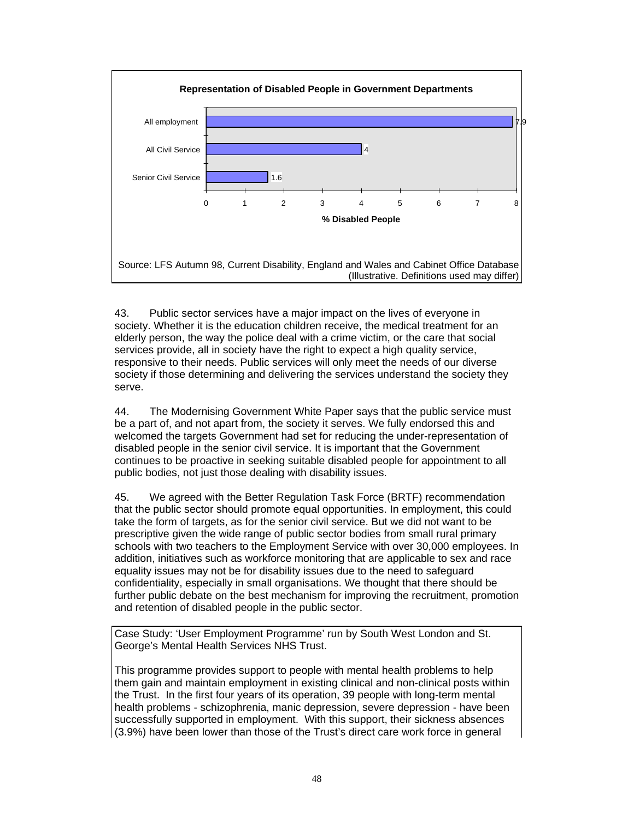

43. Public sector services have a major impact on the lives of everyone in society. Whether it is the education children receive, the medical treatment for an elderly person, the way the police deal with a crime victim, or the care that social services provide, all in society have the right to expect a high quality service, responsive to their needs. Public services will only meet the needs of our diverse society if those determining and delivering the services understand the society they serve.

44. The Modernising Government White Paper says that the public service must be a part of, and not apart from, the society it serves. We fully endorsed this and welcomed the targets Government had set for reducing the under-representation of disabled people in the senior civil service. It is important that the Government continues to be proactive in seeking suitable disabled people for appointment to all public bodies, not just those dealing with disability issues.

45. We agreed with the Better Regulation Task Force (BRTF) recommendation that the public sector should promote equal opportunities. In employment, this could take the form of targets, as for the senior civil service. But we did not want to be prescriptive given the wide range of public sector bodies from small rural primary schools with two teachers to the Employment Service with over 30,000 employees. In addition, initiatives such as workforce monitoring that are applicable to sex and race equality issues may not be for disability issues due to the need to safeguard confidentiality, especially in small organisations. We thought that there should be further public debate on the best mechanism for improving the recruitment, promotion and retention of disabled people in the public sector.

Case Study: 'User Employment Programme' run by South West London and St. George's Mental Health Services NHS Trust.

This programme provides support to people with mental health problems to help them gain and maintain employment in existing clinical and non-clinical posts within the Trust. In the first four years of its operation, 39 people with long-term mental health problems - schizophrenia, manic depression, severe depression - have been successfully supported in employment. With this support, their sickness absences (3.9%) have been lower than those of the Trust's direct care work force in general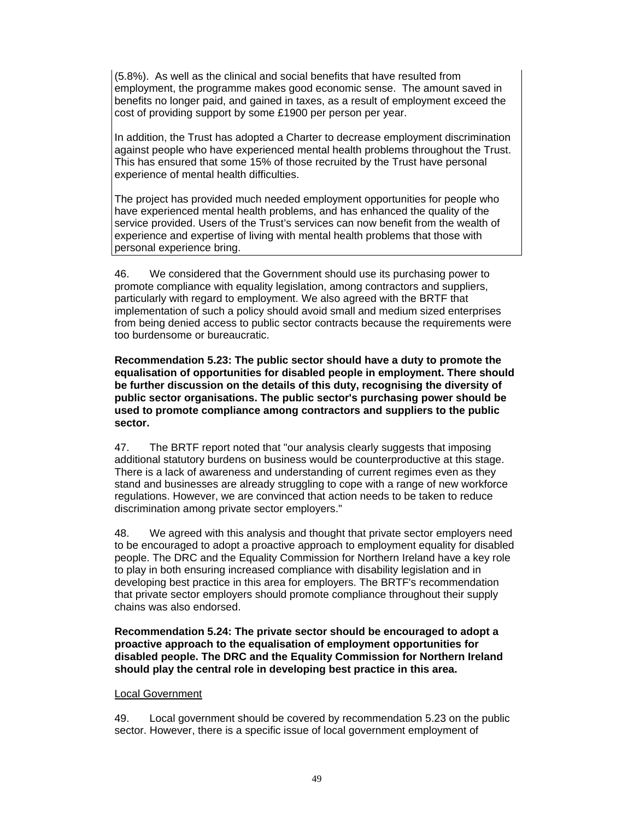(5.8%). As well as the clinical and social benefits that have resulted from employment, the programme makes good economic sense. The amount saved in benefits no longer paid, and gained in taxes, as a result of employment exceed the cost of providing support by some £1900 per person per year.

In addition, the Trust has adopted a Charter to decrease employment discrimination against people who have experienced mental health problems throughout the Trust. This has ensured that some 15% of those recruited by the Trust have personal experience of mental health difficulties.

The project has provided much needed employment opportunities for people who have experienced mental health problems, and has enhanced the quality of the service provided. Users of the Trust's services can now benefit from the wealth of experience and expertise of living with mental health problems that those with personal experience bring.

46. We considered that the Government should use its purchasing power to promote compliance with equality legislation, among contractors and suppliers, particularly with regard to employment. We also agreed with the BRTF that implementation of such a policy should avoid small and medium sized enterprises from being denied access to public sector contracts because the requirements were too burdensome or bureaucratic.

**Recommendation 5.23: The public sector should have a duty to promote the equalisation of opportunities for disabled people in employment. There should be further discussion on the details of this duty, recognising the diversity of public sector organisations. The public sector's purchasing power should be used to promote compliance among contractors and suppliers to the public sector.** 

47. The BRTF report noted that "our analysis clearly suggests that imposing additional statutory burdens on business would be counterproductive at this stage. There is a lack of awareness and understanding of current regimes even as they stand and businesses are already struggling to cope with a range of new workforce regulations. However, we are convinced that action needs to be taken to reduce discrimination among private sector employers."

48. We agreed with this analysis and thought that private sector employers need to be encouraged to adopt a proactive approach to employment equality for disabled people. The DRC and the Equality Commission for Northern Ireland have a key role to play in both ensuring increased compliance with disability legislation and in developing best practice in this area for employers. The BRTF's recommendation that private sector employers should promote compliance throughout their supply chains was also endorsed.

**Recommendation 5.24: The private sector should be encouraged to adopt a proactive approach to the equalisation of employment opportunities for disabled people. The DRC and the Equality Commission for Northern Ireland should play the central role in developing best practice in this area.** 

#### Local Government

49. Local government should be covered by recommendation 5.23 on the public sector. However, there is a specific issue of local government employment of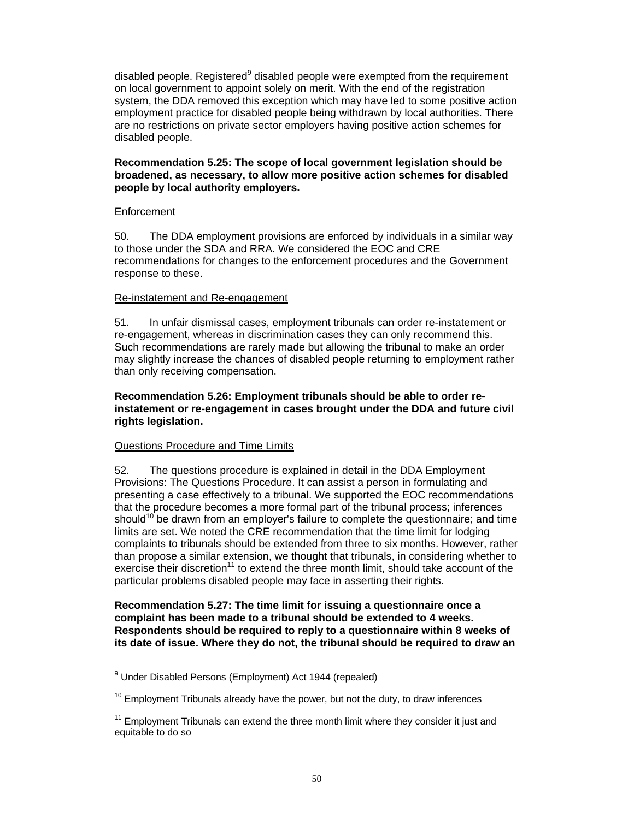disabled people. Registered $9$  disabled people were exempted from the requirement on local government to appoint solely on merit. With the end of the registration system, the DDA removed this exception which may have led to some positive action employment practice for disabled people being withdrawn by local authorities. There are no restrictions on private sector employers having positive action schemes for disabled people.

## **Recommendation 5.25: The scope of local government legislation should be broadened, as necessary, to allow more positive action schemes for disabled people by local authority employers.**

## **Enforcement**

50. The DDA employment provisions are enforced by individuals in a similar way to those under the SDA and RRA. We considered the EOC and CRE recommendations for changes to the enforcement procedures and the Government response to these.

## Re-instatement and Re-engagement

51. In unfair dismissal cases, employment tribunals can order re-instatement or re-engagement, whereas in discrimination cases they can only recommend this. Such recommendations are rarely made but allowing the tribunal to make an order may slightly increase the chances of disabled people returning to employment rather than only receiving compensation.

### **Recommendation 5.26: Employment tribunals should be able to order reinstatement or re-engagement in cases brought under the DDA and future civil rights legislation.**

# Questions Procedure and Time Limits

52. The questions procedure is explained in detail in the DDA Employment Provisions: The Questions Procedure. It can assist a person in formulating and presenting a case effectively to a tribunal. We supported the EOC recommendations that the procedure becomes a more formal part of the tribunal process; inferences should<sup>10</sup> be drawn from an employer's failure to complete the questionnaire; and time limits are set. We noted the CRE recommendation that the time limit for lodging complaints to tribunals should be extended from three to six months. However, rather than propose a similar extension, we thought that tribunals, in considering whether to exercise their discretion<sup>11</sup> to extend the three month limit, should take account of the particular problems disabled people may face in asserting their rights.

## **Recommendation 5.27: The time limit for issuing a questionnaire once a complaint has been made to a tribunal should be extended to 4 weeks. Respondents should be required to reply to a questionnaire within 8 weeks of its date of issue. Where they do not, the tribunal should be required to draw an**

 9 Under Disabled Persons (Employment) Act 1944 (repealed)

 $10$  Employment Tribunals already have the power, but not the duty, to draw inferences

 $11$  Employment Tribunals can extend the three month limit where they consider it just and equitable to do so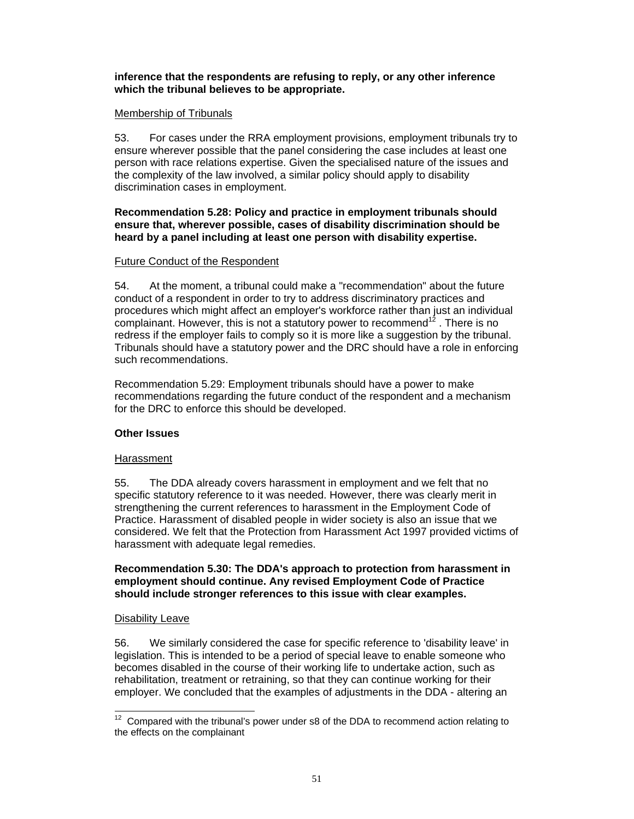## **inference that the respondents are refusing to reply, or any other inference which the tribunal believes to be appropriate.**

## Membership of Tribunals

53. For cases under the RRA employment provisions, employment tribunals try to ensure wherever possible that the panel considering the case includes at least one person with race relations expertise. Given the specialised nature of the issues and the complexity of the law involved, a similar policy should apply to disability discrimination cases in employment.

## **Recommendation 5.28: Policy and practice in employment tribunals should ensure that, wherever possible, cases of disability discrimination should be heard by a panel including at least one person with disability expertise.**

# Future Conduct of the Respondent

54. At the moment, a tribunal could make a "recommendation" about the future conduct of a respondent in order to try to address discriminatory practices and procedures which might affect an employer's workforce rather than just an individual complainant. However, this is not a statutory power to recommend<sup>12</sup>. There is no redress if the employer fails to comply so it is more like a suggestion by the tribunal. Tribunals should have a statutory power and the DRC should have a role in enforcing such recommendations.

Recommendation 5.29: Employment tribunals should have a power to make recommendations regarding the future conduct of the respondent and a mechanism for the DRC to enforce this should be developed.

# **Other Issues**

#### Harassment

55. The DDA already covers harassment in employment and we felt that no specific statutory reference to it was needed. However, there was clearly merit in strengthening the current references to harassment in the Employment Code of Practice. Harassment of disabled people in wider society is also an issue that we considered. We felt that the Protection from Harassment Act 1997 provided victims of harassment with adequate legal remedies.

## **Recommendation 5.30: The DDA's approach to protection from harassment in employment should continue. Any revised Employment Code of Practice should include stronger references to this issue with clear examples.**

#### Disability Leave

56. We similarly considered the case for specific reference to 'disability leave' in legislation. This is intended to be a period of special leave to enable someone who becomes disabled in the course of their working life to undertake action, such as rehabilitation, treatment or retraining, so that they can continue working for their employer. We concluded that the examples of adjustments in the DDA - altering an

 $\overline{a}$  $12$  Compared with the tribunal's power under s8 of the DDA to recommend action relating to the effects on the complainant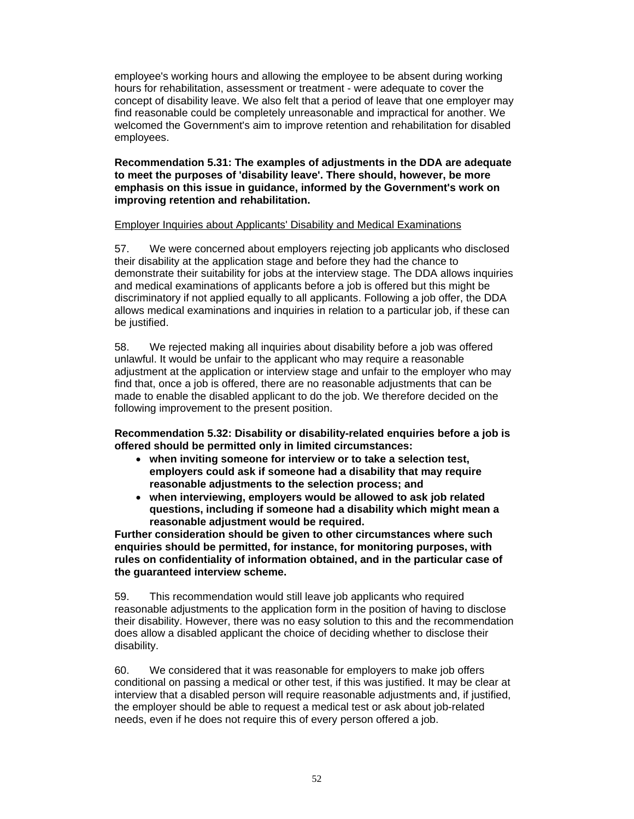employee's working hours and allowing the employee to be absent during working hours for rehabilitation, assessment or treatment - were adequate to cover the concept of disability leave. We also felt that a period of leave that one employer may find reasonable could be completely unreasonable and impractical for another. We welcomed the Government's aim to improve retention and rehabilitation for disabled employees.

## **Recommendation 5.31: The examples of adjustments in the DDA are adequate to meet the purposes of 'disability leave'. There should, however, be more emphasis on this issue in guidance, informed by the Government's work on improving retention and rehabilitation.**

## Employer Inquiries about Applicants' Disability and Medical Examinations

57. We were concerned about employers rejecting job applicants who disclosed their disability at the application stage and before they had the chance to demonstrate their suitability for jobs at the interview stage. The DDA allows inquiries and medical examinations of applicants before a job is offered but this might be discriminatory if not applied equally to all applicants. Following a job offer, the DDA allows medical examinations and inquiries in relation to a particular job, if these can be justified.

58. We rejected making all inquiries about disability before a job was offered unlawful. It would be unfair to the applicant who may require a reasonable adjustment at the application or interview stage and unfair to the employer who may find that, once a job is offered, there are no reasonable adjustments that can be made to enable the disabled applicant to do the job. We therefore decided on the following improvement to the present position.

**Recommendation 5.32: Disability or disability-related enquiries before a job is offered should be permitted only in limited circumstances:** 

- **when inviting someone for interview or to take a selection test, employers could ask if someone had a disability that may require reasonable adjustments to the selection process; and**
- **when interviewing, employers would be allowed to ask job related questions, including if someone had a disability which might mean a reasonable adjustment would be required.**

**Further consideration should be given to other circumstances where such enquiries should be permitted, for instance, for monitoring purposes, with rules on confidentiality of information obtained, and in the particular case of the guaranteed interview scheme.** 

59. This recommendation would still leave job applicants who required reasonable adjustments to the application form in the position of having to disclose their disability. However, there was no easy solution to this and the recommendation does allow a disabled applicant the choice of deciding whether to disclose their disability.

60. We considered that it was reasonable for employers to make job offers conditional on passing a medical or other test, if this was justified. It may be clear at interview that a disabled person will require reasonable adjustments and, if justified, the employer should be able to request a medical test or ask about job-related needs, even if he does not require this of every person offered a job.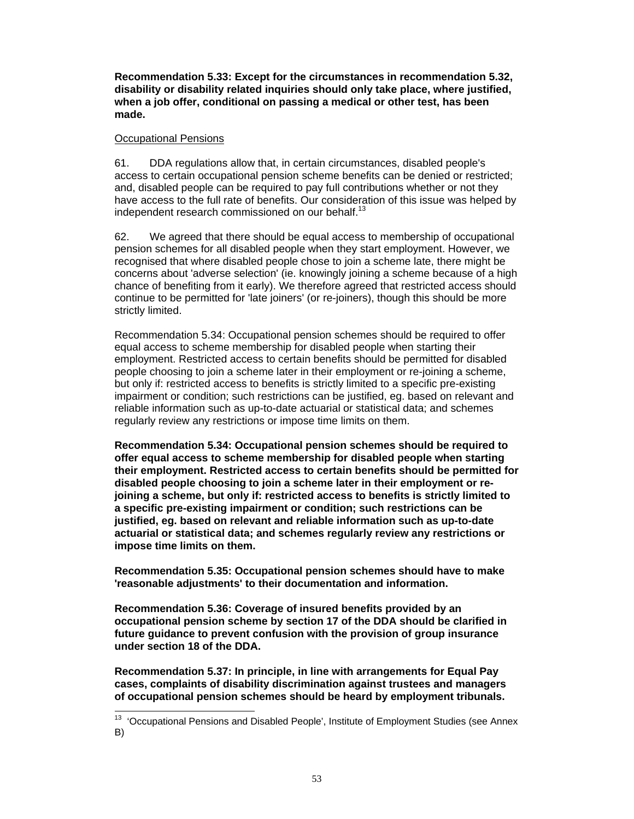**Recommendation 5.33: Except for the circumstances in recommendation 5.32, disability or disability related inquiries should only take place, where justified, when a job offer, conditional on passing a medical or other test, has been made.** 

## Occupational Pensions

61. DDA regulations allow that, in certain circumstances, disabled people's access to certain occupational pension scheme benefits can be denied or restricted; and, disabled people can be required to pay full contributions whether or not they have access to the full rate of benefits. Our consideration of this issue was helped by independent research commissioned on our behalf.<sup>13</sup>

62. We agreed that there should be equal access to membership of occupational pension schemes for all disabled people when they start employment. However, we recognised that where disabled people chose to join a scheme late, there might be concerns about 'adverse selection' (ie. knowingly joining a scheme because of a high chance of benefiting from it early). We therefore agreed that restricted access should continue to be permitted for 'late joiners' (or re-joiners), though this should be more strictly limited.

Recommendation 5.34: Occupational pension schemes should be required to offer equal access to scheme membership for disabled people when starting their employment. Restricted access to certain benefits should be permitted for disabled people choosing to join a scheme later in their employment or re-joining a scheme, but only if: restricted access to benefits is strictly limited to a specific pre-existing impairment or condition; such restrictions can be justified, eg. based on relevant and reliable information such as up-to-date actuarial or statistical data; and schemes regularly review any restrictions or impose time limits on them.

**Recommendation 5.34: Occupational pension schemes should be required to offer equal access to scheme membership for disabled people when starting their employment. Restricted access to certain benefits should be permitted for disabled people choosing to join a scheme later in their employment or rejoining a scheme, but only if: restricted access to benefits is strictly limited to a specific pre-existing impairment or condition; such restrictions can be justified, eg. based on relevant and reliable information such as up-to-date actuarial or statistical data; and schemes regularly review any restrictions or impose time limits on them.** 

**Recommendation 5.35: Occupational pension schemes should have to make 'reasonable adjustments' to their documentation and information.** 

**Recommendation 5.36: Coverage of insured benefits provided by an occupational pension scheme by section 17 of the DDA should be clarified in future guidance to prevent confusion with the provision of group insurance under section 18 of the DDA.** 

**Recommendation 5.37: In principle, in line with arrangements for Equal Pay cases, complaints of disability discrimination against trustees and managers of occupational pension schemes should be heard by employment tribunals.** 

 $\overline{a}$ <sup>13</sup> 'Occupational Pensions and Disabled People', Institute of Employment Studies (see Annex B)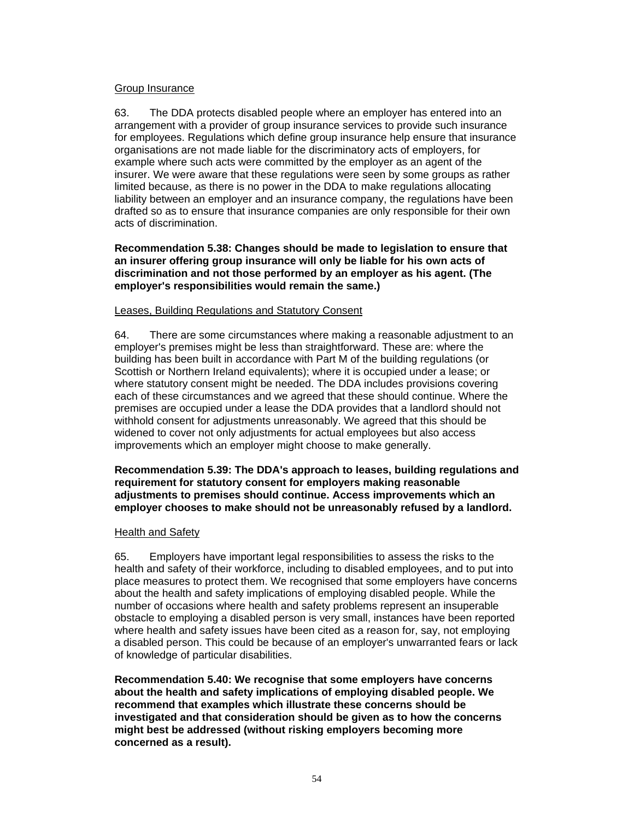### Group Insurance

63. The DDA protects disabled people where an employer has entered into an arrangement with a provider of group insurance services to provide such insurance for employees. Regulations which define group insurance help ensure that insurance organisations are not made liable for the discriminatory acts of employers, for example where such acts were committed by the employer as an agent of the insurer. We were aware that these regulations were seen by some groups as rather limited because, as there is no power in the DDA to make regulations allocating liability between an employer and an insurance company, the regulations have been drafted so as to ensure that insurance companies are only responsible for their own acts of discrimination.

**Recommendation 5.38: Changes should be made to legislation to ensure that an insurer offering group insurance will only be liable for his own acts of discrimination and not those performed by an employer as his agent. (The employer's responsibilities would remain the same.)**

## Leases, Building Regulations and Statutory Consent

64. There are some circumstances where making a reasonable adjustment to an employer's premises might be less than straightforward. These are: where the building has been built in accordance with Part M of the building regulations (or Scottish or Northern Ireland equivalents); where it is occupied under a lease; or where statutory consent might be needed. The DDA includes provisions covering each of these circumstances and we agreed that these should continue. Where the premises are occupied under a lease the DDA provides that a landlord should not withhold consent for adjustments unreasonably. We agreed that this should be widened to cover not only adjustments for actual employees but also access improvements which an employer might choose to make generally.

### **Recommendation 5.39: The DDA's approach to leases, building regulations and requirement for statutory consent for employers making reasonable adjustments to premises should continue. Access improvements which an employer chooses to make should not be unreasonably refused by a landlord.**

#### Health and Safety

65. Employers have important legal responsibilities to assess the risks to the health and safety of their workforce, including to disabled employees, and to put into place measures to protect them. We recognised that some employers have concerns about the health and safety implications of employing disabled people. While the number of occasions where health and safety problems represent an insuperable obstacle to employing a disabled person is very small, instances have been reported where health and safety issues have been cited as a reason for, say, not employing a disabled person. This could be because of an employer's unwarranted fears or lack of knowledge of particular disabilities.

**Recommendation 5.40: We recognise that some employers have concerns about the health and safety implications of employing disabled people. We recommend that examples which illustrate these concerns should be investigated and that consideration should be given as to how the concerns might best be addressed (without risking employers becoming more concerned as a result).**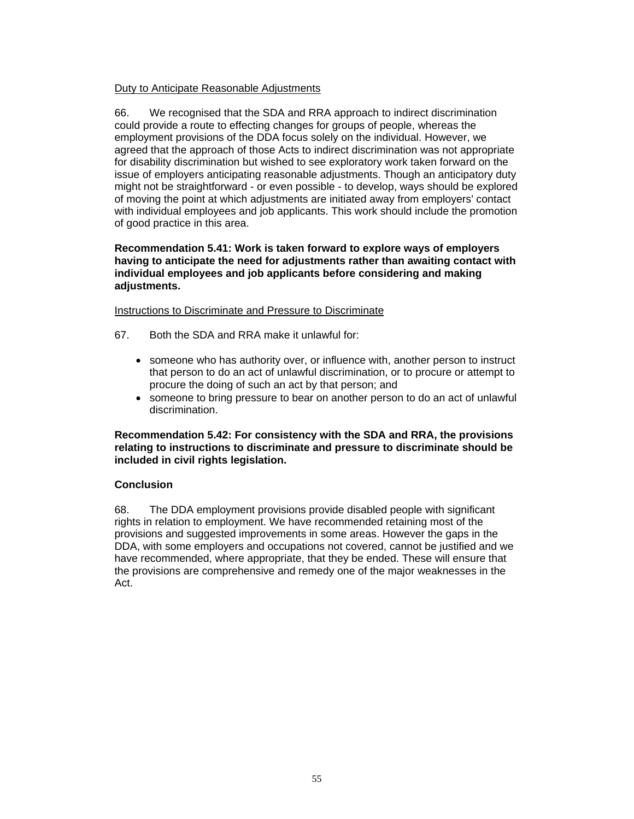# Duty to Anticipate Reasonable Adjustments

66. We recognised that the SDA and RRA approach to indirect discrimination could provide a route to effecting changes for groups of people, whereas the employment provisions of the DDA focus solely on the individual. However, we agreed that the approach of those Acts to indirect discrimination was not appropriate for disability discrimination but wished to see exploratory work taken forward on the issue of employers anticipating reasonable adjustments. Though an anticipatory duty might not be straightforward - or even possible - to develop, ways should be explored of moving the point at which adjustments are initiated away from employers' contact with individual employees and job applicants. This work should include the promotion of good practice in this area.

## **Recommendation 5.41: Work is taken forward to explore ways of employers having to anticipate the need for adjustments rather than awaiting contact with individual employees and job applicants before considering and making adjustments.**

## Instructions to Discriminate and Pressure to Discriminate

- 67. Both the SDA and RRA make it unlawful for:
	- someone who has authority over, or influence with, another person to instruct that person to do an act of unlawful discrimination, or to procure or attempt to procure the doing of such an act by that person; and
	- someone to bring pressure to bear on another person to do an act of unlawful discrimination.

## **Recommendation 5.42: For consistency with the SDA and RRA, the provisions relating to instructions to discriminate and pressure to discriminate should be included in civil rights legislation.**

# **Conclusion**

68. The DDA employment provisions provide disabled people with significant rights in relation to employment. We have recommended retaining most of the provisions and suggested improvements in some areas. However the gaps in the DDA, with some employers and occupations not covered, cannot be justified and we have recommended, where appropriate, that they be ended. These will ensure that the provisions are comprehensive and remedy one of the major weaknesses in the Act.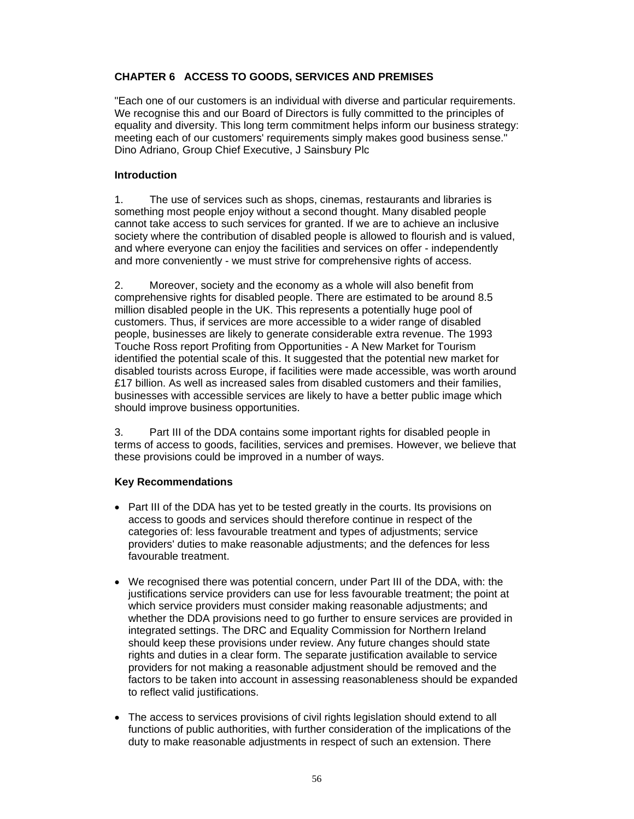# **CHAPTER 6 ACCESS TO GOODS, SERVICES AND PREMISES**

"Each one of our customers is an individual with diverse and particular requirements. We recognise this and our Board of Directors is fully committed to the principles of equality and diversity. This long term commitment helps inform our business strategy: meeting each of our customers' requirements simply makes good business sense." Dino Adriano, Group Chief Executive, J Sainsbury Plc

### **Introduction**

1. The use of services such as shops, cinemas, restaurants and libraries is something most people enjoy without a second thought. Many disabled people cannot take access to such services for granted. If we are to achieve an inclusive society where the contribution of disabled people is allowed to flourish and is valued, and where everyone can enjoy the facilities and services on offer - independently and more conveniently - we must strive for comprehensive rights of access.

2. Moreover, society and the economy as a whole will also benefit from comprehensive rights for disabled people. There are estimated to be around 8.5 million disabled people in the UK. This represents a potentially huge pool of customers. Thus, if services are more accessible to a wider range of disabled people, businesses are likely to generate considerable extra revenue. The 1993 Touche Ross report Profiting from Opportunities - A New Market for Tourism identified the potential scale of this. It suggested that the potential new market for disabled tourists across Europe, if facilities were made accessible, was worth around £17 billion. As well as increased sales from disabled customers and their families, businesses with accessible services are likely to have a better public image which should improve business opportunities.

3. Part III of the DDA contains some important rights for disabled people in terms of access to goods, facilities, services and premises. However, we believe that these provisions could be improved in a number of ways.

# **Key Recommendations**

- Part III of the DDA has yet to be tested greatly in the courts. Its provisions on access to goods and services should therefore continue in respect of the categories of: less favourable treatment and types of adjustments; service providers' duties to make reasonable adjustments; and the defences for less favourable treatment.
- We recognised there was potential concern, under Part III of the DDA, with: the justifications service providers can use for less favourable treatment; the point at which service providers must consider making reasonable adjustments; and whether the DDA provisions need to go further to ensure services are provided in integrated settings. The DRC and Equality Commission for Northern Ireland should keep these provisions under review. Any future changes should state rights and duties in a clear form. The separate justification available to service providers for not making a reasonable adjustment should be removed and the factors to be taken into account in assessing reasonableness should be expanded to reflect valid justifications.
- The access to services provisions of civil rights legislation should extend to all functions of public authorities, with further consideration of the implications of the duty to make reasonable adjustments in respect of such an extension. There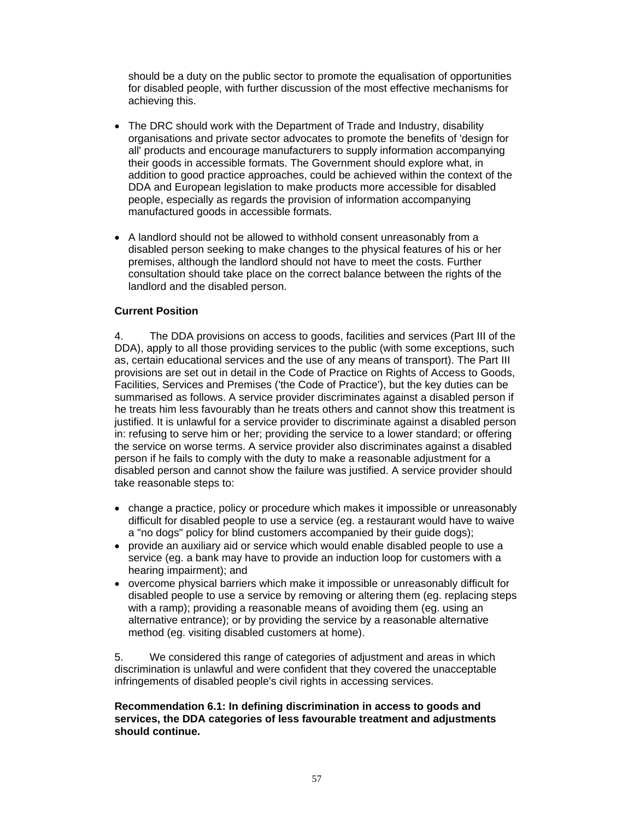should be a duty on the public sector to promote the equalisation of opportunities for disabled people, with further discussion of the most effective mechanisms for achieving this.

- The DRC should work with the Department of Trade and Industry, disability organisations and private sector advocates to promote the benefits of 'design for all' products and encourage manufacturers to supply information accompanying their goods in accessible formats. The Government should explore what, in addition to good practice approaches, could be achieved within the context of the DDA and European legislation to make products more accessible for disabled people, especially as regards the provision of information accompanying manufactured goods in accessible formats.
- A landlord should not be allowed to withhold consent unreasonably from a disabled person seeking to make changes to the physical features of his or her premises, although the landlord should not have to meet the costs. Further consultation should take place on the correct balance between the rights of the landlord and the disabled person.

# **Current Position**

4. The DDA provisions on access to goods, facilities and services (Part III of the DDA), apply to all those providing services to the public (with some exceptions, such as, certain educational services and the use of any means of transport). The Part III provisions are set out in detail in the Code of Practice on Rights of Access to Goods, Facilities, Services and Premises ('the Code of Practice'), but the key duties can be summarised as follows. A service provider discriminates against a disabled person if he treats him less favourably than he treats others and cannot show this treatment is justified. It is unlawful for a service provider to discriminate against a disabled person in: refusing to serve him or her; providing the service to a lower standard; or offering the service on worse terms. A service provider also discriminates against a disabled person if he fails to comply with the duty to make a reasonable adjustment for a disabled person and cannot show the failure was justified. A service provider should take reasonable steps to:

- change a practice, policy or procedure which makes it impossible or unreasonably difficult for disabled people to use a service (eg. a restaurant would have to waive a "no dogs" policy for blind customers accompanied by their guide dogs);
- provide an auxiliary aid or service which would enable disabled people to use a service (eg. a bank may have to provide an induction loop for customers with a hearing impairment); and
- overcome physical barriers which make it impossible or unreasonably difficult for disabled people to use a service by removing or altering them (eg. replacing steps with a ramp); providing a reasonable means of avoiding them (eg. using an alternative entrance); or by providing the service by a reasonable alternative method (eg. visiting disabled customers at home).

5. We considered this range of categories of adjustment and areas in which discrimination is unlawful and were confident that they covered the unacceptable infringements of disabled people's civil rights in accessing services.

### **Recommendation 6.1: In defining discrimination in access to goods and services, the DDA categories of less favourable treatment and adjustments should continue.**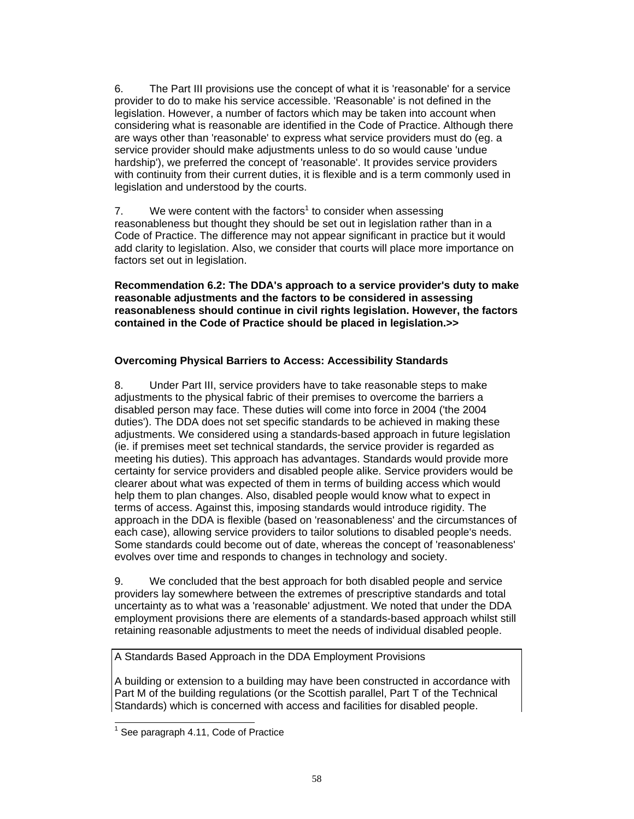6. The Part III provisions use the concept of what it is 'reasonable' for a service provider to do to make his service accessible. 'Reasonable' is not defined in the legislation. However, a number of factors which may be taken into account when considering what is reasonable are identified in the Code of Practice. Although there are ways other than 'reasonable' to express what service providers must do (eg. a service provider should make adjustments unless to do so would cause 'undue hardship'), we preferred the concept of 'reasonable'. It provides service providers with continuity from their current duties, it is flexible and is a term commonly used in legislation and understood by the courts.

7. We were content with the factors<sup>1</sup> to consider when assessing reasonableness but thought they should be set out in legislation rather than in a Code of Practice. The difference may not appear significant in practice but it would add clarity to legislation. Also, we consider that courts will place more importance on factors set out in legislation.

**Recommendation 6.2: The DDA's approach to a service provider's duty to make reasonable adjustments and the factors to be considered in assessing reasonableness should continue in civil rights legislation. However, the factors contained in the Code of Practice should be placed in legislation.>>** 

# **Overcoming Physical Barriers to Access: Accessibility Standards**

8. Under Part III, service providers have to take reasonable steps to make adjustments to the physical fabric of their premises to overcome the barriers a disabled person may face. These duties will come into force in 2004 ('the 2004 duties'). The DDA does not set specific standards to be achieved in making these adjustments. We considered using a standards-based approach in future legislation (ie. if premises meet set technical standards, the service provider is regarded as meeting his duties). This approach has advantages. Standards would provide more certainty for service providers and disabled people alike. Service providers would be clearer about what was expected of them in terms of building access which would help them to plan changes. Also, disabled people would know what to expect in terms of access. Against this, imposing standards would introduce rigidity. The approach in the DDA is flexible (based on 'reasonableness' and the circumstances of each case), allowing service providers to tailor solutions to disabled people's needs. Some standards could become out of date, whereas the concept of 'reasonableness' evolves over time and responds to changes in technology and society.

9. We concluded that the best approach for both disabled people and service providers lay somewhere between the extremes of prescriptive standards and total uncertainty as to what was a 'reasonable' adjustment. We noted that under the DDA employment provisions there are elements of a standards-based approach whilst still retaining reasonable adjustments to meet the needs of individual disabled people.

A Standards Based Approach in the DDA Employment Provisions

A building or extension to a building may have been constructed in accordance with Part M of the building regulations (or the Scottish parallel, Part T of the Technical Standards) which is concerned with access and facilities for disabled people.

l

 $<sup>1</sup>$  See paragraph 4.11, Code of Practice</sup>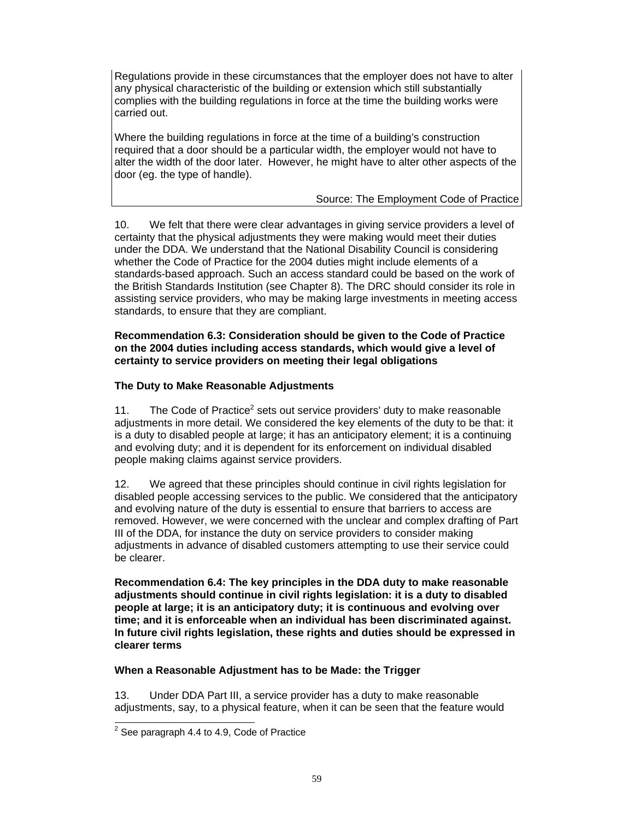Regulations provide in these circumstances that the employer does not have to alter any physical characteristic of the building or extension which still substantially complies with the building regulations in force at the time the building works were carried out.

Where the building regulations in force at the time of a building's construction required that a door should be a particular width, the employer would not have to alter the width of the door later. However, he might have to alter other aspects of the door (eg. the type of handle).

Source: The Employment Code of Practice

10. We felt that there were clear advantages in giving service providers a level of certainty that the physical adjustments they were making would meet their duties under the DDA. We understand that the National Disability Council is considering whether the Code of Practice for the 2004 duties might include elements of a standards-based approach. Such an access standard could be based on the work of the British Standards Institution (see Chapter 8). The DRC should consider its role in assisting service providers, who may be making large investments in meeting access standards, to ensure that they are compliant.

## **Recommendation 6.3: Consideration should be given to the Code of Practice on the 2004 duties including access standards, which would give a level of certainty to service providers on meeting their legal obligations**

# **The Duty to Make Reasonable Adjustments**

11. The Code of Practice<sup>2</sup> sets out service providers' duty to make reasonable adjustments in more detail. We considered the key elements of the duty to be that: it is a duty to disabled people at large; it has an anticipatory element; it is a continuing and evolving duty; and it is dependent for its enforcement on individual disabled people making claims against service providers.

12. We agreed that these principles should continue in civil rights legislation for disabled people accessing services to the public. We considered that the anticipatory and evolving nature of the duty is essential to ensure that barriers to access are removed. However, we were concerned with the unclear and complex drafting of Part III of the DDA, for instance the duty on service providers to consider making adjustments in advance of disabled customers attempting to use their service could be clearer.

**Recommendation 6.4: The key principles in the DDA duty to make reasonable adjustments should continue in civil rights legislation: it is a duty to disabled people at large; it is an anticipatory duty; it is continuous and evolving over time; and it is enforceable when an individual has been discriminated against. In future civil rights legislation, these rights and duties should be expressed in clearer terms** 

# **When a Reasonable Adjustment has to be Made: the Trigger**

13. Under DDA Part III, a service provider has a duty to make reasonable adjustments, say, to a physical feature, when it can be seen that the feature would

l

 $2$  See paragraph 4.4 to 4.9, Code of Practice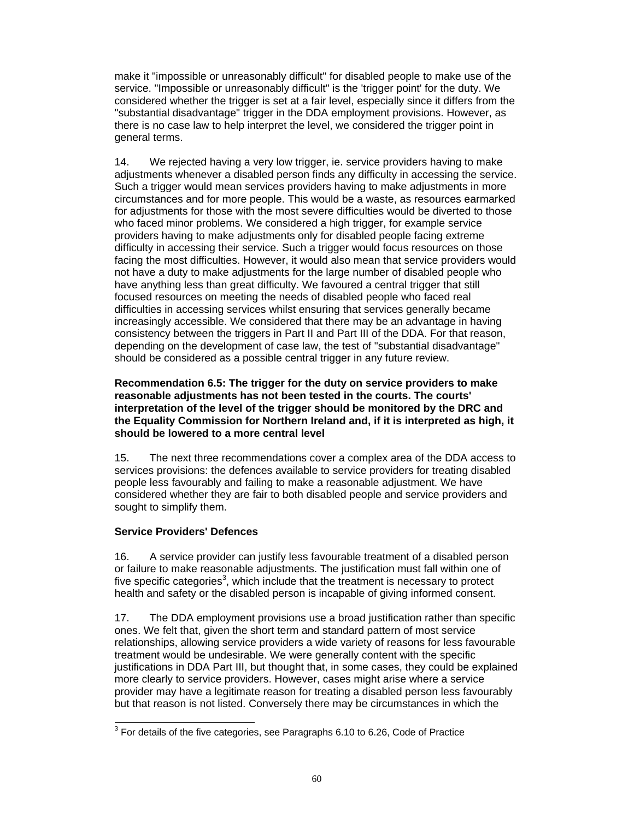make it "impossible or unreasonably difficult" for disabled people to make use of the service. "Impossible or unreasonably difficult" is the 'trigger point' for the duty. We considered whether the trigger is set at a fair level, especially since it differs from the "substantial disadvantage" trigger in the DDA employment provisions. However, as there is no case law to help interpret the level, we considered the trigger point in general terms.

14. We rejected having a very low trigger, ie. service providers having to make adjustments whenever a disabled person finds any difficulty in accessing the service. Such a trigger would mean services providers having to make adjustments in more circumstances and for more people. This would be a waste, as resources earmarked for adjustments for those with the most severe difficulties would be diverted to those who faced minor problems. We considered a high trigger, for example service providers having to make adjustments only for disabled people facing extreme difficulty in accessing their service. Such a trigger would focus resources on those facing the most difficulties. However, it would also mean that service providers would not have a duty to make adjustments for the large number of disabled people who have anything less than great difficulty. We favoured a central trigger that still focused resources on meeting the needs of disabled people who faced real difficulties in accessing services whilst ensuring that services generally became increasingly accessible. We considered that there may be an advantage in having consistency between the triggers in Part II and Part III of the DDA. For that reason, depending on the development of case law, the test of "substantial disadvantage" should be considered as a possible central trigger in any future review.

## **Recommendation 6.5: The trigger for the duty on service providers to make reasonable adjustments has not been tested in the courts. The courts' interpretation of the level of the trigger should be monitored by the DRC and the Equality Commission for Northern Ireland and, if it is interpreted as high, it should be lowered to a more central level**

15. The next three recommendations cover a complex area of the DDA access to services provisions: the defences available to service providers for treating disabled people less favourably and failing to make a reasonable adjustment. We have considered whether they are fair to both disabled people and service providers and sought to simplify them.

# **Service Providers' Defences**

16. A service provider can justify less favourable treatment of a disabled person or failure to make reasonable adjustments. The justification must fall within one of five specific categories<sup>3</sup>, which include that the treatment is necessary to protect health and safety or the disabled person is incapable of giving informed consent.

17. The DDA employment provisions use a broad justification rather than specific ones. We felt that, given the short term and standard pattern of most service relationships, allowing service providers a wide variety of reasons for less favourable treatment would be undesirable. We were generally content with the specific justifications in DDA Part III, but thought that, in some cases, they could be explained more clearly to service providers. However, cases might arise where a service provider may have a legitimate reason for treating a disabled person less favourably but that reason is not listed. Conversely there may be circumstances in which the

l  $3$  For details of the five categories, see Paragraphs 6.10 to 6.26, Code of Practice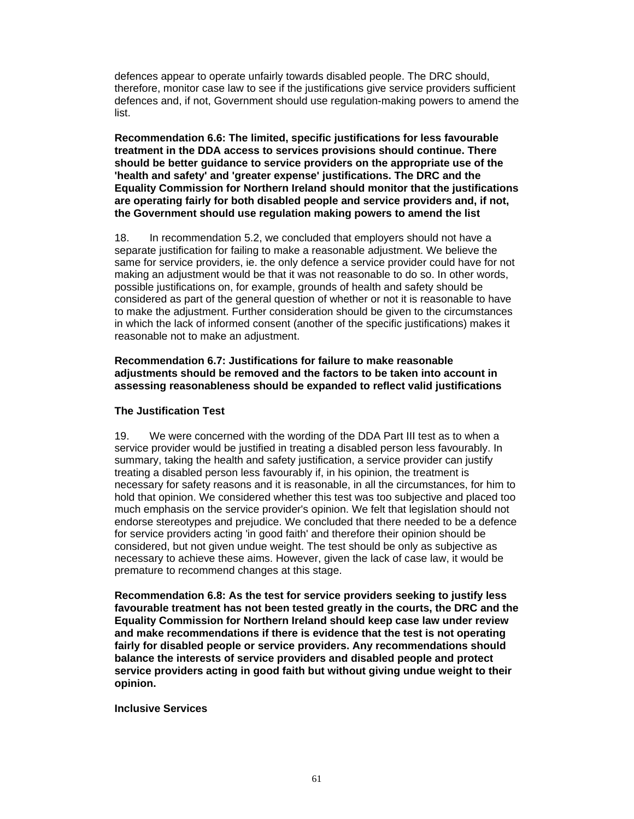defences appear to operate unfairly towards disabled people. The DRC should, therefore, monitor case law to see if the justifications give service providers sufficient defences and, if not, Government should use regulation-making powers to amend the list.

**Recommendation 6.6: The limited, specific justifications for less favourable treatment in the DDA access to services provisions should continue. There should be better guidance to service providers on the appropriate use of the 'health and safety' and 'greater expense' justifications. The DRC and the Equality Commission for Northern Ireland should monitor that the justifications are operating fairly for both disabled people and service providers and, if not, the Government should use regulation making powers to amend the list** 

18. In recommendation 5.2, we concluded that employers should not have a separate justification for failing to make a reasonable adjustment. We believe the same for service providers, ie. the only defence a service provider could have for not making an adjustment would be that it was not reasonable to do so. In other words, possible justifications on, for example, grounds of health and safety should be considered as part of the general question of whether or not it is reasonable to have to make the adjustment. Further consideration should be given to the circumstances in which the lack of informed consent (another of the specific justifications) makes it reasonable not to make an adjustment.

**Recommendation 6.7: Justifications for failure to make reasonable adjustments should be removed and the factors to be taken into account in assessing reasonableness should be expanded to reflect valid justifications** 

#### **The Justification Test**

19. We were concerned with the wording of the DDA Part III test as to when a service provider would be justified in treating a disabled person less favourably. In summary, taking the health and safety justification, a service provider can justify treating a disabled person less favourably if, in his opinion, the treatment is necessary for safety reasons and it is reasonable, in all the circumstances, for him to hold that opinion. We considered whether this test was too subjective and placed too much emphasis on the service provider's opinion. We felt that legislation should not endorse stereotypes and prejudice. We concluded that there needed to be a defence for service providers acting 'in good faith' and therefore their opinion should be considered, but not given undue weight. The test should be only as subjective as necessary to achieve these aims. However, given the lack of case law, it would be premature to recommend changes at this stage.

**Recommendation 6.8: As the test for service providers seeking to justify less favourable treatment has not been tested greatly in the courts, the DRC and the Equality Commission for Northern Ireland should keep case law under review and make recommendations if there is evidence that the test is not operating fairly for disabled people or service providers. Any recommendations should balance the interests of service providers and disabled people and protect service providers acting in good faith but without giving undue weight to their opinion.** 

#### **Inclusive Services**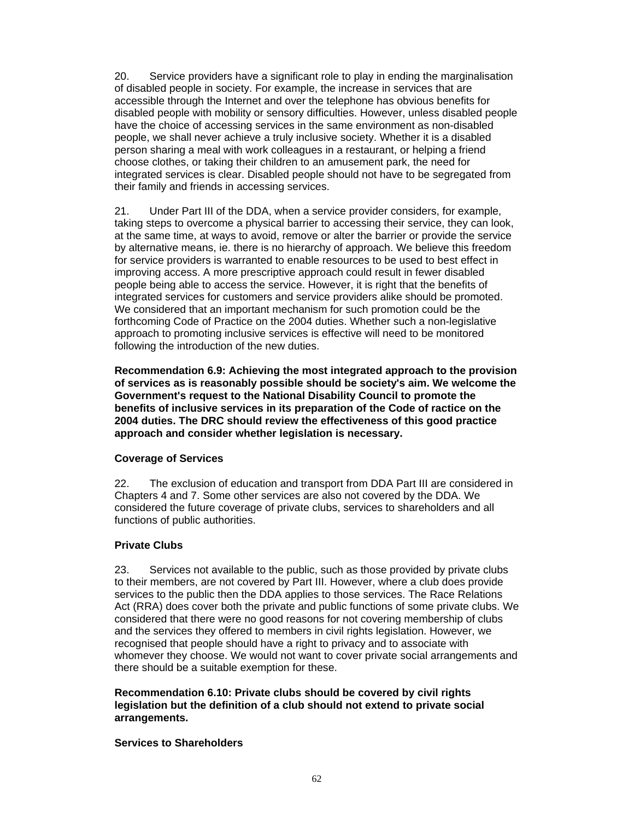20. Service providers have a significant role to play in ending the marginalisation of disabled people in society. For example, the increase in services that are accessible through the Internet and over the telephone has obvious benefits for disabled people with mobility or sensory difficulties. However, unless disabled people have the choice of accessing services in the same environment as non-disabled people, we shall never achieve a truly inclusive society. Whether it is a disabled person sharing a meal with work colleagues in a restaurant, or helping a friend choose clothes, or taking their children to an amusement park, the need for integrated services is clear. Disabled people should not have to be segregated from their family and friends in accessing services.

21. Under Part III of the DDA, when a service provider considers, for example, taking steps to overcome a physical barrier to accessing their service, they can look, at the same time, at ways to avoid, remove or alter the barrier or provide the service by alternative means, ie. there is no hierarchy of approach. We believe this freedom for service providers is warranted to enable resources to be used to best effect in improving access. A more prescriptive approach could result in fewer disabled people being able to access the service. However, it is right that the benefits of integrated services for customers and service providers alike should be promoted. We considered that an important mechanism for such promotion could be the forthcoming Code of Practice on the 2004 duties. Whether such a non-legislative approach to promoting inclusive services is effective will need to be monitored following the introduction of the new duties.

**Recommendation 6.9: Achieving the most integrated approach to the provision of services as is reasonably possible should be society's aim. We welcome the Government's request to the National Disability Council to promote the benefits of inclusive services in its preparation of the Code of ractice on the 2004 duties. The DRC should review the effectiveness of this good practice approach and consider whether legislation is necessary.** 

#### **Coverage of Services**

22. The exclusion of education and transport from DDA Part III are considered in Chapters 4 and 7. Some other services are also not covered by the DDA. We considered the future coverage of private clubs, services to shareholders and all functions of public authorities.

# **Private Clubs**

23. Services not available to the public, such as those provided by private clubs to their members, are not covered by Part III. However, where a club does provide services to the public then the DDA applies to those services. The Race Relations Act (RRA) does cover both the private and public functions of some private clubs. We considered that there were no good reasons for not covering membership of clubs and the services they offered to members in civil rights legislation. However, we recognised that people should have a right to privacy and to associate with whomever they choose. We would not want to cover private social arrangements and there should be a suitable exemption for these.

**Recommendation 6.10: Private clubs should be covered by civil rights legislation but the definition of a club should not extend to private social arrangements.** 

#### **Services to Shareholders**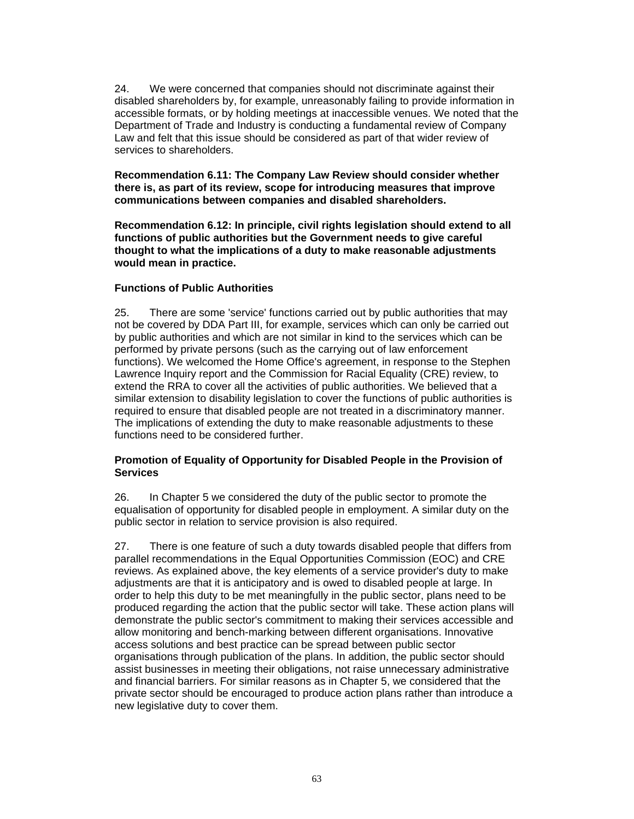24. We were concerned that companies should not discriminate against their disabled shareholders by, for example, unreasonably failing to provide information in accessible formats, or by holding meetings at inaccessible venues. We noted that the Department of Trade and Industry is conducting a fundamental review of Company Law and felt that this issue should be considered as part of that wider review of services to shareholders.

**Recommendation 6.11: The Company Law Review should consider whether there is, as part of its review, scope for introducing measures that improve communications between companies and disabled shareholders.** 

**Recommendation 6.12: In principle, civil rights legislation should extend to all functions of public authorities but the Government needs to give careful thought to what the implications of a duty to make reasonable adjustments would mean in practice.** 

## **Functions of Public Authorities**

25. There are some 'service' functions carried out by public authorities that may not be covered by DDA Part III, for example, services which can only be carried out by public authorities and which are not similar in kind to the services which can be performed by private persons (such as the carrying out of law enforcement functions). We welcomed the Home Office's agreement, in response to the Stephen Lawrence Inquiry report and the Commission for Racial Equality (CRE) review, to extend the RRA to cover all the activities of public authorities. We believed that a similar extension to disability legislation to cover the functions of public authorities is required to ensure that disabled people are not treated in a discriminatory manner. The implications of extending the duty to make reasonable adjustments to these functions need to be considered further.

## **Promotion of Equality of Opportunity for Disabled People in the Provision of Services**

26. In Chapter 5 we considered the duty of the public sector to promote the equalisation of opportunity for disabled people in employment. A similar duty on the public sector in relation to service provision is also required.

27. There is one feature of such a duty towards disabled people that differs from parallel recommendations in the Equal Opportunities Commission (EOC) and CRE reviews. As explained above, the key elements of a service provider's duty to make adjustments are that it is anticipatory and is owed to disabled people at large. In order to help this duty to be met meaningfully in the public sector, plans need to be produced regarding the action that the public sector will take. These action plans will demonstrate the public sector's commitment to making their services accessible and allow monitoring and bench-marking between different organisations. Innovative access solutions and best practice can be spread between public sector organisations through publication of the plans. In addition, the public sector should assist businesses in meeting their obligations, not raise unnecessary administrative and financial barriers. For similar reasons as in Chapter 5, we considered that the private sector should be encouraged to produce action plans rather than introduce a new legislative duty to cover them.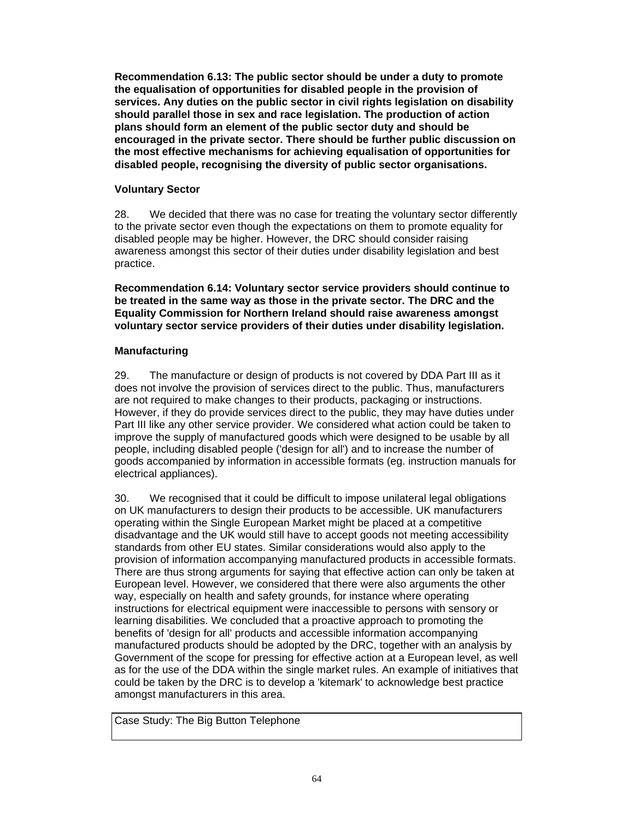**Recommendation 6.13: The public sector should be under a duty to promote the equalisation of opportunities for disabled people in the provision of services. Any duties on the public sector in civil rights legislation on disability should parallel those in sex and race legislation. The production of action plans should form an element of the public sector duty and should be encouraged in the private sector. There should be further public discussion on the most effective mechanisms for achieving equalisation of opportunities for disabled people, recognising the diversity of public sector organisations.** 

# **Voluntary Sector**

28. We decided that there was no case for treating the voluntary sector differently to the private sector even though the expectations on them to promote equality for disabled people may be higher. However, the DRC should consider raising awareness amongst this sector of their duties under disability legislation and best practice.

**Recommendation 6.14: Voluntary sector service providers should continue to be treated in the same way as those in the private sector. The DRC and the Equality Commission for Northern Ireland should raise awareness amongst voluntary sector service providers of their duties under disability legislation.** 

# **Manufacturing**

29. The manufacture or design of products is not covered by DDA Part III as it does not involve the provision of services direct to the public. Thus, manufacturers are not required to make changes to their products, packaging or instructions. However, if they do provide services direct to the public, they may have duties under Part III like any other service provider. We considered what action could be taken to improve the supply of manufactured goods which were designed to be usable by all people, including disabled people ('design for all') and to increase the number of goods accompanied by information in accessible formats (eg. instruction manuals for electrical appliances).

30. We recognised that it could be difficult to impose unilateral legal obligations on UK manufacturers to design their products to be accessible. UK manufacturers operating within the Single European Market might be placed at a competitive disadvantage and the UK would still have to accept goods not meeting accessibility standards from other EU states. Similar considerations would also apply to the provision of information accompanying manufactured products in accessible formats. There are thus strong arguments for saying that effective action can only be taken at European level. However, we considered that there were also arguments the other way, especially on health and safety grounds, for instance where operating instructions for electrical equipment were inaccessible to persons with sensory or learning disabilities. We concluded that a proactive approach to promoting the benefits of 'design for all' products and accessible information accompanying manufactured products should be adopted by the DRC, together with an analysis by Government of the scope for pressing for effective action at a European level, as well as for the use of the DDA within the single market rules. An example of initiatives that could be taken by the DRC is to develop a 'kitemark' to acknowledge best practice amongst manufacturers in this area.

Case Study: The Big Button Telephone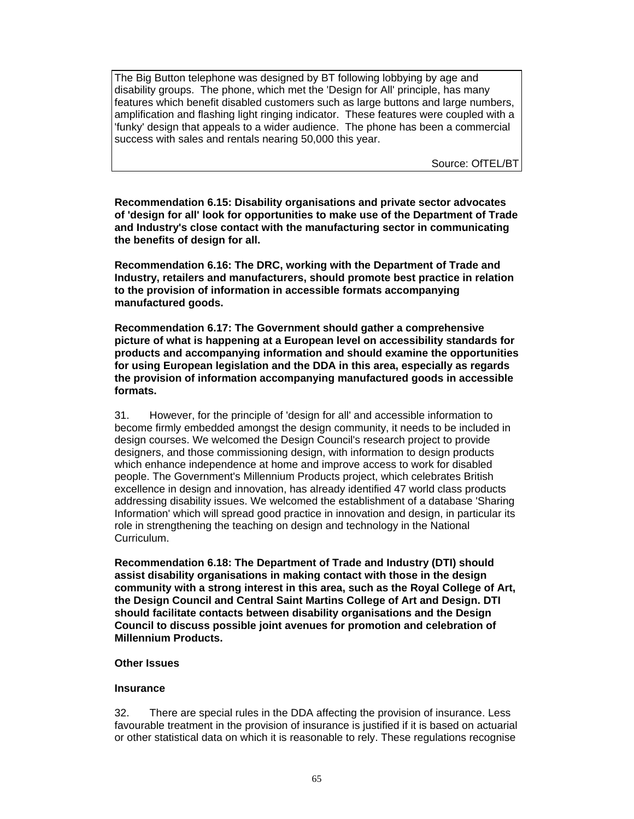The Big Button telephone was designed by BT following lobbying by age and disability groups. The phone, which met the 'Design for All' principle, has many features which benefit disabled customers such as large buttons and large numbers, amplification and flashing light ringing indicator. These features were coupled with a 'funky' design that appeals to a wider audience. The phone has been a commercial success with sales and rentals nearing 50,000 this year.

Source: OfTEL/BT

**Recommendation 6.15: Disability organisations and private sector advocates of 'design for all' look for opportunities to make use of the Department of Trade and Industry's close contact with the manufacturing sector in communicating the benefits of design for all.** 

**Recommendation 6.16: The DRC, working with the Department of Trade and Industry, retailers and manufacturers, should promote best practice in relation to the provision of information in accessible formats accompanying manufactured goods.** 

**Recommendation 6.17: The Government should gather a comprehensive picture of what is happening at a European level on accessibility standards for products and accompanying information and should examine the opportunities for using European legislation and the DDA in this area, especially as regards the provision of information accompanying manufactured goods in accessible formats.** 

31. However, for the principle of 'design for all' and accessible information to become firmly embedded amongst the design community, it needs to be included in design courses. We welcomed the Design Council's research project to provide designers, and those commissioning design, with information to design products which enhance independence at home and improve access to work for disabled people. The Government's Millennium Products project, which celebrates British excellence in design and innovation, has already identified 47 world class products addressing disability issues. We welcomed the establishment of a database 'Sharing Information' which will spread good practice in innovation and design, in particular its role in strengthening the teaching on design and technology in the National Curriculum.

**Recommendation 6.18: The Department of Trade and Industry (DTI) should assist disability organisations in making contact with those in the design community with a strong interest in this area, such as the Royal College of Art, the Design Council and Central Saint Martins College of Art and Design. DTI should facilitate contacts between disability organisations and the Design Council to discuss possible joint avenues for promotion and celebration of Millennium Products.** 

#### **Other Issues**

#### **Insurance**

32. There are special rules in the DDA affecting the provision of insurance. Less favourable treatment in the provision of insurance is justified if it is based on actuarial or other statistical data on which it is reasonable to rely. These regulations recognise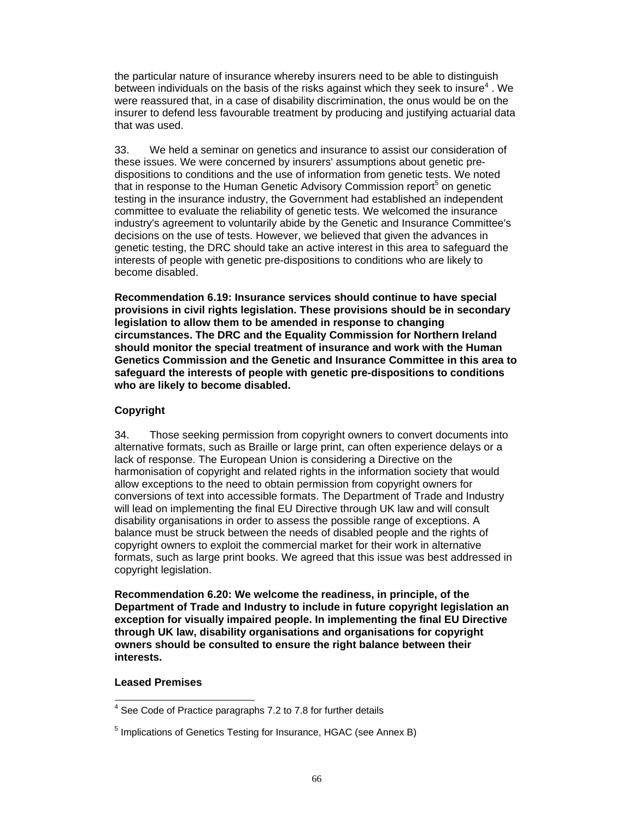the particular nature of insurance whereby insurers need to be able to distinguish between individuals on the basis of the risks against which they seek to insure<sup>4</sup>. We were reassured that, in a case of disability discrimination, the onus would be on the insurer to defend less favourable treatment by producing and justifying actuarial data that was used.

33. We held a seminar on genetics and insurance to assist our consideration of these issues. We were concerned by insurers' assumptions about genetic predispositions to conditions and the use of information from genetic tests. We noted that in response to the Human Genetic Advisory Commission report<sup>5</sup> on genetic testing in the insurance industry, the Government had established an independent committee to evaluate the reliability of genetic tests. We welcomed the insurance industry's agreement to voluntarily abide by the Genetic and Insurance Committee's decisions on the use of tests. However, we believed that given the advances in genetic testing, the DRC should take an active interest in this area to safeguard the interests of people with genetic pre-dispositions to conditions who are likely to become disabled.

**Recommendation 6.19: Insurance services should continue to have special provisions in civil rights legislation. These provisions should be in secondary legislation to allow them to be amended in response to changing circumstances. The DRC and the Equality Commission for Northern Ireland should monitor the special treatment of insurance and work with the Human Genetics Commission and the Genetic and Insurance Committee in this area to safeguard the interests of people with genetic pre-dispositions to conditions who are likely to become disabled.** 

## **Copyright**

34. Those seeking permission from copyright owners to convert documents into alternative formats, such as Braille or large print, can often experience delays or a lack of response. The European Union is considering a Directive on the harmonisation of copyright and related rights in the information society that would allow exceptions to the need to obtain permission from copyright owners for conversions of text into accessible formats. The Department of Trade and Industry will lead on implementing the final EU Directive through UK law and will consult disability organisations in order to assess the possible range of exceptions. A balance must be struck between the needs of disabled people and the rights of copyright owners to exploit the commercial market for their work in alternative formats, such as large print books. We agreed that this issue was best addressed in copyright legislation.

**Recommendation 6.20: We welcome the readiness, in principle, of the Department of Trade and Industry to include in future copyright legislation an exception for visually impaired people. In implementing the final EU Directive through UK law, disability organisations and organisations for copyright owners should be consulted to ensure the right balance between their interests.** 

## **Leased Premises**

 4 See Code of Practice paragraphs 7.2 to 7.8 for further details

<sup>&</sup>lt;sup>5</sup> Implications of Genetics Testing for Insurance, HGAC (see Annex B)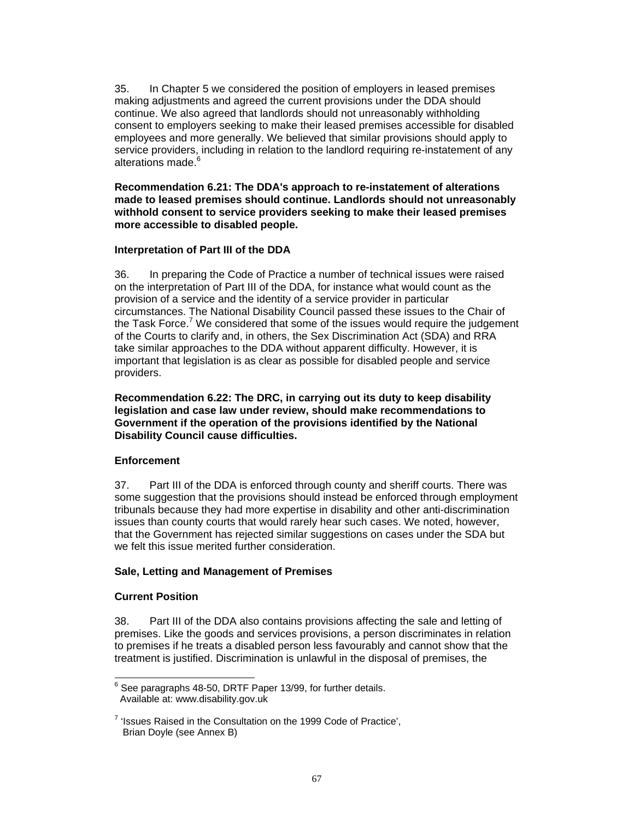35. In Chapter 5 we considered the position of employers in leased premises making adjustments and agreed the current provisions under the DDA should continue. We also agreed that landlords should not unreasonably withholding consent to employers seeking to make their leased premises accessible for disabled employees and more generally. We believed that similar provisions should apply to service providers, including in relation to the landlord requiring re-instatement of any alterations made.<sup>6</sup>

**Recommendation 6.21: The DDA's approach to re-instatement of alterations made to leased premises should continue. Landlords should not unreasonably withhold consent to service providers seeking to make their leased premises more accessible to disabled people.** 

## **Interpretation of Part III of the DDA**

36. In preparing the Code of Practice a number of technical issues were raised on the interpretation of Part III of the DDA, for instance what would count as the provision of a service and the identity of a service provider in particular circumstances. The National Disability Council passed these issues to the Chair of the Task Force.<sup>7</sup> We considered that some of the issues would require the judgement of the Courts to clarify and, in others, the Sex Discrimination Act (SDA) and RRA take similar approaches to the DDA without apparent difficulty. However, it is important that legislation is as clear as possible for disabled people and service providers.

**Recommendation 6.22: The DRC, in carrying out its duty to keep disability legislation and case law under review, should make recommendations to Government if the operation of the provisions identified by the National Disability Council cause difficulties.** 

# **Enforcement**

37. Part III of the DDA is enforced through county and sheriff courts. There was some suggestion that the provisions should instead be enforced through employment tribunals because they had more expertise in disability and other anti-discrimination issues than county courts that would rarely hear such cases. We noted, however, that the Government has rejected similar suggestions on cases under the SDA but we felt this issue merited further consideration.

# **Sale, Letting and Management of Premises**

# **Current Position**

38. Part III of the DDA also contains provisions affecting the sale and letting of premises. Like the goods and services provisions, a person discriminates in relation to premises if he treats a disabled person less favourably and cannot show that the treatment is justified. Discrimination is unlawful in the disposal of premises, the

 $\frac{1}{6}$  See paragraphs 48-50, DRTF Paper 13/99, for further details. Available at: www.disability.gov.uk

 $7$  'Issues Raised in the Consultation on the 1999 Code of Practice', Brian Doyle (see Annex B)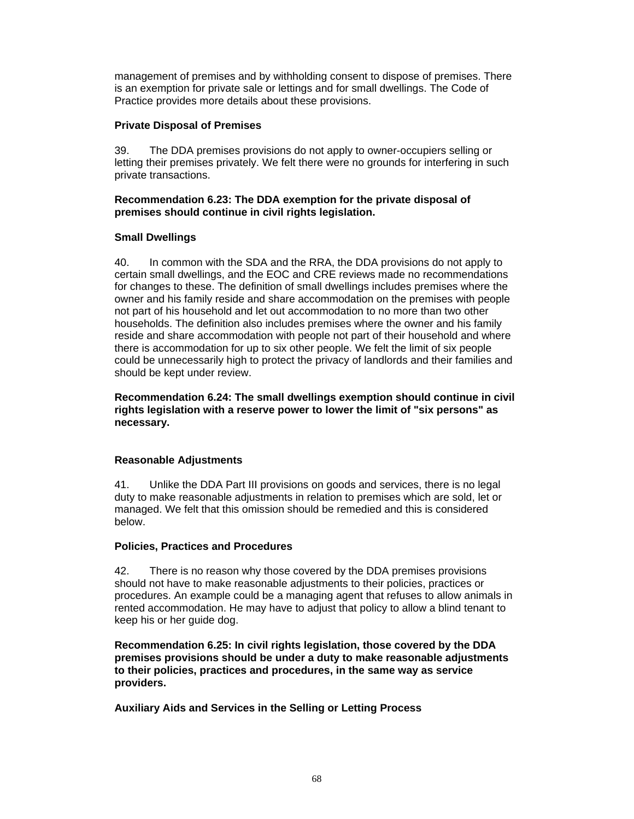management of premises and by withholding consent to dispose of premises. There is an exemption for private sale or lettings and for small dwellings. The Code of Practice provides more details about these provisions.

## **Private Disposal of Premises**

39. The DDA premises provisions do not apply to owner-occupiers selling or letting their premises privately. We felt there were no grounds for interfering in such private transactions.

# **Recommendation 6.23: The DDA exemption for the private disposal of premises should continue in civil rights legislation.**

## **Small Dwellings**

40. In common with the SDA and the RRA, the DDA provisions do not apply to certain small dwellings, and the EOC and CRE reviews made no recommendations for changes to these. The definition of small dwellings includes premises where the owner and his family reside and share accommodation on the premises with people not part of his household and let out accommodation to no more than two other households. The definition also includes premises where the owner and his family reside and share accommodation with people not part of their household and where there is accommodation for up to six other people. We felt the limit of six people could be unnecessarily high to protect the privacy of landlords and their families and should be kept under review.

**Recommendation 6.24: The small dwellings exemption should continue in civil rights legislation with a reserve power to lower the limit of "six persons" as necessary.** 

# **Reasonable Adjustments**

41. Unlike the DDA Part III provisions on goods and services, there is no legal duty to make reasonable adjustments in relation to premises which are sold, let or managed. We felt that this omission should be remedied and this is considered below.

#### **Policies, Practices and Procedures**

42. There is no reason why those covered by the DDA premises provisions should not have to make reasonable adjustments to their policies, practices or procedures. An example could be a managing agent that refuses to allow animals in rented accommodation. He may have to adjust that policy to allow a blind tenant to keep his or her guide dog.

**Recommendation 6.25: In civil rights legislation, those covered by the DDA premises provisions should be under a duty to make reasonable adjustments to their policies, practices and procedures, in the same way as service providers.** 

**Auxiliary Aids and Services in the Selling or Letting Process**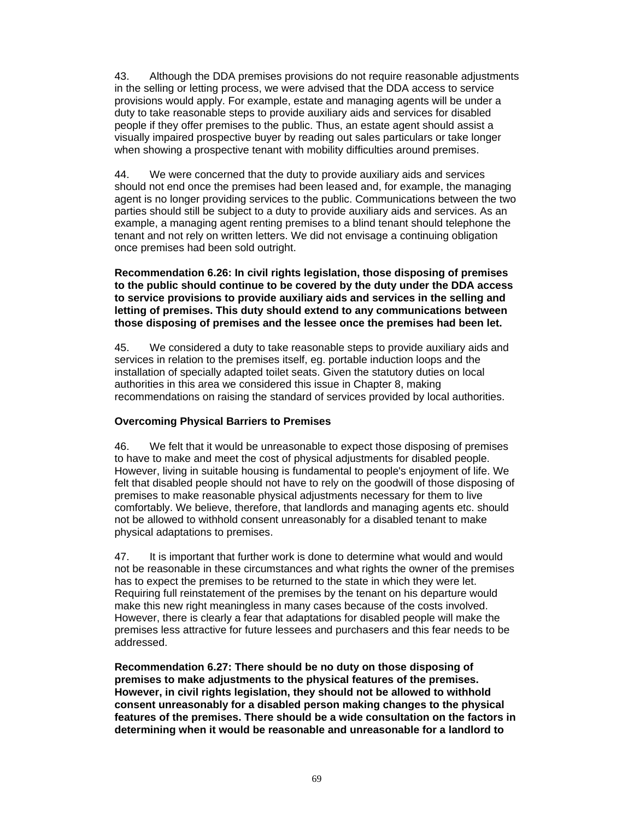43. Although the DDA premises provisions do not require reasonable adjustments in the selling or letting process, we were advised that the DDA access to service provisions would apply. For example, estate and managing agents will be under a duty to take reasonable steps to provide auxiliary aids and services for disabled people if they offer premises to the public. Thus, an estate agent should assist a visually impaired prospective buyer by reading out sales particulars or take longer when showing a prospective tenant with mobility difficulties around premises.

44. We were concerned that the duty to provide auxiliary aids and services should not end once the premises had been leased and, for example, the managing agent is no longer providing services to the public. Communications between the two parties should still be subject to a duty to provide auxiliary aids and services. As an example, a managing agent renting premises to a blind tenant should telephone the tenant and not rely on written letters. We did not envisage a continuing obligation once premises had been sold outright.

**Recommendation 6.26: In civil rights legislation, those disposing of premises to the public should continue to be covered by the duty under the DDA access to service provisions to provide auxiliary aids and services in the selling and letting of premises. This duty should extend to any communications between those disposing of premises and the lessee once the premises had been let.** 

45. We considered a duty to take reasonable steps to provide auxiliary aids and services in relation to the premises itself, eg. portable induction loops and the installation of specially adapted toilet seats. Given the statutory duties on local authorities in this area we considered this issue in Chapter 8, making recommendations on raising the standard of services provided by local authorities.

# **Overcoming Physical Barriers to Premises**

46. We felt that it would be unreasonable to expect those disposing of premises to have to make and meet the cost of physical adjustments for disabled people. However, living in suitable housing is fundamental to people's enjoyment of life. We felt that disabled people should not have to rely on the goodwill of those disposing of premises to make reasonable physical adjustments necessary for them to live comfortably. We believe, therefore, that landlords and managing agents etc. should not be allowed to withhold consent unreasonably for a disabled tenant to make physical adaptations to premises.

47. It is important that further work is done to determine what would and would not be reasonable in these circumstances and what rights the owner of the premises has to expect the premises to be returned to the state in which they were let. Requiring full reinstatement of the premises by the tenant on his departure would make this new right meaningless in many cases because of the costs involved. However, there is clearly a fear that adaptations for disabled people will make the premises less attractive for future lessees and purchasers and this fear needs to be addressed.

**Recommendation 6.27: There should be no duty on those disposing of premises to make adjustments to the physical features of the premises. However, in civil rights legislation, they should not be allowed to withhold consent unreasonably for a disabled person making changes to the physical features of the premises. There should be a wide consultation on the factors in determining when it would be reasonable and unreasonable for a landlord to**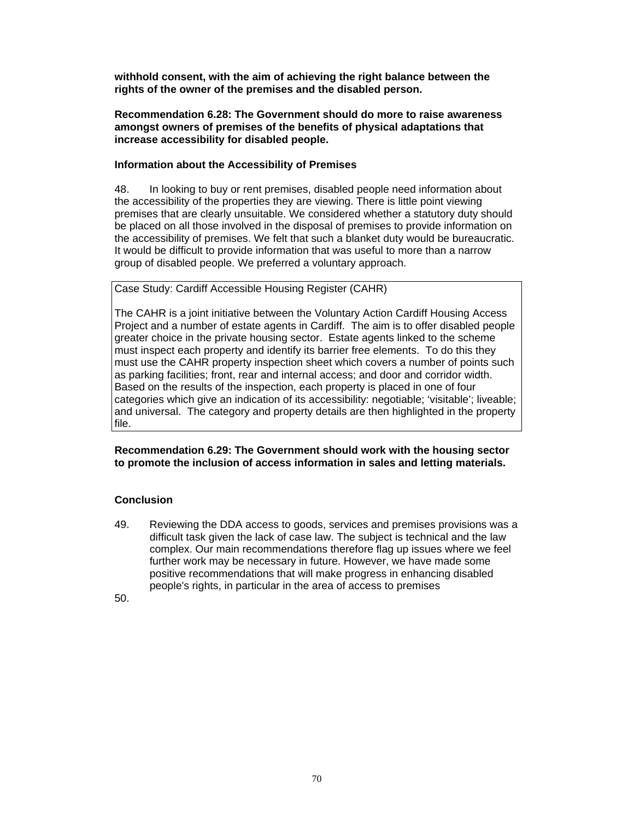**withhold consent, with the aim of achieving the right balance between the rights of the owner of the premises and the disabled person.** 

**Recommendation 6.28: The Government should do more to raise awareness amongst owners of premises of the benefits of physical adaptations that increase accessibility for disabled people.** 

## **Information about the Accessibility of Premises**

48. In looking to buy or rent premises, disabled people need information about the accessibility of the properties they are viewing. There is little point viewing premises that are clearly unsuitable. We considered whether a statutory duty should be placed on all those involved in the disposal of premises to provide information on the accessibility of premises. We felt that such a blanket duty would be bureaucratic. It would be difficult to provide information that was useful to more than a narrow group of disabled people. We preferred a voluntary approach.

Case Study: Cardiff Accessible Housing Register (CAHR)

The CAHR is a joint initiative between the Voluntary Action Cardiff Housing Access Project and a number of estate agents in Cardiff. The aim is to offer disabled people greater choice in the private housing sector. Estate agents linked to the scheme must inspect each property and identify its barrier free elements. To do this they must use the CAHR property inspection sheet which covers a number of points such as parking facilities; front, rear and internal access; and door and corridor width. Based on the results of the inspection, each property is placed in one of four categories which give an indication of its accessibility: negotiable; 'visitable'; liveable; and universal. The category and property details are then highlighted in the property file.

**Recommendation 6.29: The Government should work with the housing sector to promote the inclusion of access information in sales and letting materials.**

# **Conclusion**

49. Reviewing the DDA access to goods, services and premises provisions was a difficult task given the lack of case law. The subject is technical and the law complex. Our main recommendations therefore flag up issues where we feel further work may be necessary in future. However, we have made some positive recommendations that will make progress in enhancing disabled people's rights, in particular in the area of access to premises

50.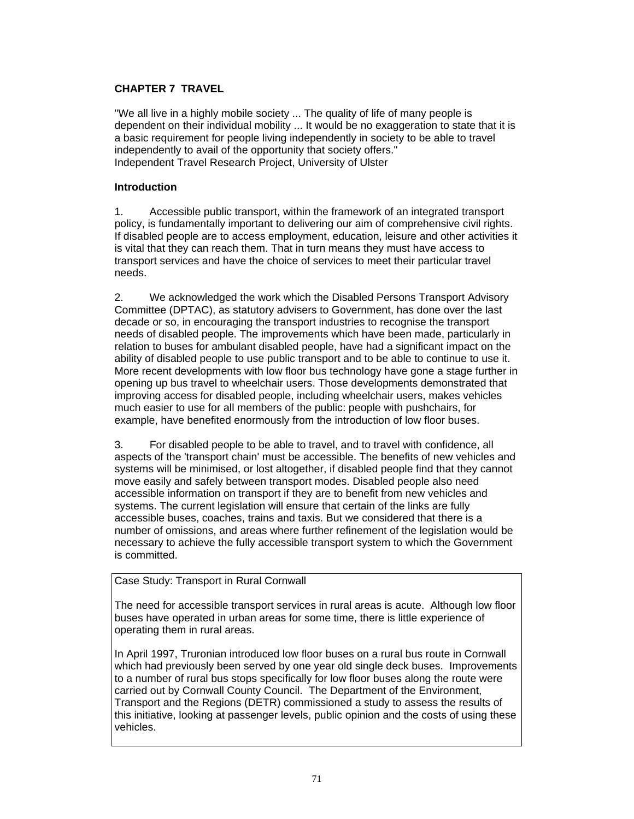# **CHAPTER 7 TRAVEL**

"We all live in a highly mobile society ... The quality of life of many people is dependent on their individual mobility ... It would be no exaggeration to state that it is a basic requirement for people living independently in society to be able to travel independently to avail of the opportunity that society offers." Independent Travel Research Project, University of Ulster

## **Introduction**

1. Accessible public transport, within the framework of an integrated transport policy, is fundamentally important to delivering our aim of comprehensive civil rights. If disabled people are to access employment, education, leisure and other activities it is vital that they can reach them. That in turn means they must have access to transport services and have the choice of services to meet their particular travel needs.

2. We acknowledged the work which the Disabled Persons Transport Advisory Committee (DPTAC), as statutory advisers to Government, has done over the last decade or so, in encouraging the transport industries to recognise the transport needs of disabled people. The improvements which have been made, particularly in relation to buses for ambulant disabled people, have had a significant impact on the ability of disabled people to use public transport and to be able to continue to use it. More recent developments with low floor bus technology have gone a stage further in opening up bus travel to wheelchair users. Those developments demonstrated that improving access for disabled people, including wheelchair users, makes vehicles much easier to use for all members of the public: people with pushchairs, for example, have benefited enormously from the introduction of low floor buses.

3. For disabled people to be able to travel, and to travel with confidence, all aspects of the 'transport chain' must be accessible. The benefits of new vehicles and systems will be minimised, or lost altogether, if disabled people find that they cannot move easily and safely between transport modes. Disabled people also need accessible information on transport if they are to benefit from new vehicles and systems. The current legislation will ensure that certain of the links are fully accessible buses, coaches, trains and taxis. But we considered that there is a number of omissions, and areas where further refinement of the legislation would be necessary to achieve the fully accessible transport system to which the Government is committed.

# Case Study: Transport in Rural Cornwall

The need for accessible transport services in rural areas is acute. Although low floor buses have operated in urban areas for some time, there is little experience of operating them in rural areas.

In April 1997, Truronian introduced low floor buses on a rural bus route in Cornwall which had previously been served by one year old single deck buses. Improvements to a number of rural bus stops specifically for low floor buses along the route were carried out by Cornwall County Council. The Department of the Environment, Transport and the Regions (DETR) commissioned a study to assess the results of this initiative, looking at passenger levels, public opinion and the costs of using these vehicles.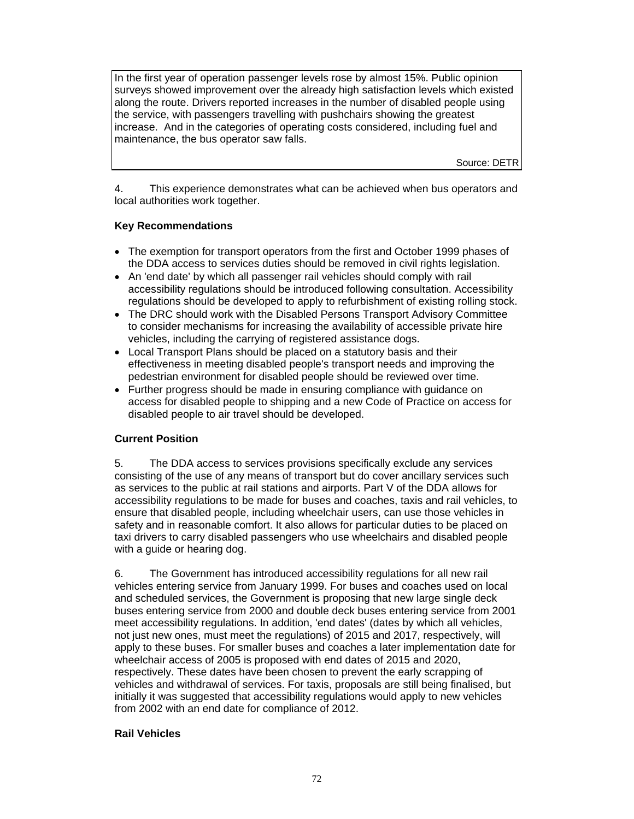In the first year of operation passenger levels rose by almost 15%. Public opinion surveys showed improvement over the already high satisfaction levels which existed along the route. Drivers reported increases in the number of disabled people using the service, with passengers travelling with pushchairs showing the greatest increase. And in the categories of operating costs considered, including fuel and maintenance, the bus operator saw falls.

Source: DETR

4. This experience demonstrates what can be achieved when bus operators and local authorities work together.

## **Key Recommendations**

- The exemption for transport operators from the first and October 1999 phases of the DDA access to services duties should be removed in civil rights legislation.
- An 'end date' by which all passenger rail vehicles should comply with rail accessibility regulations should be introduced following consultation. Accessibility regulations should be developed to apply to refurbishment of existing rolling stock.
- The DRC should work with the Disabled Persons Transport Advisory Committee to consider mechanisms for increasing the availability of accessible private hire vehicles, including the carrying of registered assistance dogs.
- Local Transport Plans should be placed on a statutory basis and their effectiveness in meeting disabled people's transport needs and improving the pedestrian environment for disabled people should be reviewed over time.
- Further progress should be made in ensuring compliance with guidance on access for disabled people to shipping and a new Code of Practice on access for disabled people to air travel should be developed.

# **Current Position**

5. The DDA access to services provisions specifically exclude any services consisting of the use of any means of transport but do cover ancillary services such as services to the public at rail stations and airports. Part V of the DDA allows for accessibility regulations to be made for buses and coaches, taxis and rail vehicles, to ensure that disabled people, including wheelchair users, can use those vehicles in safety and in reasonable comfort. It also allows for particular duties to be placed on taxi drivers to carry disabled passengers who use wheelchairs and disabled people with a guide or hearing dog.

6. The Government has introduced accessibility regulations for all new rail vehicles entering service from January 1999. For buses and coaches used on local and scheduled services, the Government is proposing that new large single deck buses entering service from 2000 and double deck buses entering service from 2001 meet accessibility regulations. In addition, 'end dates' (dates by which all vehicles, not just new ones, must meet the regulations) of 2015 and 2017, respectively, will apply to these buses. For smaller buses and coaches a later implementation date for wheelchair access of 2005 is proposed with end dates of 2015 and 2020, respectively. These dates have been chosen to prevent the early scrapping of vehicles and withdrawal of services. For taxis, proposals are still being finalised, but initially it was suggested that accessibility regulations would apply to new vehicles from 2002 with an end date for compliance of 2012.

#### **Rail Vehicles**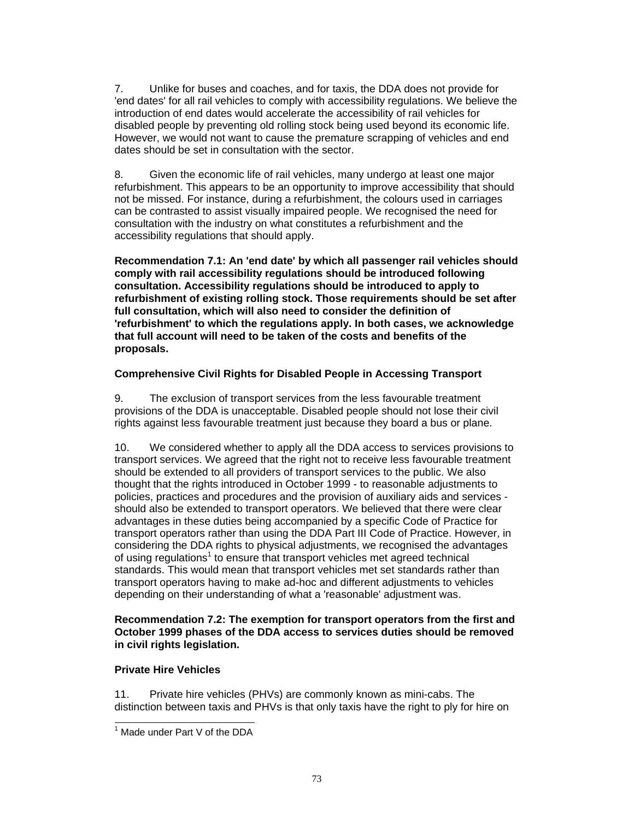7. Unlike for buses and coaches, and for taxis, the DDA does not provide for 'end dates' for all rail vehicles to comply with accessibility regulations. We believe the introduction of end dates would accelerate the accessibility of rail vehicles for disabled people by preventing old rolling stock being used beyond its economic life. However, we would not want to cause the premature scrapping of vehicles and end dates should be set in consultation with the sector.

8. Given the economic life of rail vehicles, many undergo at least one major refurbishment. This appears to be an opportunity to improve accessibility that should not be missed. For instance, during a refurbishment, the colours used in carriages can be contrasted to assist visually impaired people. We recognised the need for consultation with the industry on what constitutes a refurbishment and the accessibility regulations that should apply.

**Recommendation 7.1: An 'end date' by which all passenger rail vehicles should comply with rail accessibility regulations should be introduced following consultation. Accessibility regulations should be introduced to apply to refurbishment of existing rolling stock. Those requirements should be set after full consultation, which will also need to consider the definition of 'refurbishment' to which the regulations apply. In both cases, we acknowledge that full account will need to be taken of the costs and benefits of the proposals.** 

# **Comprehensive Civil Rights for Disabled People in Accessing Transport**

9. The exclusion of transport services from the less favourable treatment provisions of the DDA is unacceptable. Disabled people should not lose their civil rights against less favourable treatment just because they board a bus or plane.

10. We considered whether to apply all the DDA access to services provisions to transport services. We agreed that the right not to receive less favourable treatment should be extended to all providers of transport services to the public. We also thought that the rights introduced in October 1999 - to reasonable adjustments to policies, practices and procedures and the provision of auxiliary aids and services should also be extended to transport operators. We believed that there were clear advantages in these duties being accompanied by a specific Code of Practice for transport operators rather than using the DDA Part III Code of Practice. However, in considering the DDA rights to physical adjustments, we recognised the advantages of using regulations<sup>1</sup> to ensure that transport vehicles met agreed technical standards. This would mean that transport vehicles met set standards rather than transport operators having to make ad-hoc and different adjustments to vehicles depending on their understanding of what a 'reasonable' adjustment was.

# **Recommendation 7.2: The exemption for transport operators from the first and October 1999 phases of the DDA access to services duties should be removed in civil rights legislation.**

# **Private Hire Vehicles**

 $\overline{a}$ 

11. Private hire vehicles (PHVs) are commonly known as mini-cabs. The distinction between taxis and PHVs is that only taxis have the right to ply for hire on

 $<sup>1</sup>$  Made under Part V of the DDA</sup>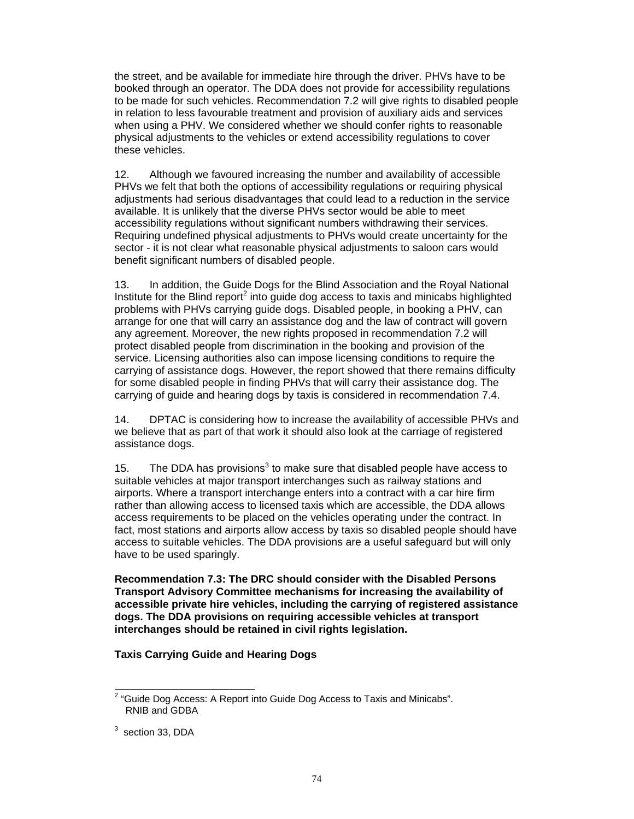the street, and be available for immediate hire through the driver. PHVs have to be booked through an operator. The DDA does not provide for accessibility regulations to be made for such vehicles. Recommendation 7.2 will give rights to disabled people in relation to less favourable treatment and provision of auxiliary aids and services when using a PHV. We considered whether we should confer rights to reasonable physical adjustments to the vehicles or extend accessibility regulations to cover these vehicles.

12. Although we favoured increasing the number and availability of accessible PHVs we felt that both the options of accessibility regulations or requiring physical adjustments had serious disadvantages that could lead to a reduction in the service available. It is unlikely that the diverse PHVs sector would be able to meet accessibility regulations without significant numbers withdrawing their services. Requiring undefined physical adjustments to PHVs would create uncertainty for the sector - it is not clear what reasonable physical adjustments to saloon cars would benefit significant numbers of disabled people.

13. In addition, the Guide Dogs for the Blind Association and the Royal National Institute for the Blind report $^2$  into guide dog access to taxis and minicabs highlighted problems with PHVs carrying guide dogs. Disabled people, in booking a PHV, can arrange for one that will carry an assistance dog and the law of contract will govern any agreement. Moreover, the new rights proposed in recommendation 7.2 will protect disabled people from discrimination in the booking and provision of the service. Licensing authorities also can impose licensing conditions to require the carrying of assistance dogs. However, the report showed that there remains difficulty for some disabled people in finding PHVs that will carry their assistance dog. The carrying of guide and hearing dogs by taxis is considered in recommendation 7.4.

14. DPTAC is considering how to increase the availability of accessible PHVs and we believe that as part of that work it should also look at the carriage of registered assistance dogs.

15. The DDA has provisions<sup>3</sup> to make sure that disabled people have access to suitable vehicles at major transport interchanges such as railway stations and airports. Where a transport interchange enters into a contract with a car hire firm rather than allowing access to licensed taxis which are accessible, the DDA allows access requirements to be placed on the vehicles operating under the contract. In fact, most stations and airports allow access by taxis so disabled people should have access to suitable vehicles. The DDA provisions are a useful safeguard but will only have to be used sparingly.

**Recommendation 7.3: The DRC should consider with the Disabled Persons Transport Advisory Committee mechanisms for increasing the availability of accessible private hire vehicles, including the carrying of registered assistance dogs. The DDA provisions on requiring accessible vehicles at transport interchanges should be retained in civil rights legislation.** 

#### **Taxis Carrying Guide and Hearing Dogs**

 $\overline{a}$ 

 $2$  "Guide Dog Access: A Report into Guide Dog Access to Taxis and Minicabs". RNIB and GDBA

 $3$  section 33, DDA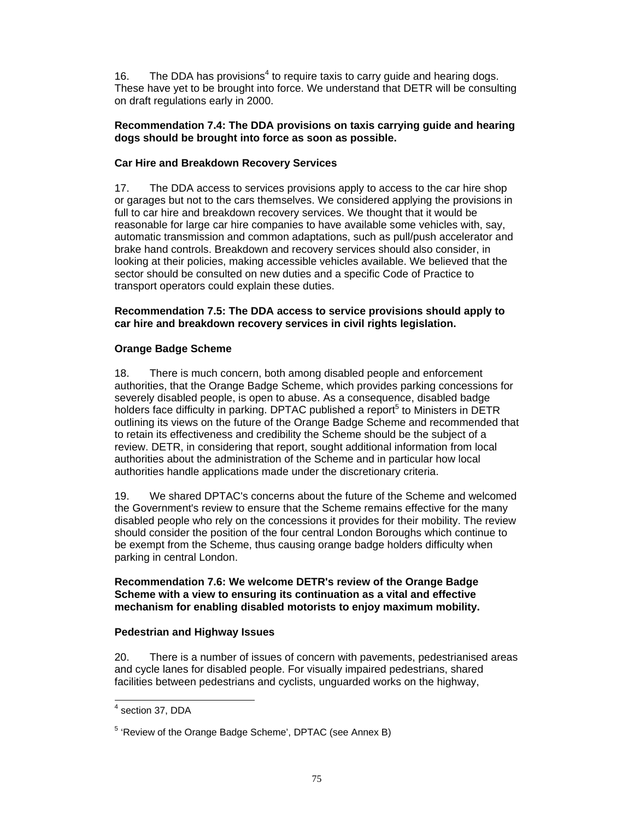16. The DDA has provisions<sup>4</sup> to require taxis to carry guide and hearing dogs. These have yet to be brought into force. We understand that DETR will be consulting on draft regulations early in 2000.

### **Recommendation 7.4: The DDA provisions on taxis carrying guide and hearing dogs should be brought into force as soon as possible.**

# **Car Hire and Breakdown Recovery Services**

17. The DDA access to services provisions apply to access to the car hire shop or garages but not to the cars themselves. We considered applying the provisions in full to car hire and breakdown recovery services. We thought that it would be reasonable for large car hire companies to have available some vehicles with, say, automatic transmission and common adaptations, such as pull/push accelerator and brake hand controls. Breakdown and recovery services should also consider, in looking at their policies, making accessible vehicles available. We believed that the sector should be consulted on new duties and a specific Code of Practice to transport operators could explain these duties.

### **Recommendation 7.5: The DDA access to service provisions should apply to car hire and breakdown recovery services in civil rights legislation.**

# **Orange Badge Scheme**

18. There is much concern, both among disabled people and enforcement authorities, that the Orange Badge Scheme, which provides parking concessions for severely disabled people, is open to abuse. As a consequence, disabled badge holders face difficulty in parking. DPTAC published a report<sup>5</sup> to Ministers in DETR outlining its views on the future of the Orange Badge Scheme and recommended that to retain its effectiveness and credibility the Scheme should be the subject of a review. DETR, in considering that report, sought additional information from local authorities about the administration of the Scheme and in particular how local authorities handle applications made under the discretionary criteria.

19. We shared DPTAC's concerns about the future of the Scheme and welcomed the Government's review to ensure that the Scheme remains effective for the many disabled people who rely on the concessions it provides for their mobility. The review should consider the position of the four central London Boroughs which continue to be exempt from the Scheme, thus causing orange badge holders difficulty when parking in central London.

# **Recommendation 7.6: We welcome DETR's review of the Orange Badge Scheme with a view to ensuring its continuation as a vital and effective mechanism for enabling disabled motorists to enjoy maximum mobility.**

# **Pedestrian and Highway Issues**

20. There is a number of issues of concern with pavements, pedestrianised areas and cycle lanes for disabled people. For visually impaired pedestrians, shared facilities between pedestrians and cyclists, unguarded works on the highway,

 4 section 37, DDA

<sup>&</sup>lt;sup>5</sup> 'Review of the Orange Badge Scheme', DPTAC (see Annex B)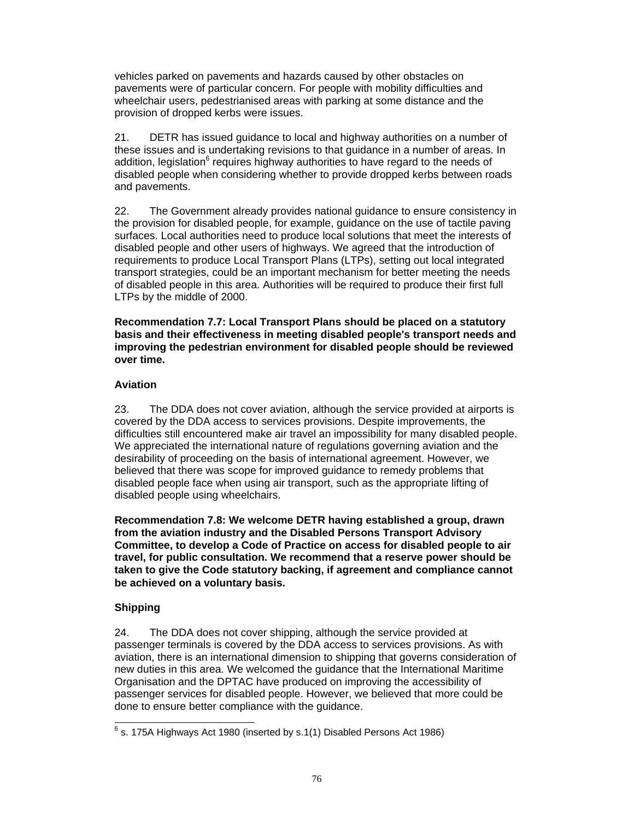vehicles parked on pavements and hazards caused by other obstacles on pavements were of particular concern. For people with mobility difficulties and wheelchair users, pedestrianised areas with parking at some distance and the provision of dropped kerbs were issues.

21. DETR has issued guidance to local and highway authorities on a number of these issues and is undertaking revisions to that guidance in a number of areas. In addition, legislation<sup>6</sup> requires highway authorities to have regard to the needs of disabled people when considering whether to provide dropped kerbs between roads and pavements.

22. The Government already provides national guidance to ensure consistency in the provision for disabled people, for example, guidance on the use of tactile paving surfaces. Local authorities need to produce local solutions that meet the interests of disabled people and other users of highways. We agreed that the introduction of requirements to produce Local Transport Plans (LTPs), setting out local integrated transport strategies, could be an important mechanism for better meeting the needs of disabled people in this area. Authorities will be required to produce their first full LTPs by the middle of 2000.

**Recommendation 7.7: Local Transport Plans should be placed on a statutory basis and their effectiveness in meeting disabled people's transport needs and improving the pedestrian environment for disabled people should be reviewed over time.** 

# **Aviation**

23. The DDA does not cover aviation, although the service provided at airports is covered by the DDA access to services provisions. Despite improvements, the difficulties still encountered make air travel an impossibility for many disabled people. We appreciated the international nature of regulations governing aviation and the desirability of proceeding on the basis of international agreement. However, we believed that there was scope for improved guidance to remedy problems that disabled people face when using air transport, such as the appropriate lifting of disabled people using wheelchairs.

**Recommendation 7.8: We welcome DETR having established a group, drawn from the aviation industry and the Disabled Persons Transport Advisory Committee, to develop a Code of Practice on access for disabled people to air travel, for public consultation. We recommend that a reserve power should be taken to give the Code statutory backing, if agreement and compliance cannot be achieved on a voluntary basis.** 

# **Shipping**

24. The DDA does not cover shipping, although the service provided at passenger terminals is covered by the DDA access to services provisions. As with aviation, there is an international dimension to shipping that governs consideration of new duties in this area. We welcomed the guidance that the International Maritime Organisation and the DPTAC have produced on improving the accessibility of passenger services for disabled people. However, we believed that more could be done to ensure better compliance with the guidance.

 $\overline{a}$  $^6$  s. 175A Highways Act 1980 (inserted by s.1(1) Disabled Persons Act 1986)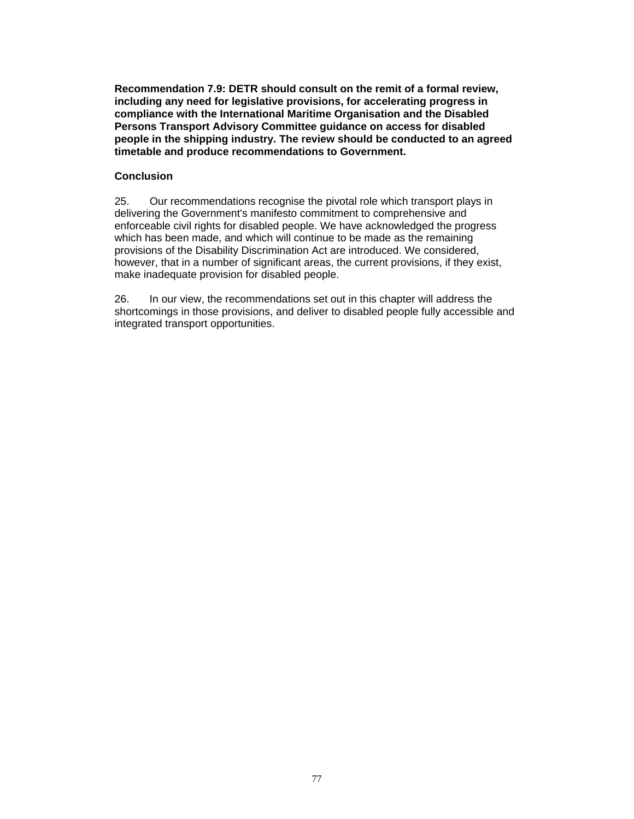**Recommendation 7.9: DETR should consult on the remit of a formal review, including any need for legislative provisions, for accelerating progress in compliance with the International Maritime Organisation and the Disabled Persons Transport Advisory Committee guidance on access for disabled people in the shipping industry. The review should be conducted to an agreed timetable and produce recommendations to Government.**

### **Conclusion**

25. Our recommendations recognise the pivotal role which transport plays in delivering the Government's manifesto commitment to comprehensive and enforceable civil rights for disabled people. We have acknowledged the progress which has been made, and which will continue to be made as the remaining provisions of the Disability Discrimination Act are introduced. We considered, however, that in a number of significant areas, the current provisions, if they exist, make inadequate provision for disabled people.

26. In our view, the recommendations set out in this chapter will address the shortcomings in those provisions, and deliver to disabled people fully accessible and integrated transport opportunities.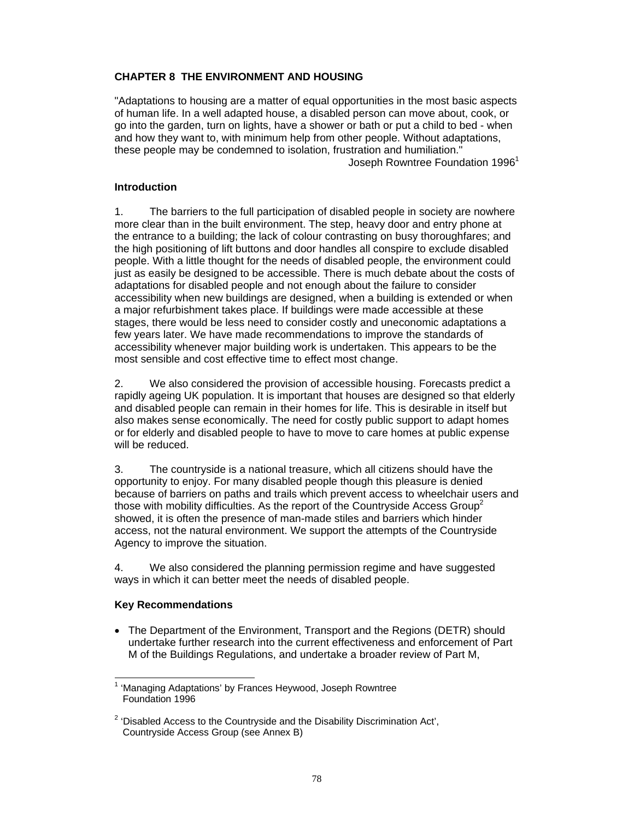# **CHAPTER 8 THE ENVIRONMENT AND HOUSING**

"Adaptations to housing are a matter of equal opportunities in the most basic aspects of human life. In a well adapted house, a disabled person can move about, cook, or go into the garden, turn on lights, have a shower or bath or put a child to bed - when and how they want to, with minimum help from other people. Without adaptations, these people may be condemned to isolation, frustration and humiliation." Joseph Rowntree Foundation 1996<sup>1</sup>

# **Introduction**

1. The barriers to the full participation of disabled people in society are nowhere more clear than in the built environment. The step, heavy door and entry phone at the entrance to a building; the lack of colour contrasting on busy thoroughfares; and the high positioning of lift buttons and door handles all conspire to exclude disabled people. With a little thought for the needs of disabled people, the environment could just as easily be designed to be accessible. There is much debate about the costs of adaptations for disabled people and not enough about the failure to consider accessibility when new buildings are designed, when a building is extended or when a major refurbishment takes place. If buildings were made accessible at these stages, there would be less need to consider costly and uneconomic adaptations a few years later. We have made recommendations to improve the standards of accessibility whenever major building work is undertaken. This appears to be the most sensible and cost effective time to effect most change.

2. We also considered the provision of accessible housing. Forecasts predict a rapidly ageing UK population. It is important that houses are designed so that elderly and disabled people can remain in their homes for life. This is desirable in itself but also makes sense economically. The need for costly public support to adapt homes or for elderly and disabled people to have to move to care homes at public expense will be reduced.

3. The countryside is a national treasure, which all citizens should have the opportunity to enjoy. For many disabled people though this pleasure is denied because of barriers on paths and trails which prevent access to wheelchair users and those with mobility difficulties. As the report of the Countryside Access Group<sup>2</sup> showed, it is often the presence of man-made stiles and barriers which hinder access, not the natural environment. We support the attempts of the Countryside Agency to improve the situation.

4. We also considered the planning permission regime and have suggested ways in which it can better meet the needs of disabled people.

# **Key Recommendations**

 $\overline{a}$ 

• The Department of the Environment, Transport and the Regions (DETR) should undertake further research into the current effectiveness and enforcement of Part M of the Buildings Regulations, and undertake a broader review of Part M,

<sup>1</sup> 'Managing Adaptations' by Frances Heywood, Joseph Rowntree Foundation 1996

 $2$  'Disabled Access to the Countryside and the Disability Discrimination Act', Countryside Access Group (see Annex B)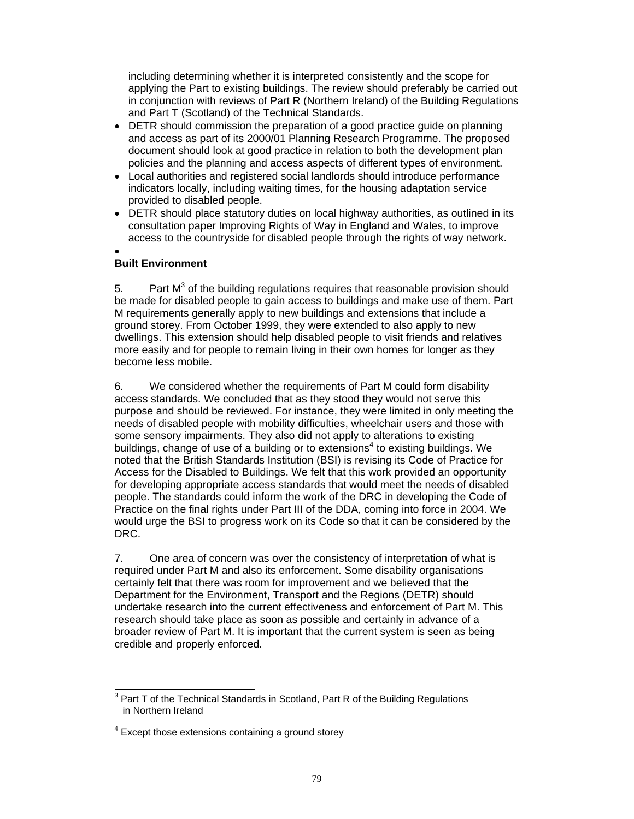including determining whether it is interpreted consistently and the scope for applying the Part to existing buildings. The review should preferably be carried out in conjunction with reviews of Part R (Northern Ireland) of the Building Regulations and Part T (Scotland) of the Technical Standards.

- DETR should commission the preparation of a good practice guide on planning and access as part of its 2000/01 Planning Research Programme. The proposed document should look at good practice in relation to both the development plan policies and the planning and access aspects of different types of environment.
- Local authorities and registered social landlords should introduce performance indicators locally, including waiting times, for the housing adaptation service provided to disabled people.
- DETR should place statutory duties on local highway authorities, as outlined in its consultation paper Improving Rights of Way in England and Wales, to improve access to the countryside for disabled people through the rights of way network.
- •

# **Built Environment**

5. Part  $M<sup>3</sup>$  of the building regulations requires that reasonable provision should be made for disabled people to gain access to buildings and make use of them. Part M requirements generally apply to new buildings and extensions that include a ground storey. From October 1999, they were extended to also apply to new dwellings. This extension should help disabled people to visit friends and relatives more easily and for people to remain living in their own homes for longer as they become less mobile.

6. We considered whether the requirements of Part M could form disability access standards. We concluded that as they stood they would not serve this purpose and should be reviewed. For instance, they were limited in only meeting the needs of disabled people with mobility difficulties, wheelchair users and those with some sensory impairments. They also did not apply to alterations to existing buildings, change of use of a building or to extensions<sup>4</sup> to existing buildings. We noted that the British Standards Institution (BSI) is revising its Code of Practice for Access for the Disabled to Buildings. We felt that this work provided an opportunity for developing appropriate access standards that would meet the needs of disabled people. The standards could inform the work of the DRC in developing the Code of Practice on the final rights under Part III of the DDA, coming into force in 2004. We would urge the BSI to progress work on its Code so that it can be considered by the DRC.

7. One area of concern was over the consistency of interpretation of what is required under Part M and also its enforcement. Some disability organisations certainly felt that there was room for improvement and we believed that the Department for the Environment, Transport and the Regions (DETR) should undertake research into the current effectiveness and enforcement of Part M. This research should take place as soon as possible and certainly in advance of a broader review of Part M. It is important that the current system is seen as being credible and properly enforced.

 $\overline{a}$  $3$  Part T of the Technical Standards in Scotland, Part R of the Building Regulations in Northern Ireland

<sup>&</sup>lt;sup>4</sup> Except those extensions containing a ground storey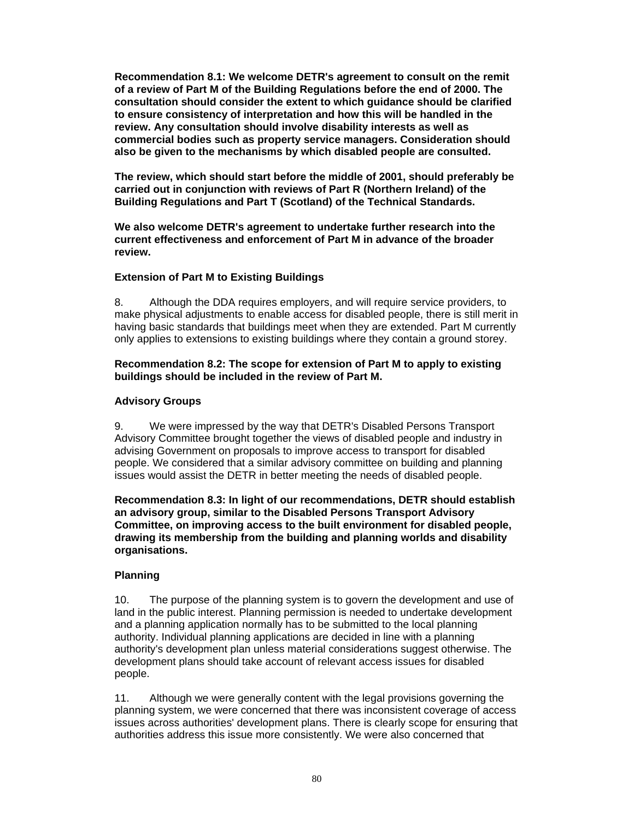**Recommendation 8.1: We welcome DETR's agreement to consult on the remit of a review of Part M of the Building Regulations before the end of 2000. The consultation should consider the extent to which guidance should be clarified to ensure consistency of interpretation and how this will be handled in the review. Any consultation should involve disability interests as well as commercial bodies such as property service managers. Consideration should also be given to the mechanisms by which disabled people are consulted.** 

**The review, which should start before the middle of 2001, should preferably be carried out in conjunction with reviews of Part R (Northern Ireland) of the Building Regulations and Part T (Scotland) of the Technical Standards.** 

**We also welcome DETR's agreement to undertake further research into the current effectiveness and enforcement of Part M in advance of the broader review.** 

#### **Extension of Part M to Existing Buildings**

8. Although the DDA requires employers, and will require service providers, to make physical adjustments to enable access for disabled people, there is still merit in having basic standards that buildings meet when they are extended. Part M currently only applies to extensions to existing buildings where they contain a ground storey.

### **Recommendation 8.2: The scope for extension of Part M to apply to existing buildings should be included in the review of Part M.**

#### **Advisory Groups**

9. We were impressed by the way that DETR's Disabled Persons Transport Advisory Committee brought together the views of disabled people and industry in advising Government on proposals to improve access to transport for disabled people. We considered that a similar advisory committee on building and planning issues would assist the DETR in better meeting the needs of disabled people.

**Recommendation 8.3: In light of our recommendations, DETR should establish an advisory group, similar to the Disabled Persons Transport Advisory Committee, on improving access to the built environment for disabled people, drawing its membership from the building and planning worlds and disability organisations.** 

#### **Planning**

10. The purpose of the planning system is to govern the development and use of land in the public interest. Planning permission is needed to undertake development and a planning application normally has to be submitted to the local planning authority. Individual planning applications are decided in line with a planning authority's development plan unless material considerations suggest otherwise. The development plans should take account of relevant access issues for disabled people.

11. Although we were generally content with the legal provisions governing the planning system, we were concerned that there was inconsistent coverage of access issues across authorities' development plans. There is clearly scope for ensuring that authorities address this issue more consistently. We were also concerned that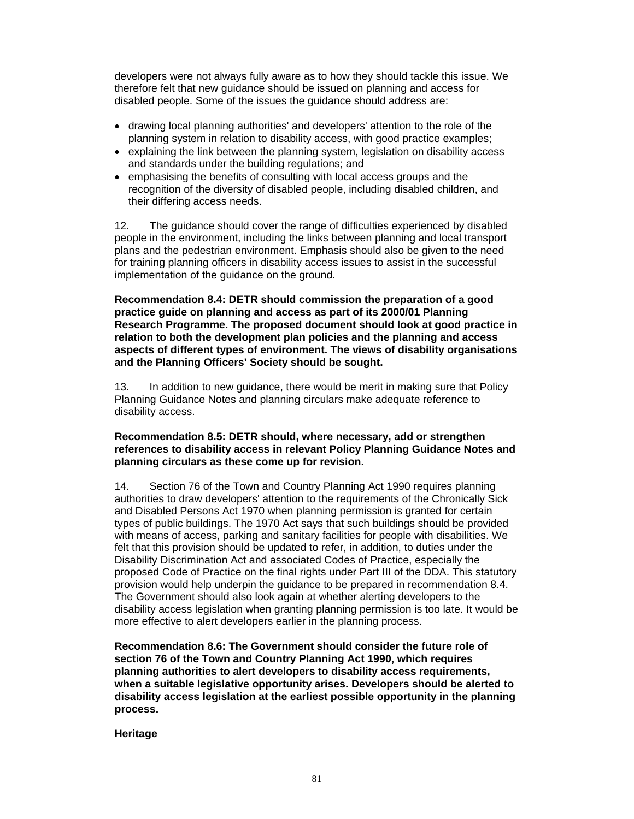developers were not always fully aware as to how they should tackle this issue. We therefore felt that new guidance should be issued on planning and access for disabled people. Some of the issues the guidance should address are:

- drawing local planning authorities' and developers' attention to the role of the planning system in relation to disability access, with good practice examples;
- explaining the link between the planning system, legislation on disability access and standards under the building regulations; and
- emphasising the benefits of consulting with local access groups and the recognition of the diversity of disabled people, including disabled children, and their differing access needs.

12. The guidance should cover the range of difficulties experienced by disabled people in the environment, including the links between planning and local transport plans and the pedestrian environment. Emphasis should also be given to the need for training planning officers in disability access issues to assist in the successful implementation of the guidance on the ground.

**Recommendation 8.4: DETR should commission the preparation of a good practice guide on planning and access as part of its 2000/01 Planning Research Programme. The proposed document should look at good practice in relation to both the development plan policies and the planning and access aspects of different types of environment. The views of disability organisations and the Planning Officers' Society should be sought.** 

13. In addition to new guidance, there would be merit in making sure that Policy Planning Guidance Notes and planning circulars make adequate reference to disability access.

### **Recommendation 8.5: DETR should, where necessary, add or strengthen references to disability access in relevant Policy Planning Guidance Notes and planning circulars as these come up for revision.**

14. Section 76 of the Town and Country Planning Act 1990 requires planning authorities to draw developers' attention to the requirements of the Chronically Sick and Disabled Persons Act 1970 when planning permission is granted for certain types of public buildings. The 1970 Act says that such buildings should be provided with means of access, parking and sanitary facilities for people with disabilities. We felt that this provision should be updated to refer, in addition, to duties under the Disability Discrimination Act and associated Codes of Practice, especially the proposed Code of Practice on the final rights under Part III of the DDA. This statutory provision would help underpin the guidance to be prepared in recommendation 8.4. The Government should also look again at whether alerting developers to the disability access legislation when granting planning permission is too late. It would be more effective to alert developers earlier in the planning process.

**Recommendation 8.6: The Government should consider the future role of section 76 of the Town and Country Planning Act 1990, which requires planning authorities to alert developers to disability access requirements, when a suitable legislative opportunity arises. Developers should be alerted to disability access legislation at the earliest possible opportunity in the planning process.** 

**Heritage**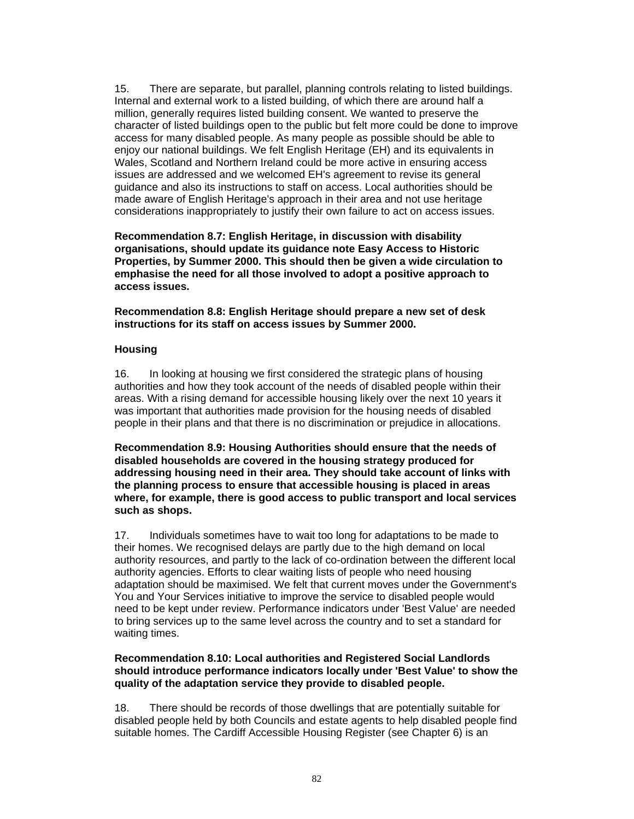15. There are separate, but parallel, planning controls relating to listed buildings. Internal and external work to a listed building, of which there are around half a million, generally requires listed building consent. We wanted to preserve the character of listed buildings open to the public but felt more could be done to improve access for many disabled people. As many people as possible should be able to enjoy our national buildings. We felt English Heritage (EH) and its equivalents in Wales, Scotland and Northern Ireland could be more active in ensuring access issues are addressed and we welcomed EH's agreement to revise its general guidance and also its instructions to staff on access. Local authorities should be made aware of English Heritage's approach in their area and not use heritage considerations inappropriately to justify their own failure to act on access issues.

**Recommendation 8.7: English Heritage, in discussion with disability organisations, should update its guidance note Easy Access to Historic Properties, by Summer 2000. This should then be given a wide circulation to emphasise the need for all those involved to adopt a positive approach to access issues.** 

**Recommendation 8.8: English Heritage should prepare a new set of desk instructions for its staff on access issues by Summer 2000.** 

### **Housing**

16. In looking at housing we first considered the strategic plans of housing authorities and how they took account of the needs of disabled people within their areas. With a rising demand for accessible housing likely over the next 10 years it was important that authorities made provision for the housing needs of disabled people in their plans and that there is no discrimination or prejudice in allocations.

**Recommendation 8.9: Housing Authorities should ensure that the needs of disabled households are covered in the housing strategy produced for addressing housing need in their area. They should take account of links with the planning process to ensure that accessible housing is placed in areas where, for example, there is good access to public transport and local services such as shops.** 

17. Individuals sometimes have to wait too long for adaptations to be made to their homes. We recognised delays are partly due to the high demand on local authority resources, and partly to the lack of co-ordination between the different local authority agencies. Efforts to clear waiting lists of people who need housing adaptation should be maximised. We felt that current moves under the Government's You and Your Services initiative to improve the service to disabled people would need to be kept under review. Performance indicators under 'Best Value' are needed to bring services up to the same level across the country and to set a standard for waiting times.

### **Recommendation 8.10: Local authorities and Registered Social Landlords should introduce performance indicators locally under 'Best Value' to show the quality of the adaptation service they provide to disabled people.**

18. There should be records of those dwellings that are potentially suitable for disabled people held by both Councils and estate agents to help disabled people find suitable homes. The Cardiff Accessible Housing Register (see Chapter 6) is an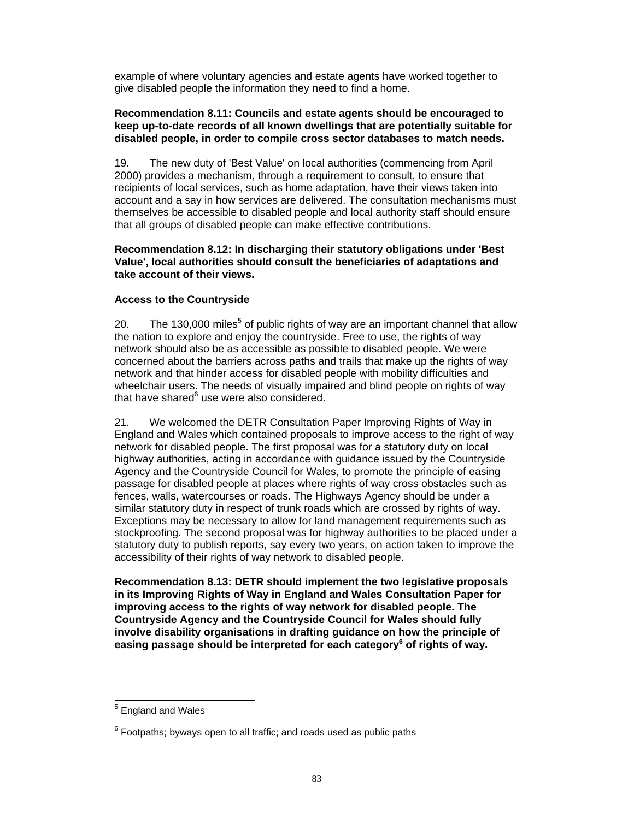example of where voluntary agencies and estate agents have worked together to give disabled people the information they need to find a home.

### **Recommendation 8.11: Councils and estate agents should be encouraged to keep up-to-date records of all known dwellings that are potentially suitable for disabled people, in order to compile cross sector databases to match needs.**

19. The new duty of 'Best Value' on local authorities (commencing from April 2000) provides a mechanism, through a requirement to consult, to ensure that recipients of local services, such as home adaptation, have their views taken into account and a say in how services are delivered. The consultation mechanisms must themselves be accessible to disabled people and local authority staff should ensure that all groups of disabled people can make effective contributions.

### **Recommendation 8.12: In discharging their statutory obligations under 'Best Value', local authorities should consult the beneficiaries of adaptations and take account of their views.**

# **Access to the Countryside**

20. The 130,000 miles<sup>5</sup> of public rights of way are an important channel that allow the nation to explore and enjoy the countryside. Free to use, the rights of way network should also be as accessible as possible to disabled people. We were concerned about the barriers across paths and trails that make up the rights of way network and that hinder access for disabled people with mobility difficulties and wheelchair users. The needs of visually impaired and blind people on rights of way that have shared<sup>6</sup> use were also considered.

21. We welcomed the DETR Consultation Paper Improving Rights of Way in England and Wales which contained proposals to improve access to the right of way network for disabled people. The first proposal was for a statutory duty on local highway authorities, acting in accordance with guidance issued by the Countryside Agency and the Countryside Council for Wales, to promote the principle of easing passage for disabled people at places where rights of way cross obstacles such as fences, walls, watercourses or roads. The Highways Agency should be under a similar statutory duty in respect of trunk roads which are crossed by rights of way. Exceptions may be necessary to allow for land management requirements such as stockproofing. The second proposal was for highway authorities to be placed under a statutory duty to publish reports, say every two years, on action taken to improve the accessibility of their rights of way network to disabled people.

**Recommendation 8.13: DETR should implement the two legislative proposals in its Improving Rights of Way in England and Wales Consultation Paper for improving access to the rights of way network for disabled people. The Countryside Agency and the Countryside Council for Wales should fully involve disability organisations in drafting guidance on how the principle of easing passage should be interpreted for each category6 of rights of way.**

<sup>&</sup>lt;u>England and Wales</u>

 $6$  Footpaths; byways open to all traffic; and roads used as public paths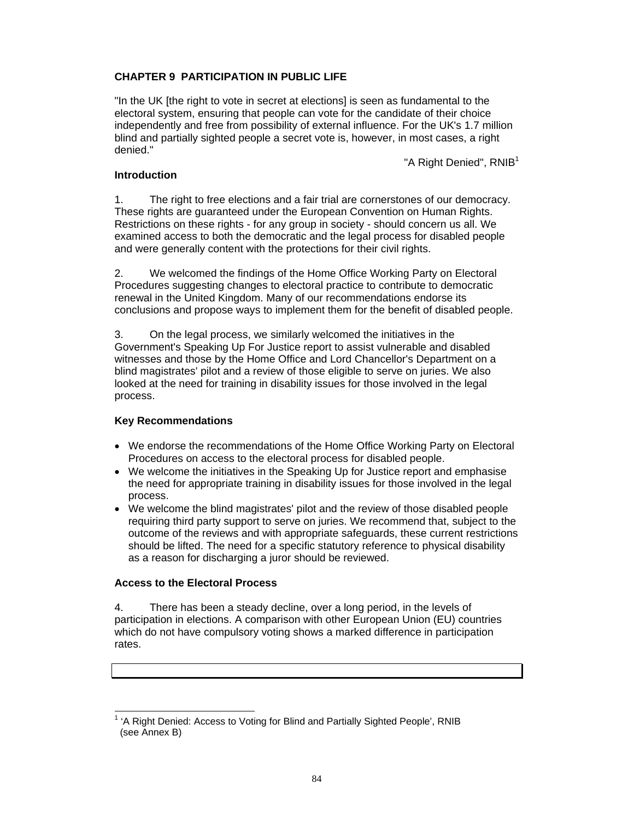# **CHAPTER 9 PARTICIPATION IN PUBLIC LIFE**

"In the UK [the right to vote in secret at elections] is seen as fundamental to the electoral system, ensuring that people can vote for the candidate of their choice independently and free from possibility of external influence. For the UK's 1.7 million blind and partially sighted people a secret vote is, however, in most cases, a right denied."

"A Right Denied", RNIB<sup>1</sup>

### **Introduction**

1. The right to free elections and a fair trial are cornerstones of our democracy. These rights are guaranteed under the European Convention on Human Rights. Restrictions on these rights - for any group in society - should concern us all. We examined access to both the democratic and the legal process for disabled people and were generally content with the protections for their civil rights.

2. We welcomed the findings of the Home Office Working Party on Electoral Procedures suggesting changes to electoral practice to contribute to democratic renewal in the United Kingdom. Many of our recommendations endorse its conclusions and propose ways to implement them for the benefit of disabled people.

3. On the legal process, we similarly welcomed the initiatives in the Government's Speaking Up For Justice report to assist vulnerable and disabled witnesses and those by the Home Office and Lord Chancellor's Department on a blind magistrates' pilot and a review of those eligible to serve on juries. We also looked at the need for training in disability issues for those involved in the legal process.

# **Key Recommendations**

- We endorse the recommendations of the Home Office Working Party on Electoral Procedures on access to the electoral process for disabled people.
- We welcome the initiatives in the Speaking Up for Justice report and emphasise the need for appropriate training in disability issues for those involved in the legal process.
- We welcome the blind magistrates' pilot and the review of those disabled people requiring third party support to serve on juries. We recommend that, subject to the outcome of the reviews and with appropriate safeguards, these current restrictions should be lifted. The need for a specific statutory reference to physical disability as a reason for discharging a juror should be reviewed.

# **Access to the Electoral Process**

4. There has been a steady decline, over a long period, in the levels of participation in elections. A comparison with other European Union (EU) countries which do not have compulsory voting shows a marked difference in participation rates.

 $\overline{a}$ 1 'A Right Denied: Access to Voting for Blind and Partially Sighted People', RNIB (see Annex B)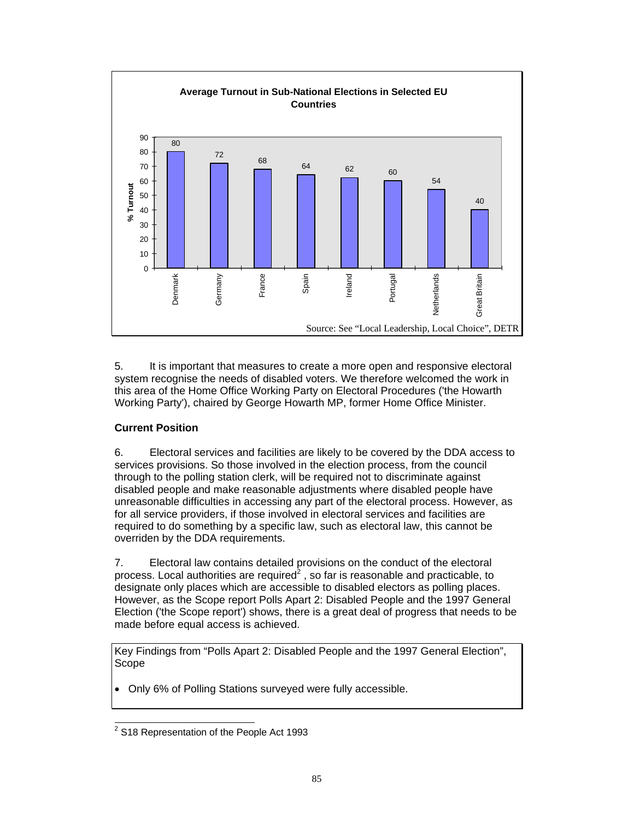

5. It is important that measures to create a more open and responsive electoral system recognise the needs of disabled voters. We therefore welcomed the work in this area of the Home Office Working Party on Electoral Procedures ('the Howarth Working Party'), chaired by George Howarth MP, former Home Office Minister.

# **Current Position**

6. Electoral services and facilities are likely to be covered by the DDA access to services provisions. So those involved in the election process, from the council through to the polling station clerk, will be required not to discriminate against disabled people and make reasonable adjustments where disabled people have unreasonable difficulties in accessing any part of the electoral process. However, as for all service providers, if those involved in electoral services and facilities are required to do something by a specific law, such as electoral law, this cannot be overriden by the DDA requirements.

7. Electoral law contains detailed provisions on the conduct of the electoral process. Local authorities are required<sup>2</sup>, so far is reasonable and practicable, to designate only places which are accessible to disabled electors as polling places. However, as the Scope report Polls Apart 2: Disabled People and the 1997 General Election ('the Scope report') shows, there is a great deal of progress that needs to be made before equal access is achieved.

Key Findings from "Polls Apart 2: Disabled People and the 1997 General Election", Scope

• Only 6% of Polling Stations surveyed were fully accessible.

 2 S18 Representation of the People Act 1993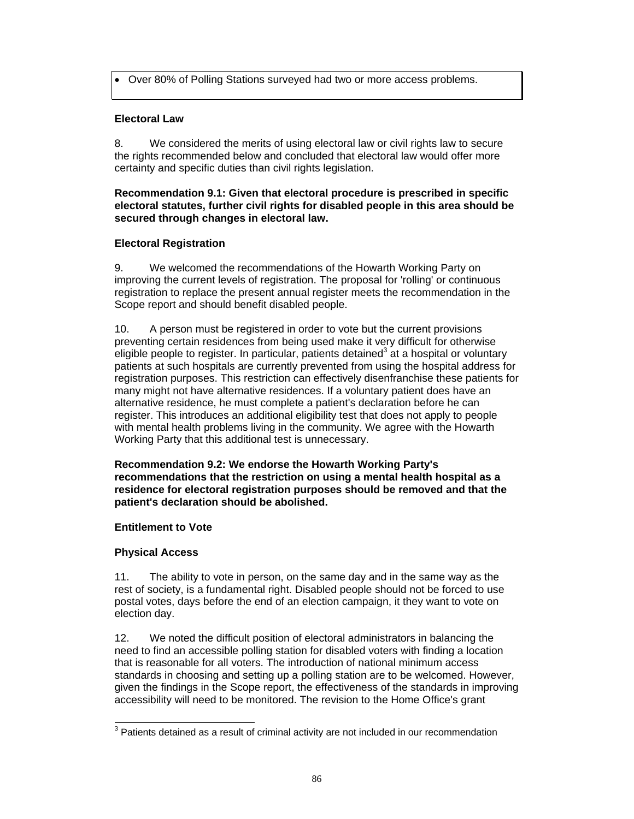• Over 80% of Polling Stations surveyed had two or more access problems.

# **Electoral Law**

8. We considered the merits of using electoral law or civil rights law to secure the rights recommended below and concluded that electoral law would offer more certainty and specific duties than civil rights legislation.

### **Recommendation 9.1: Given that electoral procedure is prescribed in specific electoral statutes, further civil rights for disabled people in this area should be secured through changes in electoral law.**

# **Electoral Registration**

9. We welcomed the recommendations of the Howarth Working Party on improving the current levels of registration. The proposal for 'rolling' or continuous registration to replace the present annual register meets the recommendation in the Scope report and should benefit disabled people.

10. A person must be registered in order to vote but the current provisions preventing certain residences from being used make it very difficult for otherwise eligible people to register. In particular, patients detained<sup>3</sup> at a hospital or voluntary patients at such hospitals are currently prevented from using the hospital address for registration purposes. This restriction can effectively disenfranchise these patients for many might not have alternative residences. If a voluntary patient does have an alternative residence, he must complete a patient's declaration before he can register. This introduces an additional eligibility test that does not apply to people with mental health problems living in the community. We agree with the Howarth Working Party that this additional test is unnecessary.

**Recommendation 9.2: We endorse the Howarth Working Party's recommendations that the restriction on using a mental health hospital as a residence for electoral registration purposes should be removed and that the patient's declaration should be abolished.** 

# **Entitlement to Vote**

# **Physical Access**

11. The ability to vote in person, on the same day and in the same way as the rest of society, is a fundamental right. Disabled people should not be forced to use postal votes, days before the end of an election campaign, it they want to vote on election day.

12. We noted the difficult position of electoral administrators in balancing the need to find an accessible polling station for disabled voters with finding a location that is reasonable for all voters. The introduction of national minimum access standards in choosing and setting up a polling station are to be welcomed. However, given the findings in the Scope report, the effectiveness of the standards in improving accessibility will need to be monitored. The revision to the Home Office's grant

 $\overline{a}$  $3$  Patients detained as a result of criminal activity are not included in our recommendation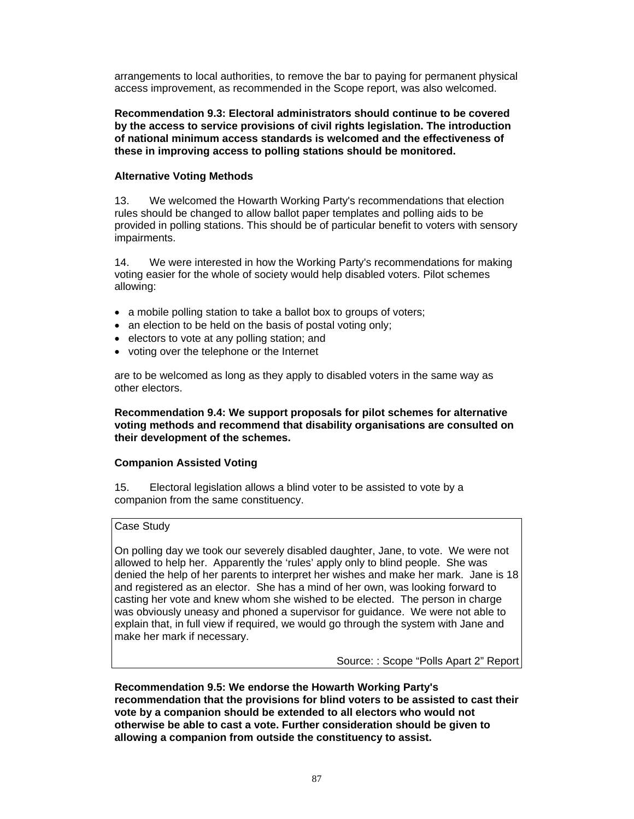arrangements to local authorities, to remove the bar to paying for permanent physical access improvement, as recommended in the Scope report, was also welcomed.

**Recommendation 9.3: Electoral administrators should continue to be covered by the access to service provisions of civil rights legislation. The introduction of national minimum access standards is welcomed and the effectiveness of these in improving access to polling stations should be monitored.** 

### **Alternative Voting Methods**

13. We welcomed the Howarth Working Party's recommendations that election rules should be changed to allow ballot paper templates and polling aids to be provided in polling stations. This should be of particular benefit to voters with sensory impairments.

14. We were interested in how the Working Party's recommendations for making voting easier for the whole of society would help disabled voters. Pilot schemes allowing:

- a mobile polling station to take a ballot box to groups of voters;
- an election to be held on the basis of postal voting only;
- electors to vote at any polling station; and
- voting over the telephone or the Internet

are to be welcomed as long as they apply to disabled voters in the same way as other electors.

### **Recommendation 9.4: We support proposals for pilot schemes for alternative voting methods and recommend that disability organisations are consulted on their development of the schemes.**

# **Companion Assisted Voting**

15. Electoral legislation allows a blind voter to be assisted to vote by a companion from the same constituency.

### Case Study

On polling day we took our severely disabled daughter, Jane, to vote. We were not allowed to help her. Apparently the 'rules' apply only to blind people. She was denied the help of her parents to interpret her wishes and make her mark. Jane is 18 and registered as an elector. She has a mind of her own, was looking forward to casting her vote and knew whom she wished to be elected. The person in charge was obviously uneasy and phoned a supervisor for guidance. We were not able to explain that, in full view if required, we would go through the system with Jane and make her mark if necessary.

Source: : Scope "Polls Apart 2" Report

**Recommendation 9.5: We endorse the Howarth Working Party's recommendation that the provisions for blind voters to be assisted to cast their vote by a companion should be extended to all electors who would not otherwise be able to cast a vote. Further consideration should be given to allowing a companion from outside the constituency to assist.**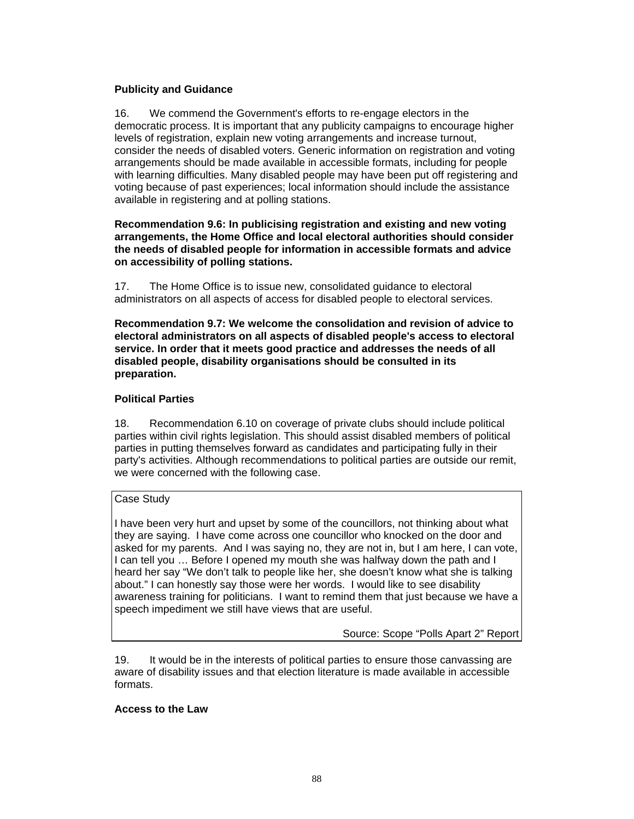### **Publicity and Guidance**

16. We commend the Government's efforts to re-engage electors in the democratic process. It is important that any publicity campaigns to encourage higher levels of registration, explain new voting arrangements and increase turnout, consider the needs of disabled voters. Generic information on registration and voting arrangements should be made available in accessible formats, including for people with learning difficulties. Many disabled people may have been put off registering and voting because of past experiences; local information should include the assistance available in registering and at polling stations.

### **Recommendation 9.6: In publicising registration and existing and new voting arrangements, the Home Office and local electoral authorities should consider the needs of disabled people for information in accessible formats and advice on accessibility of polling stations.**

17. The Home Office is to issue new, consolidated guidance to electoral administrators on all aspects of access for disabled people to electoral services.

**Recommendation 9.7: We welcome the consolidation and revision of advice to electoral administrators on all aspects of disabled people's access to electoral service. In order that it meets good practice and addresses the needs of all disabled people, disability organisations should be consulted in its preparation.** 

# **Political Parties**

18. Recommendation 6.10 on coverage of private clubs should include political parties within civil rights legislation. This should assist disabled members of political parties in putting themselves forward as candidates and participating fully in their party's activities. Although recommendations to political parties are outside our remit, we were concerned with the following case.

#### Case Study

I have been very hurt and upset by some of the councillors, not thinking about what they are saying. I have come across one councillor who knocked on the door and asked for my parents. And I was saying no, they are not in, but I am here, I can vote, I can tell you … Before I opened my mouth she was halfway down the path and I heard her say "We don't talk to people like her, she doesn't know what she is talking about." I can honestly say those were her words. I would like to see disability awareness training for politicians. I want to remind them that just because we have a speech impediment we still have views that are useful.

Source: Scope "Polls Apart 2" Report

19. It would be in the interests of political parties to ensure those canvassing are aware of disability issues and that election literature is made available in accessible formats.

#### **Access to the Law**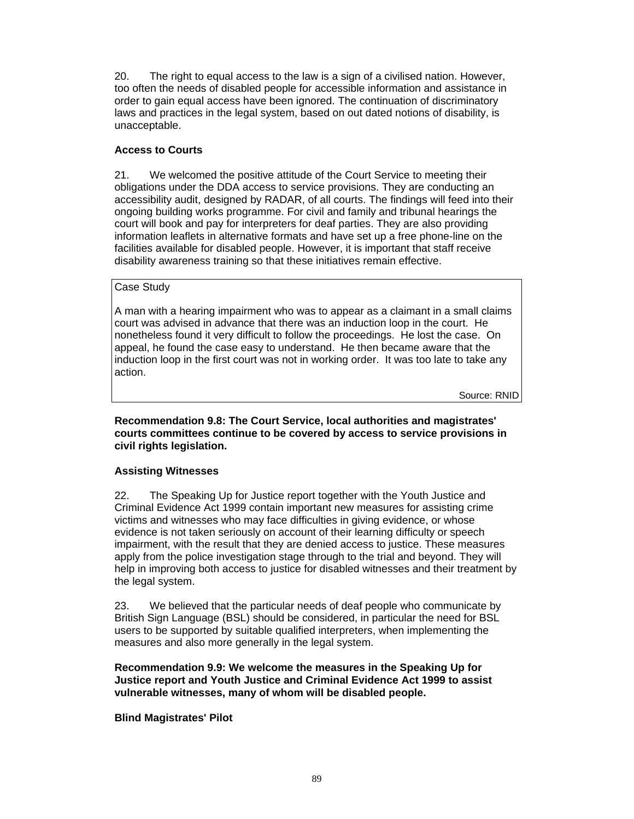20. The right to equal access to the law is a sign of a civilised nation. However, too often the needs of disabled people for accessible information and assistance in order to gain equal access have been ignored. The continuation of discriminatory laws and practices in the legal system, based on out dated notions of disability, is unacceptable.

# **Access to Courts**

21. We welcomed the positive attitude of the Court Service to meeting their obligations under the DDA access to service provisions. They are conducting an accessibility audit, designed by RADAR, of all courts. The findings will feed into their ongoing building works programme. For civil and family and tribunal hearings the court will book and pay for interpreters for deaf parties. They are also providing information leaflets in alternative formats and have set up a free phone-line on the facilities available for disabled people. However, it is important that staff receive disability awareness training so that these initiatives remain effective.

### Case Study

A man with a hearing impairment who was to appear as a claimant in a small claims court was advised in advance that there was an induction loop in the court. He nonetheless found it very difficult to follow the proceedings. He lost the case. On appeal, he found the case easy to understand. He then became aware that the induction loop in the first court was not in working order. It was too late to take any action.

Source: RNID

**Recommendation 9.8: The Court Service, local authorities and magistrates' courts committees continue to be covered by access to service provisions in civil rights legislation.** 

# **Assisting Witnesses**

22. The Speaking Up for Justice report together with the Youth Justice and Criminal Evidence Act 1999 contain important new measures for assisting crime victims and witnesses who may face difficulties in giving evidence, or whose evidence is not taken seriously on account of their learning difficulty or speech impairment, with the result that they are denied access to justice. These measures apply from the police investigation stage through to the trial and beyond. They will help in improving both access to justice for disabled witnesses and their treatment by the legal system.

23. We believed that the particular needs of deaf people who communicate by British Sign Language (BSL) should be considered, in particular the need for BSL users to be supported by suitable qualified interpreters, when implementing the measures and also more generally in the legal system.

**Recommendation 9.9: We welcome the measures in the Speaking Up for Justice report and Youth Justice and Criminal Evidence Act 1999 to assist vulnerable witnesses, many of whom will be disabled people.** 

**Blind Magistrates' Pilot**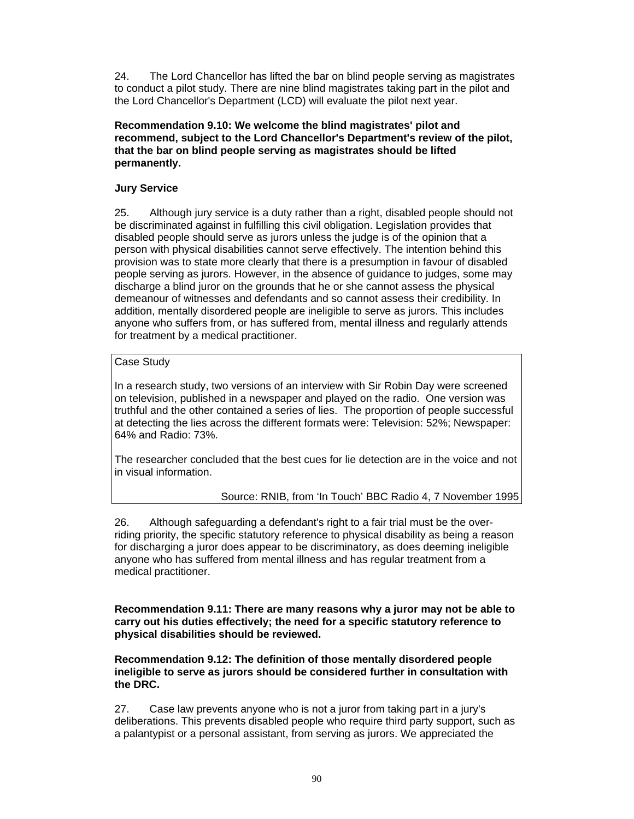24. The Lord Chancellor has lifted the bar on blind people serving as magistrates to conduct a pilot study. There are nine blind magistrates taking part in the pilot and the Lord Chancellor's Department (LCD) will evaluate the pilot next year.

**Recommendation 9.10: We welcome the blind magistrates' pilot and recommend, subject to the Lord Chancellor's Department's review of the pilot, that the bar on blind people serving as magistrates should be lifted permanently.** 

### **Jury Service**

25. Although jury service is a duty rather than a right, disabled people should not be discriminated against in fulfilling this civil obligation. Legislation provides that disabled people should serve as jurors unless the judge is of the opinion that a person with physical disabilities cannot serve effectively. The intention behind this provision was to state more clearly that there is a presumption in favour of disabled people serving as jurors. However, in the absence of guidance to judges, some may discharge a blind juror on the grounds that he or she cannot assess the physical demeanour of witnesses and defendants and so cannot assess their credibility. In addition, mentally disordered people are ineligible to serve as jurors. This includes anyone who suffers from, or has suffered from, mental illness and regularly attends for treatment by a medical practitioner.

# Case Study

In a research study, two versions of an interview with Sir Robin Day were screened on television, published in a newspaper and played on the radio. One version was truthful and the other contained a series of lies. The proportion of people successful at detecting the lies across the different formats were: Television: 52%; Newspaper: 64% and Radio: 73%.

The researcher concluded that the best cues for lie detection are in the voice and not in visual information.

Source: RNIB, from 'In Touch' BBC Radio 4, 7 November 1995

26. Although safeguarding a defendant's right to a fair trial must be the overriding priority, the specific statutory reference to physical disability as being a reason for discharging a juror does appear to be discriminatory, as does deeming ineligible anyone who has suffered from mental illness and has regular treatment from a medical practitioner.

**Recommendation 9.11: There are many reasons why a juror may not be able to carry out his duties effectively; the need for a specific statutory reference to physical disabilities should be reviewed.** 

**Recommendation 9.12: The definition of those mentally disordered people ineligible to serve as jurors should be considered further in consultation with the DRC.** 

27. Case law prevents anyone who is not a juror from taking part in a jury's deliberations. This prevents disabled people who require third party support, such as a palantypist or a personal assistant, from serving as jurors. We appreciated the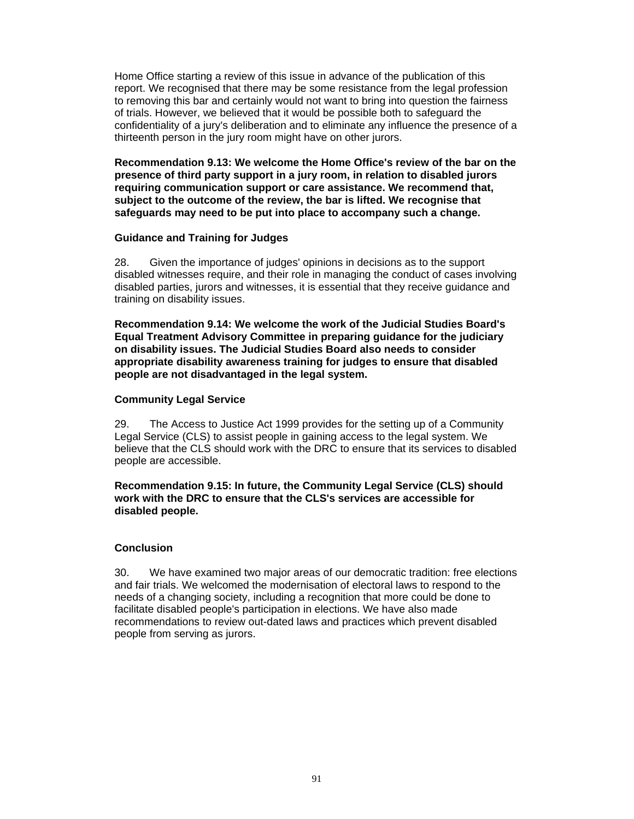Home Office starting a review of this issue in advance of the publication of this report. We recognised that there may be some resistance from the legal profession to removing this bar and certainly would not want to bring into question the fairness of trials. However, we believed that it would be possible both to safeguard the confidentiality of a jury's deliberation and to eliminate any influence the presence of a thirteenth person in the jury room might have on other jurors.

**Recommendation 9.13: We welcome the Home Office's review of the bar on the presence of third party support in a jury room, in relation to disabled jurors requiring communication support or care assistance. We recommend that, subject to the outcome of the review, the bar is lifted. We recognise that safeguards may need to be put into place to accompany such a change.** 

#### **Guidance and Training for Judges**

28. Given the importance of judges' opinions in decisions as to the support disabled witnesses require, and their role in managing the conduct of cases involving disabled parties, jurors and witnesses, it is essential that they receive guidance and training on disability issues.

**Recommendation 9.14: We welcome the work of the Judicial Studies Board's Equal Treatment Advisory Committee in preparing guidance for the judiciary on disability issues. The Judicial Studies Board also needs to consider appropriate disability awareness training for judges to ensure that disabled people are not disadvantaged in the legal system.** 

### **Community Legal Service**

29. The Access to Justice Act 1999 provides for the setting up of a Community Legal Service (CLS) to assist people in gaining access to the legal system. We believe that the CLS should work with the DRC to ensure that its services to disabled people are accessible.

### **Recommendation 9.15: In future, the Community Legal Service (CLS) should work with the DRC to ensure that the CLS's services are accessible for disabled people.**

# **Conclusion**

30. We have examined two major areas of our democratic tradition: free elections and fair trials. We welcomed the modernisation of electoral laws to respond to the needs of a changing society, including a recognition that more could be done to facilitate disabled people's participation in elections. We have also made recommendations to review out-dated laws and practices which prevent disabled people from serving as jurors.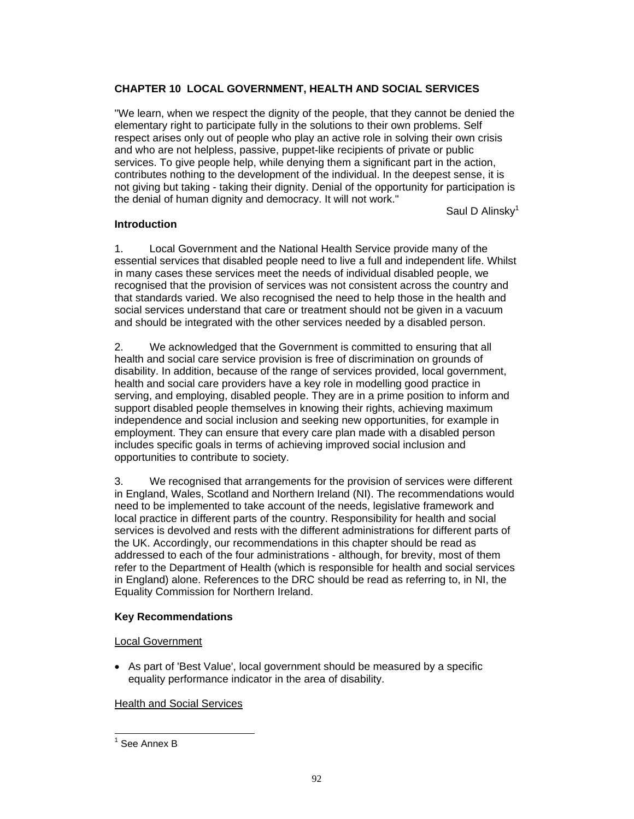# **CHAPTER 10 LOCAL GOVERNMENT, HEALTH AND SOCIAL SERVICES**

"We learn, when we respect the dignity of the people, that they cannot be denied the elementary right to participate fully in the solutions to their own problems. Self respect arises only out of people who play an active role in solving their own crisis and who are not helpless, passive, puppet-like recipients of private or public services. To give people help, while denying them a significant part in the action, contributes nothing to the development of the individual. In the deepest sense, it is not giving but taking - taking their dignity. Denial of the opportunity for participation is the denial of human dignity and democracy. It will not work."

Saul D Alinsky<sup>1</sup>

### **Introduction**

1. Local Government and the National Health Service provide many of the essential services that disabled people need to live a full and independent life. Whilst in many cases these services meet the needs of individual disabled people, we recognised that the provision of services was not consistent across the country and that standards varied. We also recognised the need to help those in the health and social services understand that care or treatment should not be given in a vacuum and should be integrated with the other services needed by a disabled person.

2. We acknowledged that the Government is committed to ensuring that all health and social care service provision is free of discrimination on grounds of disability. In addition, because of the range of services provided, local government, health and social care providers have a key role in modelling good practice in serving, and employing, disabled people. They are in a prime position to inform and support disabled people themselves in knowing their rights, achieving maximum independence and social inclusion and seeking new opportunities, for example in employment. They can ensure that every care plan made with a disabled person includes specific goals in terms of achieving improved social inclusion and opportunities to contribute to society.

3. We recognised that arrangements for the provision of services were different in England, Wales, Scotland and Northern Ireland (NI). The recommendations would need to be implemented to take account of the needs, legislative framework and local practice in different parts of the country. Responsibility for health and social services is devolved and rests with the different administrations for different parts of the UK. Accordingly, our recommendations in this chapter should be read as addressed to each of the four administrations - although, for brevity, most of them refer to the Department of Health (which is responsible for health and social services in England) alone. References to the DRC should be read as referring to, in NI, the Equality Commission for Northern Ireland.

#### **Key Recommendations**

#### Local Government

• As part of 'Best Value', local government should be measured by a specific equality performance indicator in the area of disability.

Health and Social Services

 $\overline{a}$ 

<sup>&</sup>lt;sup>1</sup> See Annex B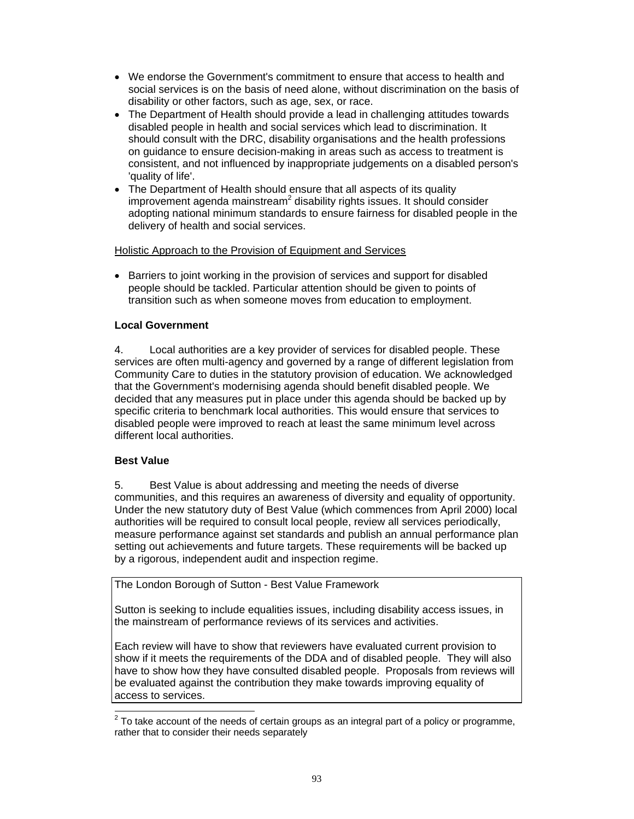- We endorse the Government's commitment to ensure that access to health and social services is on the basis of need alone, without discrimination on the basis of disability or other factors, such as age, sex, or race.
- The Department of Health should provide a lead in challenging attitudes towards disabled people in health and social services which lead to discrimination. It should consult with the DRC, disability organisations and the health professions on guidance to ensure decision-making in areas such as access to treatment is consistent, and not influenced by inappropriate judgements on a disabled person's 'quality of life'.
- The Department of Health should ensure that all aspects of its quality improvement agenda mainstream<sup>2</sup> disability rights issues. It should consider adopting national minimum standards to ensure fairness for disabled people in the delivery of health and social services.

# Holistic Approach to the Provision of Equipment and Services

• Barriers to joint working in the provision of services and support for disabled people should be tackled. Particular attention should be given to points of transition such as when someone moves from education to employment.

# **Local Government**

4. Local authorities are a key provider of services for disabled people. These services are often multi-agency and governed by a range of different legislation from Community Care to duties in the statutory provision of education. We acknowledged that the Government's modernising agenda should benefit disabled people. We decided that any measures put in place under this agenda should be backed up by specific criteria to benchmark local authorities. This would ensure that services to disabled people were improved to reach at least the same minimum level across different local authorities.

# **Best Value**

5. Best Value is about addressing and meeting the needs of diverse communities, and this requires an awareness of diversity and equality of opportunity. Under the new statutory duty of Best Value (which commences from April 2000) local authorities will be required to consult local people, review all services periodically, measure performance against set standards and publish an annual performance plan setting out achievements and future targets. These requirements will be backed up by a rigorous, independent audit and inspection regime.

The London Borough of Sutton - Best Value Framework

Sutton is seeking to include equalities issues, including disability access issues, in the mainstream of performance reviews of its services and activities.

Each review will have to show that reviewers have evaluated current provision to show if it meets the requirements of the DDA and of disabled people. They will also have to show how they have consulted disabled people. Proposals from reviews will be evaluated against the contribution they make towards improving equality of access to services.

<sup>&</sup>lt;sup>2</sup> To take account of the needs of certain groups as an integral part of a policy or programme, rather that to consider their needs separately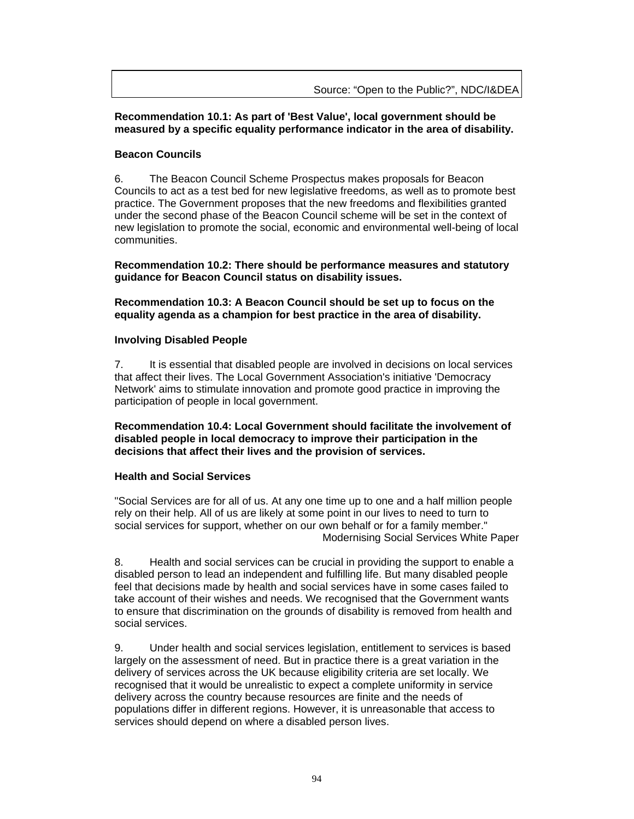# **Recommendation 10.1: As part of 'Best Value', local government should be measured by a specific equality performance indicator in the area of disability.**

# **Beacon Councils**

6. The Beacon Council Scheme Prospectus makes proposals for Beacon Councils to act as a test bed for new legislative freedoms, as well as to promote best practice. The Government proposes that the new freedoms and flexibilities granted under the second phase of the Beacon Council scheme will be set in the context of new legislation to promote the social, economic and environmental well-being of local communities.

**Recommendation 10.2: There should be performance measures and statutory guidance for Beacon Council status on disability issues.** 

**Recommendation 10.3: A Beacon Council should be set up to focus on the equality agenda as a champion for best practice in the area of disability.** 

# **Involving Disabled People**

7. It is essential that disabled people are involved in decisions on local services that affect their lives. The Local Government Association's initiative 'Democracy Network' aims to stimulate innovation and promote good practice in improving the participation of people in local government.

**Recommendation 10.4: Local Government should facilitate the involvement of disabled people in local democracy to improve their participation in the decisions that affect their lives and the provision of services.** 

# **Health and Social Services**

"Social Services are for all of us. At any one time up to one and a half million people rely on their help. All of us are likely at some point in our lives to need to turn to social services for support, whether on our own behalf or for a family member." Modernising Social Services White Paper

8. Health and social services can be crucial in providing the support to enable a disabled person to lead an independent and fulfilling life. But many disabled people feel that decisions made by health and social services have in some cases failed to take account of their wishes and needs. We recognised that the Government wants to ensure that discrimination on the grounds of disability is removed from health and social services.

9. Under health and social services legislation, entitlement to services is based largely on the assessment of need. But in practice there is a great variation in the delivery of services across the UK because eligibility criteria are set locally. We recognised that it would be unrealistic to expect a complete uniformity in service delivery across the country because resources are finite and the needs of populations differ in different regions. However, it is unreasonable that access to services should depend on where a disabled person lives.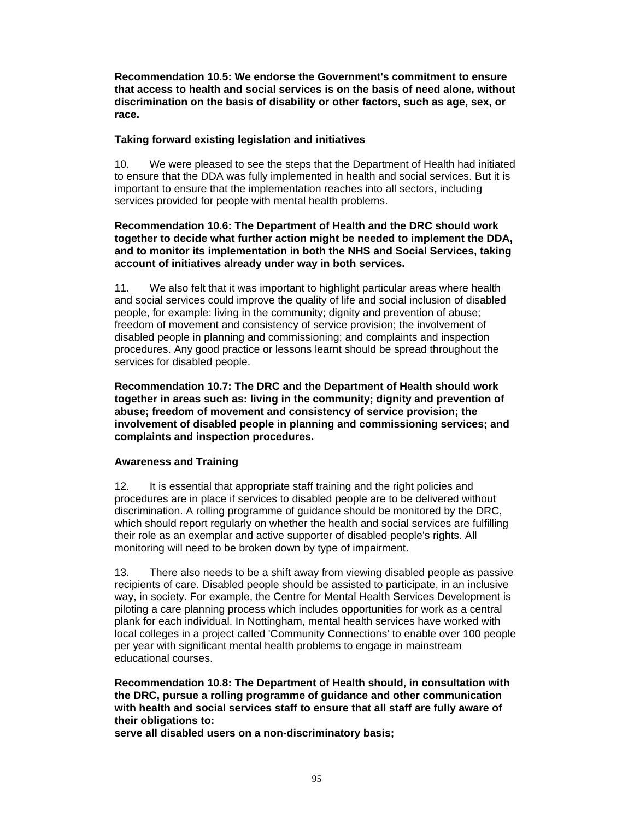**Recommendation 10.5: We endorse the Government's commitment to ensure that access to health and social services is on the basis of need alone, without discrimination on the basis of disability or other factors, such as age, sex, or race.** 

### **Taking forward existing legislation and initiatives**

10. We were pleased to see the steps that the Department of Health had initiated to ensure that the DDA was fully implemented in health and social services. But it is important to ensure that the implementation reaches into all sectors, including services provided for people with mental health problems.

### **Recommendation 10.6: The Department of Health and the DRC should work together to decide what further action might be needed to implement the DDA, and to monitor its implementation in both the NHS and Social Services, taking account of initiatives already under way in both services.**

11. We also felt that it was important to highlight particular areas where health and social services could improve the quality of life and social inclusion of disabled people, for example: living in the community; dignity and prevention of abuse; freedom of movement and consistency of service provision; the involvement of disabled people in planning and commissioning; and complaints and inspection procedures. Any good practice or lessons learnt should be spread throughout the services for disabled people.

**Recommendation 10.7: The DRC and the Department of Health should work together in areas such as: living in the community; dignity and prevention of abuse; freedom of movement and consistency of service provision; the involvement of disabled people in planning and commissioning services; and complaints and inspection procedures.** 

# **Awareness and Training**

12. It is essential that appropriate staff training and the right policies and procedures are in place if services to disabled people are to be delivered without discrimination. A rolling programme of guidance should be monitored by the DRC, which should report regularly on whether the health and social services are fulfilling their role as an exemplar and active supporter of disabled people's rights. All monitoring will need to be broken down by type of impairment.

13. There also needs to be a shift away from viewing disabled people as passive recipients of care. Disabled people should be assisted to participate, in an inclusive way, in society. For example, the Centre for Mental Health Services Development is piloting a care planning process which includes opportunities for work as a central plank for each individual. In Nottingham, mental health services have worked with local colleges in a project called 'Community Connections' to enable over 100 people per year with significant mental health problems to engage in mainstream educational courses.

**Recommendation 10.8: The Department of Health should, in consultation with the DRC, pursue a rolling programme of guidance and other communication with health and social services staff to ensure that all staff are fully aware of their obligations to:** 

**serve all disabled users on a non-discriminatory basis;**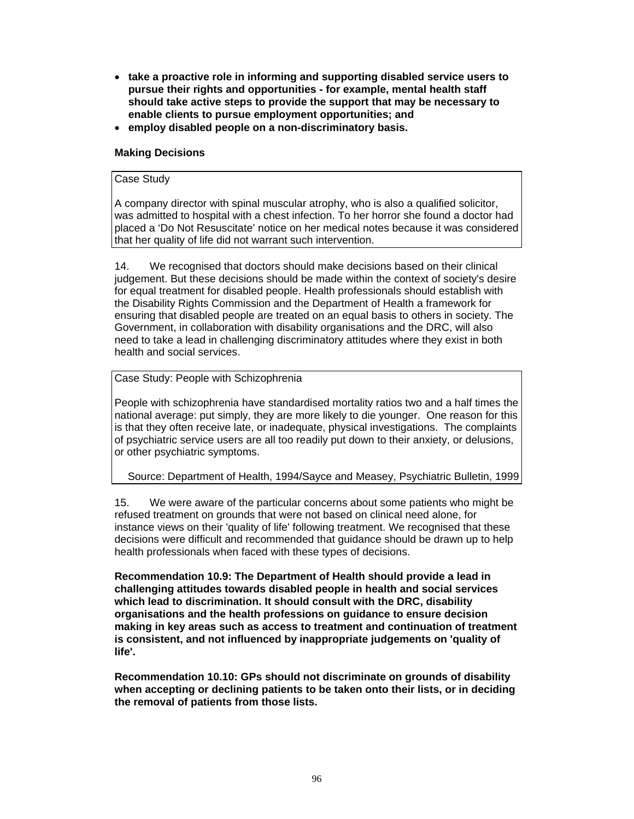- **take a proactive role in informing and supporting disabled service users to pursue their rights and opportunities - for example, mental health staff should take active steps to provide the support that may be necessary to enable clients to pursue employment opportunities; and**
- **employ disabled people on a non-discriminatory basis.**

# **Making Decisions**

### Case Study

A company director with spinal muscular atrophy, who is also a qualified solicitor, was admitted to hospital with a chest infection. To her horror she found a doctor had placed a 'Do Not Resuscitate' notice on her medical notes because it was considered that her quality of life did not warrant such intervention.

14. We recognised that doctors should make decisions based on their clinical judgement. But these decisions should be made within the context of society's desire for equal treatment for disabled people. Health professionals should establish with the Disability Rights Commission and the Department of Health a framework for ensuring that disabled people are treated on an equal basis to others in society. The Government, in collaboration with disability organisations and the DRC, will also need to take a lead in challenging discriminatory attitudes where they exist in both health and social services.

# Case Study: People with Schizophrenia

People with schizophrenia have standardised mortality ratios two and a half times the national average: put simply, they are more likely to die younger. One reason for this is that they often receive late, or inadequate, physical investigations. The complaints of psychiatric service users are all too readily put down to their anxiety, or delusions, or other psychiatric symptoms.

# Source: Department of Health, 1994/Sayce and Measey, Psychiatric Bulletin, 1999

15. We were aware of the particular concerns about some patients who might be refused treatment on grounds that were not based on clinical need alone, for instance views on their 'quality of life' following treatment. We recognised that these decisions were difficult and recommended that guidance should be drawn up to help health professionals when faced with these types of decisions.

**Recommendation 10.9: The Department of Health should provide a lead in challenging attitudes towards disabled people in health and social services which lead to discrimination. It should consult with the DRC, disability organisations and the health professions on guidance to ensure decision making in key areas such as access to treatment and continuation of treatment is consistent, and not influenced by inappropriate judgements on 'quality of life'.** 

**Recommendation 10.10: GPs should not discriminate on grounds of disability when accepting or declining patients to be taken onto their lists, or in deciding the removal of patients from those lists.**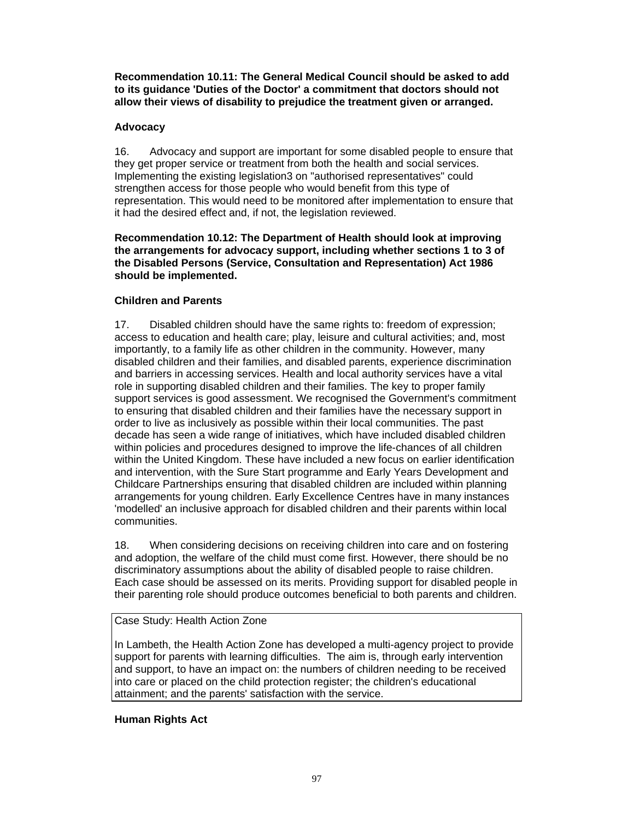**Recommendation 10.11: The General Medical Council should be asked to add to its guidance 'Duties of the Doctor' a commitment that doctors should not allow their views of disability to prejudice the treatment given or arranged.** 

# **Advocacy**

16. Advocacy and support are important for some disabled people to ensure that they get proper service or treatment from both the health and social services. Implementing the existing legislation3 on "authorised representatives" could strengthen access for those people who would benefit from this type of representation. This would need to be monitored after implementation to ensure that it had the desired effect and, if not, the legislation reviewed.

### **Recommendation 10.12: The Department of Health should look at improving the arrangements for advocacy support, including whether sections 1 to 3 of the Disabled Persons (Service, Consultation and Representation) Act 1986 should be implemented.**

# **Children and Parents**

17. Disabled children should have the same rights to: freedom of expression; access to education and health care; play, leisure and cultural activities; and, most importantly, to a family life as other children in the community. However, many disabled children and their families, and disabled parents, experience discrimination and barriers in accessing services. Health and local authority services have a vital role in supporting disabled children and their families. The key to proper family support services is good assessment. We recognised the Government's commitment to ensuring that disabled children and their families have the necessary support in order to live as inclusively as possible within their local communities. The past decade has seen a wide range of initiatives, which have included disabled children within policies and procedures designed to improve the life-chances of all children within the United Kingdom. These have included a new focus on earlier identification and intervention, with the Sure Start programme and Early Years Development and Childcare Partnerships ensuring that disabled children are included within planning arrangements for young children. Early Excellence Centres have in many instances 'modelled' an inclusive approach for disabled children and their parents within local communities.

18. When considering decisions on receiving children into care and on fostering and adoption, the welfare of the child must come first. However, there should be no discriminatory assumptions about the ability of disabled people to raise children. Each case should be assessed on its merits. Providing support for disabled people in their parenting role should produce outcomes beneficial to both parents and children.

#### Case Study: Health Action Zone

In Lambeth, the Health Action Zone has developed a multi-agency project to provide support for parents with learning difficulties. The aim is, through early intervention and support, to have an impact on: the numbers of children needing to be received into care or placed on the child protection register; the children's educational attainment; and the parents' satisfaction with the service.

# **Human Rights Act**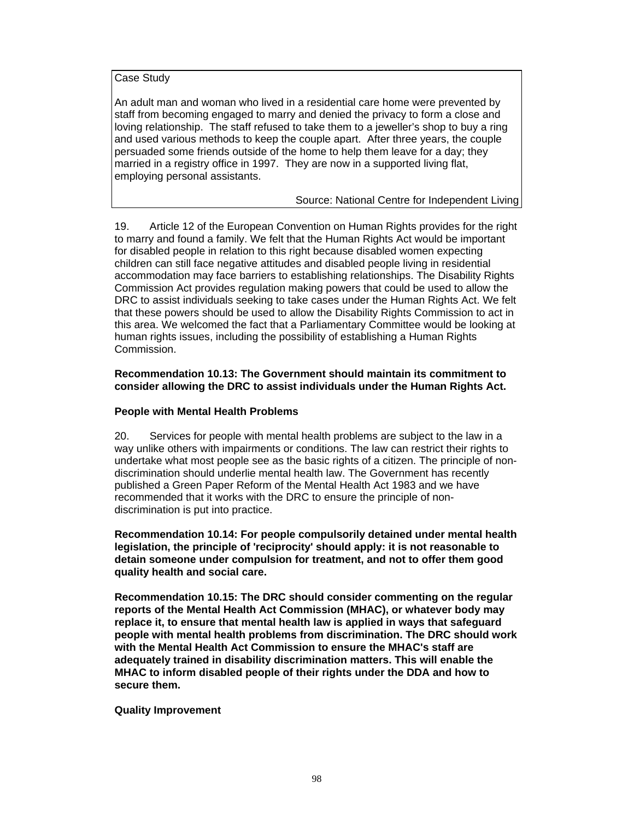Case Study

An adult man and woman who lived in a residential care home were prevented by staff from becoming engaged to marry and denied the privacy to form a close and loving relationship. The staff refused to take them to a jeweller's shop to buy a ring and used various methods to keep the couple apart. After three years, the couple persuaded some friends outside of the home to help them leave for a day; they married in a registry office in 1997. They are now in a supported living flat, employing personal assistants.

Source: National Centre for Independent Living

19. Article 12 of the European Convention on Human Rights provides for the right to marry and found a family. We felt that the Human Rights Act would be important for disabled people in relation to this right because disabled women expecting children can still face negative attitudes and disabled people living in residential accommodation may face barriers to establishing relationships. The Disability Rights Commission Act provides regulation making powers that could be used to allow the DRC to assist individuals seeking to take cases under the Human Rights Act. We felt that these powers should be used to allow the Disability Rights Commission to act in this area. We welcomed the fact that a Parliamentary Committee would be looking at human rights issues, including the possibility of establishing a Human Rights Commission.

### **Recommendation 10.13: The Government should maintain its commitment to consider allowing the DRC to assist individuals under the Human Rights Act.**

### **People with Mental Health Problems**

20. Services for people with mental health problems are subject to the law in a way unlike others with impairments or conditions. The law can restrict their rights to undertake what most people see as the basic rights of a citizen. The principle of nondiscrimination should underlie mental health law. The Government has recently published a Green Paper Reform of the Mental Health Act 1983 and we have recommended that it works with the DRC to ensure the principle of nondiscrimination is put into practice.

**Recommendation 10.14: For people compulsorily detained under mental health legislation, the principle of 'reciprocity' should apply: it is not reasonable to detain someone under compulsion for treatment, and not to offer them good quality health and social care.** 

**Recommendation 10.15: The DRC should consider commenting on the regular reports of the Mental Health Act Commission (MHAC), or whatever body may replace it, to ensure that mental health law is applied in ways that safeguard people with mental health problems from discrimination. The DRC should work with the Mental Health Act Commission to ensure the MHAC's staff are adequately trained in disability discrimination matters. This will enable the MHAC to inform disabled people of their rights under the DDA and how to secure them.** 

# **Quality Improvement**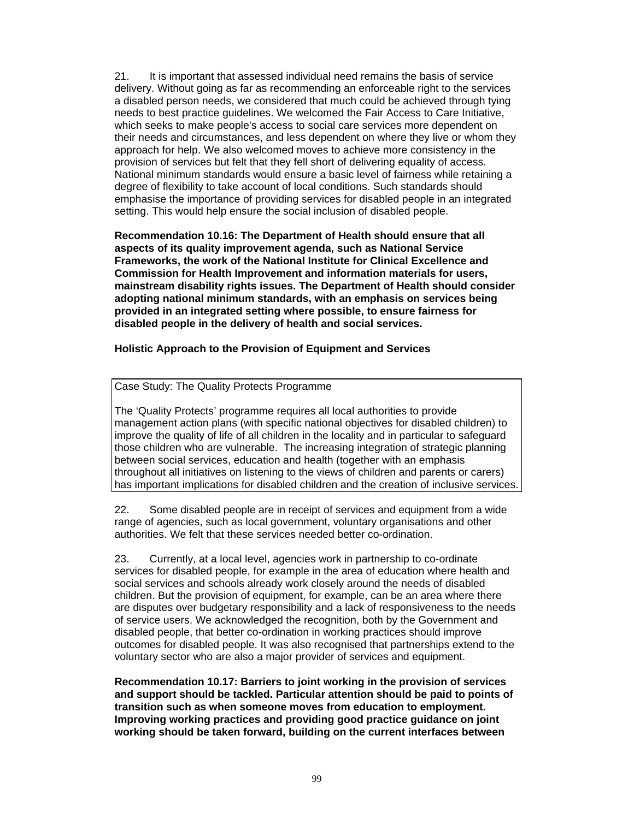21. It is important that assessed individual need remains the basis of service delivery. Without going as far as recommending an enforceable right to the services a disabled person needs, we considered that much could be achieved through tying needs to best practice guidelines. We welcomed the Fair Access to Care Initiative, which seeks to make people's access to social care services more dependent on their needs and circumstances, and less dependent on where they live or whom they approach for help. We also welcomed moves to achieve more consistency in the provision of services but felt that they fell short of delivering equality of access. National minimum standards would ensure a basic level of fairness while retaining a degree of flexibility to take account of local conditions. Such standards should emphasise the importance of providing services for disabled people in an integrated setting. This would help ensure the social inclusion of disabled people.

**Recommendation 10.16: The Department of Health should ensure that all aspects of its quality improvement agenda, such as National Service Frameworks, the work of the National Institute for Clinical Excellence and Commission for Health Improvement and information materials for users, mainstream disability rights issues. The Department of Health should consider adopting national minimum standards, with an emphasis on services being provided in an integrated setting where possible, to ensure fairness for disabled people in the delivery of health and social services.** 

### **Holistic Approach to the Provision of Equipment and Services**

### Case Study: The Quality Protects Programme

The 'Quality Protects' programme requires all local authorities to provide management action plans (with specific national objectives for disabled children) to improve the quality of life of all children in the locality and in particular to safeguard those children who are vulnerable. The increasing integration of strategic planning between social services, education and health (together with an emphasis throughout all initiatives on listening to the views of children and parents or carers) has important implications for disabled children and the creation of inclusive services.

22. Some disabled people are in receipt of services and equipment from a wide range of agencies, such as local government, voluntary organisations and other authorities. We felt that these services needed better co-ordination.

23. Currently, at a local level, agencies work in partnership to co-ordinate services for disabled people, for example in the area of education where health and social services and schools already work closely around the needs of disabled children. But the provision of equipment, for example, can be an area where there are disputes over budgetary responsibility and a lack of responsiveness to the needs of service users. We acknowledged the recognition, both by the Government and disabled people, that better co-ordination in working practices should improve outcomes for disabled people. It was also recognised that partnerships extend to the voluntary sector who are also a major provider of services and equipment.

**Recommendation 10.17: Barriers to joint working in the provision of services and support should be tackled. Particular attention should be paid to points of transition such as when someone moves from education to employment. Improving working practices and providing good practice guidance on joint working should be taken forward, building on the current interfaces between**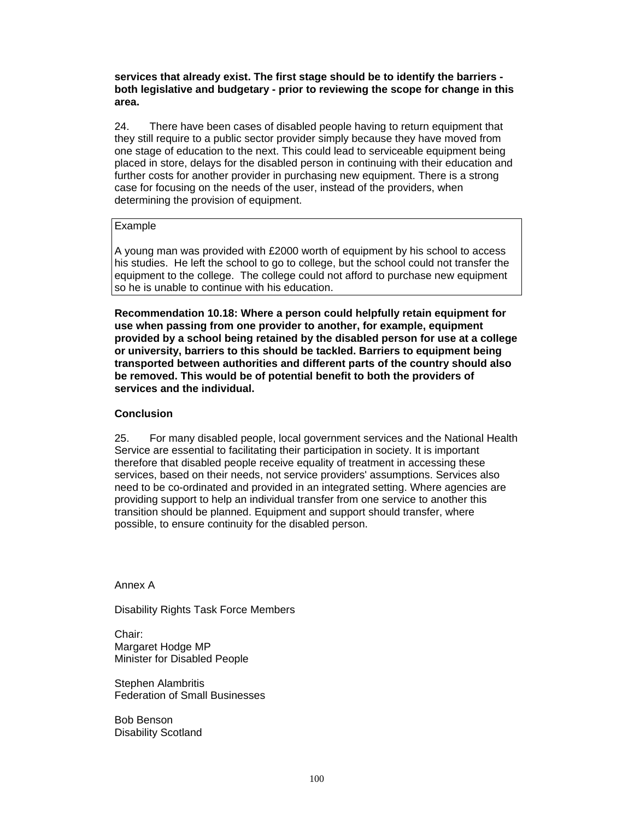**services that already exist. The first stage should be to identify the barriers both legislative and budgetary - prior to reviewing the scope for change in this area.** 

24. There have been cases of disabled people having to return equipment that they still require to a public sector provider simply because they have moved from one stage of education to the next. This could lead to serviceable equipment being placed in store, delays for the disabled person in continuing with their education and further costs for another provider in purchasing new equipment. There is a strong case for focusing on the needs of the user, instead of the providers, when determining the provision of equipment.

### Example

A young man was provided with £2000 worth of equipment by his school to access his studies. He left the school to go to college, but the school could not transfer the equipment to the college. The college could not afford to purchase new equipment so he is unable to continue with his education.

**Recommendation 10.18: Where a person could helpfully retain equipment for use when passing from one provider to another, for example, equipment provided by a school being retained by the disabled person for use at a college or university, barriers to this should be tackled. Barriers to equipment being transported between authorities and different parts of the country should also be removed. This would be of potential benefit to both the providers of services and the individual.**

### **Conclusion**

25. For many disabled people, local government services and the National Health Service are essential to facilitating their participation in society. It is important therefore that disabled people receive equality of treatment in accessing these services, based on their needs, not service providers' assumptions. Services also need to be co-ordinated and provided in an integrated setting. Where agencies are providing support to help an individual transfer from one service to another this transition should be planned. Equipment and support should transfer, where possible, to ensure continuity for the disabled person.

Annex A

Disability Rights Task Force Members

Chair: Margaret Hodge MP Minister for Disabled People

Stephen Alambritis Federation of Small Businesses

Bob Benson Disability Scotland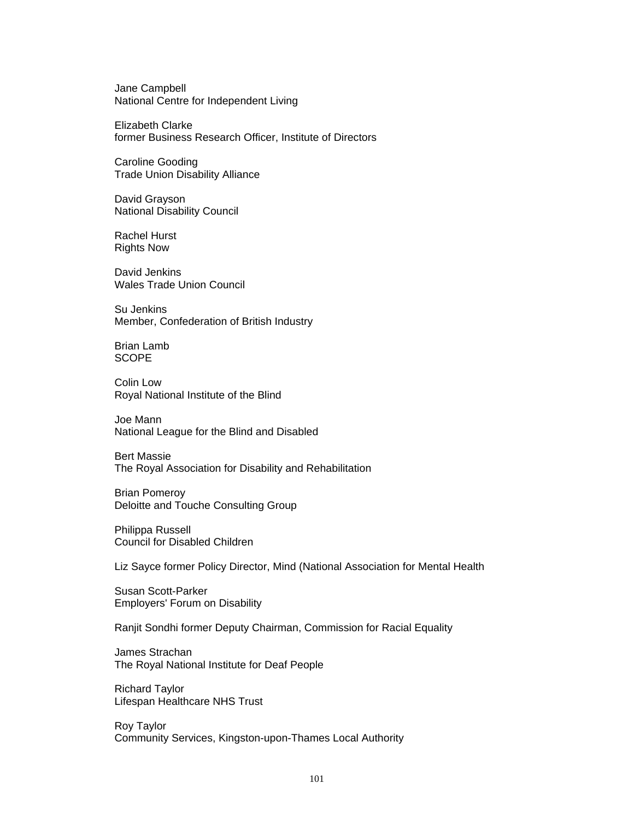Jane Campbell National Centre for Independent Living

Elizabeth Clarke former Business Research Officer, Institute of Directors

Caroline Gooding Trade Union Disability Alliance

David Grayson National Disability Council

Rachel Hurst Rights Now

David Jenkins Wales Trade Union Council

Su Jenkins Member, Confederation of British Industry

Brian Lamb SCOPE

Colin Low Royal National Institute of the Blind

Joe Mann National League for the Blind and Disabled

Bert Massie The Royal Association for Disability and Rehabilitation

Brian Pomeroy Deloitte and Touche Consulting Group

Philippa Russell Council for Disabled Children

Liz Sayce former Policy Director, Mind (National Association for Mental Health

Susan Scott-Parker Employers' Forum on Disability

Ranjit Sondhi former Deputy Chairman, Commission for Racial Equality

James Strachan The Royal National Institute for Deaf People

Richard Taylor Lifespan Healthcare NHS Trust

Roy Taylor Community Services, Kingston-upon-Thames Local Authority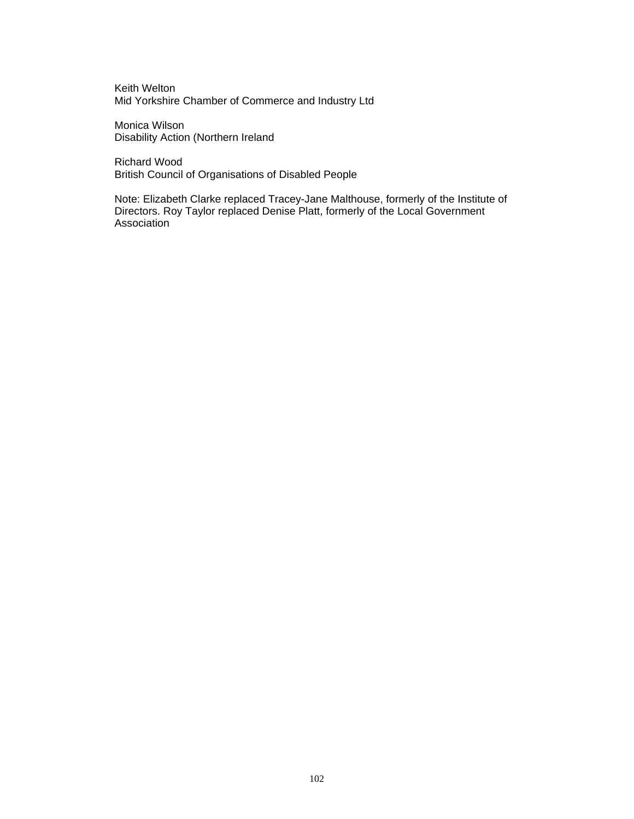Keith Welton Mid Yorkshire Chamber of Commerce and Industry Ltd

Monica Wilson Disability Action (Northern Ireland

Richard Wood British Council of Organisations of Disabled People

Note: Elizabeth Clarke replaced Tracey-Jane Malthouse, formerly of the Institute of Directors. Roy Taylor replaced Denise Platt, formerly of the Local Government Association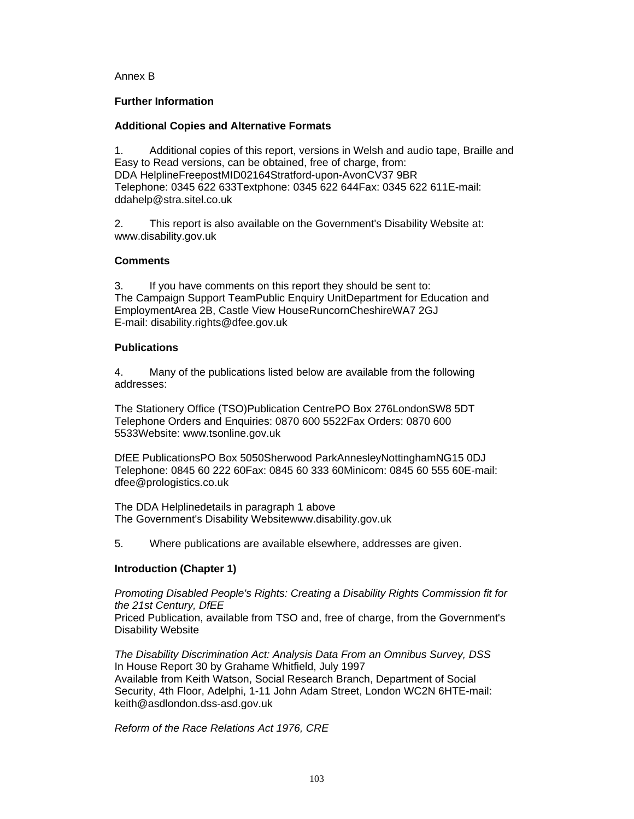### Annex B

### **Further Information**

# **Additional Copies and Alternative Formats**

1. Additional copies of this report, versions in Welsh and audio tape, Braille and Easy to Read versions, can be obtained, free of charge, from: DDA HelplineFreepostMID02164Stratford-upon-AvonCV37 9BR Telephone: 0345 622 633Textphone: 0345 622 644Fax: 0345 622 611E-mail: ddahelp@stra.sitel.co.uk

2. This report is also available on the Government's Disability Website at: www.disability.gov.uk

### **Comments**

3. If you have comments on this report they should be sent to: The Campaign Support TeamPublic Enquiry UnitDepartment for Education and EmploymentArea 2B, Castle View HouseRuncornCheshireWA7 2GJ E-mail: disability.rights@dfee.gov.uk

### **Publications**

4. Many of the publications listed below are available from the following addresses:

The Stationery Office (TSO)Publication CentrePO Box 276LondonSW8 5DT Telephone Orders and Enquiries: 0870 600 5522Fax Orders: 0870 600 5533Website: www.tsonline.gov.uk

DfEE PublicationsPO Box 5050Sherwood ParkAnnesleyNottinghamNG15 0DJ Telephone: 0845 60 222 60Fax: 0845 60 333 60Minicom: 0845 60 555 60E-mail: dfee@prologistics.co.uk

The DDA Helplinedetails in paragraph 1 above The Government's Disability Websitewww.disability.gov.uk

5. Where publications are available elsewhere, addresses are given.

# **Introduction (Chapter 1)**

*Promoting Disabled People's Rights: Creating a Disability Rights Commission fit for the 21st Century, DfEE* Priced Publication, available from TSO and, free of charge, from the Government's Disability Website

*The Disability Discrimination Act: Analysis Data From an Omnibus Survey, DSS* In House Report 30 by Grahame Whitfield, July 1997 Available from Keith Watson, Social Research Branch, Department of Social Security, 4th Floor, Adelphi, 1-11 John Adam Street, London WC2N 6HTE-mail: keith@asdlondon.dss-asd.gov.uk

*Reform of the Race Relations Act 1976, CRE*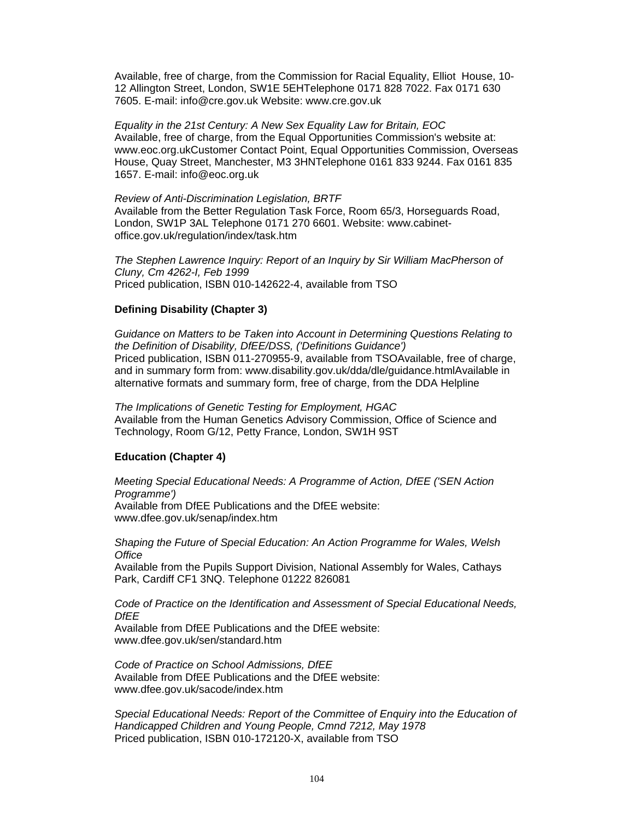Available, free of charge, from the Commission for Racial Equality, Elliot House, 10- 12 Allington Street, London, SW1E 5EHTelephone 0171 828 7022. Fax 0171 630 7605. E-mail: info@cre.gov.uk Website: www.cre.gov.uk

*Equality in the 21st Century: A New Sex Equality Law for Britain, EOC*  Available, free of charge, from the Equal Opportunities Commission's website at: www.eoc.org.ukCustomer Contact Point, Equal Opportunities Commission, Overseas House, Quay Street, Manchester, M3 3HNTelephone 0161 833 9244. Fax 0161 835 1657. E-mail: info@eoc.org.uk

*Review of Anti-Discrimination Legislation, BRTF*  Available from the Better Regulation Task Force, Room 65/3, Horseguards Road, London, SW1P 3AL Telephone 0171 270 6601. Website: www.cabinetoffice.gov.uk/regulation/index/task.htm

*The Stephen Lawrence Inquiry: Report of an Inquiry by Sir William MacPherson of Cluny, Cm 4262-I, Feb 1999* Priced publication, ISBN 010-142622-4, available from TSO

#### **Defining Disability (Chapter 3)**

*Guidance on Matters to be Taken into Account in Determining Questions Relating to the Definition of Disability, DfEE/DSS, ('Definitions Guidance')*  Priced publication, ISBN 011-270955-9, available from TSOAvailable, free of charge, and in summary form from: www.disability.gov.uk/dda/dle/guidance.htmlAvailable in alternative formats and summary form, free of charge, from the DDA Helpline

*The Implications of Genetic Testing for Employment, HGAC*  Available from the Human Genetics Advisory Commission, Office of Science and Technology, Room G/12, Petty France, London, SW1H 9ST

#### **Education (Chapter 4)**

*Meeting Special Educational Needs: A Programme of Action, DfEE ('SEN Action Programme')*  Available from DfEE Publications and the DfEE website: www.dfee.gov.uk/senap/index.htm

*Shaping the Future of Special Education: An Action Programme for Wales, Welsh Office*

Available from the Pupils Support Division, National Assembly for Wales, Cathays Park, Cardiff CF1 3NQ. Telephone 01222 826081

*Code of Practice on the Identification and Assessment of Special Educational Needs, DfEE* 

Available from DfEE Publications and the DfEE website: www.dfee.gov.uk/sen/standard.htm

*Code of Practice on School Admissions, DfEE*  Available from DfEE Publications and the DfEE website: www.dfee.gov.uk/sacode/index.htm

*Special Educational Needs: Report of the Committee of Enquiry into the Education of Handicapped Children and Young People, Cmnd 7212, May 1978* Priced publication, ISBN 010-172120-X, available from TSO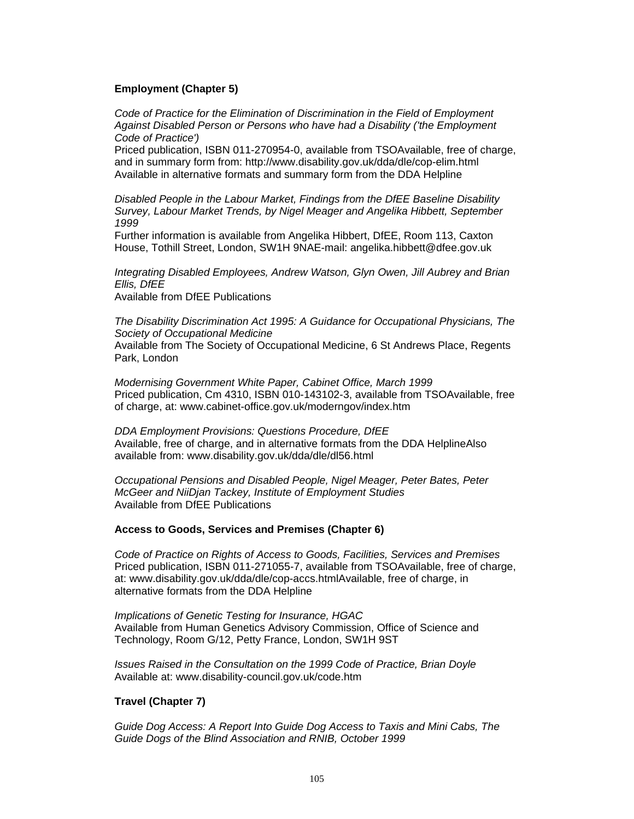# **Employment (Chapter 5)**

*Code of Practice for the Elimination of Discrimination in the Field of Employment Against Disabled Person or Persons who have had a Disability ('the Employment Code of Practice')*

Priced publication, ISBN 011-270954-0, available from TSOAvailable, free of charge, and in summary form from: http://www.disability.gov.uk/dda/dle/cop-elim.html Available in alternative formats and summary form from the DDA Helpline

*Disabled People in the Labour Market, Findings from the DfEE Baseline Disability Survey, Labour Market Trends, by Nigel Meager and Angelika Hibbett, September 1999* 

Further information is available from Angelika Hibbert, DfEE, Room 113, Caxton House, Tothill Street, London, SW1H 9NAE-mail: angelika.hibbett@dfee.gov.uk

*Integrating Disabled Employees, Andrew Watson, Glyn Owen, Jill Aubrey and Brian Ellis, DfEE* Available from DfEE Publications

*The Disability Discrimination Act 1995: A Guidance for Occupational Physicians, The Society of Occupational Medicine*  Available from The Society of Occupational Medicine, 6 St Andrews Place, Regents Park, London

*Modernising Government White Paper, Cabinet Office, March 1999*  Priced publication, Cm 4310, ISBN 010-143102-3, available from TSOAvailable, free of charge, at: www.cabinet-office.gov.uk/moderngov/index.htm

*DDA Employment Provisions: Questions Procedure, DfEE*  Available, free of charge, and in alternative formats from the DDA HelplineAlso available from: www.disability.gov.uk/dda/dle/dl56.html

*Occupational Pensions and Disabled People, Nigel Meager, Peter Bates, Peter McGeer and NiiDjan Tackey, Institute of Employment Studies* Available from DfEE Publications

#### **Access to Goods, Services and Premises (Chapter 6)**

*Code of Practice on Rights of Access to Goods, Facilities, Services and Premises*  Priced publication, ISBN 011-271055-7, available from TSOAvailable, free of charge, at: www.disability.gov.uk/dda/dle/cop-accs.htmlAvailable, free of charge, in alternative formats from the DDA Helpline

*Implications of Genetic Testing for Insurance, HGAC*  Available from Human Genetics Advisory Commission, Office of Science and Technology, Room G/12, Petty France, London, SW1H 9ST

*Issues Raised in the Consultation on the 1999 Code of Practice, Brian Doyle*  Available at: www.disability-council.gov.uk/code.htm

#### **Travel (Chapter 7)**

*Guide Dog Access: A Report Into Guide Dog Access to Taxis and Mini Cabs, The Guide Dogs of the Blind Association and RNIB, October 1999*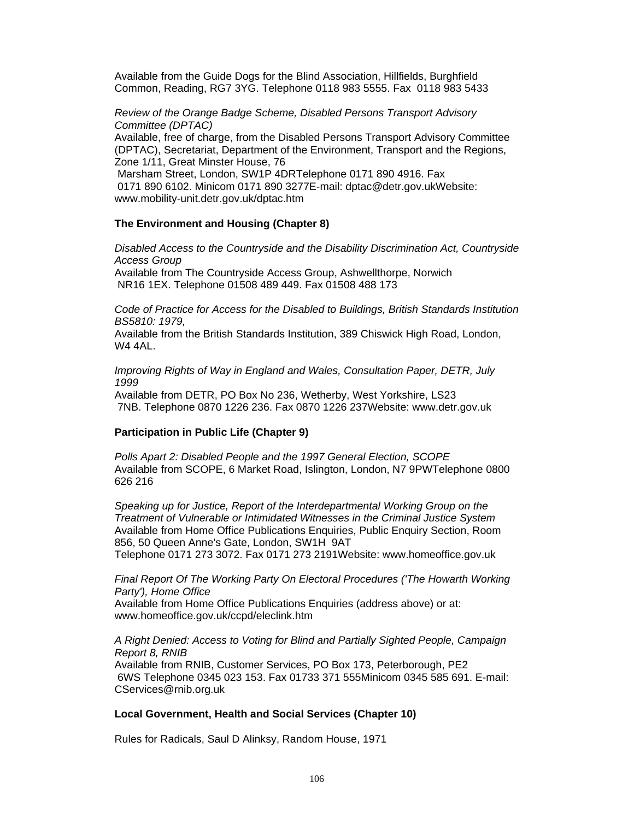Available from the Guide Dogs for the Blind Association, Hillfields, Burghfield Common, Reading, RG7 3YG. Telephone 0118 983 5555. Fax 0118 983 5433

*Review of the Orange Badge Scheme, Disabled Persons Transport Advisory Committee (DPTAC)* 

Available, free of charge, from the Disabled Persons Transport Advisory Committee (DPTAC), Secretariat, Department of the Environment, Transport and the Regions, Zone 1/11, Great Minster House, 76

 Marsham Street, London, SW1P 4DRTelephone 0171 890 4916. Fax 0171 890 6102. Minicom 0171 890 3277E-mail: dptac@detr.gov.ukWebsite: www.mobility-unit.detr.gov.uk/dptac.htm

#### **The Environment and Housing (Chapter 8)**

*Disabled Access to the Countryside and the Disability Discrimination Act, Countryside Access Group* 

Available from The Countryside Access Group, Ashwellthorpe, Norwich NR16 1EX. Telephone 01508 489 449. Fax 01508 488 173

*Code of Practice for Access for the Disabled to Buildings, British Standards Institution BS5810: 1979,* 

Available from the British Standards Institution, 389 Chiswick High Road, London, W4 4AL.

*Improving Rights of Way in England and Wales, Consultation Paper, DETR, July 1999*

Available from DETR, PO Box No 236, Wetherby, West Yorkshire, LS23 7NB. Telephone 0870 1226 236. Fax 0870 1226 237Website: www.detr.gov.uk

### **Participation in Public Life (Chapter 9)**

*Polls Apart 2: Disabled People and the 1997 General Election, SCOPE*  Available from SCOPE, 6 Market Road, Islington, London, N7 9PWTelephone 0800 626 216

*Speaking up for Justice, Report of the Interdepartmental Working Group on the Treatment of Vulnerable or Intimidated Witnesses in the Criminal Justice System*  Available from Home Office Publications Enquiries, Public Enquiry Section, Room 856, 50 Queen Anne's Gate, London, SW1H 9AT

Telephone 0171 273 3072. Fax 0171 273 2191Website: www.homeoffice.gov.uk

*Final Report Of The Working Party On Electoral Procedures ('The Howarth Working Party'), Home Office* 

Available from Home Office Publications Enquiries (address above) or at: www.homeoffice.gov.uk/ccpd/eleclink.htm

#### *A Right Denied: Access to Voting for Blind and Partially Sighted People, Campaign Report 8, RNIB*

Available from RNIB, Customer Services, PO Box 173, Peterborough, PE2 6WS Telephone 0345 023 153. Fax 01733 371 555Minicom 0345 585 691. E-mail: CServices@rnib.org.uk

#### **Local Government, Health and Social Services (Chapter 10)**

Rules for Radicals, Saul D Alinksy, Random House, 1971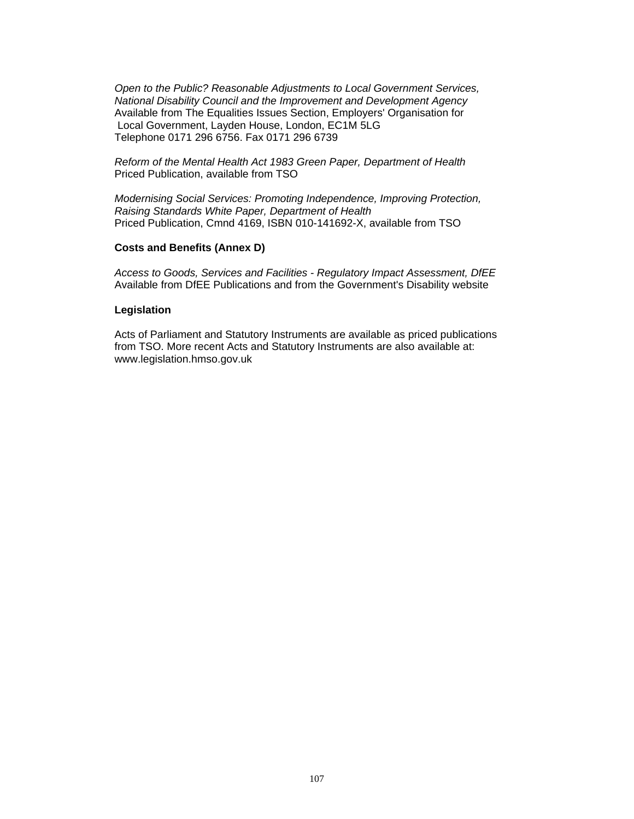*Open to the Public? Reasonable Adjustments to Local Government Services, National Disability Council and the Improvement and Development Agency*  Available from The Equalities Issues Section, Employers' Organisation for Local Government, Layden House, London, EC1M 5LG Telephone 0171 296 6756. Fax 0171 296 6739

*Reform of the Mental Health Act 1983 Green Paper, Department of Health*  Priced Publication, available from TSO

*Modernising Social Services: Promoting Independence, Improving Protection, Raising Standards White Paper, Department of Health*  Priced Publication, Cmnd 4169, ISBN 010-141692-X, available from TSO

#### **Costs and Benefits (Annex D)**

*Access to Goods, Services and Facilities - Regulatory Impact Assessment, DfEE*  Available from DfEE Publications and from the Government's Disability website

#### **Legislation**

Acts of Parliament and Statutory Instruments are available as priced publications from TSO. More recent Acts and Statutory Instruments are also available at: www.legislation.hmso.gov.uk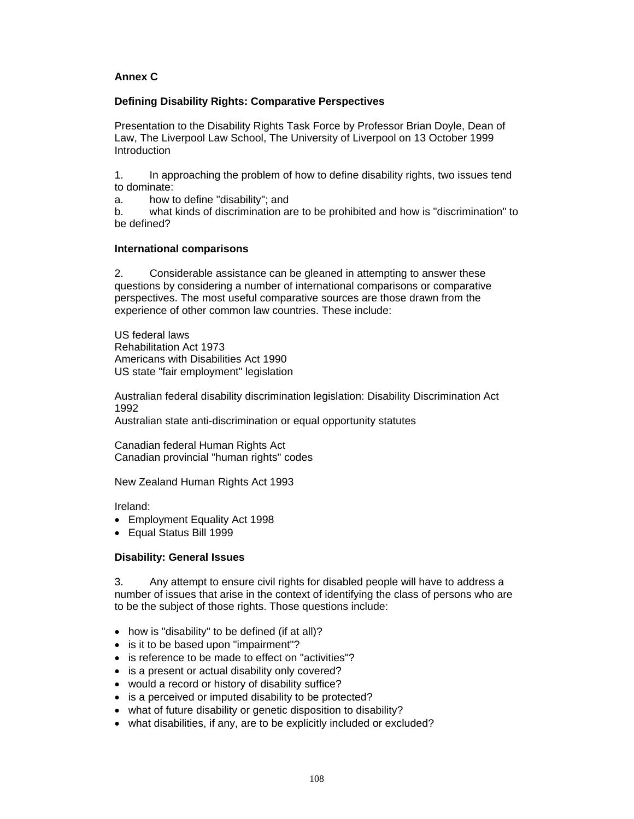# **Annex C**

### **Defining Disability Rights: Comparative Perspectives**

Presentation to the Disability Rights Task Force by Professor Brian Doyle, Dean of Law, The Liverpool Law School, The University of Liverpool on 13 October 1999 **Introduction** 

1. In approaching the problem of how to define disability rights, two issues tend to dominate:

a. how to define "disability"; and

b. what kinds of discrimination are to be prohibited and how is "discrimination" to be defined?

#### **International comparisons**

2. Considerable assistance can be gleaned in attempting to answer these questions by considering a number of international comparisons or comparative perspectives. The most useful comparative sources are those drawn from the experience of other common law countries. These include:

US federal laws Rehabilitation Act 1973 Americans with Disabilities Act 1990 US state "fair employment" legislation

Australian federal disability discrimination legislation: Disability Discrimination Act 1992

Australian state anti-discrimination or equal opportunity statutes

Canadian federal Human Rights Act Canadian provincial "human rights" codes

New Zealand Human Rights Act 1993

Ireland:

- Employment Equality Act 1998
- Equal Status Bill 1999

# **Disability: General Issues**

3. Any attempt to ensure civil rights for disabled people will have to address a number of issues that arise in the context of identifying the class of persons who are to be the subject of those rights. Those questions include:

- how is "disability" to be defined (if at all)?
- is it to be based upon "impairment"?
- is reference to be made to effect on "activities"?
- is a present or actual disability only covered?
- would a record or history of disability suffice?
- is a perceived or imputed disability to be protected?
- what of future disability or genetic disposition to disability?
- what disabilities, if any, are to be explicitly included or excluded?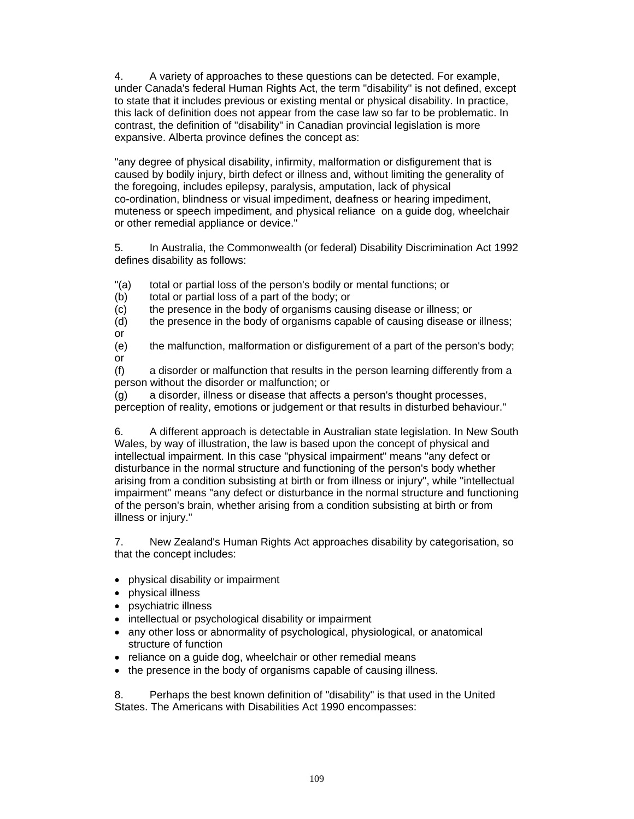4. A variety of approaches to these questions can be detected. For example, under Canada's federal Human Rights Act, the term "disability" is not defined, except to state that it includes previous or existing mental or physical disability. In practice, this lack of definition does not appear from the case law so far to be problematic. In contrast, the definition of "disability" in Canadian provincial legislation is more expansive. Alberta province defines the concept as:

"any degree of physical disability, infirmity, malformation or disfigurement that is caused by bodily injury, birth defect or illness and, without limiting the generality of the foregoing, includes epilepsy, paralysis, amputation, lack of physical co-ordination, blindness or visual impediment, deafness or hearing impediment, muteness or speech impediment, and physical reliance on a guide dog, wheelchair or other remedial appliance or device."

5. In Australia, the Commonwealth (or federal) Disability Discrimination Act 1992 defines disability as follows:

"(a) total or partial loss of the person's bodily or mental functions; or

(b) total or partial loss of a part of the body; or

(c) the presence in the body of organisms causing disease or illness; or

(d) the presence in the body of organisms capable of causing disease or illness; or

(e) the malfunction, malformation or disfigurement of a part of the person's body; or

(f) a disorder or malfunction that results in the person learning differently from a person without the disorder or malfunction; or

(g) a disorder, illness or disease that affects a person's thought processes, perception of reality, emotions or judgement or that results in disturbed behaviour."

6. A different approach is detectable in Australian state legislation. In New South Wales, by way of illustration, the law is based upon the concept of physical and intellectual impairment. In this case "physical impairment" means "any defect or disturbance in the normal structure and functioning of the person's body whether arising from a condition subsisting at birth or from illness or injury", while "intellectual impairment" means "any defect or disturbance in the normal structure and functioning of the person's brain, whether arising from a condition subsisting at birth or from illness or injury."

7. New Zealand's Human Rights Act approaches disability by categorisation, so that the concept includes:

- physical disability or impairment
- physical illness
- psychiatric illness
- intellectual or psychological disability or impairment
- any other loss or abnormality of psychological, physiological, or anatomical structure of function
- reliance on a guide dog, wheelchair or other remedial means
- the presence in the body of organisms capable of causing illness.

8. Perhaps the best known definition of "disability" is that used in the United States. The Americans with Disabilities Act 1990 encompasses: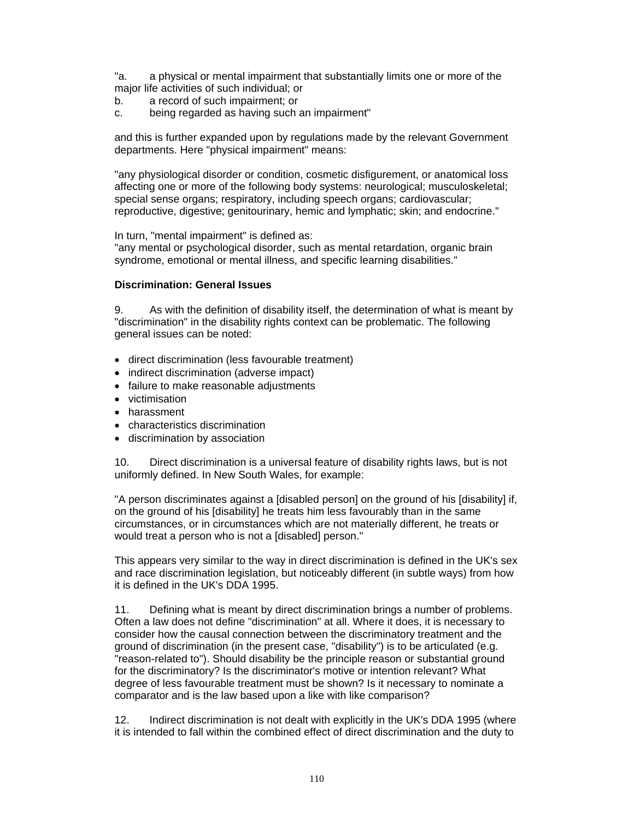"a. a physical or mental impairment that substantially limits one or more of the major life activities of such individual; or

- b. a record of such impairment; or
- c. being regarded as having such an impairment"

and this is further expanded upon by regulations made by the relevant Government departments. Here "physical impairment" means:

"any physiological disorder or condition, cosmetic disfigurement, or anatomical loss affecting one or more of the following body systems: neurological; musculoskeletal; special sense organs; respiratory, including speech organs; cardiovascular; reproductive, digestive; genitourinary, hemic and lymphatic; skin; and endocrine."

In turn, "mental impairment" is defined as:

"any mental or psychological disorder, such as mental retardation, organic brain syndrome, emotional or mental illness, and specific learning disabilities."

#### **Discrimination: General Issues**

9. As with the definition of disability itself, the determination of what is meant by "discrimination" in the disability rights context can be problematic. The following general issues can be noted:

- direct discrimination (less favourable treatment)
- indirect discrimination (adverse impact)
- failure to make reasonable adjustments
- victimisation
- harassment
- characteristics discrimination
- discrimination by association

10. Direct discrimination is a universal feature of disability rights laws, but is not uniformly defined. In New South Wales, for example:

"A person discriminates against a [disabled person] on the ground of his [disability] if, on the ground of his [disability] he treats him less favourably than in the same circumstances, or in circumstances which are not materially different, he treats or would treat a person who is not a [disabled] person."

This appears very similar to the way in direct discrimination is defined in the UK's sex and race discrimination legislation, but noticeably different (in subtle ways) from how it is defined in the UK's DDA 1995.

11. Defining what is meant by direct discrimination brings a number of problems. Often a law does not define "discrimination" at all. Where it does, it is necessary to consider how the causal connection between the discriminatory treatment and the ground of discrimination (in the present case, "disability") is to be articulated (e.g. "reason-related to"). Should disability be the principle reason or substantial ground for the discriminatory? Is the discriminator's motive or intention relevant? What degree of less favourable treatment must be shown? Is it necessary to nominate a comparator and is the law based upon a like with like comparison?

12. Indirect discrimination is not dealt with explicitly in the UK's DDA 1995 (where it is intended to fall within the combined effect of direct discrimination and the duty to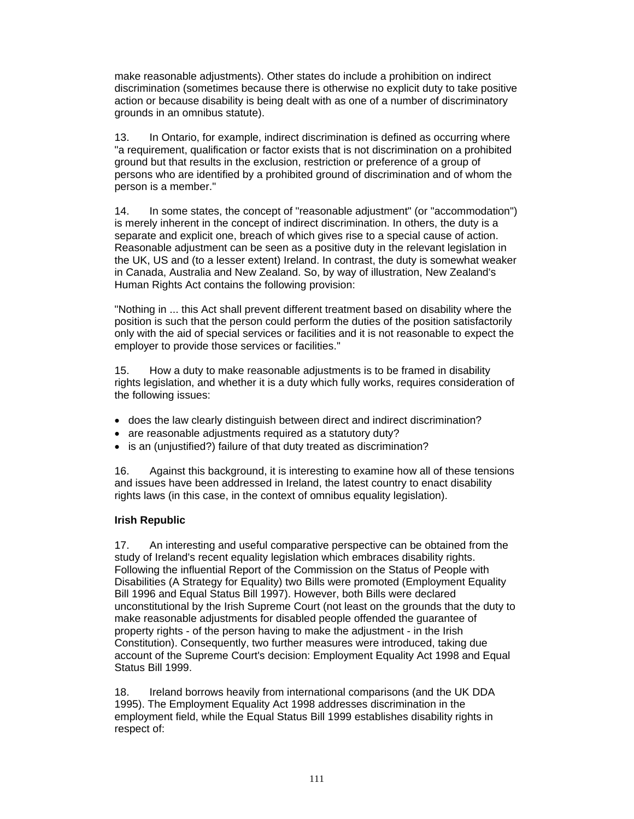make reasonable adjustments). Other states do include a prohibition on indirect discrimination (sometimes because there is otherwise no explicit duty to take positive action or because disability is being dealt with as one of a number of discriminatory grounds in an omnibus statute).

13. In Ontario, for example, indirect discrimination is defined as occurring where "a requirement, qualification or factor exists that is not discrimination on a prohibited ground but that results in the exclusion, restriction or preference of a group of persons who are identified by a prohibited ground of discrimination and of whom the person is a member."

14. In some states, the concept of "reasonable adjustment" (or "accommodation") is merely inherent in the concept of indirect discrimination. In others, the duty is a separate and explicit one, breach of which gives rise to a special cause of action. Reasonable adjustment can be seen as a positive duty in the relevant legislation in the UK, US and (to a lesser extent) Ireland. In contrast, the duty is somewhat weaker in Canada, Australia and New Zealand. So, by way of illustration, New Zealand's Human Rights Act contains the following provision:

"Nothing in ... this Act shall prevent different treatment based on disability where the position is such that the person could perform the duties of the position satisfactorily only with the aid of special services or facilities and it is not reasonable to expect the employer to provide those services or facilities."

15. How a duty to make reasonable adjustments is to be framed in disability rights legislation, and whether it is a duty which fully works, requires consideration of the following issues:

- does the law clearly distinguish between direct and indirect discrimination?
- are reasonable adjustments required as a statutory duty?
- is an (unjustified?) failure of that duty treated as discrimination?

16. Against this background, it is interesting to examine how all of these tensions and issues have been addressed in Ireland, the latest country to enact disability rights laws (in this case, in the context of omnibus equality legislation).

#### **Irish Republic**

17. An interesting and useful comparative perspective can be obtained from the study of Ireland's recent equality legislation which embraces disability rights. Following the influential Report of the Commission on the Status of People with Disabilities (A Strategy for Equality) two Bills were promoted (Employment Equality Bill 1996 and Equal Status Bill 1997). However, both Bills were declared unconstitutional by the Irish Supreme Court (not least on the grounds that the duty to make reasonable adjustments for disabled people offended the guarantee of property rights - of the person having to make the adjustment - in the Irish Constitution). Consequently, two further measures were introduced, taking due account of the Supreme Court's decision: Employment Equality Act 1998 and Equal Status Bill 1999.

18. Ireland borrows heavily from international comparisons (and the UK DDA 1995). The Employment Equality Act 1998 addresses discrimination in the employment field, while the Equal Status Bill 1999 establishes disability rights in respect of: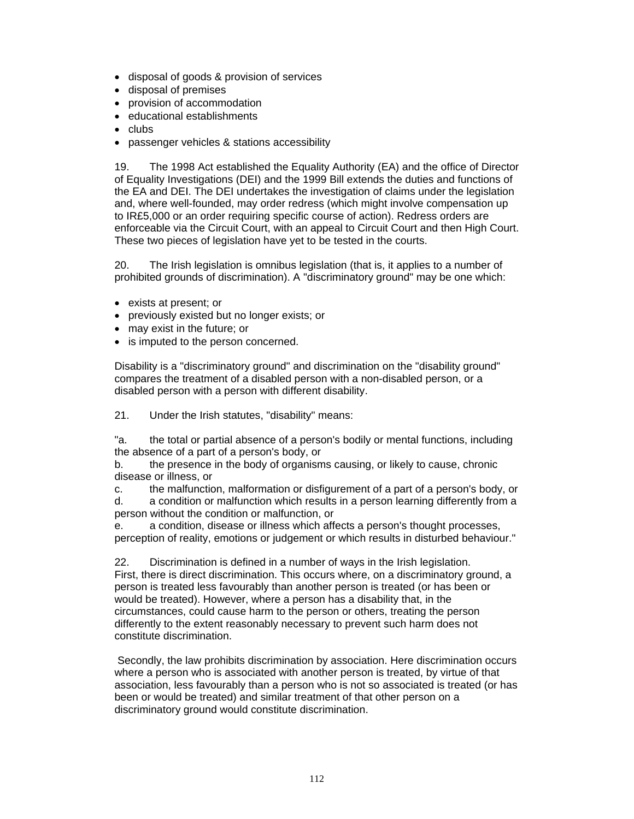- disposal of goods & provision of services
- disposal of premises
- provision of accommodation
- educational establishments
- clubs
- passenger vehicles & stations accessibility

19. The 1998 Act established the Equality Authority (EA) and the office of Director of Equality Investigations (DEI) and the 1999 Bill extends the duties and functions of the EA and DEI. The DEI undertakes the investigation of claims under the legislation and, where well-founded, may order redress (which might involve compensation up to IR£5,000 or an order requiring specific course of action). Redress orders are enforceable via the Circuit Court, with an appeal to Circuit Court and then High Court. These two pieces of legislation have vet to be tested in the courts.

20. The Irish legislation is omnibus legislation (that is, it applies to a number of prohibited grounds of discrimination). A "discriminatory ground" may be one which:

- exists at present; or
- previously existed but no longer exists; or
- may exist in the future; or
- is imputed to the person concerned.

Disability is a "discriminatory ground" and discrimination on the "disability ground" compares the treatment of a disabled person with a non-disabled person, or a disabled person with a person with different disability.

21. Under the Irish statutes, "disability" means:

"a. the total or partial absence of a person's bodily or mental functions, including the absence of a part of a person's body, or

b. the presence in the body of organisms causing, or likely to cause, chronic disease or illness, or

c. the malfunction, malformation or disfigurement of a part of a person's body, or d. a condition or malfunction which results in a person learning differently from a person without the condition or malfunction, or

e. a condition, disease or illness which affects a person's thought processes, perception of reality, emotions or judgement or which results in disturbed behaviour."

22. Discrimination is defined in a number of ways in the Irish legislation. First, there is direct discrimination. This occurs where, on a discriminatory ground, a person is treated less favourably than another person is treated (or has been or would be treated). However, where a person has a disability that, in the circumstances, could cause harm to the person or others, treating the person differently to the extent reasonably necessary to prevent such harm does not constitute discrimination.

 Secondly, the law prohibits discrimination by association. Here discrimination occurs where a person who is associated with another person is treated, by virtue of that association, less favourably than a person who is not so associated is treated (or has been or would be treated) and similar treatment of that other person on a discriminatory ground would constitute discrimination.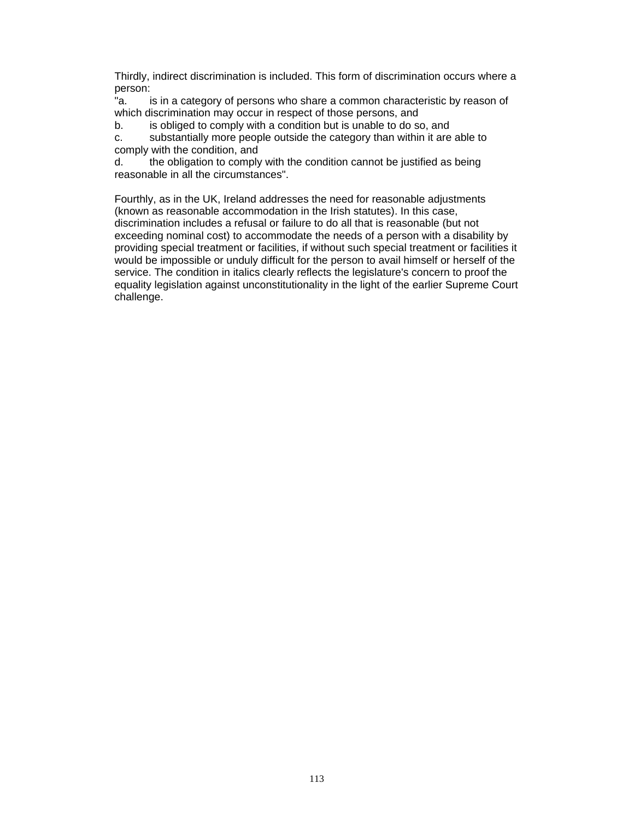Thirdly, indirect discrimination is included. This form of discrimination occurs where a person:

"a. is in a category of persons who share a common characteristic by reason of which discrimination may occur in respect of those persons, and

b. is obliged to comply with a condition but is unable to do so, and

c. substantially more people outside the category than within it are able to comply with the condition, and

d. the obligation to comply with the condition cannot be justified as being reasonable in all the circumstances".

Fourthly, as in the UK, Ireland addresses the need for reasonable adjustments (known as reasonable accommodation in the Irish statutes). In this case, discrimination includes a refusal or failure to do all that is reasonable (but not exceeding nominal cost) to accommodate the needs of a person with a disability by providing special treatment or facilities, if without such special treatment or facilities it would be impossible or unduly difficult for the person to avail himself or herself of the service. The condition in italics clearly reflects the legislature's concern to proof the equality legislation against unconstitutionality in the light of the earlier Supreme Court challenge.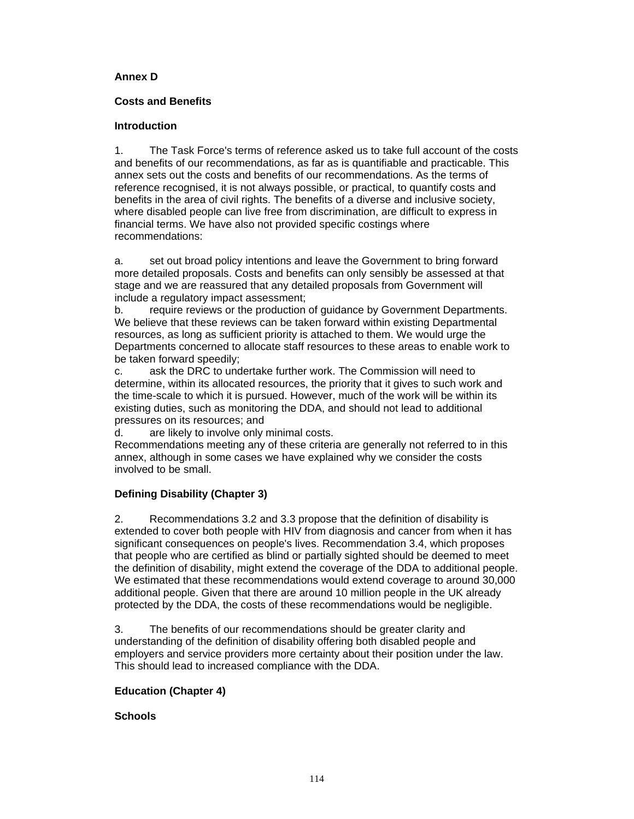### **Annex D**

### **Costs and Benefits**

### **Introduction**

1. The Task Force's terms of reference asked us to take full account of the costs and benefits of our recommendations, as far as is quantifiable and practicable. This annex sets out the costs and benefits of our recommendations. As the terms of reference recognised, it is not always possible, or practical, to quantify costs and benefits in the area of civil rights. The benefits of a diverse and inclusive society, where disabled people can live free from discrimination, are difficult to express in financial terms. We have also not provided specific costings where recommendations:

a. set out broad policy intentions and leave the Government to bring forward more detailed proposals. Costs and benefits can only sensibly be assessed at that stage and we are reassured that any detailed proposals from Government will include a regulatory impact assessment;

b. require reviews or the production of guidance by Government Departments. We believe that these reviews can be taken forward within existing Departmental resources, as long as sufficient priority is attached to them. We would urge the Departments concerned to allocate staff resources to these areas to enable work to be taken forward speedily;

c. ask the DRC to undertake further work. The Commission will need to determine, within its allocated resources, the priority that it gives to such work and the time-scale to which it is pursued. However, much of the work will be within its existing duties, such as monitoring the DDA, and should not lead to additional pressures on its resources; and<br>d. are likely to involve only

are likely to involve only minimal costs.

Recommendations meeting any of these criteria are generally not referred to in this annex, although in some cases we have explained why we consider the costs involved to be small.

# **Defining Disability (Chapter 3)**

2. Recommendations 3.2 and 3.3 propose that the definition of disability is extended to cover both people with HIV from diagnosis and cancer from when it has significant consequences on people's lives. Recommendation 3.4, which proposes that people who are certified as blind or partially sighted should be deemed to meet the definition of disability, might extend the coverage of the DDA to additional people. We estimated that these recommendations would extend coverage to around 30,000 additional people. Given that there are around 10 million people in the UK already protected by the DDA, the costs of these recommendations would be negligible.

3. The benefits of our recommendations should be greater clarity and understanding of the definition of disability offering both disabled people and employers and service providers more certainty about their position under the law. This should lead to increased compliance with the DDA.

# **Education (Chapter 4)**

# **Schools**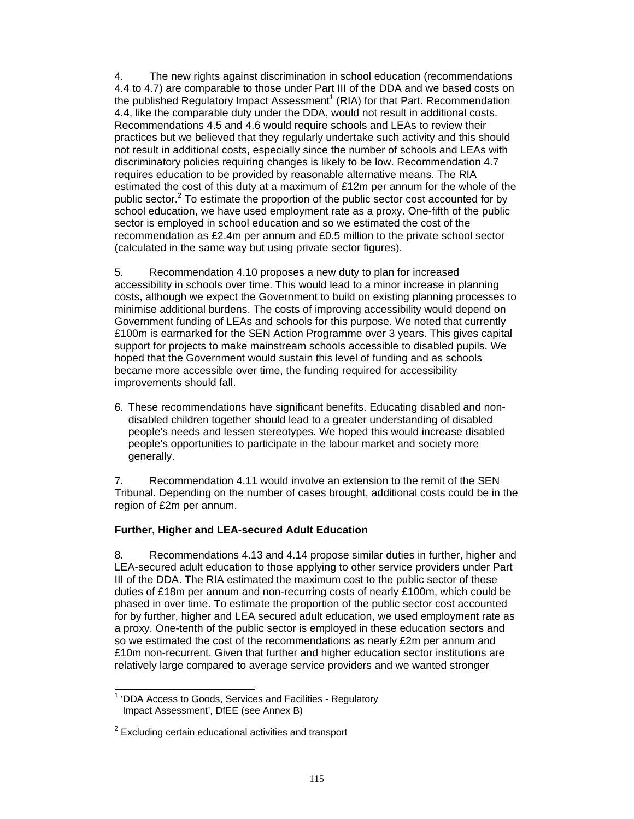4. The new rights against discrimination in school education (recommendations 4.4 to 4.7) are comparable to those under Part III of the DDA and we based costs on the published Regulatory Impact Assessment<sup>1</sup> (RIA) for that Part. Recommendation 4.4, like the comparable duty under the DDA, would not result in additional costs. Recommendations 4.5 and 4.6 would require schools and LEAs to review their practices but we believed that they regularly undertake such activity and this should not result in additional costs, especially since the number of schools and LEAs with discriminatory policies requiring changes is likely to be low. Recommendation 4.7 requires education to be provided by reasonable alternative means. The RIA estimated the cost of this duty at a maximum of £12m per annum for the whole of the public sector.<sup>2</sup> To estimate the proportion of the public sector cost accounted for by school education, we have used employment rate as a proxy. One-fifth of the public sector is employed in school education and so we estimated the cost of the recommendation as £2.4m per annum and £0.5 million to the private school sector (calculated in the same way but using private sector figures).

5. Recommendation 4.10 proposes a new duty to plan for increased accessibility in schools over time. This would lead to a minor increase in planning costs, although we expect the Government to build on existing planning processes to minimise additional burdens. The costs of improving accessibility would depend on Government funding of LEAs and schools for this purpose. We noted that currently £100m is earmarked for the SEN Action Programme over 3 years. This gives capital support for projects to make mainstream schools accessible to disabled pupils. We hoped that the Government would sustain this level of funding and as schools became more accessible over time, the funding required for accessibility improvements should fall.

6. These recommendations have significant benefits. Educating disabled and nondisabled children together should lead to a greater understanding of disabled people's needs and lessen stereotypes. We hoped this would increase disabled people's opportunities to participate in the labour market and society more generally.

7. Recommendation 4.11 would involve an extension to the remit of the SEN Tribunal. Depending on the number of cases brought, additional costs could be in the region of £2m per annum.

#### **Further, Higher and LEA-secured Adult Education**

8. Recommendations 4.13 and 4.14 propose similar duties in further, higher and LEA-secured adult education to those applying to other service providers under Part III of the DDA. The RIA estimated the maximum cost to the public sector of these duties of £18m per annum and non-recurring costs of nearly £100m, which could be phased in over time. To estimate the proportion of the public sector cost accounted for by further, higher and LEA secured adult education, we used employment rate as a proxy. One-tenth of the public sector is employed in these education sectors and so we estimated the cost of the recommendations as nearly £2m per annum and £10m non-recurrent. Given that further and higher education sector institutions are relatively large compared to average service providers and we wanted stronger

l <sup>1</sup> 'DDA Access to Goods, Services and Facilities - Regulatory Impact Assessment', DfEE (see Annex B)

 $2$  Excluding certain educational activities and transport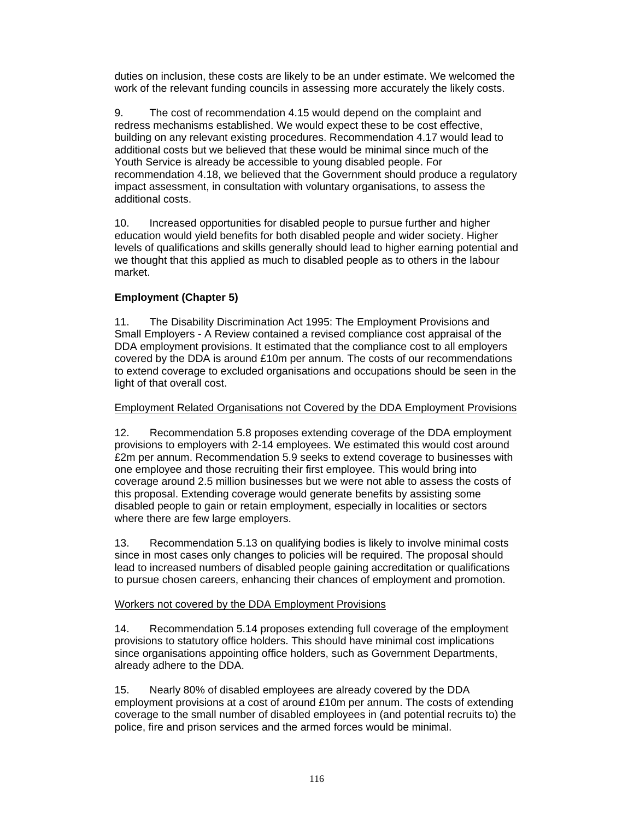duties on inclusion, these costs are likely to be an under estimate. We welcomed the work of the relevant funding councils in assessing more accurately the likely costs.

9. The cost of recommendation 4.15 would depend on the complaint and redress mechanisms established. We would expect these to be cost effective, building on any relevant existing procedures. Recommendation 4.17 would lead to additional costs but we believed that these would be minimal since much of the Youth Service is already be accessible to young disabled people. For recommendation 4.18, we believed that the Government should produce a regulatory impact assessment, in consultation with voluntary organisations, to assess the additional costs.

10. Increased opportunities for disabled people to pursue further and higher education would yield benefits for both disabled people and wider society. Higher levels of qualifications and skills generally should lead to higher earning potential and we thought that this applied as much to disabled people as to others in the labour market.

# **Employment (Chapter 5)**

11. The Disability Discrimination Act 1995: The Employment Provisions and Small Employers - A Review contained a revised compliance cost appraisal of the DDA employment provisions. It estimated that the compliance cost to all employers covered by the DDA is around £10m per annum. The costs of our recommendations to extend coverage to excluded organisations and occupations should be seen in the light of that overall cost.

#### Employment Related Organisations not Covered by the DDA Employment Provisions

12. Recommendation 5.8 proposes extending coverage of the DDA employment provisions to employers with 2-14 employees. We estimated this would cost around £2m per annum. Recommendation 5.9 seeks to extend coverage to businesses with one employee and those recruiting their first employee. This would bring into coverage around 2.5 million businesses but we were not able to assess the costs of this proposal. Extending coverage would generate benefits by assisting some disabled people to gain or retain employment, especially in localities or sectors where there are few large employers.

13. Recommendation 5.13 on qualifying bodies is likely to involve minimal costs since in most cases only changes to policies will be required. The proposal should lead to increased numbers of disabled people gaining accreditation or qualifications to pursue chosen careers, enhancing their chances of employment and promotion.

#### Workers not covered by the DDA Employment Provisions

14. Recommendation 5.14 proposes extending full coverage of the employment provisions to statutory office holders. This should have minimal cost implications since organisations appointing office holders, such as Government Departments, already adhere to the DDA.

15. Nearly 80% of disabled employees are already covered by the DDA employment provisions at a cost of around £10m per annum. The costs of extending coverage to the small number of disabled employees in (and potential recruits to) the police, fire and prison services and the armed forces would be minimal.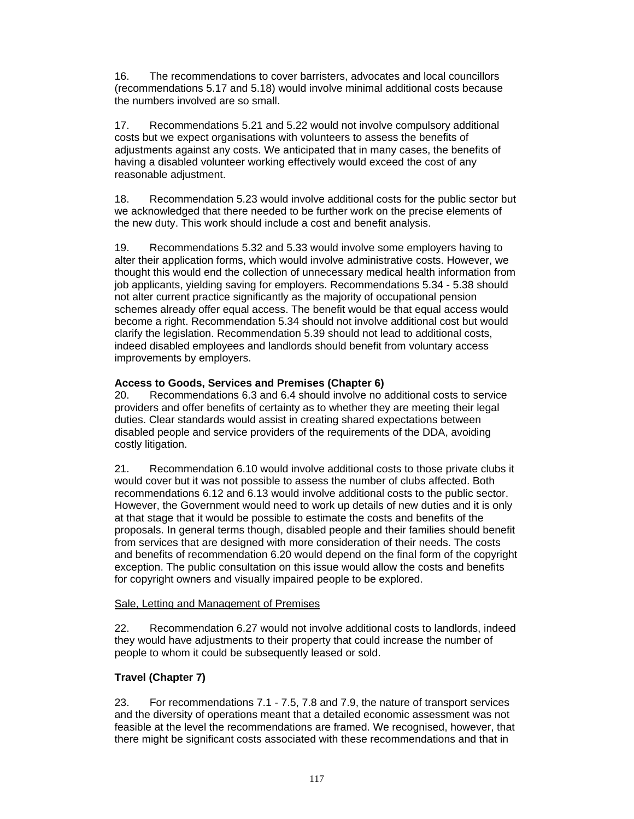16. The recommendations to cover barristers, advocates and local councillors (recommendations 5.17 and 5.18) would involve minimal additional costs because the numbers involved are so small.

17. Recommendations 5.21 and 5.22 would not involve compulsory additional costs but we expect organisations with volunteers to assess the benefits of adjustments against any costs. We anticipated that in many cases, the benefits of having a disabled volunteer working effectively would exceed the cost of any reasonable adjustment.

18. Recommendation 5.23 would involve additional costs for the public sector but we acknowledged that there needed to be further work on the precise elements of the new duty. This work should include a cost and benefit analysis.

19. Recommendations 5.32 and 5.33 would involve some employers having to alter their application forms, which would involve administrative costs. However, we thought this would end the collection of unnecessary medical health information from job applicants, yielding saving for employers. Recommendations 5.34 - 5.38 should not alter current practice significantly as the majority of occupational pension schemes already offer equal access. The benefit would be that equal access would become a right. Recommendation 5.34 should not involve additional cost but would clarify the legislation. Recommendation 5.39 should not lead to additional costs, indeed disabled employees and landlords should benefit from voluntary access improvements by employers.

# **Access to Goods, Services and Premises (Chapter 6)**

20. Recommendations 6.3 and 6.4 should involve no additional costs to service providers and offer benefits of certainty as to whether they are meeting their legal duties. Clear standards would assist in creating shared expectations between disabled people and service providers of the requirements of the DDA, avoiding costly litigation.

21. Recommendation 6.10 would involve additional costs to those private clubs it would cover but it was not possible to assess the number of clubs affected. Both recommendations 6.12 and 6.13 would involve additional costs to the public sector. However, the Government would need to work up details of new duties and it is only at that stage that it would be possible to estimate the costs and benefits of the proposals. In general terms though, disabled people and their families should benefit from services that are designed with more consideration of their needs. The costs and benefits of recommendation 6.20 would depend on the final form of the copyright exception. The public consultation on this issue would allow the costs and benefits for copyright owners and visually impaired people to be explored.

#### Sale, Letting and Management of Premises

22. Recommendation 6.27 would not involve additional costs to landlords, indeed they would have adjustments to their property that could increase the number of people to whom it could be subsequently leased or sold.

#### **Travel (Chapter 7)**

23. For recommendations 7.1 - 7.5, 7.8 and 7.9, the nature of transport services and the diversity of operations meant that a detailed economic assessment was not feasible at the level the recommendations are framed. We recognised, however, that there might be significant costs associated with these recommendations and that in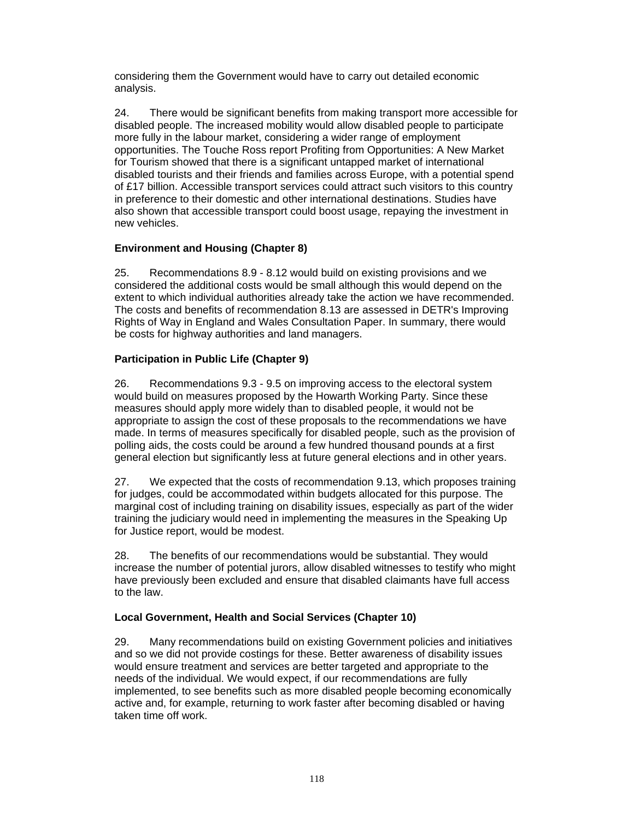considering them the Government would have to carry out detailed economic analysis.

24. There would be significant benefits from making transport more accessible for disabled people. The increased mobility would allow disabled people to participate more fully in the labour market, considering a wider range of employment opportunities. The Touche Ross report Profiting from Opportunities: A New Market for Tourism showed that there is a significant untapped market of international disabled tourists and their friends and families across Europe, with a potential spend of £17 billion. Accessible transport services could attract such visitors to this country in preference to their domestic and other international destinations. Studies have also shown that accessible transport could boost usage, repaying the investment in new vehicles.

#### **Environment and Housing (Chapter 8)**

25. Recommendations 8.9 - 8.12 would build on existing provisions and we considered the additional costs would be small although this would depend on the extent to which individual authorities already take the action we have recommended. The costs and benefits of recommendation 8.13 are assessed in DETR's Improving Rights of Way in England and Wales Consultation Paper. In summary, there would be costs for highway authorities and land managers.

# **Participation in Public Life (Chapter 9)**

26. Recommendations 9.3 - 9.5 on improving access to the electoral system would build on measures proposed by the Howarth Working Party. Since these measures should apply more widely than to disabled people, it would not be appropriate to assign the cost of these proposals to the recommendations we have made. In terms of measures specifically for disabled people, such as the provision of polling aids, the costs could be around a few hundred thousand pounds at a first general election but significantly less at future general elections and in other years.

27. We expected that the costs of recommendation 9.13, which proposes training for judges, could be accommodated within budgets allocated for this purpose. The marginal cost of including training on disability issues, especially as part of the wider training the judiciary would need in implementing the measures in the Speaking Up for Justice report, would be modest.

28. The benefits of our recommendations would be substantial. They would increase the number of potential jurors, allow disabled witnesses to testify who might have previously been excluded and ensure that disabled claimants have full access to the law.

#### **Local Government, Health and Social Services (Chapter 10)**

29. Many recommendations build on existing Government policies and initiatives and so we did not provide costings for these. Better awareness of disability issues would ensure treatment and services are better targeted and appropriate to the needs of the individual. We would expect, if our recommendations are fully implemented, to see benefits such as more disabled people becoming economically active and, for example, returning to work faster after becoming disabled or having taken time off work.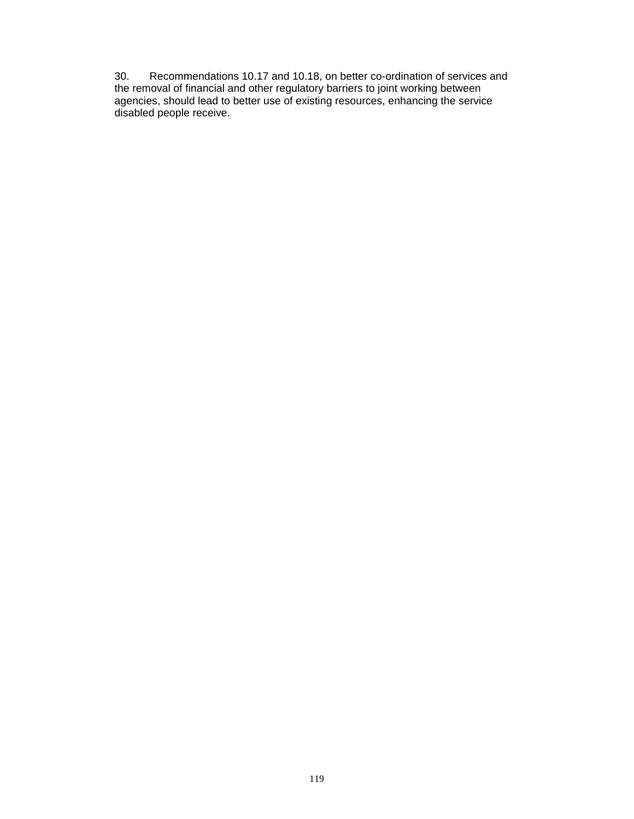30. Recommendations 10.17 and 10.18, on better co-ordination of services and the removal of financial and other regulatory barriers to joint working between agencies, should lead to better use of existing resources, enhancing the service disabled people receive.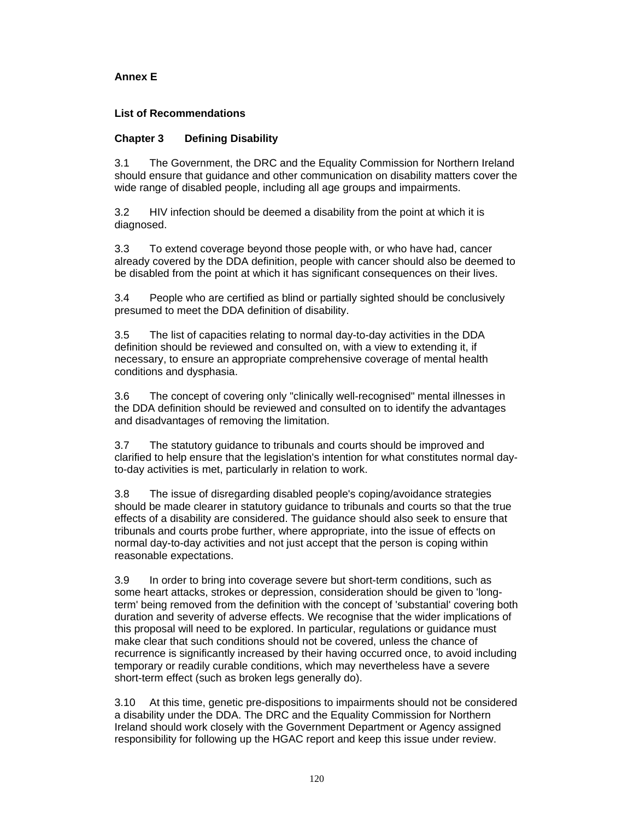# **Annex E**

# **List of Recommendations**

#### **Chapter 3 Defining Disability**

3.1 The Government, the DRC and the Equality Commission for Northern Ireland should ensure that guidance and other communication on disability matters cover the wide range of disabled people, including all age groups and impairments.

3.2 HIV infection should be deemed a disability from the point at which it is diagnosed.

3.3 To extend coverage beyond those people with, or who have had, cancer already covered by the DDA definition, people with cancer should also be deemed to be disabled from the point at which it has significant consequences on their lives.

3.4 People who are certified as blind or partially sighted should be conclusively presumed to meet the DDA definition of disability.

3.5 The list of capacities relating to normal day-to-day activities in the DDA definition should be reviewed and consulted on, with a view to extending it, if necessary, to ensure an appropriate comprehensive coverage of mental health conditions and dysphasia.

3.6 The concept of covering only "clinically well-recognised" mental illnesses in the DDA definition should be reviewed and consulted on to identify the advantages and disadvantages of removing the limitation.

3.7 The statutory guidance to tribunals and courts should be improved and clarified to help ensure that the legislation's intention for what constitutes normal dayto-day activities is met, particularly in relation to work.

3.8 The issue of disregarding disabled people's coping/avoidance strategies should be made clearer in statutory guidance to tribunals and courts so that the true effects of a disability are considered. The guidance should also seek to ensure that tribunals and courts probe further, where appropriate, into the issue of effects on normal day-to-day activities and not just accept that the person is coping within reasonable expectations.

3.9 In order to bring into coverage severe but short-term conditions, such as some heart attacks, strokes or depression, consideration should be given to 'longterm' being removed from the definition with the concept of 'substantial' covering both duration and severity of adverse effects. We recognise that the wider implications of this proposal will need to be explored. In particular, regulations or guidance must make clear that such conditions should not be covered, unless the chance of recurrence is significantly increased by their having occurred once, to avoid including temporary or readily curable conditions, which may nevertheless have a severe short-term effect (such as broken legs generally do).

3.10 At this time, genetic pre-dispositions to impairments should not be considered a disability under the DDA. The DRC and the Equality Commission for Northern Ireland should work closely with the Government Department or Agency assigned responsibility for following up the HGAC report and keep this issue under review.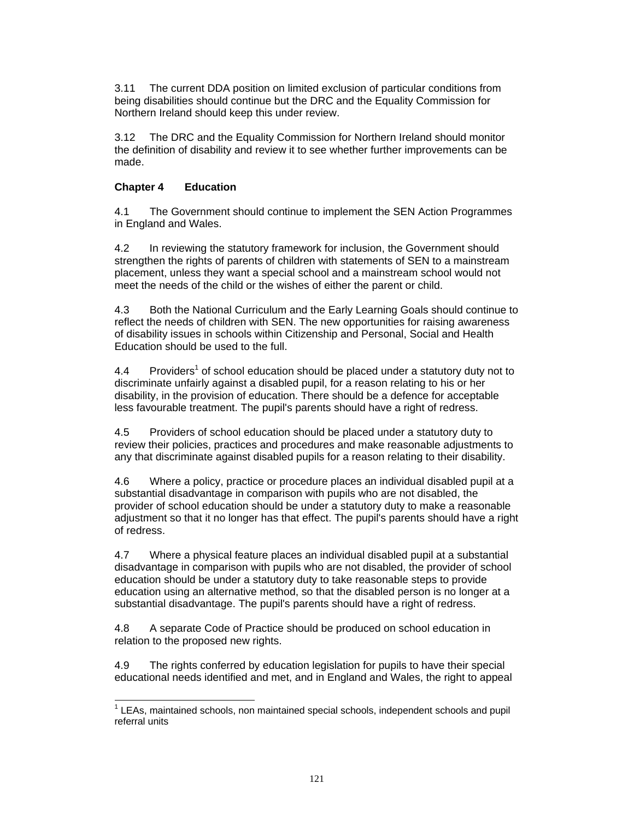3.11 The current DDA position on limited exclusion of particular conditions from being disabilities should continue but the DRC and the Equality Commission for Northern Ireland should keep this under review.

3.12 The DRC and the Equality Commission for Northern Ireland should monitor the definition of disability and review it to see whether further improvements can be made.

### **Chapter 4 Education**

4.1 The Government should continue to implement the SEN Action Programmes in England and Wales.

4.2 In reviewing the statutory framework for inclusion, the Government should strengthen the rights of parents of children with statements of SEN to a mainstream placement, unless they want a special school and a mainstream school would not meet the needs of the child or the wishes of either the parent or child.

4.3 Both the National Curriculum and the Early Learning Goals should continue to reflect the needs of children with SEN. The new opportunities for raising awareness of disability issues in schools within Citizenship and Personal, Social and Health Education should be used to the full.

 $4.4$  Providers<sup>1</sup> of school education should be placed under a statutory duty not to discriminate unfairly against a disabled pupil, for a reason relating to his or her disability, in the provision of education. There should be a defence for acceptable less favourable treatment. The pupil's parents should have a right of redress.

4.5 Providers of school education should be placed under a statutory duty to review their policies, practices and procedures and make reasonable adjustments to any that discriminate against disabled pupils for a reason relating to their disability.

4.6 Where a policy, practice or procedure places an individual disabled pupil at a substantial disadvantage in comparison with pupils who are not disabled, the provider of school education should be under a statutory duty to make a reasonable adjustment so that it no longer has that effect. The pupil's parents should have a right of redress.

4.7 Where a physical feature places an individual disabled pupil at a substantial disadvantage in comparison with pupils who are not disabled, the provider of school education should be under a statutory duty to take reasonable steps to provide education using an alternative method, so that the disabled person is no longer at a substantial disadvantage. The pupil's parents should have a right of redress.

4.8 A separate Code of Practice should be produced on school education in relation to the proposed new rights.

4.9 The rights conferred by education legislation for pupils to have their special educational needs identified and met, and in England and Wales, the right to appeal

l <sup>1</sup> LEAs, maintained schools, non maintained special schools, independent schools and pupil referral units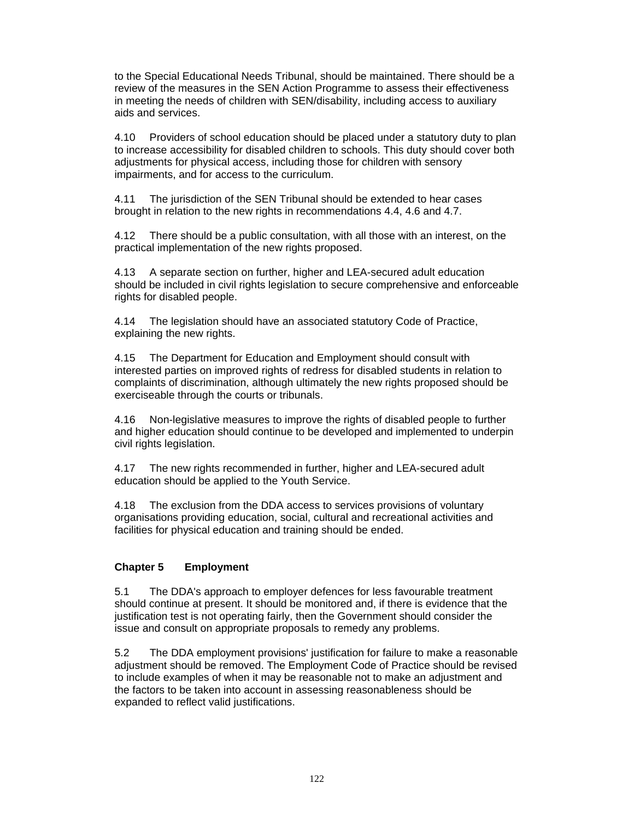to the Special Educational Needs Tribunal, should be maintained. There should be a review of the measures in the SEN Action Programme to assess their effectiveness in meeting the needs of children with SEN/disability, including access to auxiliary aids and services.

4.10 Providers of school education should be placed under a statutory duty to plan to increase accessibility for disabled children to schools. This duty should cover both adjustments for physical access, including those for children with sensory impairments, and for access to the curriculum.

4.11 The jurisdiction of the SEN Tribunal should be extended to hear cases brought in relation to the new rights in recommendations 4.4, 4.6 and 4.7.

4.12 There should be a public consultation, with all those with an interest, on the practical implementation of the new rights proposed.

4.13 A separate section on further, higher and LEA-secured adult education should be included in civil rights legislation to secure comprehensive and enforceable rights for disabled people.

4.14 The legislation should have an associated statutory Code of Practice, explaining the new rights.

4.15 The Department for Education and Employment should consult with interested parties on improved rights of redress for disabled students in relation to complaints of discrimination, although ultimately the new rights proposed should be exerciseable through the courts or tribunals.

4.16 Non-legislative measures to improve the rights of disabled people to further and higher education should continue to be developed and implemented to underpin civil rights legislation.

4.17 The new rights recommended in further, higher and LEA-secured adult education should be applied to the Youth Service.

4.18 The exclusion from the DDA access to services provisions of voluntary organisations providing education, social, cultural and recreational activities and facilities for physical education and training should be ended.

#### **Chapter 5 Employment**

5.1 The DDA's approach to employer defences for less favourable treatment should continue at present. It should be monitored and, if there is evidence that the justification test is not operating fairly, then the Government should consider the issue and consult on appropriate proposals to remedy any problems.

5.2 The DDA employment provisions' justification for failure to make a reasonable adjustment should be removed. The Employment Code of Practice should be revised to include examples of when it may be reasonable not to make an adjustment and the factors to be taken into account in assessing reasonableness should be expanded to reflect valid justifications.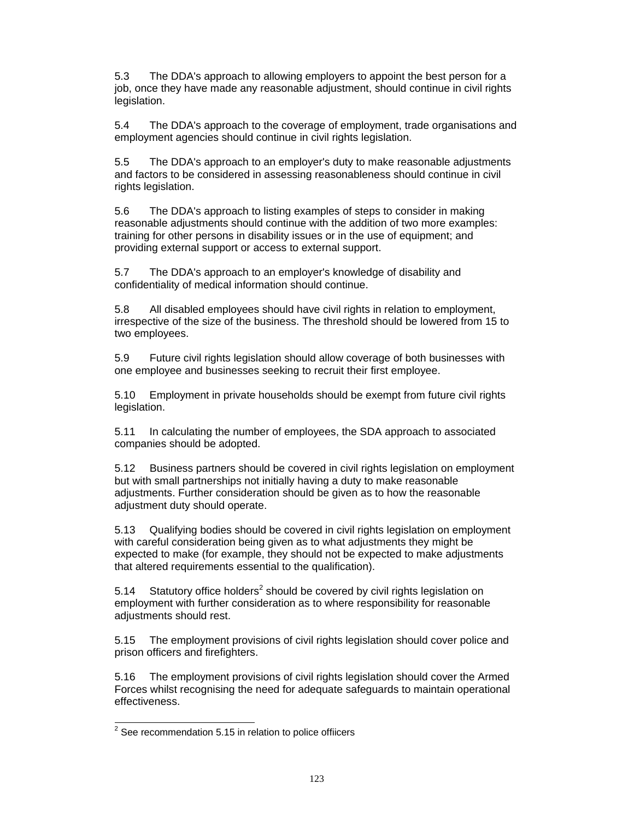5.3 The DDA's approach to allowing employers to appoint the best person for a job, once they have made any reasonable adjustment, should continue in civil rights legislation.

5.4 The DDA's approach to the coverage of employment, trade organisations and employment agencies should continue in civil rights legislation.

5.5 The DDA's approach to an employer's duty to make reasonable adjustments and factors to be considered in assessing reasonableness should continue in civil rights legislation.

5.6 The DDA's approach to listing examples of steps to consider in making reasonable adjustments should continue with the addition of two more examples: training for other persons in disability issues or in the use of equipment; and providing external support or access to external support.

5.7 The DDA's approach to an employer's knowledge of disability and confidentiality of medical information should continue.

5.8 All disabled employees should have civil rights in relation to employment, irrespective of the size of the business. The threshold should be lowered from 15 to two employees.

5.9 Future civil rights legislation should allow coverage of both businesses with one employee and businesses seeking to recruit their first employee.

5.10 Employment in private households should be exempt from future civil rights legislation.

5.11 In calculating the number of employees, the SDA approach to associated companies should be adopted.

5.12 Business partners should be covered in civil rights legislation on employment but with small partnerships not initially having a duty to make reasonable adjustments. Further consideration should be given as to how the reasonable adjustment duty should operate.

5.13 Qualifying bodies should be covered in civil rights legislation on employment with careful consideration being given as to what adjustments they might be expected to make (for example, they should not be expected to make adjustments that altered requirements essential to the qualification).

5.14 Statutory office holders<sup>2</sup> should be covered by civil rights legislation on employment with further consideration as to where responsibility for reasonable adjustments should rest.

5.15 The employment provisions of civil rights legislation should cover police and prison officers and firefighters.

5.16 The employment provisions of civil rights legislation should cover the Armed Forces whilst recognising the need for adequate safeguards to maintain operational effectiveness.

 2 See recommendation 5.15 in relation to police offiicers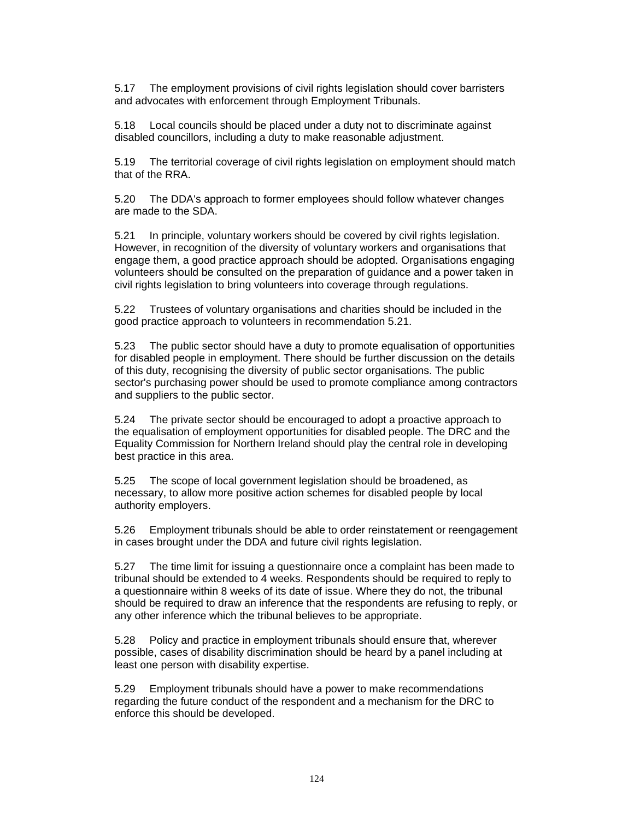5.17 The employment provisions of civil rights legislation should cover barristers and advocates with enforcement through Employment Tribunals.

5.18 Local councils should be placed under a duty not to discriminate against disabled councillors, including a duty to make reasonable adjustment.

5.19 The territorial coverage of civil rights legislation on employment should match that of the RRA.

5.20 The DDA's approach to former employees should follow whatever changes are made to the SDA.

5.21 In principle, voluntary workers should be covered by civil rights legislation. However, in recognition of the diversity of voluntary workers and organisations that engage them, a good practice approach should be adopted. Organisations engaging volunteers should be consulted on the preparation of guidance and a power taken in civil rights legislation to bring volunteers into coverage through regulations.

5.22 Trustees of voluntary organisations and charities should be included in the good practice approach to volunteers in recommendation 5.21.

5.23 The public sector should have a duty to promote equalisation of opportunities for disabled people in employment. There should be further discussion on the details of this duty, recognising the diversity of public sector organisations. The public sector's purchasing power should be used to promote compliance among contractors and suppliers to the public sector.

5.24 The private sector should be encouraged to adopt a proactive approach to the equalisation of employment opportunities for disabled people. The DRC and the Equality Commission for Northern Ireland should play the central role in developing best practice in this area.

5.25 The scope of local government legislation should be broadened, as necessary, to allow more positive action schemes for disabled people by local authority employers.

5.26 Employment tribunals should be able to order reinstatement or reengagement in cases brought under the DDA and future civil rights legislation.

5.27 The time limit for issuing a questionnaire once a complaint has been made to tribunal should be extended to 4 weeks. Respondents should be required to reply to a questionnaire within 8 weeks of its date of issue. Where they do not, the tribunal should be required to draw an inference that the respondents are refusing to reply, or any other inference which the tribunal believes to be appropriate.

5.28 Policy and practice in employment tribunals should ensure that, wherever possible, cases of disability discrimination should be heard by a panel including at least one person with disability expertise.

5.29 Employment tribunals should have a power to make recommendations regarding the future conduct of the respondent and a mechanism for the DRC to enforce this should be developed.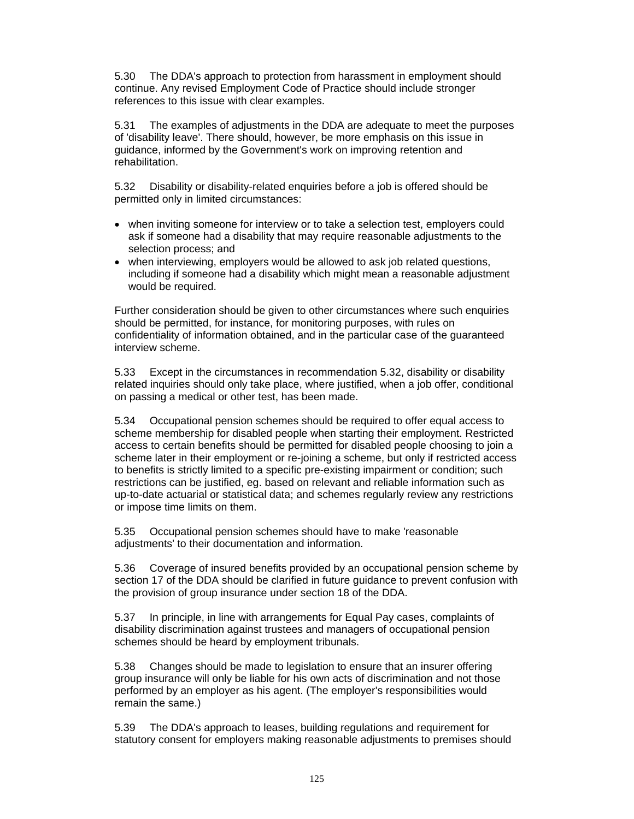5.30 The DDA's approach to protection from harassment in employment should continue. Any revised Employment Code of Practice should include stronger references to this issue with clear examples.

5.31 The examples of adjustments in the DDA are adequate to meet the purposes of 'disability leave'. There should, however, be more emphasis on this issue in guidance, informed by the Government's work on improving retention and rehabilitation.

5.32 Disability or disability-related enquiries before a job is offered should be permitted only in limited circumstances:

- when inviting someone for interview or to take a selection test, employers could ask if someone had a disability that may require reasonable adjustments to the selection process; and
- when interviewing, employers would be allowed to ask job related questions, including if someone had a disability which might mean a reasonable adjustment would be required.

Further consideration should be given to other circumstances where such enquiries should be permitted, for instance, for monitoring purposes, with rules on confidentiality of information obtained, and in the particular case of the guaranteed interview scheme.

5.33 Except in the circumstances in recommendation 5.32, disability or disability related inquiries should only take place, where justified, when a job offer, conditional on passing a medical or other test, has been made.

5.34 Occupational pension schemes should be required to offer equal access to scheme membership for disabled people when starting their employment. Restricted access to certain benefits should be permitted for disabled people choosing to join a scheme later in their employment or re-joining a scheme, but only if restricted access to benefits is strictly limited to a specific pre-existing impairment or condition; such restrictions can be justified, eg. based on relevant and reliable information such as up-to-date actuarial or statistical data; and schemes regularly review any restrictions or impose time limits on them.

5.35 Occupational pension schemes should have to make 'reasonable adjustments' to their documentation and information.

5.36 Coverage of insured benefits provided by an occupational pension scheme by section 17 of the DDA should be clarified in future guidance to prevent confusion with the provision of group insurance under section 18 of the DDA.

5.37 In principle, in line with arrangements for Equal Pay cases, complaints of disability discrimination against trustees and managers of occupational pension schemes should be heard by employment tribunals.

5.38 Changes should be made to legislation to ensure that an insurer offering group insurance will only be liable for his own acts of discrimination and not those performed by an employer as his agent. (The employer's responsibilities would remain the same.)

5.39 The DDA's approach to leases, building regulations and requirement for statutory consent for employers making reasonable adjustments to premises should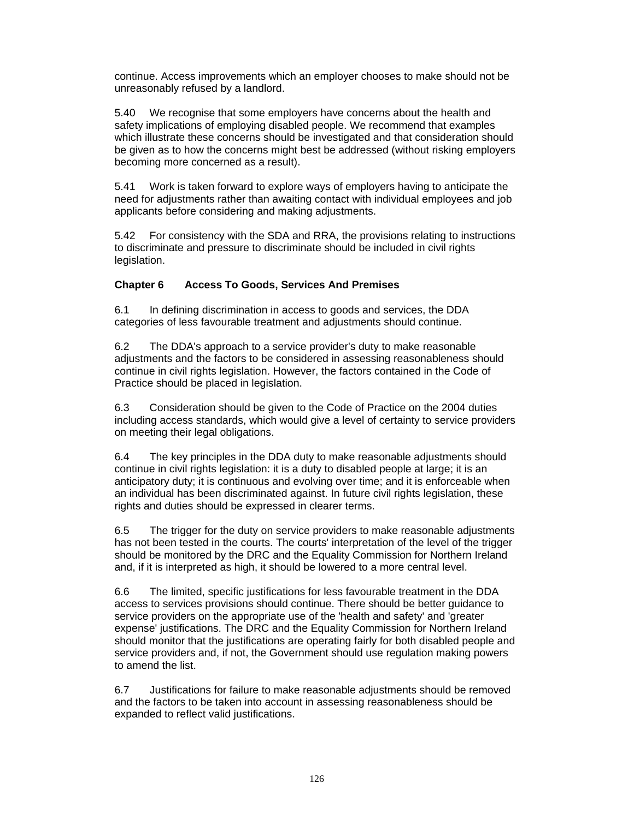continue. Access improvements which an employer chooses to make should not be unreasonably refused by a landlord.

5.40 We recognise that some employers have concerns about the health and safety implications of employing disabled people. We recommend that examples which illustrate these concerns should be investigated and that consideration should be given as to how the concerns might best be addressed (without risking employers becoming more concerned as a result).

5.41 Work is taken forward to explore ways of employers having to anticipate the need for adjustments rather than awaiting contact with individual employees and job applicants before considering and making adjustments.

5.42 For consistency with the SDA and RRA, the provisions relating to instructions to discriminate and pressure to discriminate should be included in civil rights legislation.

# **Chapter 6 Access To Goods, Services And Premises**

6.1 In defining discrimination in access to goods and services, the DDA categories of less favourable treatment and adjustments should continue.

6.2 The DDA's approach to a service provider's duty to make reasonable adjustments and the factors to be considered in assessing reasonableness should continue in civil rights legislation. However, the factors contained in the Code of Practice should be placed in legislation.

6.3 Consideration should be given to the Code of Practice on the 2004 duties including access standards, which would give a level of certainty to service providers on meeting their legal obligations.

6.4 The key principles in the DDA duty to make reasonable adjustments should continue in civil rights legislation: it is a duty to disabled people at large; it is an anticipatory duty; it is continuous and evolving over time; and it is enforceable when an individual has been discriminated against. In future civil rights legislation, these rights and duties should be expressed in clearer terms.

6.5 The trigger for the duty on service providers to make reasonable adjustments has not been tested in the courts. The courts' interpretation of the level of the trigger should be monitored by the DRC and the Equality Commission for Northern Ireland and, if it is interpreted as high, it should be lowered to a more central level.

6.6 The limited, specific justifications for less favourable treatment in the DDA access to services provisions should continue. There should be better guidance to service providers on the appropriate use of the 'health and safety' and 'greater expense' justifications. The DRC and the Equality Commission for Northern Ireland should monitor that the justifications are operating fairly for both disabled people and service providers and, if not, the Government should use regulation making powers to amend the list.

6.7 Justifications for failure to make reasonable adjustments should be removed and the factors to be taken into account in assessing reasonableness should be expanded to reflect valid justifications.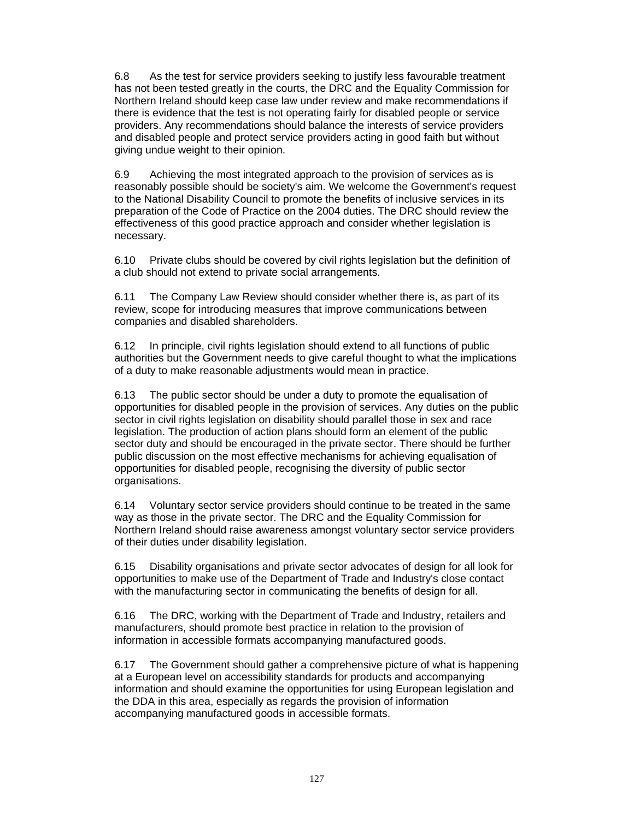6.8 As the test for service providers seeking to justify less favourable treatment has not been tested greatly in the courts, the DRC and the Equality Commission for Northern Ireland should keep case law under review and make recommendations if there is evidence that the test is not operating fairly for disabled people or service providers. Any recommendations should balance the interests of service providers and disabled people and protect service providers acting in good faith but without giving undue weight to their opinion.

6.9 Achieving the most integrated approach to the provision of services as is reasonably possible should be society's aim. We welcome the Government's request to the National Disability Council to promote the benefits of inclusive services in its preparation of the Code of Practice on the 2004 duties. The DRC should review the effectiveness of this good practice approach and consider whether legislation is necessary.

6.10 Private clubs should be covered by civil rights legislation but the definition of a club should not extend to private social arrangements.

6.11 The Company Law Review should consider whether there is, as part of its review, scope for introducing measures that improve communications between companies and disabled shareholders.

6.12 In principle, civil rights legislation should extend to all functions of public authorities but the Government needs to give careful thought to what the implications of a duty to make reasonable adjustments would mean in practice.

6.13 The public sector should be under a duty to promote the equalisation of opportunities for disabled people in the provision of services. Any duties on the public sector in civil rights legislation on disability should parallel those in sex and race legislation. The production of action plans should form an element of the public sector duty and should be encouraged in the private sector. There should be further public discussion on the most effective mechanisms for achieving equalisation of opportunities for disabled people, recognising the diversity of public sector organisations.

6.14 Voluntary sector service providers should continue to be treated in the same way as those in the private sector. The DRC and the Equality Commission for Northern Ireland should raise awareness amongst voluntary sector service providers of their duties under disability legislation.

6.15 Disability organisations and private sector advocates of design for all look for opportunities to make use of the Department of Trade and Industry's close contact with the manufacturing sector in communicating the benefits of design for all.

6.16 The DRC, working with the Department of Trade and Industry, retailers and manufacturers, should promote best practice in relation to the provision of information in accessible formats accompanying manufactured goods.

6.17 The Government should gather a comprehensive picture of what is happening at a European level on accessibility standards for products and accompanying information and should examine the opportunities for using European legislation and the DDA in this area, especially as regards the provision of information accompanying manufactured goods in accessible formats.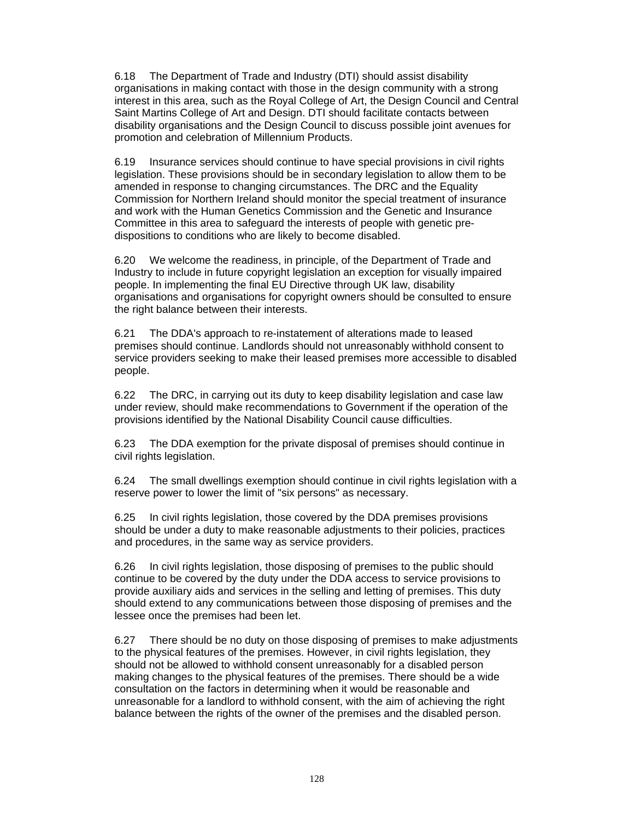6.18 The Department of Trade and Industry (DTI) should assist disability organisations in making contact with those in the design community with a strong interest in this area, such as the Royal College of Art, the Design Council and Central Saint Martins College of Art and Design. DTI should facilitate contacts between disability organisations and the Design Council to discuss possible joint avenues for promotion and celebration of Millennium Products.

6.19 Insurance services should continue to have special provisions in civil rights legislation. These provisions should be in secondary legislation to allow them to be amended in response to changing circumstances. The DRC and the Equality Commission for Northern Ireland should monitor the special treatment of insurance and work with the Human Genetics Commission and the Genetic and Insurance Committee in this area to safeguard the interests of people with genetic predispositions to conditions who are likely to become disabled.

6.20 We welcome the readiness, in principle, of the Department of Trade and Industry to include in future copyright legislation an exception for visually impaired people. In implementing the final EU Directive through UK law, disability organisations and organisations for copyright owners should be consulted to ensure the right balance between their interests.

6.21 The DDA's approach to re-instatement of alterations made to leased premises should continue. Landlords should not unreasonably withhold consent to service providers seeking to make their leased premises more accessible to disabled people.

6.22 The DRC, in carrying out its duty to keep disability legislation and case law under review, should make recommendations to Government if the operation of the provisions identified by the National Disability Council cause difficulties.

6.23 The DDA exemption for the private disposal of premises should continue in civil rights legislation.

6.24 The small dwellings exemption should continue in civil rights legislation with a reserve power to lower the limit of "six persons" as necessary.

6.25 In civil rights legislation, those covered by the DDA premises provisions should be under a duty to make reasonable adjustments to their policies, practices and procedures, in the same way as service providers.

6.26 In civil rights legislation, those disposing of premises to the public should continue to be covered by the duty under the DDA access to service provisions to provide auxiliary aids and services in the selling and letting of premises. This duty should extend to any communications between those disposing of premises and the lessee once the premises had been let.

6.27 There should be no duty on those disposing of premises to make adjustments to the physical features of the premises. However, in civil rights legislation, they should not be allowed to withhold consent unreasonably for a disabled person making changes to the physical features of the premises. There should be a wide consultation on the factors in determining when it would be reasonable and unreasonable for a landlord to withhold consent, with the aim of achieving the right balance between the rights of the owner of the premises and the disabled person.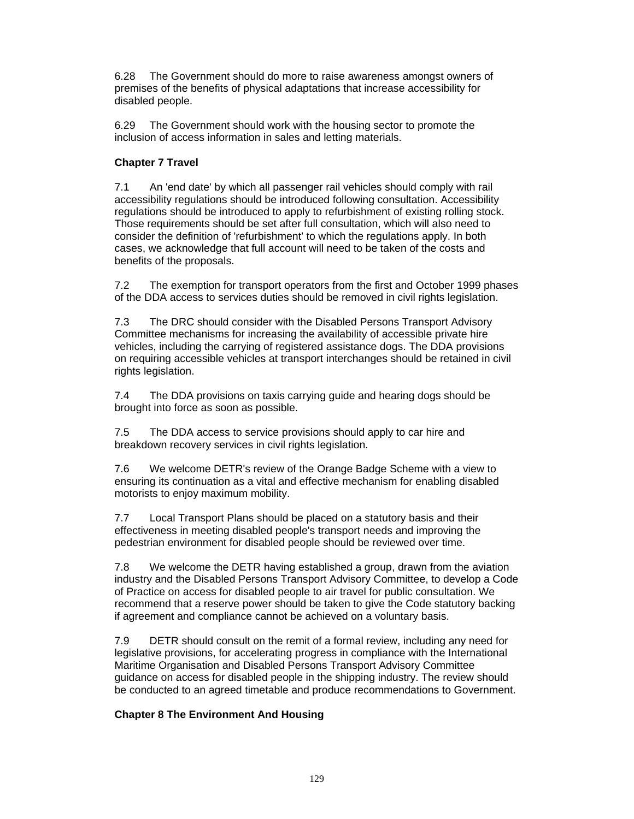6.28 The Government should do more to raise awareness amongst owners of premises of the benefits of physical adaptations that increase accessibility for disabled people.

6.29 The Government should work with the housing sector to promote the inclusion of access information in sales and letting materials.

# **Chapter 7 Travel**

7.1 An 'end date' by which all passenger rail vehicles should comply with rail accessibility regulations should be introduced following consultation. Accessibility regulations should be introduced to apply to refurbishment of existing rolling stock. Those requirements should be set after full consultation, which will also need to consider the definition of 'refurbishment' to which the regulations apply. In both cases, we acknowledge that full account will need to be taken of the costs and benefits of the proposals.

7.2 The exemption for transport operators from the first and October 1999 phases of the DDA access to services duties should be removed in civil rights legislation.

7.3 The DRC should consider with the Disabled Persons Transport Advisory Committee mechanisms for increasing the availability of accessible private hire vehicles, including the carrying of registered assistance dogs. The DDA provisions on requiring accessible vehicles at transport interchanges should be retained in civil rights legislation.

7.4 The DDA provisions on taxis carrying guide and hearing dogs should be brought into force as soon as possible.

7.5 The DDA access to service provisions should apply to car hire and breakdown recovery services in civil rights legislation.

7.6 We welcome DETR's review of the Orange Badge Scheme with a view to ensuring its continuation as a vital and effective mechanism for enabling disabled motorists to enjoy maximum mobility.

7.7 Local Transport Plans should be placed on a statutory basis and their effectiveness in meeting disabled people's transport needs and improving the pedestrian environment for disabled people should be reviewed over time.

7.8 We welcome the DETR having established a group, drawn from the aviation industry and the Disabled Persons Transport Advisory Committee, to develop a Code of Practice on access for disabled people to air travel for public consultation. We recommend that a reserve power should be taken to give the Code statutory backing if agreement and compliance cannot be achieved on a voluntary basis.

7.9 DETR should consult on the remit of a formal review, including any need for legislative provisions, for accelerating progress in compliance with the International Maritime Organisation and Disabled Persons Transport Advisory Committee guidance on access for disabled people in the shipping industry. The review should be conducted to an agreed timetable and produce recommendations to Government.

#### **Chapter 8 The Environment And Housing**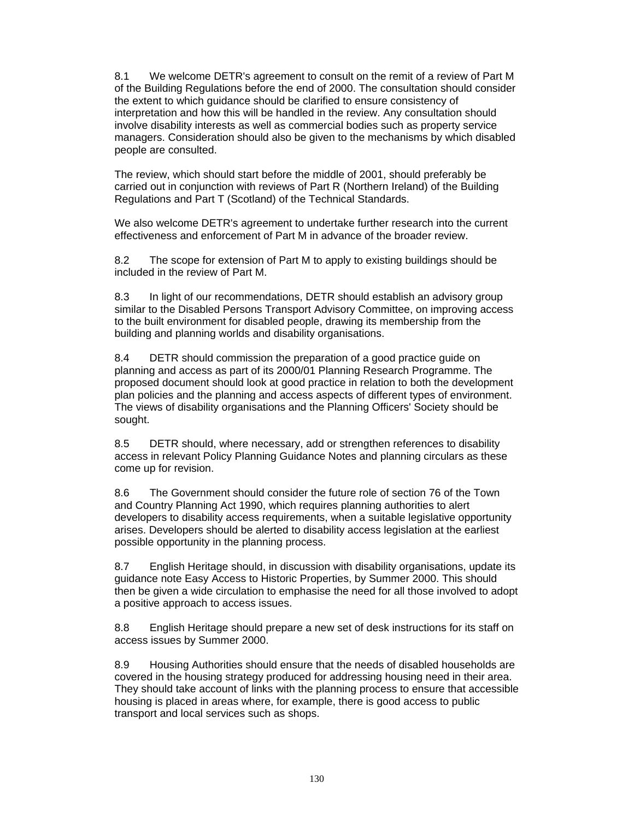8.1 We welcome DETR's agreement to consult on the remit of a review of Part M of the Building Regulations before the end of 2000. The consultation should consider the extent to which guidance should be clarified to ensure consistency of interpretation and how this will be handled in the review. Any consultation should involve disability interests as well as commercial bodies such as property service managers. Consideration should also be given to the mechanisms by which disabled people are consulted.

The review, which should start before the middle of 2001, should preferably be carried out in conjunction with reviews of Part R (Northern Ireland) of the Building Regulations and Part T (Scotland) of the Technical Standards.

We also welcome DETR's agreement to undertake further research into the current effectiveness and enforcement of Part M in advance of the broader review.

8.2 The scope for extension of Part M to apply to existing buildings should be included in the review of Part M.

8.3 In light of our recommendations, DETR should establish an advisory group similar to the Disabled Persons Transport Advisory Committee, on improving access to the built environment for disabled people, drawing its membership from the building and planning worlds and disability organisations.

8.4 DETR should commission the preparation of a good practice guide on planning and access as part of its 2000/01 Planning Research Programme. The proposed document should look at good practice in relation to both the development plan policies and the planning and access aspects of different types of environment. The views of disability organisations and the Planning Officers' Society should be sought.

8.5 DETR should, where necessary, add or strengthen references to disability access in relevant Policy Planning Guidance Notes and planning circulars as these come up for revision.

8.6 The Government should consider the future role of section 76 of the Town and Country Planning Act 1990, which requires planning authorities to alert developers to disability access requirements, when a suitable legislative opportunity arises. Developers should be alerted to disability access legislation at the earliest possible opportunity in the planning process.

8.7 English Heritage should, in discussion with disability organisations, update its guidance note Easy Access to Historic Properties, by Summer 2000. This should then be given a wide circulation to emphasise the need for all those involved to adopt a positive approach to access issues.

8.8 English Heritage should prepare a new set of desk instructions for its staff on access issues by Summer 2000.

8.9 Housing Authorities should ensure that the needs of disabled households are covered in the housing strategy produced for addressing housing need in their area. They should take account of links with the planning process to ensure that accessible housing is placed in areas where, for example, there is good access to public transport and local services such as shops.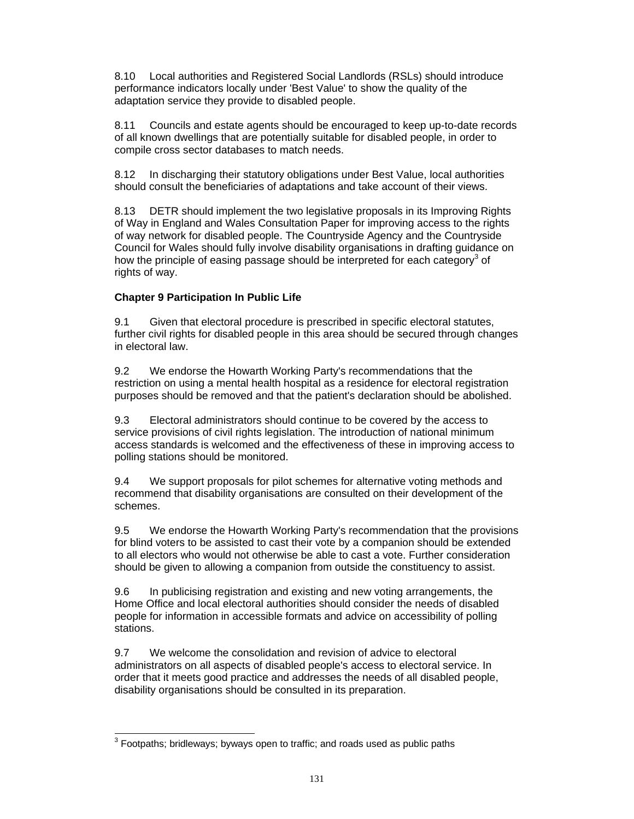8.10 Local authorities and Registered Social Landlords (RSLs) should introduce performance indicators locally under 'Best Value' to show the quality of the adaptation service they provide to disabled people.

8.11 Councils and estate agents should be encouraged to keep up-to-date records of all known dwellings that are potentially suitable for disabled people, in order to compile cross sector databases to match needs.

8.12 In discharging their statutory obligations under Best Value, local authorities should consult the beneficiaries of adaptations and take account of their views.

8.13 DETR should implement the two legislative proposals in its Improving Rights of Way in England and Wales Consultation Paper for improving access to the rights of way network for disabled people. The Countryside Agency and the Countryside Council for Wales should fully involve disability organisations in drafting guidance on how the principle of easing passage should be interpreted for each category<sup>3</sup> of rights of way.

#### **Chapter 9 Participation In Public Life**

9.1 Given that electoral procedure is prescribed in specific electoral statutes, further civil rights for disabled people in this area should be secured through changes in electoral law.

9.2 We endorse the Howarth Working Party's recommendations that the restriction on using a mental health hospital as a residence for electoral registration purposes should be removed and that the patient's declaration should be abolished.

9.3 Electoral administrators should continue to be covered by the access to service provisions of civil rights legislation. The introduction of national minimum access standards is welcomed and the effectiveness of these in improving access to polling stations should be monitored.

9.4 We support proposals for pilot schemes for alternative voting methods and recommend that disability organisations are consulted on their development of the schemes.

9.5 We endorse the Howarth Working Party's recommendation that the provisions for blind voters to be assisted to cast their vote by a companion should be extended to all electors who would not otherwise be able to cast a vote. Further consideration should be given to allowing a companion from outside the constituency to assist.

9.6 In publicising registration and existing and new voting arrangements, the Home Office and local electoral authorities should consider the needs of disabled people for information in accessible formats and advice on accessibility of polling stations.

9.7 We welcome the consolidation and revision of advice to electoral administrators on all aspects of disabled people's access to electoral service. In order that it meets good practice and addresses the needs of all disabled people, disability organisations should be consulted in its preparation.

 $\overline{a}$  $3$  Footpaths; bridleways; byways open to traffic; and roads used as public paths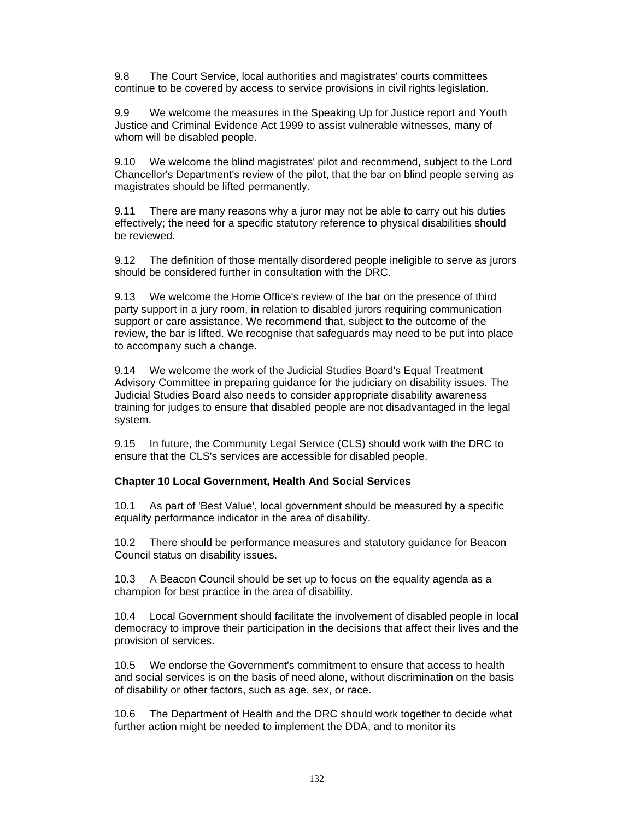9.8 The Court Service, local authorities and magistrates' courts committees continue to be covered by access to service provisions in civil rights legislation.

9.9 We welcome the measures in the Speaking Up for Justice report and Youth Justice and Criminal Evidence Act 1999 to assist vulnerable witnesses, many of whom will be disabled people.

9.10 We welcome the blind magistrates' pilot and recommend, subject to the Lord Chancellor's Department's review of the pilot, that the bar on blind people serving as magistrates should be lifted permanently.

9.11 There are many reasons why a juror may not be able to carry out his duties effectively; the need for a specific statutory reference to physical disabilities should be reviewed.

9.12 The definition of those mentally disordered people ineligible to serve as jurors should be considered further in consultation with the DRC.

9.13 We welcome the Home Office's review of the bar on the presence of third party support in a jury room, in relation to disabled jurors requiring communication support or care assistance. We recommend that, subject to the outcome of the review, the bar is lifted. We recognise that safeguards may need to be put into place to accompany such a change.

9.14 We welcome the work of the Judicial Studies Board's Equal Treatment Advisory Committee in preparing guidance for the judiciary on disability issues. The Judicial Studies Board also needs to consider appropriate disability awareness training for judges to ensure that disabled people are not disadvantaged in the legal system.

9.15 In future, the Community Legal Service (CLS) should work with the DRC to ensure that the CLS's services are accessible for disabled people.

#### **Chapter 10 Local Government, Health And Social Services**

10.1 As part of 'Best Value', local government should be measured by a specific equality performance indicator in the area of disability.

10.2 There should be performance measures and statutory guidance for Beacon Council status on disability issues.

10.3 A Beacon Council should be set up to focus on the equality agenda as a champion for best practice in the area of disability.

10.4 Local Government should facilitate the involvement of disabled people in local democracy to improve their participation in the decisions that affect their lives and the provision of services.

10.5 We endorse the Government's commitment to ensure that access to health and social services is on the basis of need alone, without discrimination on the basis of disability or other factors, such as age, sex, or race.

10.6 The Department of Health and the DRC should work together to decide what further action might be needed to implement the DDA, and to monitor its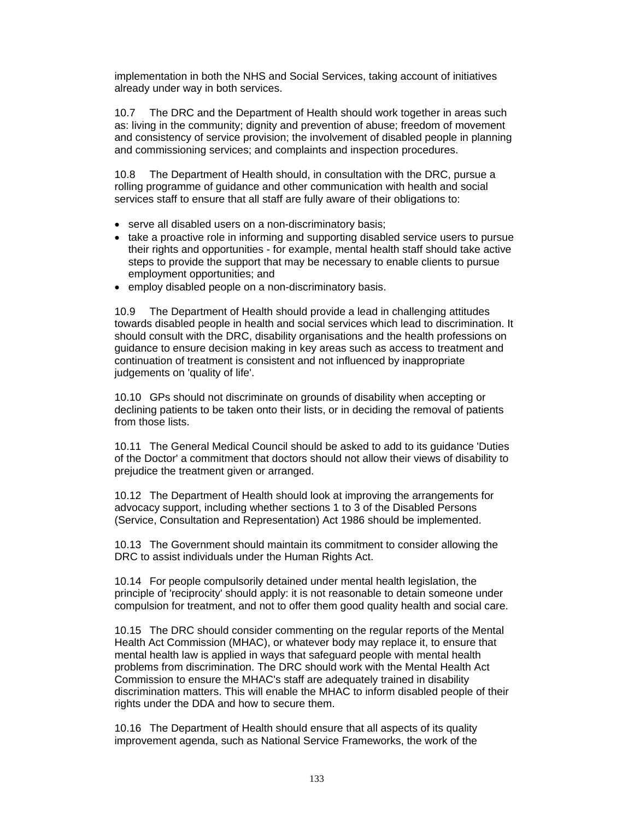implementation in both the NHS and Social Services, taking account of initiatives already under way in both services.

10.7 The DRC and the Department of Health should work together in areas such as: living in the community; dignity and prevention of abuse; freedom of movement and consistency of service provision; the involvement of disabled people in planning and commissioning services; and complaints and inspection procedures.

10.8 The Department of Health should, in consultation with the DRC, pursue a rolling programme of guidance and other communication with health and social services staff to ensure that all staff are fully aware of their obligations to:

- serve all disabled users on a non-discriminatory basis;
- take a proactive role in informing and supporting disabled service users to pursue their rights and opportunities - for example, mental health staff should take active steps to provide the support that may be necessary to enable clients to pursue employment opportunities; and
- employ disabled people on a non-discriminatory basis.

10.9 The Department of Health should provide a lead in challenging attitudes towards disabled people in health and social services which lead to discrimination. It should consult with the DRC, disability organisations and the health professions on guidance to ensure decision making in key areas such as access to treatment and continuation of treatment is consistent and not influenced by inappropriate judgements on 'quality of life'.

10.10 GPs should not discriminate on grounds of disability when accepting or declining patients to be taken onto their lists, or in deciding the removal of patients from those lists.

10.11 The General Medical Council should be asked to add to its guidance 'Duties of the Doctor' a commitment that doctors should not allow their views of disability to prejudice the treatment given or arranged.

10.12 The Department of Health should look at improving the arrangements for advocacy support, including whether sections 1 to 3 of the Disabled Persons (Service, Consultation and Representation) Act 1986 should be implemented.

10.13 The Government should maintain its commitment to consider allowing the DRC to assist individuals under the Human Rights Act.

10.14 For people compulsorily detained under mental health legislation, the principle of 'reciprocity' should apply: it is not reasonable to detain someone under compulsion for treatment, and not to offer them good quality health and social care.

10.15 The DRC should consider commenting on the regular reports of the Mental Health Act Commission (MHAC), or whatever body may replace it, to ensure that mental health law is applied in ways that safeguard people with mental health problems from discrimination. The DRC should work with the Mental Health Act Commission to ensure the MHAC's staff are adequately trained in disability discrimination matters. This will enable the MHAC to inform disabled people of their rights under the DDA and how to secure them.

10.16 The Department of Health should ensure that all aspects of its quality improvement agenda, such as National Service Frameworks, the work of the